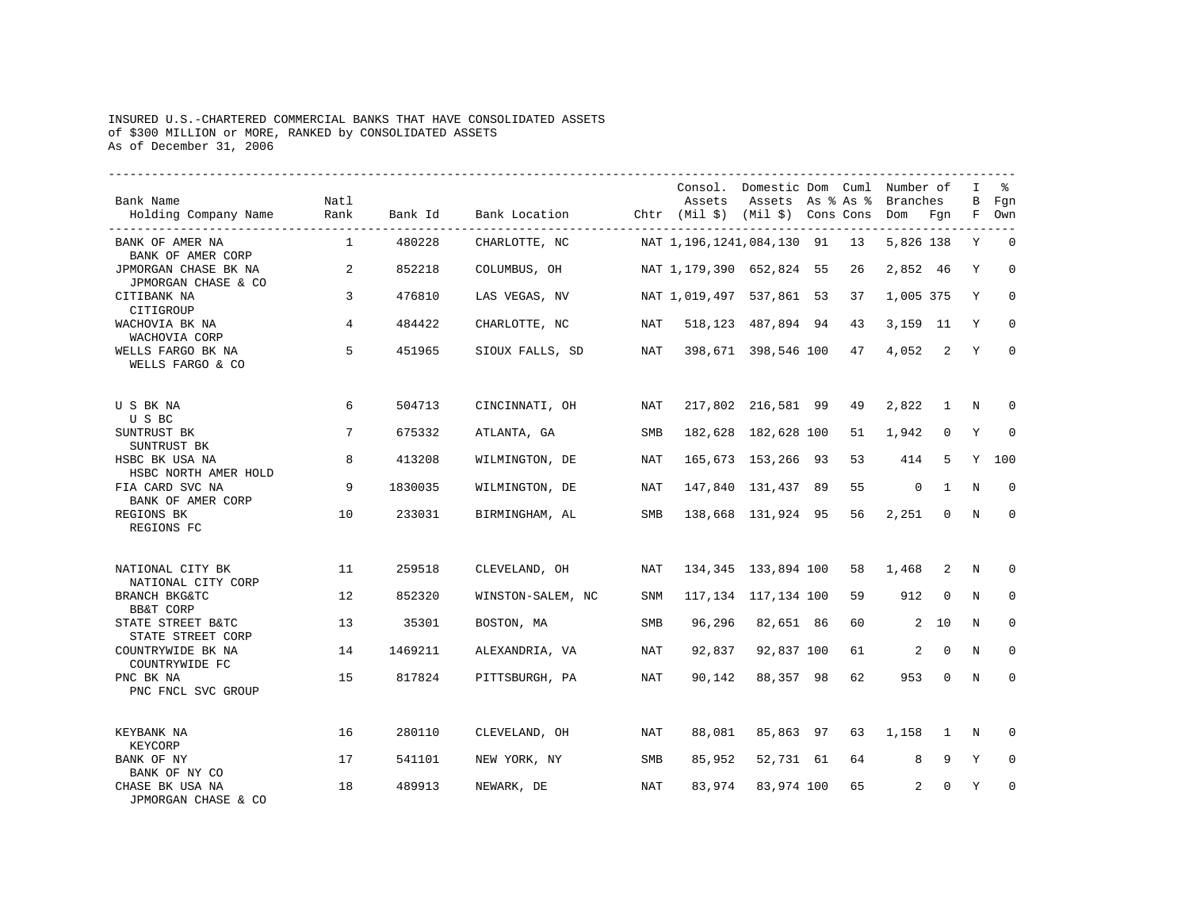## INSURED U.S.-CHARTERED COMMERCIAL BANKS THAT HAVE CONSOLIDATED ASSETS of \$300 MILLION or MORE, RANKED by CONSOLIDATED ASSETS As of December 31, 2006

| Bank Name<br>Holding Company Name                | Natl<br>Rank | Bank Id | Bank Location (htr (Mil \$) (Mil \$) Cons Cons Dom Fgn |            | Assets                      | Consol. Domestic Dom Cuml Number of<br>Assets As % As % |    | Branches       |                | I<br>В      | ዱ<br>Fgn<br>F Own |
|--------------------------------------------------|--------------|---------|--------------------------------------------------------|------------|-----------------------------|---------------------------------------------------------|----|----------------|----------------|-------------|-------------------|
| BANK OF AMER NA<br>BANK OF AMER CORP             | $\mathbf{1}$ | 480228  | CHARLOTTE, NC                                          |            | NAT 1,196,1241,084,130 91   |                                                         | 13 | 5,826 138      |                | Y           | $\Omega$          |
| JPMORGAN CHASE BK NA<br>JPMORGAN CHASE & CO      | $\sim$ 2     | 852218  | COLUMBUS, OH                                           |            | NAT 1, 179, 390 652, 824 55 |                                                         | 26 | 2,852 46       |                | Y           | $\mathbf 0$       |
| CITIBANK NA<br>CITIGROUP                         | 3            | 476810  | LAS VEGAS, NV                                          |            | NAT 1,019,497 537,861 53    |                                                         | 37 | 1,005 375      |                | Y           | $\Omega$          |
| WACHOVIA BK NA<br>WACHOVIA CORP                  | 4            | 484422  | CHARLOTTE, NC                                          | NAT        |                             | 518, 123 487, 894 94                                    | 43 | 3,159 11       |                | Y           | $\Omega$          |
| WELLS FARGO BK NA<br>WELLS FARGO & CO            | 5            | 451965  | SIOUX FALLS, SD                                        | NAT        |                             | 398,671 398,546 100                                     | 47 | 4,052          | $\overline{2}$ | Y           | $\Omega$          |
| U S BK NA<br>U S BC                              | 6            | 504713  | CINCINNATI, OH                                         | NAT        |                             | 217,802 216,581 99                                      | 49 | 2,822          | $\overline{1}$ | N           | <sup>0</sup>      |
| SUNTRUST BK<br>SUNTRUST BK                       | 7            | 675332  | ATLANTA, GA                                            | <b>SMB</b> |                             | 182,628 182,628 100                                     | 51 | 1,942          | 0              | Y           | 0                 |
| HSBC BK USA NA<br>HSBC NORTH AMER HOLD           | 8            | 413208  | WILMINGTON, DE                                         | NAT        |                             | 165,673 153,266 93                                      | 53 | 414            | 5              | Y           | 100               |
| FIA CARD SVC NA<br>BANK OF AMER CORP             | 9            | 1830035 | WILMINGTON, DE                                         | NAT        |                             | 147,840 131,437 89                                      | 55 | $\mathbf 0$    | <sup>1</sup>   | N           | $\Omega$          |
| REGIONS BK<br>REGIONS FC                         | 10           | 233031  | BIRMINGHAM, AL                                         | SMB        |                             | 138,668 131,924 95                                      | 56 | 2,251          | $\Omega$       | N           | $\Omega$          |
| NATIONAL CITY BK                                 | 11           | 259518  | CLEVELAND, OH                                          | NAT        |                             | 134,345 133,894 100                                     | 58 | 1,468          | 2              | N           | 0                 |
| NATIONAL CITY CORP<br>BRANCH BKG&TC<br>BB&T CORP | 12           | 852320  | WINSTON-SALEM, NC                                      | SNM        |                             | 117, 134 117, 134 100                                   | 59 | 912            | 0              | N           | $\Omega$          |
| STATE STREET B&TC<br>STATE STREET CORP           | 13           | 35301   | BOSTON, MA                                             | SMB        |                             | 96,296 82,651 86                                        | 60 |                | $2 \quad 10$   | N           | $\mathbf 0$       |
| COUNTRYWIDE BK NA<br>COUNTRYWIDE FC              | 14           | 1469211 | ALEXANDRIA, VA                                         | NAT        | 92,837                      | 92,837 100                                              | 61 | $\overline{2}$ | $\mathbf 0$    | N           | $\mathbf 0$       |
| PNC BK NA<br>PNC FNCL SVC GROUP                  | 15           | 817824  | PITTSBURGH, PA                                         | NAT        | 90,142                      | 88,357 98                                               | 62 | 953            | $\mathbf 0$    | $\mathbf N$ | $\mathbf 0$       |
| KEYBANK NA<br>KEYCORP                            | 16           | 280110  | CLEVELAND, OH                                          | NAT        | 88,081                      | 85,863 97                                               | 63 | 1,158          | 1              | N           | $\Omega$          |
| BANK OF NY<br>BANK OF NY CO                      | 17           | 541101  | NEW YORK, NY                                           | SMB        | 85,952                      | 52,731 61                                               | 64 | 8              | 9              | Y           | $\Omega$          |
| CHASE BK USA NA<br>JPMORGAN CHASE & CO           | 18           | 489913  | NEWARK, DE                                             | NAT        | 83,974                      | 83,974 100                                              | 65 | 2              | $\Omega$       | Y           | $\Omega$          |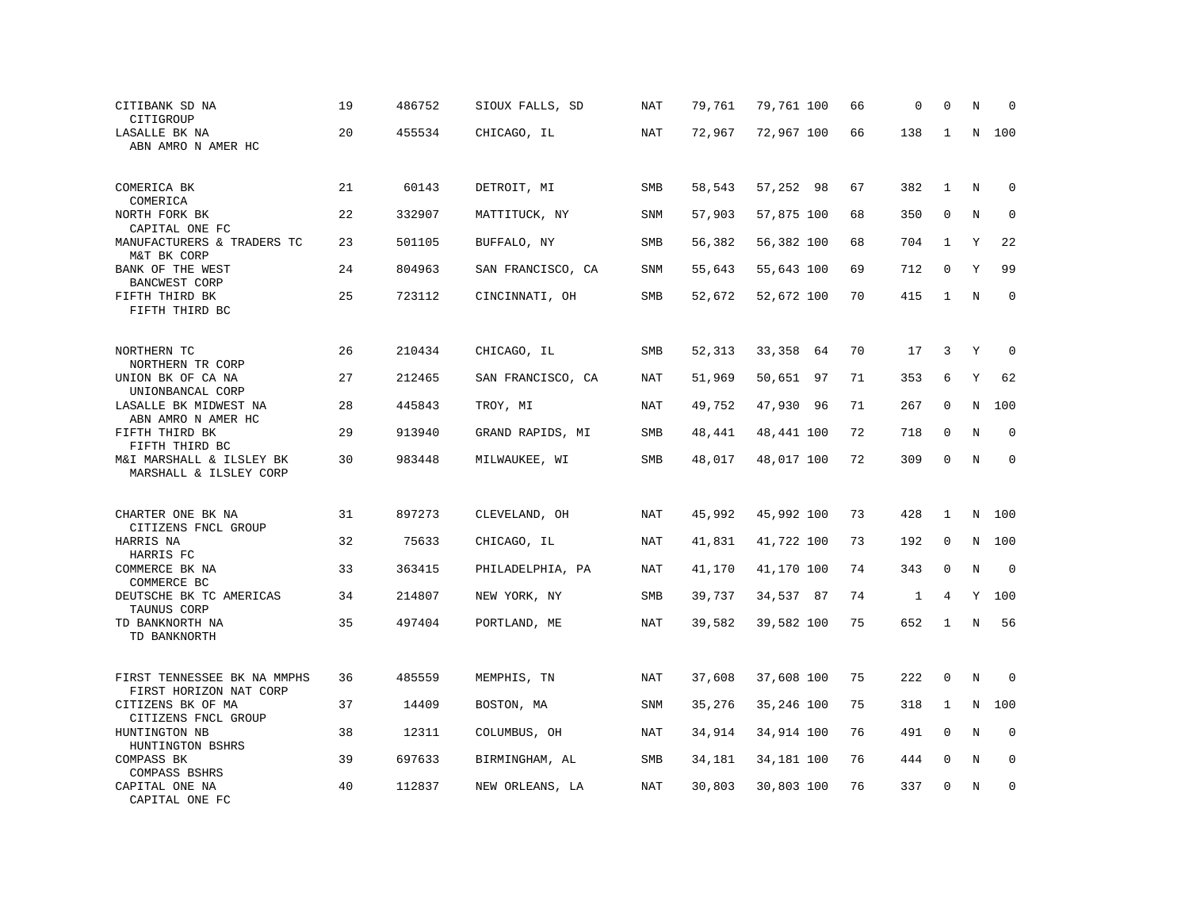| CITIBANK SD NA<br>CITIGROUP                                 | 19 | 486752 | SIOUX FALLS, SD   | NAT        | 79,761 | 79,761 100 | 66 | 0            | 0            | N       | $\Omega$    |
|-------------------------------------------------------------|----|--------|-------------------|------------|--------|------------|----|--------------|--------------|---------|-------------|
| LASALLE BK NA<br>ABN AMRO N AMER HC                         | 20 | 455534 | CHICAGO, IL       | NAT        | 72,967 | 72,967 100 | 66 | 138          | 1            | N       | 100         |
|                                                             |    |        |                   |            |        |            |    |              |              |         |             |
| COMERICA BK<br>COMERICA                                     | 21 | 60143  | DETROIT, MI       | SMB        | 58,543 | 57,252 98  | 67 | 382          | $\mathbf{1}$ | Ν       | 0           |
| NORTH FORK BK                                               | 22 | 332907 | MATTITUCK, NY     | <b>SNM</b> | 57,903 | 57,875 100 | 68 | 350          | $\mathbf{0}$ | N       | $\mathbf 0$ |
| CAPITAL ONE FC<br>MANUFACTURERS & TRADERS TC<br>M&T BK CORP | 23 | 501105 | BUFFALO, NY       | SMB        | 56,382 | 56,382 100 | 68 | 704          | $\mathbf{1}$ | Y       | 22          |
| BANK OF THE WEST<br>BANCWEST CORP                           | 24 | 804963 | SAN FRANCISCO, CA | SNM        | 55,643 | 55,643 100 | 69 | 712          | $\mathbf 0$  | Υ       | 99          |
| FIFTH THIRD BK<br>FIFTH THIRD BC                            | 25 | 723112 | CINCINNATI, OH    | SMB        | 52,672 | 52,672 100 | 70 | 415          | $\mathbf{1}$ | N       | $\mathbf 0$ |
|                                                             |    |        |                   |            |        |            |    |              |              |         |             |
| NORTHERN TC<br>NORTHERN TR CORP                             | 26 | 210434 | CHICAGO, IL       | SMB        | 52,313 | 33,358 64  | 70 | 17           | 3            | Y       | $\mathbf 0$ |
| UNION BK OF CA NA<br>UNIONBANCAL CORP                       | 27 | 212465 | SAN FRANCISCO, CA | NAT        | 51,969 | 50,651 97  | 71 | 353          | 6            | Y       | 62          |
| LASALLE BK MIDWEST NA<br>ABN AMRO N AMER HC                 | 28 | 445843 | TROY, MI          | NAT        | 49,752 | 47,930 96  | 71 | 267          | $\mathbf 0$  | N       | 100         |
| FIFTH THIRD BK<br>FIFTH THIRD BC                            | 29 | 913940 | GRAND RAPIDS, MI  | SMB        | 48,441 | 48,441 100 | 72 | 718          | $\mathbf 0$  | N       | $\mathbf 0$ |
| M&I MARSHALL & ILSLEY BK<br>MARSHALL & ILSLEY CORP          | 30 | 983448 | MILWAUKEE, WI     | SMB        | 48,017 | 48,017 100 | 72 | 309          | $\mathbf 0$  | $\rm N$ | $\mathbf 0$ |
|                                                             |    |        |                   |            |        |            |    |              |              |         |             |
| CHARTER ONE BK NA<br>CITIZENS FNCL GROUP                    | 31 | 897273 | CLEVELAND, OH     | NAT        | 45,992 | 45,992 100 | 73 | 428          | 1            | N       | 100         |
| HARRIS NA<br>HARRIS FC                                      | 32 | 75633  | CHICAGO, IL       | <b>NAT</b> | 41,831 | 41,722 100 | 73 | 192          | $\mathbf 0$  | N       | 100         |
| COMMERCE BK NA                                              | 33 | 363415 | PHILADELPHIA, PA  | NAT        | 41,170 | 41,170 100 | 74 | 343          | $\mathbf 0$  | N       | $\mathbf 0$ |
| COMMERCE BC<br>DEUTSCHE BK TC AMERICAS<br>TAUNUS CORP       | 34 | 214807 | NEW YORK, NY      | SMB        | 39,737 | 34,537 87  | 74 | $\mathbf{1}$ | 4            | Y       | 100         |
| TD BANKNORTH NA<br>TD BANKNORTH                             | 35 | 497404 | PORTLAND, ME      | <b>NAT</b> | 39,582 | 39,582 100 | 75 | 652          | $\mathbf{1}$ | $\rm N$ | 56          |
|                                                             |    |        |                   |            |        |            |    |              |              |         |             |
| FIRST TENNESSEE BK NA MMPHS<br>FIRST HORIZON NAT CORP       | 36 | 485559 | MEMPHIS, TN       | <b>NAT</b> | 37,608 | 37,608 100 | 75 | 222          | $\mathbf{0}$ | $\rm N$ | $\mathbf 0$ |
| CITIZENS BK OF MA<br>CITIZENS FNCL GROUP                    | 37 | 14409  | BOSTON, MA        | <b>SNM</b> | 35,276 | 35,246 100 | 75 | 318          | 1            | N       | 100         |
| HUNTINGTON NB<br>HUNTINGTON BSHRS                           | 38 | 12311  | COLUMBUS, OH      | NAT        | 34,914 | 34,914 100 | 76 | 491          | 0            | Ν       | 0           |
| COMPASS BK<br>COMPASS BSHRS                                 | 39 | 697633 | BIRMINGHAM, AL    | SMB        | 34,181 | 34,181 100 | 76 | 444          | $\mathbf 0$  | N       | $\mathbf 0$ |
| CAPITAL ONE NA<br>CAPITAL ONE FC                            | 40 | 112837 | NEW ORLEANS, LA   | NAT        | 30,803 | 30,803 100 | 76 | 337          | $\mathbf{0}$ | N       | $\mathbf 0$ |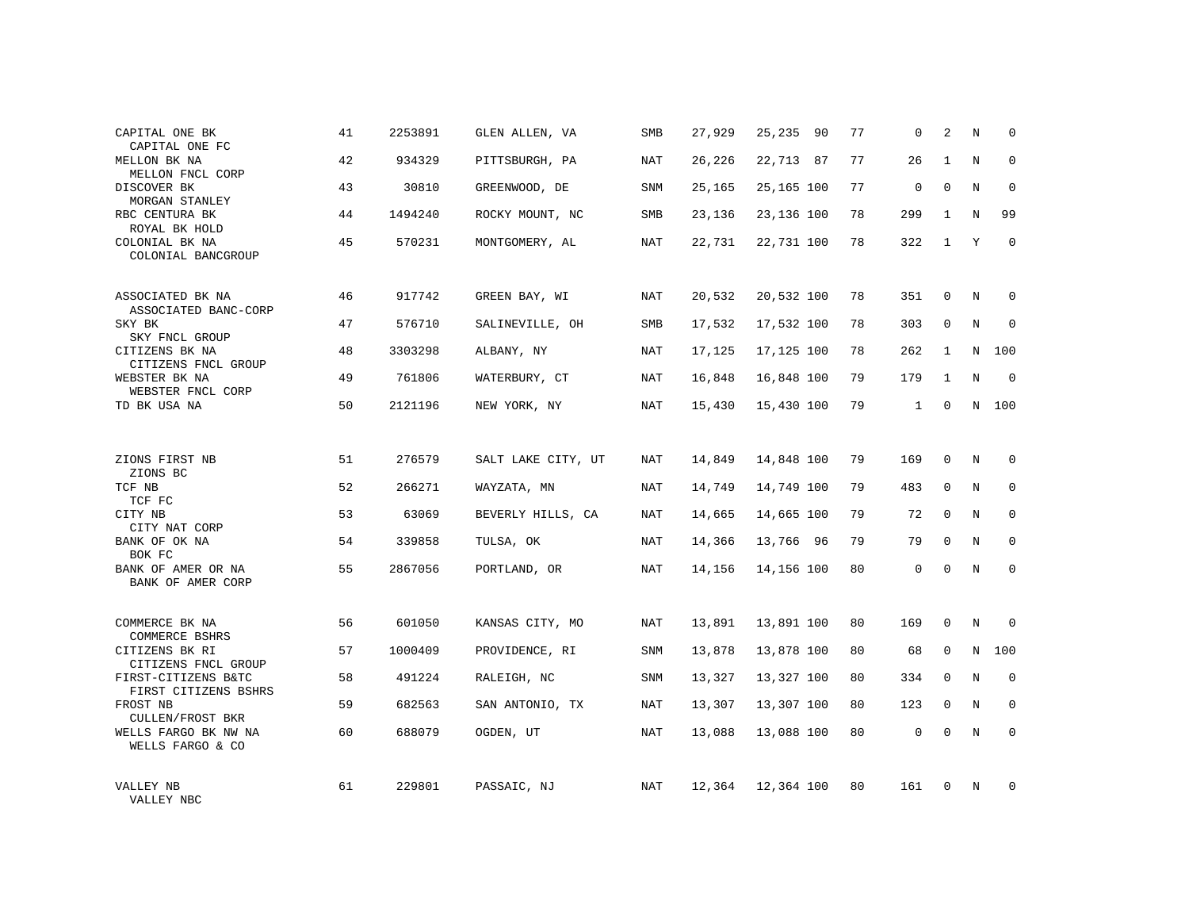| CAPITAL ONE BK<br>CAPITAL ONE FC                                    | 41 | 2253891 | GLEN ALLEN, VA     | SMB | 27,929 | 25,235 90  | 77 | $\mathbf 0$  | 2            | Ν | $\mathbf 0$  |
|---------------------------------------------------------------------|----|---------|--------------------|-----|--------|------------|----|--------------|--------------|---|--------------|
| MELLON BK NA<br>MELLON FNCL CORP                                    | 42 | 934329  | PITTSBURGH, PA     | NAT | 26,226 | 22,713 87  | 77 | 26           | $\mathbf{1}$ | N | $\mathbf 0$  |
| DISCOVER BK<br>MORGAN STANLEY                                       | 43 | 30810   | GREENWOOD, DE      | SNM | 25,165 | 25,165 100 | 77 | 0            | $\mathbf 0$  | N | 0            |
| RBC CENTURA BK<br>ROYAL BK HOLD                                     | 44 | 1494240 | ROCKY MOUNT, NC    | SMB | 23,136 | 23,136 100 | 78 | 299          | $\mathbf{1}$ | N | 99           |
| COLONIAL BK NA<br>COLONIAL BANCGROUP                                | 45 | 570231  | MONTGOMERY, AL     | NAT | 22,731 | 22,731 100 | 78 | 322          | $\mathbf{1}$ | Y | $\mathbf 0$  |
| ASSOCIATED BK NA                                                    | 46 | 917742  | GREEN BAY, WI      | NAT | 20,532 | 20,532 100 | 78 | 351          | $\mathbf 0$  | N | 0            |
| ASSOCIATED BANC-CORP<br>SKY BK                                      | 47 | 576710  | SALINEVILLE, OH    | SMB | 17,532 | 17,532 100 | 78 | 303          | 0            | N | $\mathbf 0$  |
| SKY FNCL GROUP<br>CITIZENS BK NA                                    | 48 | 3303298 | ALBANY, NY         | NAT | 17,125 | 17,125 100 | 78 | 262          | 1            | N | 100          |
| CITIZENS FNCL GROUP<br>WEBSTER BK NA<br>WEBSTER FNCL CORP           | 49 | 761806  | WATERBURY, CT      | NAT | 16,848 | 16,848 100 | 79 | 179          | $\mathbf{1}$ | N | $\mathbf 0$  |
| TD BK USA NA                                                        | 50 | 2121196 | NEW YORK, NY       | NAT | 15,430 | 15,430 100 | 79 | $\mathbf{1}$ | $\mathbf 0$  | N | 100          |
|                                                                     |    |         |                    |     |        |            |    |              |              |   |              |
| ZIONS FIRST NB<br>ZIONS BC                                          | 51 | 276579  | SALT LAKE CITY, UT | NAT | 14,849 | 14,848 100 | 79 | 169          | $\mathbf 0$  | N | $\Omega$     |
| TCF NB<br>TCF FC                                                    | 52 | 266271  | WAYZATA, MN        | NAT | 14,749 | 14,749 100 | 79 | 483          | 0            | N | 0            |
| CITY NB<br>CITY NAT CORP                                            | 53 | 63069   | BEVERLY HILLS, CA  | NAT | 14,665 | 14,665 100 | 79 | 72           | $\Omega$     | N | $\mathbf 0$  |
| BANK OF OK NA<br>BOK FC                                             | 54 | 339858  | TULSA, OK          | NAT | 14,366 | 13,766 96  | 79 | 79           | $\mathbf 0$  | N | 0            |
| BANK OF AMER OR NA<br>BANK OF AMER CORP                             | 55 | 2867056 | PORTLAND, OR       | NAT | 14,156 | 14,156 100 | 80 | $\Omega$     | $\Omega$     | N | $\mathbf{0}$ |
| COMMERCE BK NA                                                      | 56 | 601050  | KANSAS CITY, MO    | NAT | 13,891 | 13,891 100 | 80 | 169          | $\mathbf 0$  | N | $\Omega$     |
| COMMERCE BSHRS<br>CITIZENS BK RI                                    | 57 | 1000409 | PROVIDENCE, RI     | SNM | 13,878 | 13,878 100 | 80 | 68           | 0            | N | 100          |
| CITIZENS FNCL GROUP<br>FIRST-CITIZENS B&TC                          | 58 | 491224  | RALEIGH, NC        | SNM | 13,327 | 13,327 100 | 80 | 334          | $\mathbf 0$  | N | $\mathbf 0$  |
| FIRST CITIZENS BSHRS<br>FROST NB                                    | 59 | 682563  | SAN ANTONIO, TX    | NAT | 13,307 | 13,307 100 | 80 | 123          | 0            | N | 0            |
| <b>CULLEN/FROST BKR</b><br>WELLS FARGO BK NW NA<br>WELLS FARGO & CO | 60 | 688079  | OGDEN, UT          | NAT | 13,088 | 13,088 100 | 80 | $\mathbf 0$  | $\mathbf 0$  | N | $\mathbf{0}$ |
| VALLEY NB<br>VALLEY NBC                                             | 61 | 229801  | PASSAIC, NJ        | NAT | 12,364 | 12,364 100 | 80 | 161          | $\mathbf 0$  | N | $\mathbf 0$  |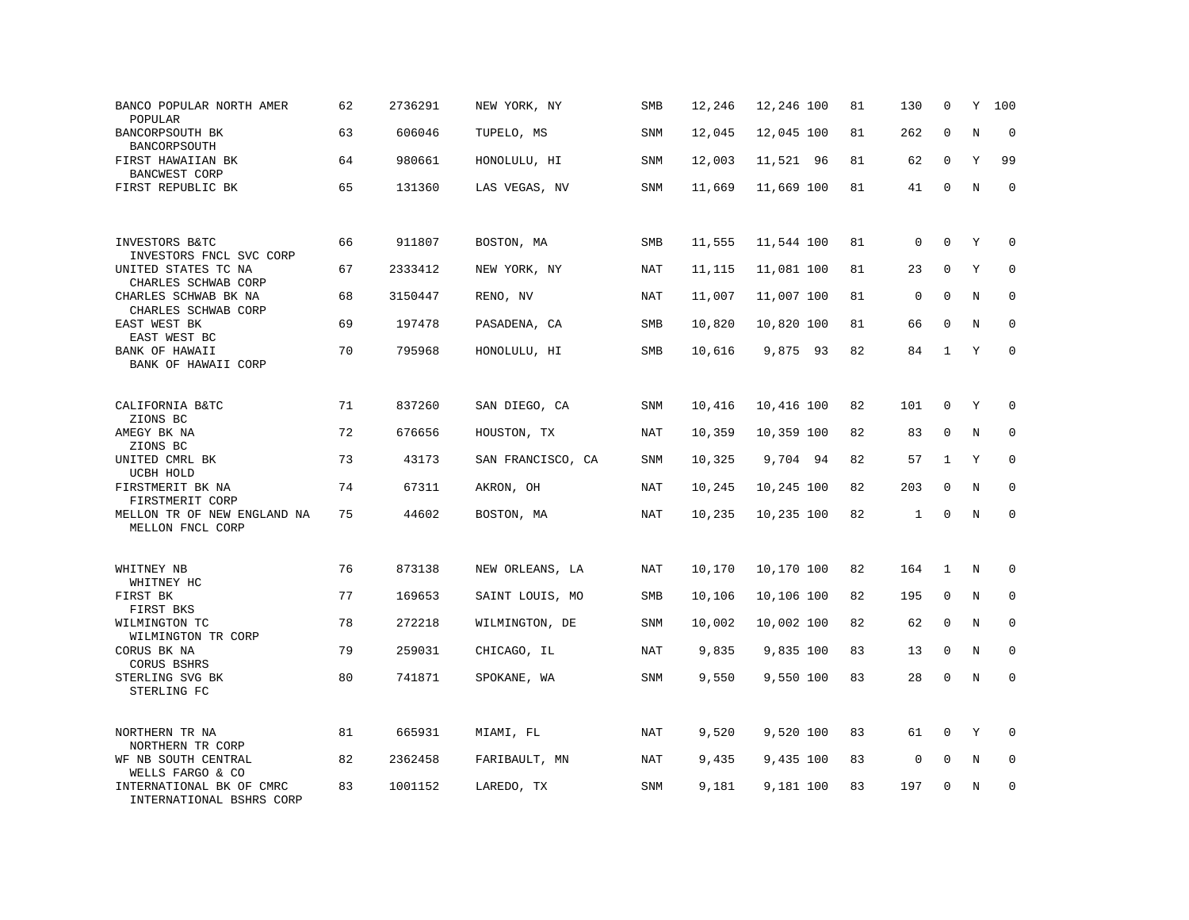| BANCO POPULAR NORTH AMER<br>POPULAR                  | 62 | 2736291 | NEW YORK, NY      | SMB        | 12,246 | 12,246 100 | 81 | 130          | 0            | Υ       | 100         |
|------------------------------------------------------|----|---------|-------------------|------------|--------|------------|----|--------------|--------------|---------|-------------|
| BANCORPSOUTH BK<br>BANCORPSOUTH                      | 63 | 606046  | TUPELO, MS        | <b>SNM</b> | 12,045 | 12,045 100 | 81 | 262          | $\mathbf 0$  | N       | $\mathbf 0$ |
| FIRST HAWAIIAN BK<br>BANCWEST CORP                   | 64 | 980661  | HONOLULU, HI      | <b>SNM</b> | 12,003 | 11,521 96  | 81 | 62           | $\mathbf 0$  | Y       | 99          |
| FIRST REPUBLIC BK                                    | 65 | 131360  | LAS VEGAS, NV     | <b>SNM</b> | 11,669 | 11,669 100 | 81 | 41           | $\mathbf 0$  | N       | $\mathbf 0$ |
| INVESTORS B&TC<br>INVESTORS FNCL SVC CORP            | 66 | 911807  | BOSTON, MA        | SMB        | 11,555 | 11,544 100 | 81 | 0            | $\mathbf 0$  | Y       | $\mathbf 0$ |
| UNITED STATES TC NA<br>CHARLES SCHWAB CORP           | 67 | 2333412 | NEW YORK, NY      | NAT        | 11,115 | 11,081 100 | 81 | 23           | $\Omega$     | Υ       | $\mathbf 0$ |
| CHARLES SCHWAB BK NA<br>CHARLES SCHWAB CORP          | 68 | 3150447 | RENO, NV          | NAT        | 11,007 | 11,007 100 | 81 | $\mathbf 0$  | $\Omega$     | N       | $\mathbf 0$ |
| EAST WEST BK<br>EAST WEST BC                         | 69 | 197478  | PASADENA, CA      | <b>SMB</b> | 10,820 | 10,820 100 | 81 | 66           | $\Omega$     | N       | $\Omega$    |
| BANK OF HAWAII<br>BANK OF HAWAII CORP                | 70 | 795968  | HONOLULU, HI      | SMB        | 10,616 | 9,875 93   | 82 | 84           | $\mathbf{1}$ | Y       | $\mathbf 0$ |
| CALIFORNIA B&TC<br>ZIONS BC                          | 71 | 837260  | SAN DIEGO, CA     | <b>SNM</b> | 10,416 | 10,416 100 | 82 | 101          | $\mathbf 0$  | Y       | $\mathbf 0$ |
| AMEGY BK NA<br>ZIONS BC                              | 72 | 676656  | HOUSTON, TX       | <b>NAT</b> | 10,359 | 10,359 100 | 82 | 83           | $\mathbf 0$  | N       | $\mathbf 0$ |
| UNITED CMRL BK<br>UCBH HOLD                          | 73 | 43173   | SAN FRANCISCO, CA | SNM        | 10,325 | 9,704 94   | 82 | 57           | 1            | Υ       | 0           |
| FIRSTMERIT BK NA<br>FIRSTMERIT CORP                  | 74 | 67311   | AKRON, OH         | <b>NAT</b> | 10,245 | 10,245 100 | 82 | 203          | $\Omega$     | N       | $\mathbf 0$ |
| MELLON TR OF NEW ENGLAND NA<br>MELLON FNCL CORP      | 75 | 44602   | BOSTON, MA        | NAT        | 10,235 | 10,235 100 | 82 | $\mathbf{1}$ | $\Omega$     | $\rm N$ | $\mathbf 0$ |
| WHITNEY NB<br>WHITNEY HC                             | 76 | 873138  | NEW ORLEANS, LA   | NAT        | 10,170 | 10,170 100 | 82 | 164          | 1            | N       | $\mathbf 0$ |
| FIRST BK<br>FIRST BKS                                | 77 | 169653  | SAINT LOUIS, MO   | SMB        | 10,106 | 10,106 100 | 82 | 195          | 0            | N       | 0           |
| WILMINGTON TC<br>WILMINGTON TR CORP                  | 78 | 272218  | WILMINGTON, DE    | SNM        | 10,002 | 10,002 100 | 82 | 62           | $\mathbf 0$  | N       | $\mathbf 0$ |
| CORUS BK NA<br><b>CORUS BSHRS</b>                    | 79 | 259031  | CHICAGO, IL       | <b>NAT</b> | 9,835  | 9,835 100  | 83 | 13           | $\mathbf 0$  | N       | $\mathbf 0$ |
| STERLING SVG BK<br>STERLING FC                       | 80 | 741871  | SPOKANE, WA       | SNM        | 9,550  | 9,550 100  | 83 | 28           | $\mathbf 0$  | N       | $\mathbf 0$ |
| NORTHERN TR NA<br>NORTHERN TR CORP                   | 81 | 665931  | MIAMI, FL         | <b>NAT</b> | 9,520  | 9,520 100  | 83 | 61           | 0            | Y       | $\Omega$    |
| WF NB SOUTH CENTRAL<br>WELLS FARGO & CO              | 82 | 2362458 | FARIBAULT, MN     | NAT        | 9,435  | 9,435 100  | 83 | $\mathsf 0$  | 0            | Ν       | 0           |
| INTERNATIONAL BK OF CMRC<br>INTERNATIONAL BSHRS CORP | 83 | 1001152 | LAREDO, TX        | SNM        | 9,181  | 9,181 100  | 83 | 197          | $\mathbf 0$  | N       | $\mathbf 0$ |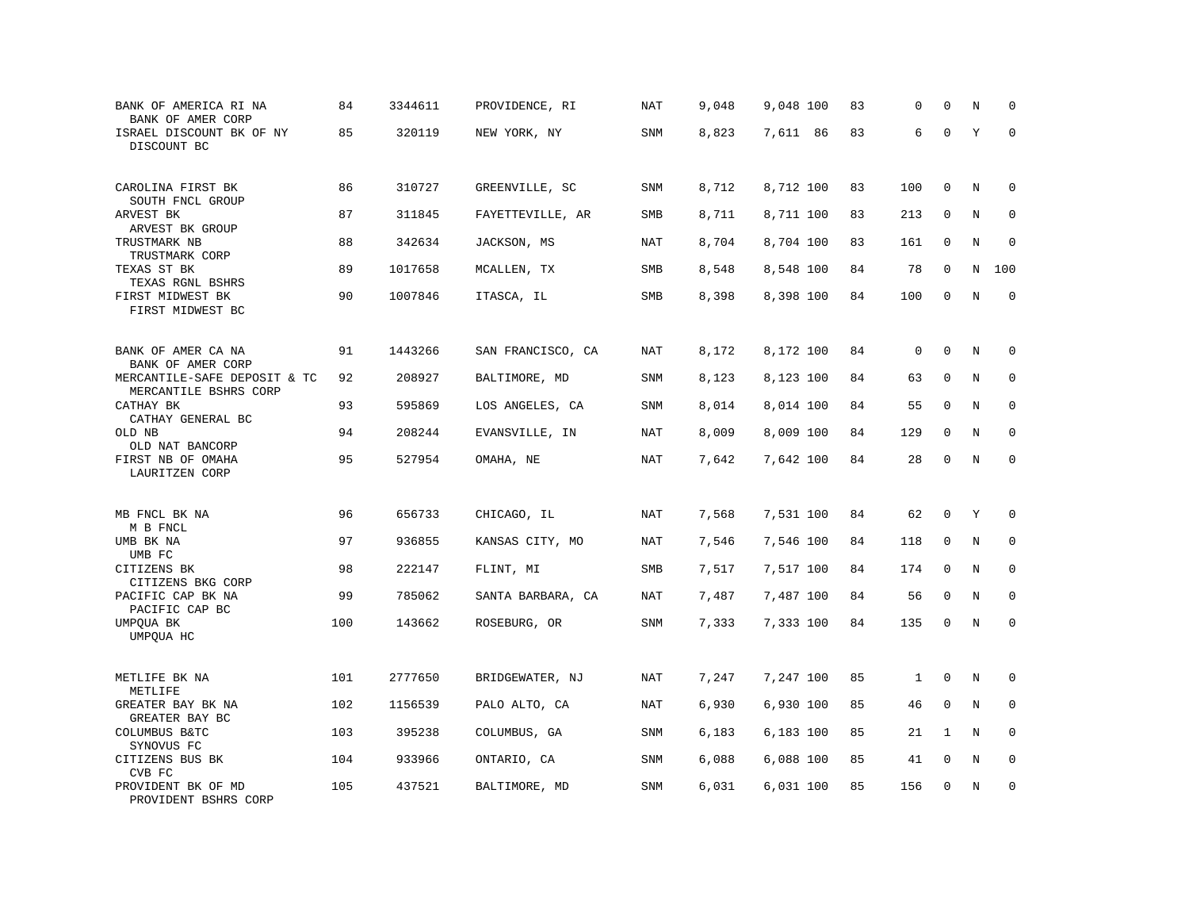| BANK OF AMERICA RI NA<br>BANK OF AMER CORP               | 84  | 3344611 | PROVIDENCE, RI    | NAT        | 9,048 | 9,048 100 | 83 | 0            | $\mathbf 0$ | N       | $\mathbf 0$ |
|----------------------------------------------------------|-----|---------|-------------------|------------|-------|-----------|----|--------------|-------------|---------|-------------|
| ISRAEL DISCOUNT BK OF NY<br>DISCOUNT BC                  | 85  | 320119  | NEW YORK, NY      | <b>SNM</b> | 8,823 | 7,611 86  | 83 | 6            | $\mathbf 0$ | Y       | $\mathbf 0$ |
| CAROLINA FIRST BK<br>SOUTH FNCL GROUP                    | 86  | 310727  | GREENVILLE, SC    | <b>SNM</b> | 8,712 | 8,712 100 | 83 | 100          | $\mathbf 0$ | N       | 0           |
| ARVEST BK<br>ARVEST BK GROUP                             | 87  | 311845  | FAYETTEVILLE, AR  | SMB        | 8,711 | 8,711 100 | 83 | 213          | $\mathbf 0$ | N       | $\mathbf 0$ |
| TRUSTMARK NB<br>TRUSTMARK CORP                           | 88  | 342634  | JACKSON, MS       | NAT        | 8,704 | 8,704 100 | 83 | 161          | $\mathbf 0$ | N       | $\mathbf 0$ |
| TEXAS ST BK<br>TEXAS RGNL BSHRS                          | 89  | 1017658 | MCALLEN, TX       | SMB        | 8,548 | 8,548 100 | 84 | 78           | 0           | N       | 100         |
| FIRST MIDWEST BK<br>FIRST MIDWEST BC                     | 90  | 1007846 | ITASCA, IL        | SMB        | 8,398 | 8,398 100 | 84 | 100          | $\mathbf 0$ | N       | $\mathbf 0$ |
| BANK OF AMER CA NA                                       | 91  | 1443266 | SAN FRANCISCO, CA | NAT        | 8,172 | 8,172 100 | 84 | 0            | $\mathbf 0$ | N       | 0           |
| BANK OF AMER CORP<br>MERCANTILE-SAFE DEPOSIT & TC        | 92  | 208927  | BALTIMORE, MD     | <b>SNM</b> | 8,123 | 8,123 100 | 84 | 63           | $\mathbf 0$ | N       | $\mathbf 0$ |
| MERCANTILE BSHRS CORP<br>CATHAY BK                       | 93  | 595869  | LOS ANGELES, CA   | <b>SNM</b> | 8,014 | 8,014 100 | 84 | 55           | $\mathbf 0$ | N       | $\mathbf 0$ |
| CATHAY GENERAL BC<br>OLD NB<br>OLD NAT BANCORP           | 94  | 208244  | EVANSVILLE, IN    | <b>NAT</b> | 8,009 | 8,009 100 | 84 | 129          | $\mathbf 0$ | N       | $\mathbf 0$ |
| FIRST NB OF OMAHA<br>LAURITZEN CORP                      | 95  | 527954  | OMAHA, NE         | <b>NAT</b> | 7,642 | 7,642 100 | 84 | 28           | $\mathbf 0$ | N       | $\mathbf 0$ |
| MB FNCL BK NA                                            | 96  | 656733  | CHICAGO, IL       | NAT        | 7,568 | 7,531 100 | 84 | 62           | 0           | Υ       | $\mathbf 0$ |
| M B FNCL<br>UMB BK NA                                    | 97  | 936855  | KANSAS CITY, MO   | <b>NAT</b> | 7,546 | 7,546 100 | 84 | 118          | $\mathbf 0$ | N       | $\mathbf 0$ |
| UMB FC<br>CITIZENS BK                                    | 98  | 222147  | FLINT, MI         | <b>SMB</b> | 7,517 | 7,517 100 | 84 | 174          | $\mathbf 0$ | N       | $\mathbf 0$ |
| CITIZENS BKG CORP<br>PACIFIC CAP BK NA<br>PACIFIC CAP BC | 99  | 785062  | SANTA BARBARA, CA | NAT        | 7,487 | 7,487 100 | 84 | 56           | 0           | N       | 0           |
| UMPQUA BK<br>UMPOUA HC                                   | 100 | 143662  | ROSEBURG, OR      | <b>SNM</b> | 7,333 | 7,333 100 | 84 | 135          | $\mathsf 0$ | N       | $\mathbf 0$ |
| METLIFE BK NA<br>METLIFE                                 | 101 | 2777650 | BRIDGEWATER, NJ   | <b>NAT</b> | 7,247 | 7,247 100 | 85 | $\mathbf{1}$ | $\mathbf 0$ | $\rm N$ | 0           |
| GREATER BAY BK NA<br>GREATER BAY BC                      | 102 | 1156539 | PALO ALTO, CA     | <b>NAT</b> | 6,930 | 6,930 100 | 85 | 46           | $\mathbf 0$ | N       | 0           |
| COLUMBUS B&TC<br>SYNOVUS FC                              | 103 | 395238  | COLUMBUS, GA      | SNM        | 6,183 | 6,183 100 | 85 | 21           | 1           | Ν       | 0           |
| CITIZENS BUS BK<br>CVB FC                                | 104 | 933966  | ONTARIO, CA       | <b>SNM</b> | 6,088 | 6,088 100 | 85 | 41           | $\mathbf 0$ | N       | $\mathbf 0$ |
| PROVIDENT BK OF MD<br>PROVIDENT BSHRS CORP               | 105 | 437521  | BALTIMORE, MD     | <b>SNM</b> | 6,031 | 6,031 100 | 85 | 156          | $\mathbf 0$ | N       | $\mathbf 0$ |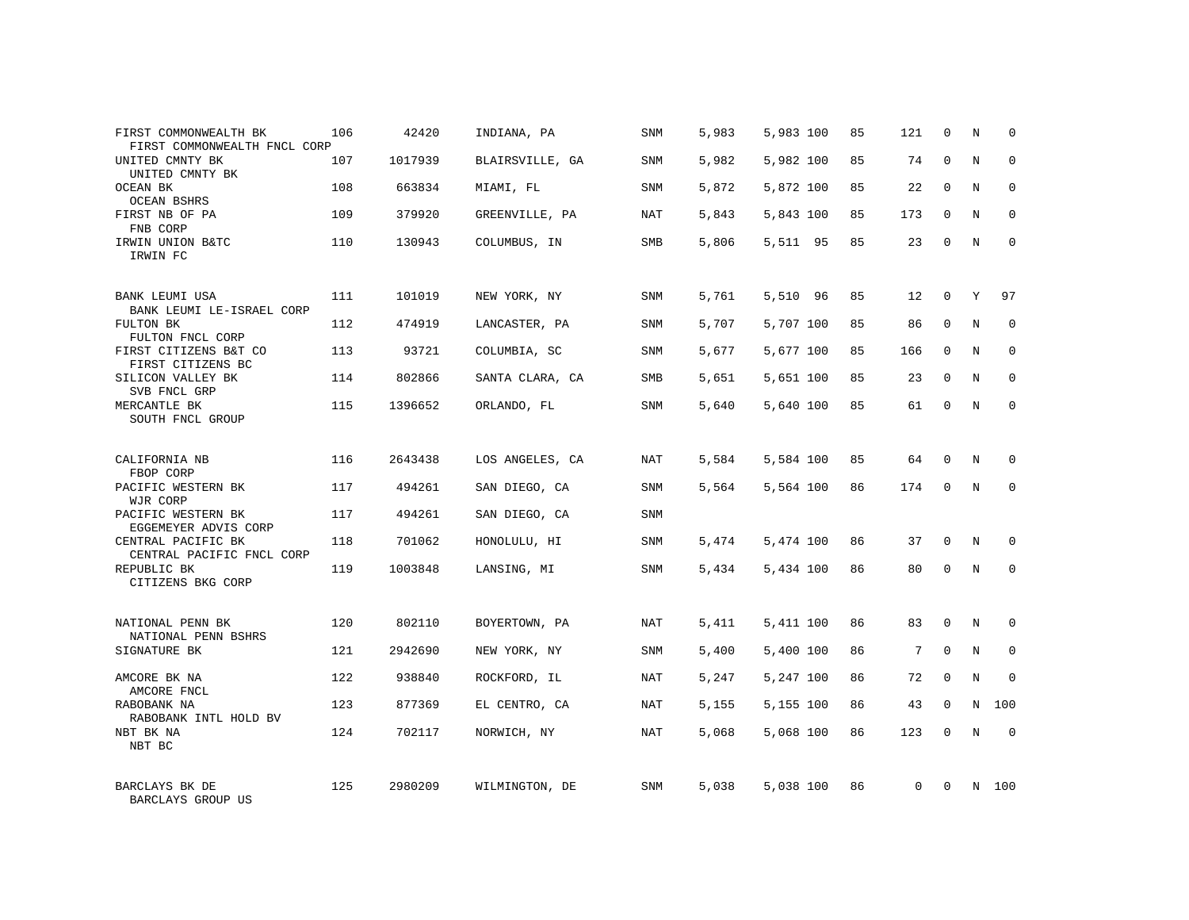| FIRST COMMONWEALTH BK<br>FIRST COMMONWEALTH FNCL CORP | 106 | 42420   | INDIANA, PA     | SNM        | 5,983 | 5,983 100 | 85 | 121      | 0            | Ν | 0           |
|-------------------------------------------------------|-----|---------|-----------------|------------|-------|-----------|----|----------|--------------|---|-------------|
| UNITED CMNTY BK<br>UNITED CMNTY BK                    | 107 | 1017939 | BLAIRSVILLE, GA | SNM        | 5,982 | 5,982 100 | 85 | 74       | $\mathbf 0$  | N | $\mathbf 0$ |
| <b>OCEAN BK</b><br><b>OCEAN BSHRS</b>                 | 108 | 663834  | MIAMI, FL       | SNM        | 5,872 | 5,872 100 | 85 | 22       | $\Omega$     | N | $\mathbf 0$ |
| FIRST NB OF PA<br>FNB CORP                            | 109 | 379920  | GREENVILLE, PA  | NAT        | 5,843 | 5,843 100 | 85 | 173      | $\mathbf 0$  | N | $\mathbf 0$ |
| IRWIN UNION B&TC<br>IRWIN FC                          | 110 | 130943  | COLUMBUS, IN    | <b>SMB</b> | 5,806 | 5,511 95  | 85 | 23       | $\Omega$     | N | $\Omega$    |
| BANK LEUMI USA<br>BANK LEUMI LE-ISRAEL CORP           | 111 | 101019  | NEW YORK, NY    | <b>SNM</b> | 5,761 | 5,510 96  | 85 | 12       | $\mathbf 0$  | Y | 97          |
| FULTON BK<br>FULTON FNCL CORP                         | 112 | 474919  | LANCASTER, PA   | <b>SNM</b> | 5,707 | 5,707 100 | 85 | 86       | $\mathbf{0}$ | N | $\mathbf 0$ |
| FIRST CITIZENS B&T CO<br>FIRST CITIZENS BC            | 113 | 93721   | COLUMBIA, SC    | <b>SNM</b> | 5,677 | 5,677 100 | 85 | 166      | 0            | N | $\mathbf 0$ |
| SILICON VALLEY BK<br>SVB FNCL GRP                     | 114 | 802866  | SANTA CLARA, CA | SMB        | 5,651 | 5,651 100 | 85 | 23       | $\mathbf{0}$ | N | $\mathbf 0$ |
| MERCANTLE BK<br>SOUTH FNCL GROUP                      | 115 | 1396652 | ORLANDO, FL     | <b>SNM</b> | 5,640 | 5,640 100 | 85 | 61       | 0            | N | $\mathbf 0$ |
| CALIFORNIA NB<br>FBOP CORP                            | 116 | 2643438 | LOS ANGELES, CA | NAT        | 5,584 | 5,584 100 | 85 | 64       | $\Omega$     | N | $\Omega$    |
| PACIFIC WESTERN BK<br>WJR CORP                        | 117 | 494261  | SAN DIEGO, CA   | <b>SNM</b> | 5,564 | 5,564 100 | 86 | 174      | $\mathbf 0$  | N | $\mathbf 0$ |
| PACIFIC WESTERN BK<br>EGGEMEYER ADVIS CORP            | 117 | 494261  | SAN DIEGO, CA   | <b>SNM</b> |       |           |    |          |              |   |             |
| CENTRAL PACIFIC BK<br>CENTRAL PACIFIC FNCL CORP       | 118 | 701062  | HONOLULU, HI    | SNM        | 5,474 | 5,474 100 | 86 | 37       | $\mathbf 0$  | N | 0           |
| REPUBLIC BK<br>CITIZENS BKG CORP                      | 119 | 1003848 | LANSING, MI     | <b>SNM</b> | 5,434 | 5,434 100 | 86 | 80       | $\mathbf 0$  | N | $\mathbf 0$ |
| NATIONAL PENN BK<br>NATIONAL PENN BSHRS               | 120 | 802110  | BOYERTOWN, PA   | NAT        | 5,411 | 5,411 100 | 86 | 83       | $\mathbf 0$  | N | 0           |
| SIGNATURE BK                                          | 121 | 2942690 | NEW YORK, NY    | <b>SNM</b> | 5,400 | 5,400 100 | 86 | 7        | $\mathbf 0$  | N | $\mathbf 0$ |
| AMCORE BK NA<br>AMCORE FNCL                           | 122 | 938840  | ROCKFORD, IL    | NAT        | 5,247 | 5,247 100 | 86 | 72       | $\mathbf 0$  | N | $\mathbf 0$ |
| RABOBANK NA<br>RABOBANK INTL HOLD BV                  | 123 | 877369  | EL CENTRO, CA   | NAT        | 5,155 | 5,155 100 | 86 | 43       | $\mathbf 0$  | N | 100         |
| NBT BK NA<br>NBT BC                                   | 124 | 702117  | NORWICH, NY     | NAT        | 5,068 | 5,068 100 | 86 | 123      | $\Omega$     | N | $\Omega$    |
| BARCLAYS BK DE<br>BARCLAYS GROUP US                   | 125 | 2980209 | WILMINGTON, DE  | <b>SNM</b> | 5,038 | 5,038 100 | 86 | $\Omega$ | $\Omega$     | N | 100         |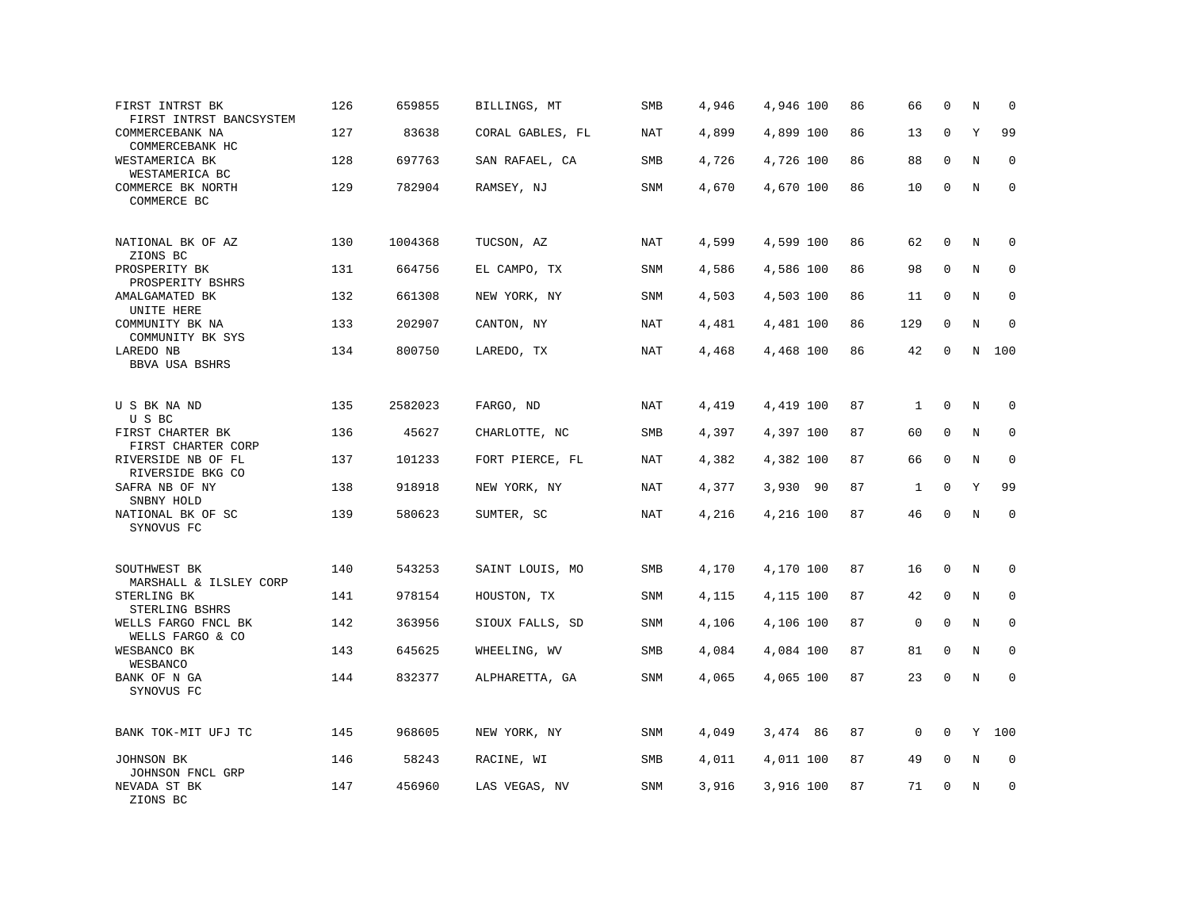| FIRST INTRST BK<br>FIRST INTRST BANCSYSTEM | 126 | 659855  | BILLINGS, MT     | SMB        | 4,946 | 4,946 100 | 86 | 66          | $\mathbf 0$  | N       | $\mathbf 0$ |
|--------------------------------------------|-----|---------|------------------|------------|-------|-----------|----|-------------|--------------|---------|-------------|
| COMMERCEBANK NA<br>COMMERCEBANK HC         | 127 | 83638   | CORAL GABLES, FL | <b>NAT</b> | 4,899 | 4,899 100 | 86 | 13          | $\mathbf 0$  | Υ       | 99          |
| WESTAMERICA BK<br>WESTAMERICA BC           | 128 | 697763  | SAN RAFAEL, CA   | <b>SMB</b> | 4,726 | 4,726 100 | 86 | 88          | $\Omega$     | N       | $\mathbf 0$ |
| COMMERCE BK NORTH<br>COMMERCE BC           | 129 | 782904  | RAMSEY, NJ       | <b>SNM</b> | 4,670 | 4,670 100 | 86 | 10          | $\mathbf 0$  | N       | $\mathbf 0$ |
| NATIONAL BK OF AZ<br>ZIONS BC              | 130 | 1004368 | TUCSON, AZ       | <b>NAT</b> | 4,599 | 4,599 100 | 86 | 62          | 0            | Ν       | 0           |
| PROSPERITY BK<br>PROSPERITY BSHRS          | 131 | 664756  | EL CAMPO, TX     | <b>SNM</b> | 4,586 | 4,586 100 | 86 | 98          | $\mathbf 0$  | N       | $\mathbf 0$ |
| AMALGAMATED BK<br>UNITE HERE               | 132 | 661308  | NEW YORK, NY     | SNM        | 4,503 | 4,503 100 | 86 | 11          | $\Omega$     | N       | $\Omega$    |
| COMMUNITY BK NA<br>COMMUNITY BK SYS        | 133 | 202907  | CANTON, NY       | NAT        | 4,481 | 4,481 100 | 86 | 129         | 0            | N       | $\mathbf 0$ |
| LAREDO NB<br>BBVA USA BSHRS                | 134 | 800750  | LAREDO, TX       | NAT        | 4,468 | 4,468 100 | 86 | 42          | $\mathbf 0$  | N       | 100         |
| U S BK NA ND<br>U S BC                     | 135 | 2582023 | FARGO, ND        | NAT        | 4,419 | 4,419 100 | 87 | 1           | $\mathbf 0$  | N       | $\mathbf 0$ |
| FIRST CHARTER BK<br>FIRST CHARTER CORP     | 136 | 45627   | CHARLOTTE, NC    | SMB        | 4,397 | 4,397 100 | 87 | 60          | $\mathbf 0$  | N       | $\mathbf 0$ |
| RIVERSIDE NB OF FL<br>RIVERSIDE BKG CO     | 137 | 101233  | FORT PIERCE, FL  | NAT        | 4,382 | 4,382 100 | 87 | 66          | 0            | N       | 0           |
| SAFRA NB OF NY<br>SNBNY HOLD               | 138 | 918918  | NEW YORK, NY     | NAT        | 4,377 | 3,930 90  | 87 | 1           | $\mathbf 0$  | Y       | 99          |
| NATIONAL BK OF SC<br>SYNOVUS FC            | 139 | 580623  | SUMTER, SC       | NAT        | 4,216 | 4,216 100 | 87 | 46          | $\Omega$     | N       | $\Omega$    |
| SOUTHWEST BK<br>MARSHALL & ILSLEY CORP     | 140 | 543253  | SAINT LOUIS, MO  | SMB        | 4,170 | 4,170 100 | 87 | 16          | $\mathbf 0$  | N       | 0           |
| STERLING BK<br>STERLING BSHRS              | 141 | 978154  | HOUSTON, TX      | SNM        | 4,115 | 4,115 100 | 87 | 42          | $\mathbf 0$  | N       | $\mathbf 0$ |
| WELLS FARGO FNCL BK<br>WELLS FARGO & CO    | 142 | 363956  | SIOUX FALLS, SD  | <b>SNM</b> | 4,106 | 4,106 100 | 87 | $\mathsf 0$ | $\mathbf 0$  | N       | $\mathbf 0$ |
| WESBANCO BK<br>WESBANCO                    | 143 | 645625  | WHEELING, WV     | SMB        | 4,084 | 4,084 100 | 87 | 81          | $\mathbf{0}$ | $\rm N$ | $\mathbf 0$ |
| BANK OF N GA<br>SYNOVUS FC                 | 144 | 832377  | ALPHARETTA, GA   | SNM        | 4,065 | 4,065 100 | 87 | 23          | 0            | $\rm N$ | 0           |
| BANK TOK-MIT UFJ TC                        | 145 | 968605  | NEW YORK, NY     | SNM        | 4,049 | 3,474 86  | 87 | 0           | 0            | Y       | 100         |
| JOHNSON BK<br>JOHNSON FNCL GRP             | 146 | 58243   | RACINE, WI       | SMB        | 4,011 | 4,011 100 | 87 | 49          | 0            | $\rm N$ | 0           |
| NEVADA ST BK<br>ZIONS BC                   | 147 | 456960  | LAS VEGAS, NV    | SNM        | 3,916 | 3,916 100 | 87 | 71          | $\mathbf 0$  | N       | $\mathbf 0$ |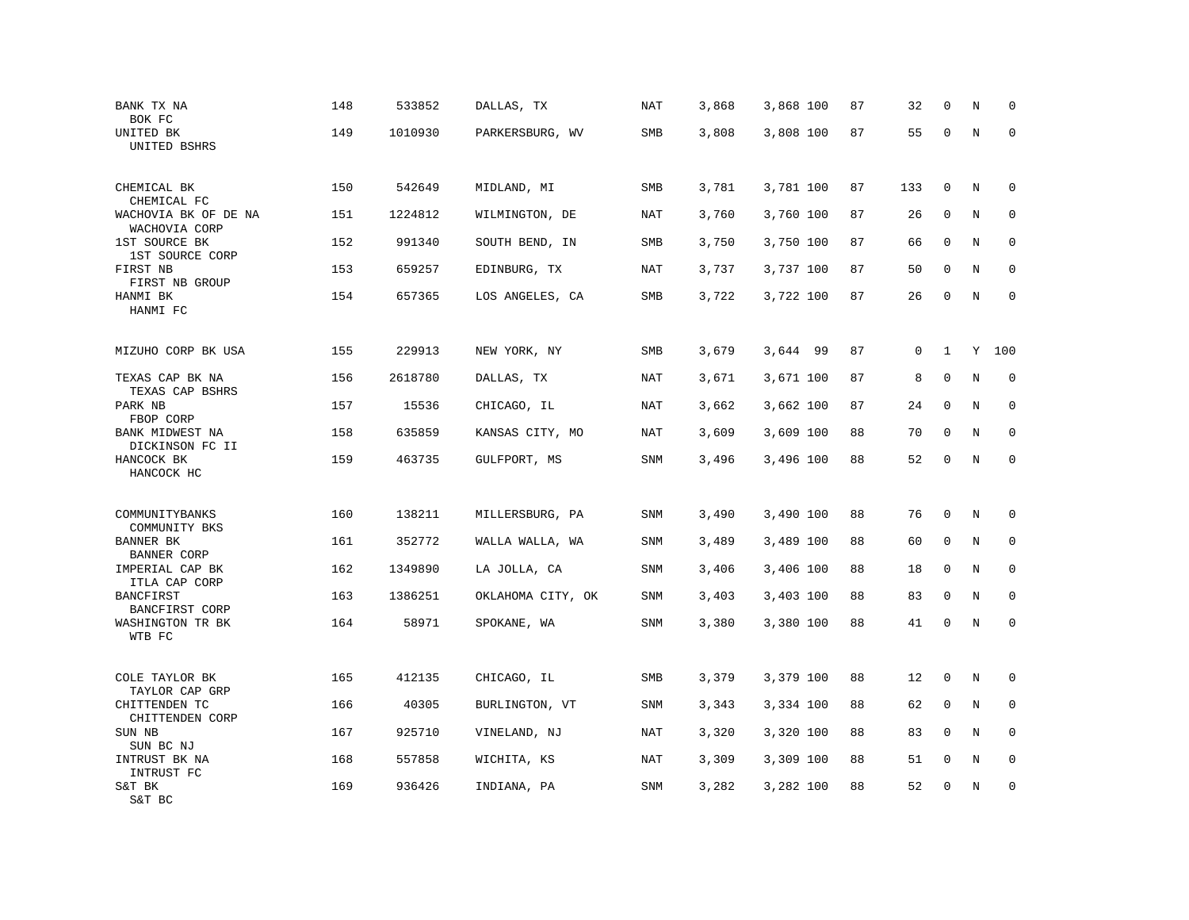| BANK TX NA<br>BOK FC                                | 148 | 533852  | DALLAS, TX        | <b>NAT</b> | 3,868 | 3,868 100 | 87 | 32  | $\mathbf 0$  | N       | $\mathbf 0$ |
|-----------------------------------------------------|-----|---------|-------------------|------------|-------|-----------|----|-----|--------------|---------|-------------|
| UNITED BK<br>UNITED BSHRS                           | 149 | 1010930 | PARKERSBURG, WV   | SMB        | 3,808 | 3,808 100 | 87 | 55  | $\mathbf 0$  | N       | $\mathbf 0$ |
| CHEMICAL BK<br>CHEMICAL FC                          | 150 | 542649  | MIDLAND, MI       | <b>SMB</b> | 3,781 | 3,781 100 | 87 | 133 | $\mathbf 0$  | N       | $\mathbf 0$ |
| WACHOVIA BK OF DE NA<br>WACHOVIA CORP               | 151 | 1224812 | WILMINGTON, DE    | NAT        | 3,760 | 3,760 100 | 87 | 26  | 0            | N       | $\mathbf 0$ |
| 1ST SOURCE BK<br>1ST SOURCE CORP                    | 152 | 991340  | SOUTH BEND, IN    | SMB        | 3,750 | 3,750 100 | 87 | 66  | $\mathbf 0$  | N       | $\mathbf 0$ |
| FIRST NB<br>FIRST NB GROUP                          | 153 | 659257  | EDINBURG, TX      | NAT        | 3,737 | 3,737 100 | 87 | 50  | $\mathbf 0$  | N       | $\mathbf 0$ |
| HANMI BK<br>HANMI FC                                | 154 | 657365  | LOS ANGELES, CA   | SMB        | 3,722 | 3,722 100 | 87 | 26  | $\mathbf 0$  | N       | $\mathbf 0$ |
| MIZUHO CORP BK USA                                  | 155 | 229913  | NEW YORK, NY      | SMB        | 3,679 | 3,644 99  | 87 | 0   | $\mathbf{1}$ | Y       | 100         |
| TEXAS CAP BK NA                                     | 156 | 2618780 | DALLAS, TX        | NAT        | 3,671 | 3,671 100 | 87 | 8   | 0            | N       | $\mathbf 0$ |
| TEXAS CAP BSHRS<br>PARK NB<br>FBOP CORP             | 157 | 15536   | CHICAGO, IL       | NAT        | 3,662 | 3,662 100 | 87 | 24  | $\mathbf 0$  | N       | 0           |
| BANK MIDWEST NA<br>DICKINSON FC II                  | 158 | 635859  | KANSAS CITY, MO   | <b>NAT</b> | 3,609 | 3,609 100 | 88 | 70  | $\mathbf 0$  | N       | $\mathbf 0$ |
| HANCOCK BK<br>HANCOCK HC                            | 159 | 463735  | GULFPORT, MS      | SNM        | 3,496 | 3,496 100 | 88 | 52  | 0            | $\rm N$ | $\mathbf 0$ |
| COMMUNITYBANKS                                      | 160 | 138211  | MILLERSBURG, PA   | SNM        | 3,490 | 3,490 100 | 88 | 76  | 0            | Ν       | 0           |
| COMMUNITY BKS<br>BANNER BK                          | 161 | 352772  | WALLA WALLA, WA   | <b>SNM</b> | 3,489 | 3,489 100 | 88 | 60  | $\mathbf 0$  | N       | $\mathbf 0$ |
| <b>BANNER CORP</b><br>IMPERIAL CAP BK               | 162 | 1349890 | LA JOLLA, CA      | SNM        | 3,406 | 3,406 100 | 88 | 18  | $\mathbf 0$  | N       | 0           |
| ITLA CAP CORP<br><b>BANCFIRST</b><br>BANCFIRST CORP | 163 | 1386251 | OKLAHOMA CITY, OK | SNM        | 3,403 | 3,403 100 | 88 | 83  | 0            | N       | $\mathbf 0$ |
| WASHINGTON TR BK<br>WTB FC                          | 164 | 58971   | SPOKANE, WA       | SNM        | 3,380 | 3,380 100 | 88 | 41  | $\mathbf 0$  | N       | $\mathbf 0$ |
| COLE TAYLOR BK<br>TAYLOR CAP GRP                    | 165 | 412135  | CHICAGO, IL       | SMB        | 3,379 | 3,379 100 | 88 | 12  | 0            | N       | 0           |
| CHITTENDEN TC<br>CHITTENDEN CORP                    | 166 | 40305   | BURLINGTON, VT    | SNM        | 3,343 | 3,334 100 | 88 | 62  | 0            | Ν       | 0           |
| SUN NB<br>SUN BC NJ                                 | 167 | 925710  | VINELAND, NJ      | <b>NAT</b> | 3,320 | 3,320 100 | 88 | 83  | $\mathbf 0$  | N       | $\mathbf 0$ |
| INTRUST BK NA<br>INTRUST FC                         | 168 | 557858  | WICHITA, KS       | NAT        | 3,309 | 3,309 100 | 88 | 51  | 0            | Ν       | 0           |
| S&T BK<br>S&T BC                                    | 169 | 936426  | INDIANA, PA       | SNM        | 3,282 | 3,282 100 | 88 | 52  | $\mathbf 0$  | N       | $\mathbf 0$ |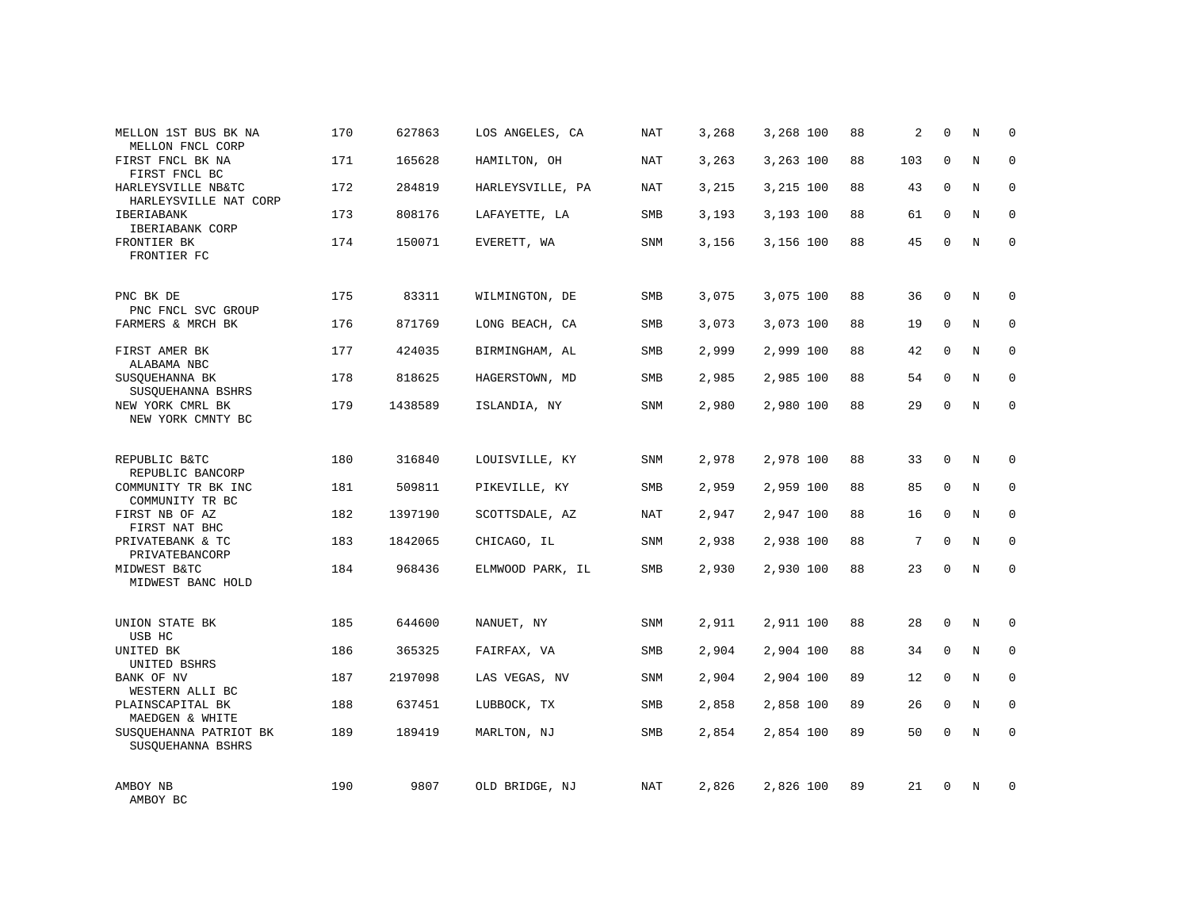| MELLON 1ST BUS BK NA<br>MELLON FNCL CORP    | 170 | 627863  | LOS ANGELES, CA  | <b>NAT</b> | 3,268 | 3,268 100 | 88 | 2   | $\mathbf 0$  | N       | $\mathbf 0$ |
|---------------------------------------------|-----|---------|------------------|------------|-------|-----------|----|-----|--------------|---------|-------------|
| FIRST FNCL BK NA<br>FIRST FNCL BC           | 171 | 165628  | HAMILTON, OH     | <b>NAT</b> | 3,263 | 3,263 100 | 88 | 103 | $\Omega$     | N       | $\mathbf 0$ |
| HARLEYSVILLE NB&TC<br>HARLEYSVILLE NAT CORP | 172 | 284819  | HARLEYSVILLE, PA | <b>NAT</b> | 3,215 | 3,215 100 | 88 | 43  | $\mathbf 0$  | N       | $\mathbf 0$ |
| IBERIABANK<br>IBERIABANK CORP               | 173 | 808176  | LAFAYETTE, LA    | SMB        | 3,193 | 3,193 100 | 88 | 61  | $\mathbf{0}$ | N       | $\mathbf 0$ |
| FRONTIER BK<br>FRONTIER FC                  | 174 | 150071  | EVERETT, WA      | <b>SNM</b> | 3,156 | 3,156 100 | 88 | 45  | $\Omega$     | N       | $\Omega$    |
| PNC BK DE<br>PNC FNCL SVC GROUP             | 175 | 83311   | WILMINGTON, DE   | <b>SMB</b> | 3,075 | 3,075 100 | 88 | 36  | $\mathbf{0}$ | N       | $\mathbf 0$ |
| FARMERS & MRCH BK                           | 176 | 871769  | LONG BEACH, CA   | SMB        | 3,073 | 3,073 100 | 88 | 19  | $\mathbf{0}$ | N       | 0           |
| FIRST AMER BK<br>ALABAMA NBC                | 177 | 424035  | BIRMINGHAM, AL   | SMB        | 2,999 | 2,999 100 | 88 | 42  | $\Omega$     | N       | $\mathbf 0$ |
| SUSQUEHANNA BK<br>SUSQUEHANNA BSHRS         | 178 | 818625  | HAGERSTOWN, MD   | SMB        | 2,985 | 2,985 100 | 88 | 54  | $\mathbf 0$  | N       | 0           |
| NEW YORK CMRL BK<br>NEW YORK CMNTY BC       | 179 | 1438589 | ISLANDIA, NY     | <b>SNM</b> | 2,980 | 2,980 100 | 88 | 29  | $\mathbf 0$  | N       | $\mathbf 0$ |
| REPUBLIC B&TC<br>REPUBLIC BANCORP           | 180 | 316840  | LOUISVILLE, KY   | <b>SNM</b> | 2,978 | 2,978 100 | 88 | 33  | $\mathbf 0$  | N       | $\mathbf 0$ |
| COMMUNITY TR BK INC<br>COMMUNITY TR BC      | 181 | 509811  | PIKEVILLE, KY    | <b>SMB</b> | 2,959 | 2,959 100 | 88 | 85  | $\mathbf{0}$ | N       | $\mathbf 0$ |
| FIRST NB OF AZ<br>FIRST NAT BHC             | 182 | 1397190 | SCOTTSDALE, AZ   | NAT        | 2,947 | 2,947 100 | 88 | 16  | $\mathbf 0$  | N       | $\mathbf 0$ |
| PRIVATEBANK & TC<br>PRIVATEBANCORP          | 183 | 1842065 | CHICAGO, IL      | SNM        | 2,938 | 2,938 100 | 88 | 7   | $\Omega$     | N       | $\mathbf 0$ |
| MIDWEST B&TC<br>MIDWEST BANC HOLD           | 184 | 968436  | ELMWOOD PARK, IL | SMB        | 2,930 | 2,930 100 | 88 | 23  | $\mathbf 0$  | N       | $\mathbf 0$ |
| UNION STATE BK<br>USB HC                    | 185 | 644600  | NANUET, NY       | SNM        | 2,911 | 2,911 100 | 88 | 28  | $\mathbf{0}$ | $\rm N$ | 0           |
| UNITED BK<br>UNITED BSHRS                   | 186 | 365325  | FAIRFAX, VA      | SMB        | 2,904 | 2,904 100 | 88 | 34  | $\mathbf{0}$ | N       | 0           |
| BANK OF NV<br>WESTERN ALLI BC               | 187 | 2197098 | LAS VEGAS, NV    | <b>SNM</b> | 2,904 | 2,904 100 | 89 | 12  | $\Omega$     | N       | $\mathbf 0$ |
| PLAINSCAPITAL BK<br>MAEDGEN & WHITE         | 188 | 637451  | LUBBOCK, TX      | SMB        | 2,858 | 2,858 100 | 89 | 26  | $\mathbf 0$  | N       | 0           |
| SUSQUEHANNA PATRIOT BK<br>SUSQUEHANNA BSHRS | 189 | 189419  | MARLTON, NJ      | SMB        | 2,854 | 2,854 100 | 89 | 50  | $\Omega$     | N       | $\mathbf 0$ |
| AMBOY NB<br>AMBOY BC                        | 190 | 9807    | OLD BRIDGE, NJ   | NAT        | 2,826 | 2,826 100 | 89 | 21  | $\Omega$     | N       | $\mathbf 0$ |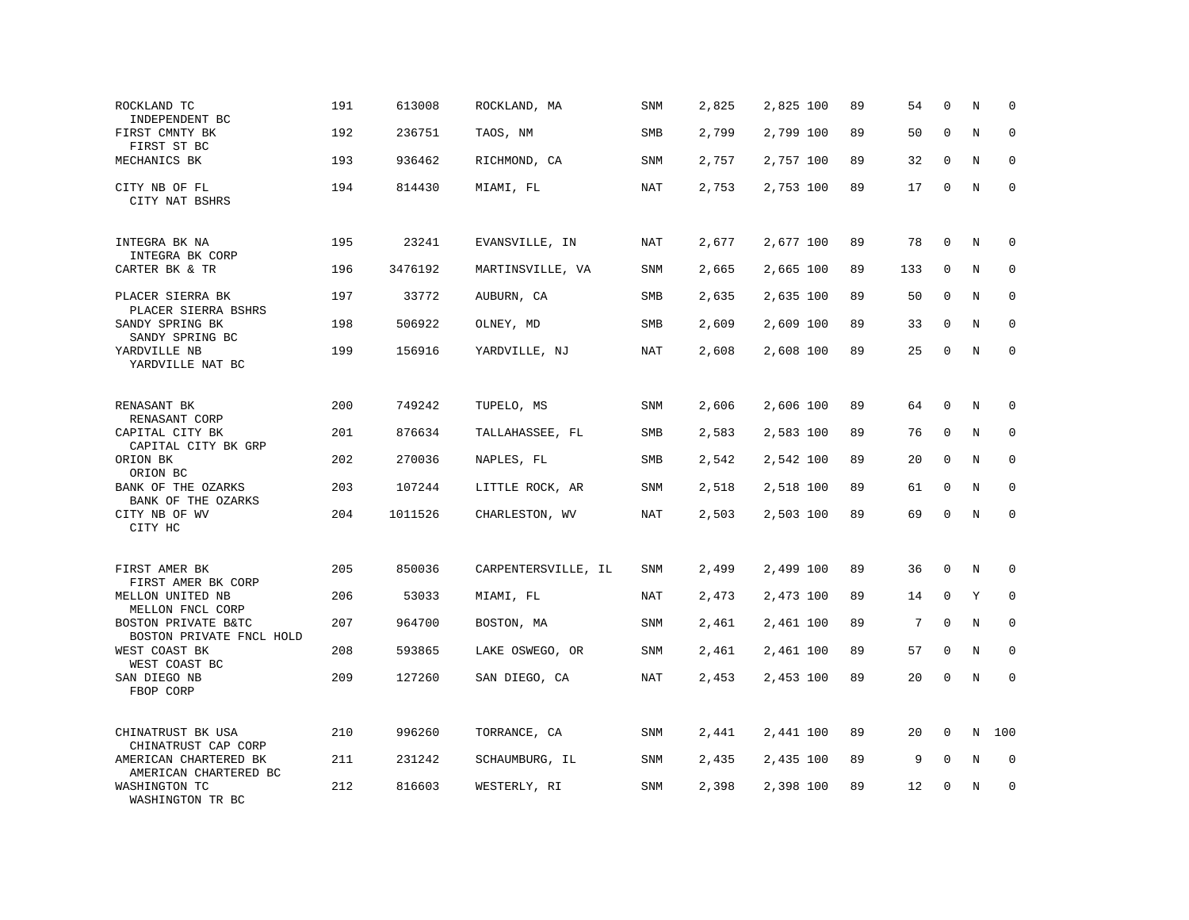| ROCKLAND TC<br>INDEPENDENT BC                              | 191 | 613008  | ROCKLAND, MA        | <b>SNM</b> | 2,825 | 2,825 100 | 89 | 54  | $\mathbf 0$  | N       | $\mathbf 0$ |
|------------------------------------------------------------|-----|---------|---------------------|------------|-------|-----------|----|-----|--------------|---------|-------------|
| FIRST CMNTY BK<br>FIRST ST BC                              | 192 | 236751  | TAOS, NM            | <b>SMB</b> | 2,799 | 2,799 100 | 89 | 50  | $\mathbf 0$  | N       | $\mathbf 0$ |
| MECHANICS BK                                               | 193 | 936462  | RICHMOND, CA        | SNM        | 2,757 | 2,757 100 | 89 | 32  | $\mathbf 0$  | N       | $\mathbf 0$ |
| CITY NB OF FL<br>CITY NAT BSHRS                            | 194 | 814430  | MIAMI, FL           | <b>NAT</b> | 2,753 | 2,753 100 | 89 | 17  | $\mathbf 0$  | N       | $\mathbf 0$ |
| INTEGRA BK NA<br>INTEGRA BK CORP                           | 195 | 23241   | EVANSVILLE, IN      | <b>NAT</b> | 2,677 | 2,677 100 | 89 | 78  | $\mathbf 0$  | N       | $\mathbf 0$ |
| CARTER BK & TR                                             | 196 | 3476192 | MARTINSVILLE, VA    | SNM        | 2,665 | 2,665 100 | 89 | 133 | $\mathbf 0$  | N       | $\mathbf 0$ |
| PLACER SIERRA BK<br>PLACER SIERRA BSHRS                    | 197 | 33772   | AUBURN, CA          | SMB        | 2,635 | 2,635 100 | 89 | 50  | $\mathbf 0$  | N       | $\mathbf 0$ |
| SANDY SPRING BK<br>SANDY SPRING BC                         | 198 | 506922  | OLNEY, MD           | <b>SMB</b> | 2,609 | 2,609 100 | 89 | 33  | $\Omega$     | N       | $\Omega$    |
| YARDVILLE NB<br>YARDVILLE NAT BC                           | 199 | 156916  | YARDVILLE, NJ       | <b>NAT</b> | 2,608 | 2,608 100 | 89 | 25  | $\mathbf 0$  | $\rm N$ | $\mathbf 0$ |
| RENASANT BK<br>RENASANT CORP                               | 200 | 749242  | TUPELO, MS          | SNM        | 2,606 | 2,606 100 | 89 | 64  | $\mathbf 0$  | N       | 0           |
| CAPITAL CITY BK<br>CAPITAL CITY BK GRP                     | 201 | 876634  | TALLAHASSEE, FL     | SMB        | 2,583 | 2,583 100 | 89 | 76  | $\mathbf 0$  | N       | $\mathbf 0$ |
| ORION BK<br>ORION BC                                       | 202 | 270036  | NAPLES, FL          | SMB        | 2,542 | 2,542 100 | 89 | 20  | $\mathbf 0$  | N       | 0           |
| BANK OF THE OZARKS<br>BANK OF THE OZARKS                   | 203 | 107244  | LITTLE ROCK, AR     | <b>SNM</b> | 2,518 | 2,518 100 | 89 | 61  | $\Omega$     | N       | $\mathbf 0$ |
| CITY NB OF WV<br>CITY HC                                   | 204 | 1011526 | CHARLESTON, WV      | <b>NAT</b> | 2,503 | 2,503 100 | 89 | 69  | $\Omega$     | $\rm N$ | $\mathbf 0$ |
| FIRST AMER BK                                              | 205 | 850036  | CARPENTERSVILLE, IL | SNM        | 2,499 | 2,499 100 | 89 | 36  | $\mathbf 0$  | N       | 0           |
| FIRST AMER BK CORP<br>MELLON UNITED NB<br>MELLON FNCL CORP | 206 | 53033   | MIAMI, FL           | NAT        | 2,473 | 2,473 100 | 89 | 14  | $\mathbf 0$  | Y       | $\mathbf 0$ |
| BOSTON PRIVATE B&TC<br>BOSTON PRIVATE FNCL HOLD            | 207 | 964700  | BOSTON, MA          | SNM        | 2,461 | 2,461 100 | 89 | 7   | $\mathbf 0$  | N       | $\mathbf 0$ |
| WEST COAST BK<br>WEST COAST BC                             | 208 | 593865  | LAKE OSWEGO, OR     | <b>SNM</b> | 2,461 | 2,461 100 | 89 | 57  | $\mathbf 0$  | N       | $\mathbf 0$ |
| SAN DIEGO NB<br>FBOP CORP                                  | 209 | 127260  | SAN DIEGO, CA       | NAT        | 2,453 | 2,453 100 | 89 | 20  | $\mathbf{0}$ | N       | $\mathbf 0$ |
| CHINATRUST BK USA<br>CHINATRUST CAP CORP                   | 210 | 996260  | TORRANCE, CA        | SNM        | 2,441 | 2,441 100 | 89 | 20  | $\mathbf 0$  | N       | 100         |
| AMERICAN CHARTERED BK<br>AMERICAN CHARTERED BC             | 211 | 231242  | SCHAUMBURG, IL      | SNM        | 2,435 | 2,435 100 | 89 | 9   | 0            | Ν       | 0           |
| WASHINGTON TC<br>WASHINGTON TR BC                          | 212 | 816603  | WESTERLY, RI        | SNM        | 2,398 | 2,398 100 | 89 | 12  | $\mathbf 0$  | N       | $\mathbf 0$ |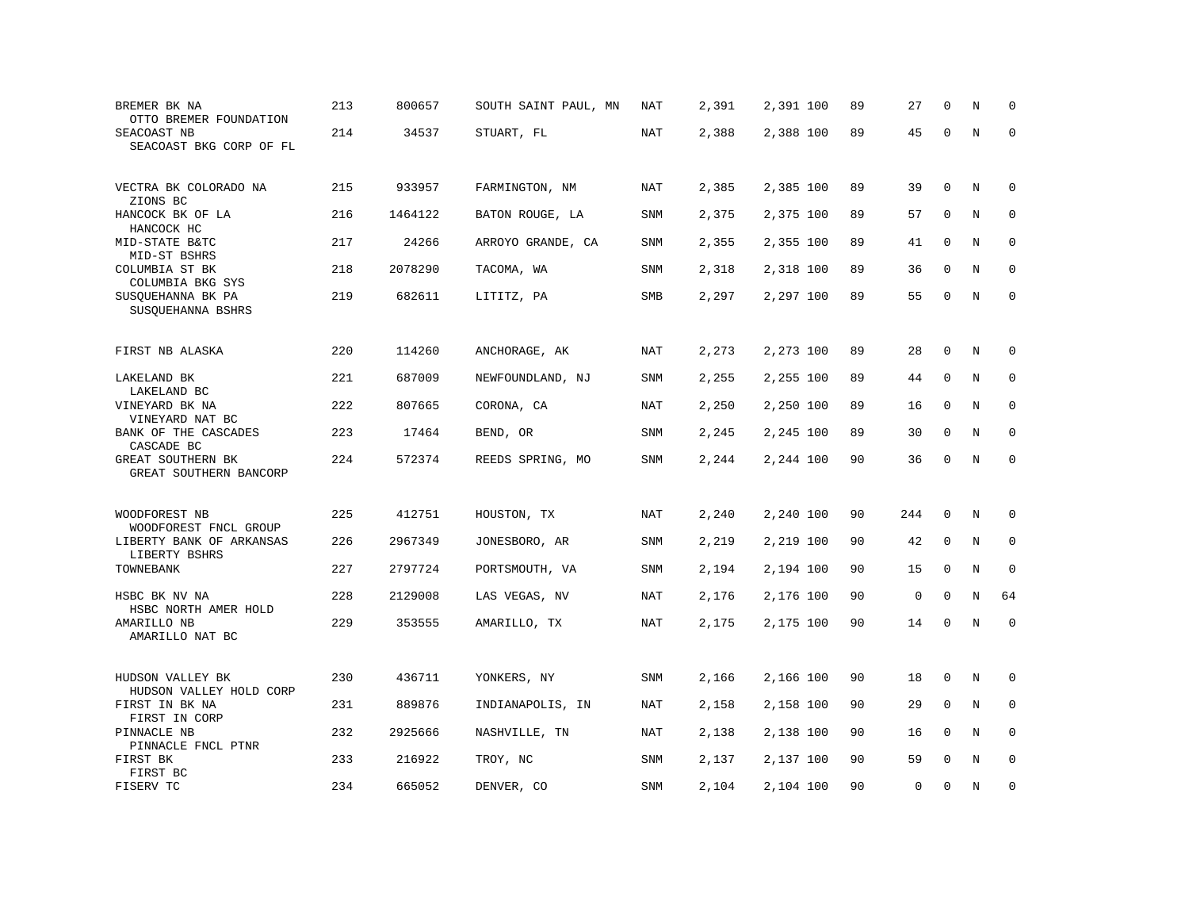| BREMER BK NA<br>OTTO BREMER FOUNDATION                    | 213 | 800657  | SOUTH SAINT PAUL, MN | NAT        | 2,391 | 2,391 100 | 89 | 27          | $\mathbf 0$  | N       | $\Omega$    |
|-----------------------------------------------------------|-----|---------|----------------------|------------|-------|-----------|----|-------------|--------------|---------|-------------|
| SEACOAST NB<br>SEACOAST BKG CORP OF FL                    | 214 | 34537   | STUART, FL           | NAT        | 2,388 | 2,388 100 | 89 | 45          | $\mathbf 0$  | $\rm N$ | $\mathbf 0$ |
| VECTRA BK COLORADO NA<br>ZIONS BC                         | 215 | 933957  | FARMINGTON, NM       | NAT        | 2,385 | 2,385 100 | 89 | 39          | 0            | N       | 0           |
| HANCOCK BK OF LA                                          | 216 | 1464122 | BATON ROUGE, LA      | <b>SNM</b> | 2,375 | 2,375 100 | 89 | 57          | $\mathbf 0$  | N       | $\mathbf 0$ |
| HANCOCK HC<br>MID-STATE B&TC<br>MID-ST BSHRS              | 217 | 24266   | ARROYO GRANDE, CA    | SNM        | 2,355 | 2,355 100 | 89 | 41          | $\mathbf 0$  | N       | $\mathbf 0$ |
| COLUMBIA ST BK<br>COLUMBIA BKG SYS                        | 218 | 2078290 | TACOMA, WA           | SNM        | 2,318 | 2,318 100 | 89 | 36          | $\mathbf 0$  | N       | $\mathbf 0$ |
| SUSQUEHANNA BK PA<br>SUSQUEHANNA BSHRS                    | 219 | 682611  | LITITZ, PA           | SMB        | 2,297 | 2,297 100 | 89 | 55          | $\mathbf 0$  | $\rm N$ | $\mathbf 0$ |
| FIRST NB ALASKA                                           | 220 | 114260  | ANCHORAGE, AK        | NAT        | 2,273 | 2,273 100 | 89 | 28          | 0            | N       | 0           |
| LAKELAND BK                                               | 221 | 687009  | NEWFOUNDLAND, NJ     | SNM        | 2,255 | 2,255 100 | 89 | 44          | 0            | N       | 0           |
| LAKELAND BC<br>VINEYARD BK NA                             | 222 | 807665  | CORONA, CA           | NAT        | 2,250 | 2,250 100 | 89 | 16          | $\Omega$     | N       | $\mathbf 0$ |
| VINEYARD NAT BC<br>BANK OF THE CASCADES                   | 223 | 17464   | BEND, OR             | SNM        | 2,245 | 2,245 100 | 89 | 30          | $\mathbf 0$  | N       | $\mathbf 0$ |
| CASCADE BC<br>GREAT SOUTHERN BK<br>GREAT SOUTHERN BANCORP | 224 | 572374  | REEDS SPRING, MO     | <b>SNM</b> | 2,244 | 2,244 100 | 90 | 36          | $\mathbf 0$  | N       | $\mathbf 0$ |
|                                                           | 225 | 412751  |                      | NAT        |       |           | 90 | 244         | $\mathbf 0$  | N       | 0           |
| WOODFOREST NB<br>WOODFOREST FNCL GROUP                    |     |         | HOUSTON, TX          |            | 2,240 | 2,240 100 |    |             |              |         |             |
| LIBERTY BANK OF ARKANSAS<br>LIBERTY BSHRS                 | 226 | 2967349 | JONESBORO, AR        | <b>SNM</b> | 2,219 | 2,219 100 | 90 | 42          | $\mathbf 0$  | N       | 0           |
| TOWNEBANK                                                 | 227 | 2797724 | PORTSMOUTH, VA       | SNM        | 2,194 | 2,194 100 | 90 | 15          | $\mathbf 0$  | N       | $\mathbf 0$ |
| HSBC BK NV NA<br>HSBC NORTH AMER HOLD                     | 228 | 2129008 | LAS VEGAS, NV        | <b>NAT</b> | 2,176 | 2,176 100 | 90 | $\mathsf 0$ | $\mathbf 0$  | N       | 64          |
| AMARILLO NB<br>AMARILLO NAT BC                            | 229 | 353555  | AMARILLO, TX         | NAT        | 2,175 | 2,175 100 | 90 | 14          | $\mathbf 0$  | N       | $\mathbf 0$ |
| HUDSON VALLEY BK<br>HUDSON VALLEY HOLD CORP               | 230 | 436711  | YONKERS, NY          | SNM        | 2,166 | 2,166 100 | 90 | 18          | 0            | $\rm N$ | 0           |
| FIRST IN BK NA                                            | 231 | 889876  | INDIANAPOLIS, IN     | NAT        | 2,158 | 2,158 100 | 90 | 29          | 0            | N       | $\mathbf 0$ |
| FIRST IN CORP<br>PINNACLE NB                              | 232 | 2925666 | NASHVILLE, TN        | NAT        | 2,138 | 2,138 100 | 90 | 16          | $\mathbf{0}$ | N       | $\mathbf 0$ |
| PINNACLE FNCL PTNR<br>FIRST BK<br>FIRST BC                | 233 | 216922  | TROY, NC             | SNM        | 2,137 | 2,137 100 | 90 | 59          | $\mathbf 0$  | N       | $\mathbf 0$ |
| FISERV TC                                                 | 234 | 665052  | DENVER, CO           | SNM        | 2,104 | 2,104 100 | 90 | 0           | $\mathbf 0$  | N       | $\mathbf 0$ |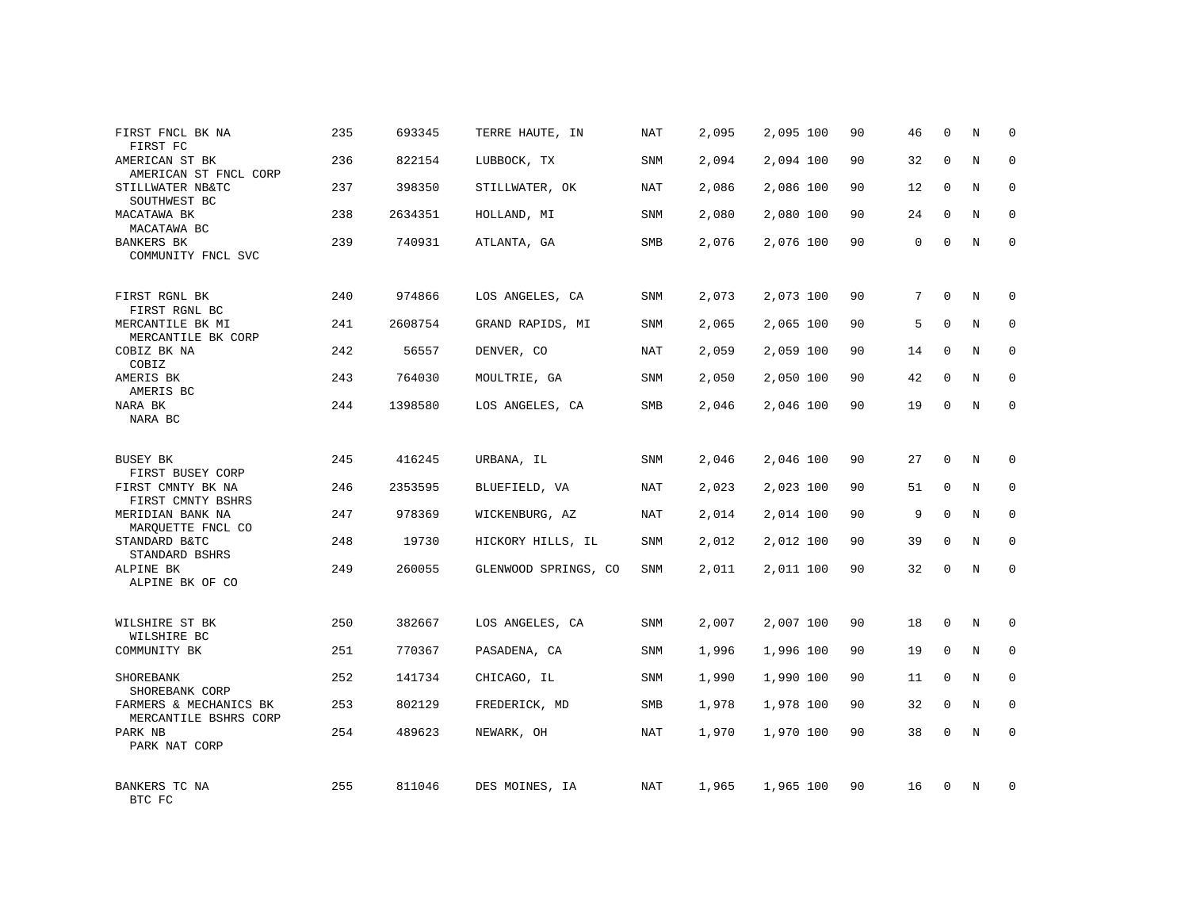| FIRST FNCL BK NA<br>FIRST FC                            | 235 | 693345  | TERRE HAUTE, IN      | NAT        | 2,095 | 2,095 100 | 90 | 46 | 0            | Ν | $\mathbf 0$  |
|---------------------------------------------------------|-----|---------|----------------------|------------|-------|-----------|----|----|--------------|---|--------------|
| AMERICAN ST BK<br>AMERICAN ST FNCL CORP                 | 236 | 822154  | LUBBOCK, TX          | SNM        | 2,094 | 2,094 100 | 90 | 32 | $\mathbf{0}$ | N | $\mathbf 0$  |
| STILLWATER NB&TC<br>SOUTHWEST BC                        | 237 | 398350  | STILLWATER, OK       | NAT        | 2,086 | 2,086 100 | 90 | 12 | 0            | N | 0            |
| MACATAWA BK<br>MACATAWA BC                              | 238 | 2634351 | HOLLAND, MI          | <b>SNM</b> | 2,080 | 2,080 100 | 90 | 24 | $\mathbf{0}$ | N | $\mathbf 0$  |
| <b>BANKERS BK</b><br>COMMUNITY FNCL SVC                 | 239 | 740931  | ATLANTA, GA          | SMB        | 2,076 | 2,076 100 | 90 | 0  | $\mathbf{0}$ | N | $\mathbf{0}$ |
| FIRST RGNL BK                                           | 240 | 974866  | LOS ANGELES, CA      | <b>SNM</b> | 2,073 | 2,073 100 | 90 | 7  | $\mathbf{0}$ | N | 0            |
| FIRST RGNL BC<br>MERCANTILE BK MI<br>MERCANTILE BK CORP | 241 | 2608754 | GRAND RAPIDS, MI     | SNM        | 2,065 | 2,065 100 | 90 | 5  | $\mathbf{0}$ | N | 0            |
| COBIZ BK NA<br>COBIZ                                    | 242 | 56557   | DENVER, CO           | NAT        | 2,059 | 2,059 100 | 90 | 14 | $\mathbf{0}$ | N | $\mathbf 0$  |
| AMERIS BK<br>AMERIS BC                                  | 243 | 764030  | MOULTRIE, GA         | SNM        | 2,050 | 2,050 100 | 90 | 42 | $\mathbf 0$  | N | 0            |
| NARA BK<br>NARA BC                                      | 244 | 1398580 | LOS ANGELES, CA      | SMB        | 2,046 | 2,046 100 | 90 | 19 | $\mathbf{0}$ | N | $\mathbf 0$  |
| BUSEY BK<br>FIRST BUSEY CORP                            | 245 | 416245  | URBANA, IL           | <b>SNM</b> | 2,046 | 2,046 100 | 90 | 27 | $\mathbf{0}$ | N | $\mathbf 0$  |
| FIRST CMNTY BK NA<br>FIRST CMNTY BSHRS                  | 246 | 2353595 | BLUEFIELD, VA        | NAT        | 2,023 | 2,023 100 | 90 | 51 | $\mathbf 0$  | N | 0            |
| MERIDIAN BANK NA<br>MARQUETTE FNCL CO                   | 247 | 978369  | WICKENBURG, AZ       | NAT        | 2,014 | 2,014 100 | 90 | 9  | $\Omega$     | N | $\mathbf{0}$ |
| STANDARD B&TC<br>STANDARD BSHRS                         | 248 | 19730   | HICKORY HILLS, IL    | SNM        | 2,012 | 2,012 100 | 90 | 39 | $\mathbf 0$  | N | 0            |
| ALPINE BK<br>ALPINE BK OF CO                            | 249 | 260055  | GLENWOOD SPRINGS, CO | SNM        | 2,011 | 2,011 100 | 90 | 32 | $\mathbf 0$  | N | $\mathbf 0$  |
| WILSHIRE ST BK<br>WILSHIRE BC                           | 250 | 382667  | LOS ANGELES, CA      | <b>SNM</b> | 2,007 | 2,007 100 | 90 | 18 | $\mathbf 0$  | N | $\mathbf 0$  |
| COMMUNITY BK                                            | 251 | 770367  | PASADENA, CA         | SNM        | 1,996 | 1,996 100 | 90 | 19 | 0            | N | 0            |
| SHOREBANK<br>SHOREBANK CORP                             | 252 | 141734  | CHICAGO, IL          | <b>SNM</b> | 1,990 | 1,990 100 | 90 | 11 | 0            | N | $\mathbf{0}$ |
| FARMERS & MECHANICS BK<br>MERCANTILE BSHRS CORP         | 253 | 802129  | FREDERICK, MD        | SMB        | 1,978 | 1,978 100 | 90 | 32 | 0            | N | 0            |
| PARK NB<br>PARK NAT CORP                                | 254 | 489623  | NEWARK, OH           | <b>NAT</b> | 1,970 | 1,970 100 | 90 | 38 | $\mathbf 0$  | N | $\mathbf 0$  |
| BANKERS TC NA<br>BTC FC                                 | 255 | 811046  | DES MOINES, IA       | NAT        | 1,965 | 1,965 100 | 90 | 16 | $\mathbf 0$  | N | $\mathbf 0$  |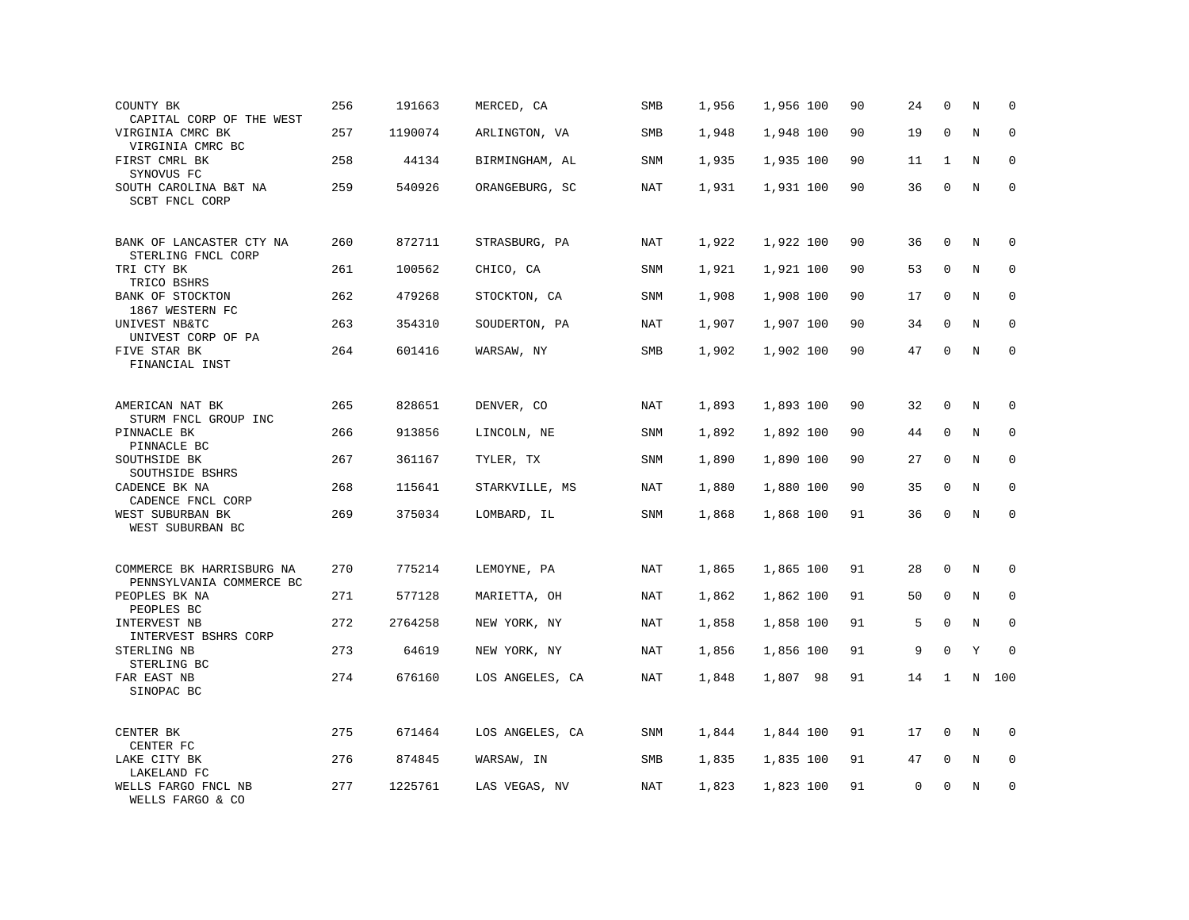| COUNTY BK<br>CAPITAL CORP OF THE WEST                 | 256 | 191663  | MERCED, CA      | SMB        | 1,956 | 1,956 100 | 90 | 24 | $\mathbf 0$  | N       | $\mathbf 0$ |
|-------------------------------------------------------|-----|---------|-----------------|------------|-------|-----------|----|----|--------------|---------|-------------|
| VIRGINIA CMRC BK<br>VIRGINIA CMRC BC                  | 257 | 1190074 | ARLINGTON, VA   | <b>SMB</b> | 1,948 | 1,948 100 | 90 | 19 | $\mathbf 0$  | N       | $\mathbf 0$ |
| FIRST CMRL BK<br>SYNOVUS FC                           | 258 | 44134   | BIRMINGHAM, AL  | <b>SNM</b> | 1,935 | 1,935 100 | 90 | 11 | $\mathbf{1}$ | N       | $\mathbf 0$ |
| SOUTH CAROLINA B&T NA<br>SCBT FNCL CORP               | 259 | 540926  | ORANGEBURG, SC  | <b>NAT</b> | 1,931 | 1,931 100 | 90 | 36 | $\mathbf 0$  | N       | $\mathbf 0$ |
| BANK OF LANCASTER CTY NA<br>STERLING FNCL CORP        | 260 | 872711  | STRASBURG, PA   | <b>NAT</b> | 1,922 | 1,922 100 | 90 | 36 | $\mathbf 0$  | $\rm N$ | 0           |
| TRI CTY BK<br>TRICO BSHRS                             | 261 | 100562  | CHICO, CA       | <b>SNM</b> | 1,921 | 1,921 100 | 90 | 53 | 0            | N       | $\mathbf 0$ |
| BANK OF STOCKTON<br>1867 WESTERN FC                   | 262 | 479268  | STOCKTON, CA    | <b>SNM</b> | 1,908 | 1,908 100 | 90 | 17 | $\mathbf 0$  | N       | $\Omega$    |
| UNIVEST NB&TC<br>UNIVEST CORP OF PA                   | 263 | 354310  | SOUDERTON, PA   | NAT        | 1,907 | 1,907 100 | 90 | 34 | $\mathbf 0$  | N       | $\mathbf 0$ |
| FIVE STAR BK<br>FINANCIAL INST                        | 264 | 601416  | WARSAW, NY      | SMB        | 1,902 | 1,902 100 | 90 | 47 | $\mathbf 0$  | N       | $\mathbf 0$ |
| AMERICAN NAT BK<br>STURM FNCL GROUP INC               | 265 | 828651  | DENVER, CO      | <b>NAT</b> | 1,893 | 1,893 100 | 90 | 32 | $\mathbf 0$  | N       | $\Omega$    |
| PINNACLE BK<br>PINNACLE BC                            | 266 | 913856  | LINCOLN, NE     | <b>SNM</b> | 1,892 | 1,892 100 | 90 | 44 | $\mathbf 0$  | N       | $\mathbf 0$ |
| SOUTHSIDE BK<br>SOUTHSIDE BSHRS                       | 267 | 361167  | TYLER, TX       | SNM        | 1,890 | 1,890 100 | 90 | 27 | 0            | N       | 0           |
| CADENCE BK NA<br>CADENCE FNCL CORP                    | 268 | 115641  | STARKVILLE, MS  | NAT        | 1,880 | 1,880 100 | 90 | 35 | $\Omega$     | N       | $\mathbf 0$ |
| WEST SUBURBAN BK<br>WEST SUBURBAN BC                  | 269 | 375034  | LOMBARD, IL     | SNM        | 1,868 | 1,868 100 | 91 | 36 | 0            | N       | $\mathbf 0$ |
| COMMERCE BK HARRISBURG NA<br>PENNSYLVANIA COMMERCE BC | 270 | 775214  | LEMOYNE, PA     | NAT        | 1,865 | 1,865 100 | 91 | 28 | $\mathbf 0$  | $\rm N$ | 0           |
| PEOPLES BK NA<br>PEOPLES BC                           | 271 | 577128  | MARIETTA, OH    | NAT        | 1,862 | 1,862 100 | 91 | 50 | 0            | N       | $\Omega$    |
| INTERVEST NB<br>INTERVEST BSHRS CORP                  | 272 | 2764258 | NEW YORK, NY    | <b>NAT</b> | 1,858 | 1,858 100 | 91 | 5  | $\mathbf 0$  | N       | $\mathbf 0$ |
| STERLING NB<br>STERLING BC                            | 273 | 64619   | NEW YORK, NY    | <b>NAT</b> | 1,856 | 1,856 100 | 91 | 9  | $\mathbf 0$  | Υ       | $\mathbf 0$ |
| FAR EAST NB<br>SINOPAC BC                             | 274 | 676160  | LOS ANGELES, CA | NAT        | 1,848 | 1,807 98  | 91 | 14 | 1            | N       | 100         |
| CENTER BK<br>CENTER FC                                | 275 | 671464  | LOS ANGELES, CA | SNM        | 1,844 | 1,844 100 | 91 | 17 | 0            | N       | 0           |
| LAKE CITY BK<br>LAKELAND FC                           | 276 | 874845  | WARSAW, IN      | SMB        | 1,835 | 1,835 100 | 91 | 47 | 0            | N       | $\mathbf 0$ |
| WELLS FARGO FNCL NB<br>WELLS FARGO & CO               | 277 | 1225761 | LAS VEGAS, NV   | <b>NAT</b> | 1,823 | 1,823 100 | 91 | 0  | $\mathbf 0$  | N       | $\mathbf 0$ |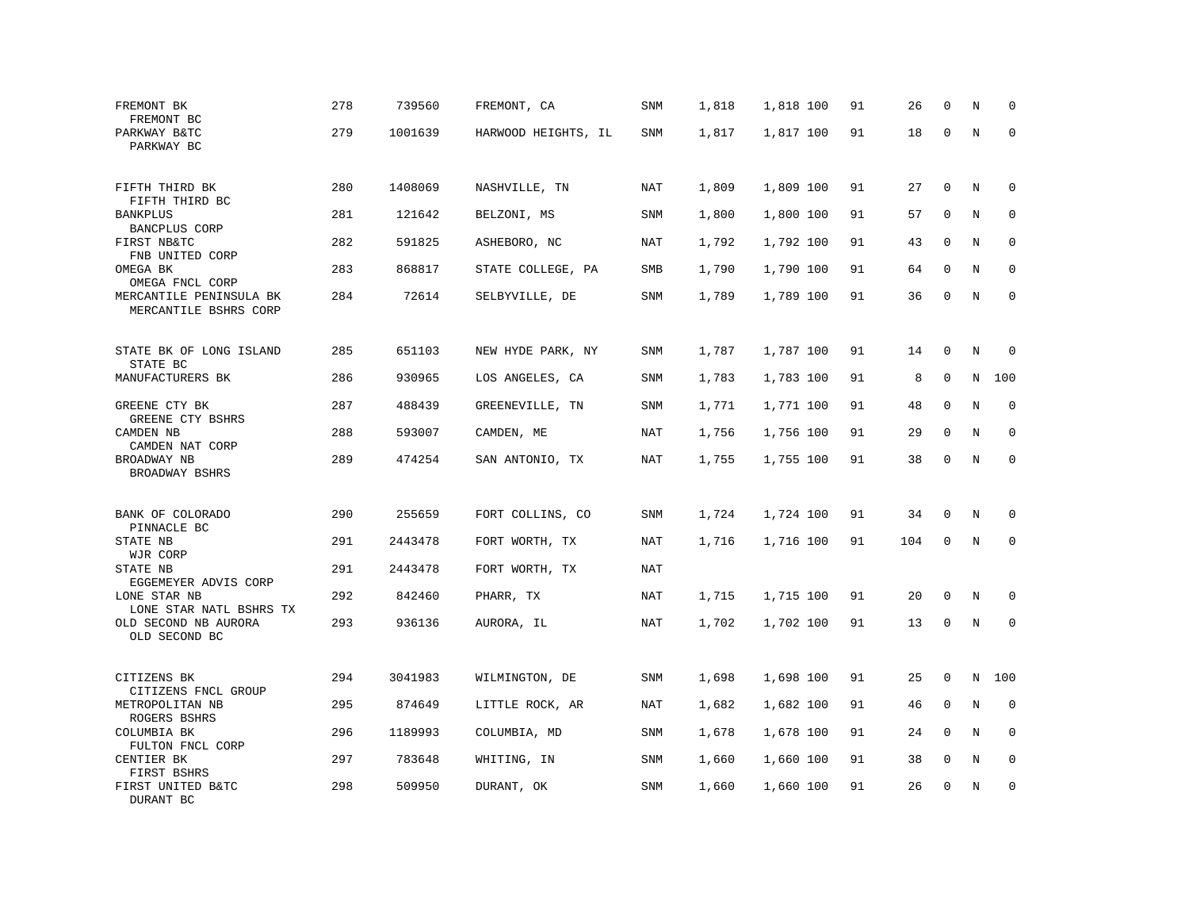| FREMONT BK<br>FREMONT BC                         | 278 | 739560  | FREMONT, CA         | <b>SNM</b> | 1,818 | 1,818 100 | 91 | 26  | $\mathbf 0$  | N       | $\mathbf 0$ |
|--------------------------------------------------|-----|---------|---------------------|------------|-------|-----------|----|-----|--------------|---------|-------------|
| PARKWAY B&TC<br>PARKWAY BC                       | 279 | 1001639 | HARWOOD HEIGHTS, IL | SNM        | 1,817 | 1,817 100 | 91 | 18  | $\mathbf 0$  | N       | $\mathbf 0$ |
| FIFTH THIRD BK<br>FIFTH THIRD BC                 | 280 | 1408069 | NASHVILLE, TN       | <b>NAT</b> | 1,809 | 1,809 100 | 91 | 27  | $\mathbf 0$  | N       | $\mathbf 0$ |
| <b>BANKPLUS</b><br>BANCPLUS CORP                 | 281 | 121642  | BELZONI, MS         | SNM        | 1,800 | 1,800 100 | 91 | 57  | 0            | N       | $\mathbf 0$ |
| FIRST NB&TC<br>FNB UNITED CORP                   | 282 | 591825  | ASHEBORO, NC        | <b>NAT</b> | 1,792 | 1,792 100 | 91 | 43  | $\mathbf{0}$ | N       | $\mathbf 0$ |
| OMEGA BK<br>OMEGA FNCL CORP                      | 283 | 868817  | STATE COLLEGE, PA   | SMB        | 1,790 | 1,790 100 | 91 | 64  | $\mathbf 0$  | N       | $\mathbf 0$ |
| MERCANTILE PENINSULA BK<br>MERCANTILE BSHRS CORP | 284 | 72614   | SELBYVILLE, DE      | <b>SNM</b> | 1,789 | 1,789 100 | 91 | 36  | $\mathbf 0$  | N       | $\mathbf 0$ |
| STATE BK OF LONG ISLAND                          | 285 | 651103  | NEW HYDE PARK, NY   | SNM        | 1,787 | 1,787 100 | 91 | 14  | 0            | N       | 0           |
| STATE BC<br>MANUFACTURERS BK                     | 286 | 930965  | LOS ANGELES, CA     | SNM        | 1,783 | 1,783 100 | 91 | 8   | $\mathbf 0$  | N       | 100         |
| GREENE CTY BK<br>GREENE CTY BSHRS                | 287 | 488439  | GREENEVILLE, TN     | SNM        | 1,771 | 1,771 100 | 91 | 48  | 0            | $\rm N$ | $\mathbf 0$ |
| CAMDEN NB<br>CAMDEN NAT CORP                     | 288 | 593007  | CAMDEN, ME          | <b>NAT</b> | 1,756 | 1,756 100 | 91 | 29  | $\mathbf 0$  | N       | $\mathbf 0$ |
| BROADWAY NB<br>BROADWAY BSHRS                    | 289 | 474254  | SAN ANTONIO, TX     | <b>NAT</b> | 1,755 | 1,755 100 | 91 | 38  | 0            | $\rm N$ | $\mathbf 0$ |
| BANK OF COLORADO                                 | 290 | 255659  | FORT COLLINS, CO    | SNM        | 1,724 | 1,724 100 | 91 | 34  | 0            | Ν       | 0           |
| PINNACLE BC<br>STATE NB<br>WJR CORP              | 291 | 2443478 | FORT WORTH, TX      | NAT        | 1,716 | 1,716 100 | 91 | 104 | $\mathbf{0}$ | N       | $\mathbf 0$ |
| STATE NB<br>EGGEMEYER ADVIS CORP                 | 291 | 2443478 | FORT WORTH, TX      | <b>NAT</b> |       |           |    |     |              |         |             |
| LONE STAR NB<br>LONE STAR NATL BSHRS TX          | 292 | 842460  | PHARR, TX           | NAT        | 1,715 | 1,715 100 | 91 | 20  | 0            | N       | $\mathbf 0$ |
| OLD SECOND NB AURORA<br>OLD SECOND BC            | 293 | 936136  | AURORA, IL          | NAT        | 1,702 | 1,702 100 | 91 | 13  | 0            | N       | $\mathbf 0$ |
| CITIZENS BK<br>CITIZENS FNCL GROUP               | 294 | 3041983 | WILMINGTON, DE      | SNM        | 1,698 | 1,698 100 | 91 | 25  | 0            | N       | 100         |
| METROPOLITAN NB<br>ROGERS BSHRS                  | 295 | 874649  | LITTLE ROCK, AR     | NAT        | 1,682 | 1,682 100 | 91 | 46  | 0            | $\rm N$ | 0           |
| COLUMBIA BK<br>FULTON FNCL CORP                  | 296 | 1189993 | COLUMBIA, MD        | SNM        | 1,678 | 1,678 100 | 91 | 24  | $\mathbf 0$  | N       | $\mathbf 0$ |
| CENTIER BK<br>FIRST BSHRS                        | 297 | 783648  | WHITING, IN         | SNM        | 1,660 | 1,660 100 | 91 | 38  | 0            | Ν       | 0           |
| FIRST UNITED B&TC<br>DURANT BC                   | 298 | 509950  | DURANT, OK          | SNM        | 1,660 | 1,660 100 | 91 | 26  | $\mathbf 0$  | N       | $\mathbf 0$ |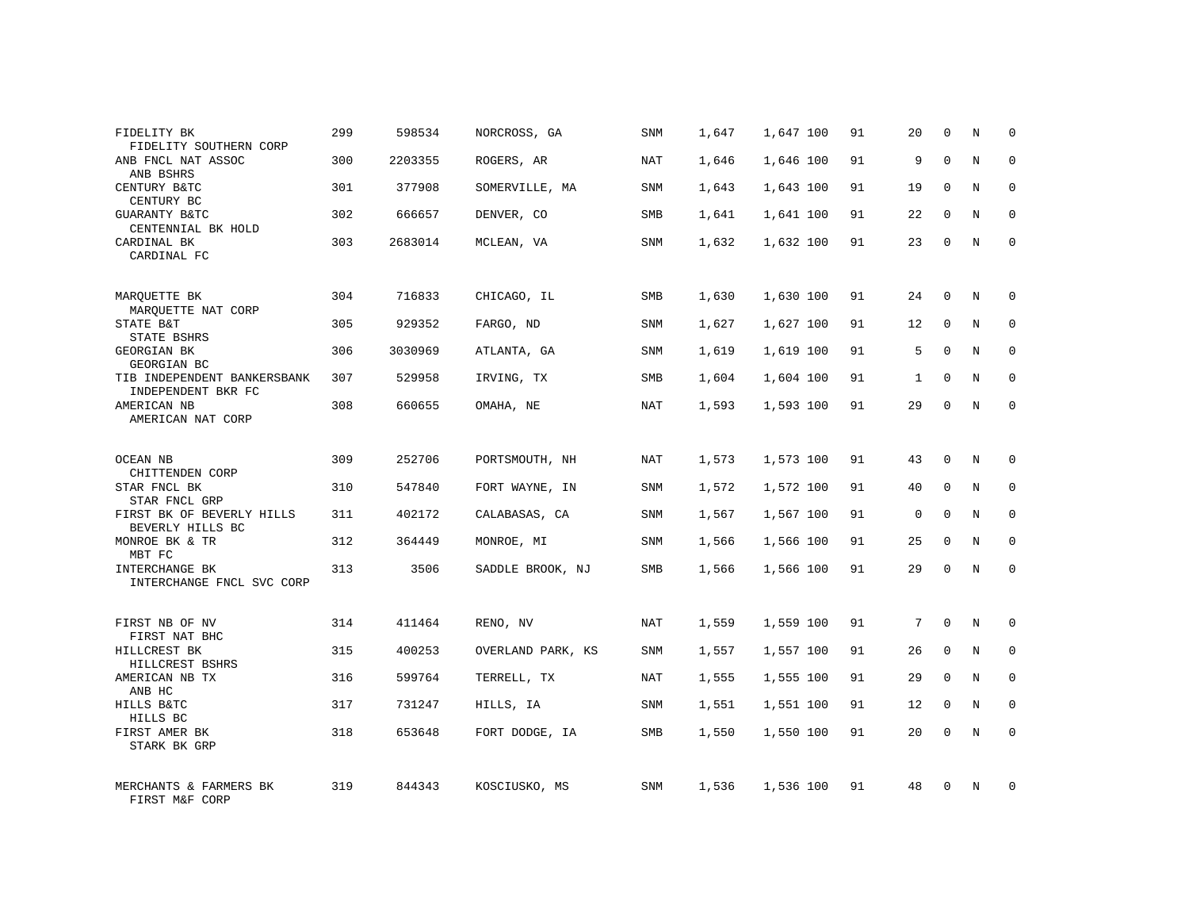| FIDELITY BK<br>FIDELITY SOUTHERN CORP             | 299 | 598534  | NORCROSS, GA      | SNM        | 1,647 | 1,647 100 | 91 | 20          | $\mathbf 0$  | N              | $\Omega$    |
|---------------------------------------------------|-----|---------|-------------------|------------|-------|-----------|----|-------------|--------------|----------------|-------------|
| ANB FNCL NAT ASSOC<br>ANB BSHRS                   | 300 | 2203355 | ROGERS, AR        | <b>NAT</b> | 1,646 | 1,646 100 | 91 | 9           | $\Omega$     | N              | $\Omega$    |
| CENTURY B&TC<br>CENTURY BC                        | 301 | 377908  | SOMERVILLE, MA    | SNM        | 1,643 | 1,643 100 | 91 | 19          | $\Omega$     | N              | $\mathbf 0$ |
| <b>GUARANTY B&amp;TC</b><br>CENTENNIAL BK HOLD    | 302 | 666657  | DENVER, CO        | SMB        | 1,641 | 1,641 100 | 91 | 22          | $\Omega$     | N              | $\Omega$    |
| CARDINAL BK<br>CARDINAL FC                        | 303 | 2683014 | MCLEAN, VA        | SNM        | 1,632 | 1,632 100 | 91 | 23          | $\Omega$     | N              | $\Omega$    |
| MARQUETTE BK                                      | 304 | 716833  | CHICAGO, IL       | <b>SMB</b> | 1,630 | 1,630 100 | 91 | 24          | $\mathbf{0}$ | N              | $\mathbf 0$ |
| MAROUETTE NAT CORP<br>STATE B&T<br>STATE BSHRS    | 305 | 929352  | FARGO, ND         | SNM        | 1,627 | 1,627 100 | 91 | 12          | $\mathbf{0}$ | N              | 0           |
| <b>GEORGIAN BK</b><br>GEORGIAN BC                 | 306 | 3030969 | ATLANTA, GA       | <b>SNM</b> | 1,619 | 1,619 100 | 91 | 5           | $\Omega$     | N              | $\mathbf 0$ |
| TIB INDEPENDENT BANKERSBANK<br>INDEPENDENT BKR FC | 307 | 529958  | IRVING, TX        | SMB        | 1,604 | 1,604 100 | 91 | 1           | $\mathbf 0$  | N              | 0           |
| AMERICAN NB<br>AMERICAN NAT CORP                  | 308 | 660655  | OMAHA, NE         | <b>NAT</b> | 1,593 | 1,593 100 | 91 | 29          | $\Omega$     | $\overline{N}$ | $\mathbf 0$ |
| <b>OCEAN NB</b><br>CHITTENDEN CORP                | 309 | 252706  | PORTSMOUTH, NH    | NAT        | 1,573 | 1,573 100 | 91 | 43          | $\Omega$     | N              | 0           |
| STAR FNCL BK<br>STAR FNCL GRP                     | 310 | 547840  | FORT WAYNE, IN    | SNM        | 1,572 | 1,572 100 | 91 | 40          | $\mathbf{0}$ | N              | 0           |
| FIRST BK OF BEVERLY HILLS<br>BEVERLY HILLS BC     | 311 | 402172  | CALABASAS, CA     | SNM        | 1,567 | 1,567 100 | 91 | $\mathsf 0$ | $\mathbf{0}$ | N              | $\mathbf 0$ |
| MONROE BK & TR<br>MBT FC                          | 312 | 364449  | MONROE, MI        | SNM        | 1,566 | 1,566 100 | 91 | 25          | $\mathbf 0$  | N              | $\mathbf 0$ |
| INTERCHANGE BK<br>INTERCHANGE FNCL SVC CORP       | 313 | 3506    | SADDLE BROOK, NJ  | SMB        | 1,566 | 1,566 100 | 91 | 29          | $\mathbf 0$  | N              | $\mathbf 0$ |
| FIRST NB OF NV<br>FIRST NAT BHC                   | 314 | 411464  | RENO, NV          | NAT        | 1,559 | 1,559 100 | 91 | 7           | $\mathbf 0$  | N              | 0           |
| HILLCREST BK<br>HILLCREST BSHRS                   | 315 | 400253  | OVERLAND PARK, KS | SNM        | 1,557 | 1,557 100 | 91 | 26          | $\mathbf{0}$ | N              | $\mathbf 0$ |
| AMERICAN NB TX<br>ANB HC                          | 316 | 599764  | TERRELL, TX       | NAT        | 1,555 | 1,555 100 | 91 | 29          | $\mathbf 0$  | N              | 0           |
| HILLS B&TC<br>HILLS BC                            | 317 | 731247  | HILLS, IA         | <b>SNM</b> | 1,551 | 1,551 100 | 91 | 12          | $\mathbf{0}$ | N              | $\mathbf 0$ |
| FIRST AMER BK<br>STARK BK GRP                     | 318 | 653648  | FORT DODGE, IA    | SMB        | 1,550 | 1,550 100 | 91 | 20          | $\mathbf 0$  | N              | $\mathbf 0$ |
| MERCHANTS & FARMERS BK<br>FIRST M&F CORP          | 319 | 844343  | KOSCIUSKO, MS     | <b>SNM</b> | 1,536 | 1,536 100 | 91 | 48          | $\mathbf 0$  | N              | 0           |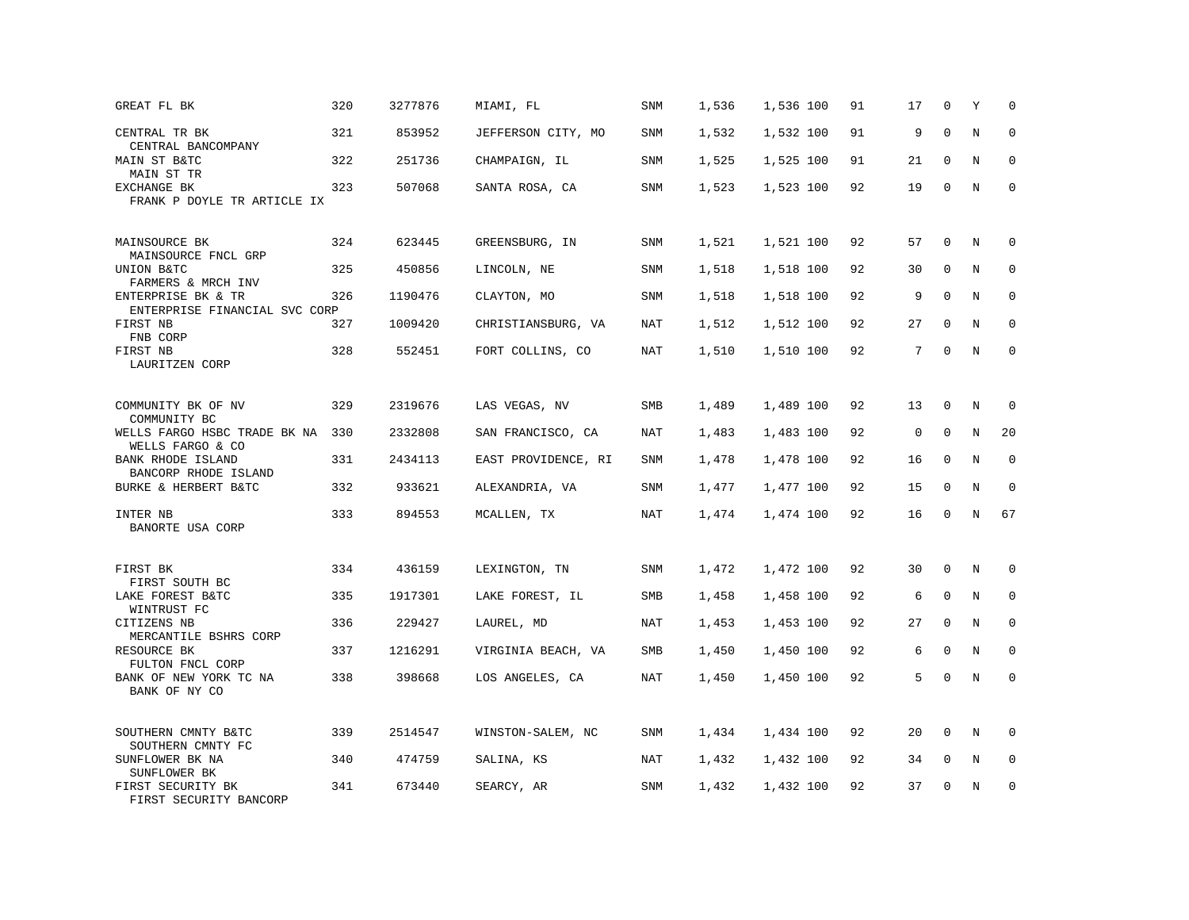| GREAT FL BK                                         | 320 | 3277876 | MIAMI, FL           | SNM        | 1,536 | 1,536 100 | 91 | 17          | 0            | Y       | $\mathbf 0$  |
|-----------------------------------------------------|-----|---------|---------------------|------------|-------|-----------|----|-------------|--------------|---------|--------------|
| CENTRAL TR BK<br>CENTRAL BANCOMPANY                 | 321 | 853952  | JEFFERSON CITY, MO  | SNM        | 1,532 | 1,532 100 | 91 | 9           | $\mathbf{0}$ | $\rm N$ | $\mathbf 0$  |
| MAIN ST B&TC<br>MAIN ST TR                          | 322 | 251736  | CHAMPAIGN, IL       | SNM        | 1,525 | 1,525 100 | 91 | 21          | $\mathbf 0$  | N       | 0            |
| EXCHANGE BK<br>FRANK P DOYLE TR ARTICLE IX          | 323 | 507068  | SANTA ROSA, CA      | SNM        | 1,523 | 1,523 100 | 92 | 19          | $\mathbf 0$  | N       | $\mathbf{0}$ |
| MAINSOURCE BK<br>MAINSOURCE FNCL GRP                | 324 | 623445  | GREENSBURG, IN      | <b>SNM</b> | 1,521 | 1,521 100 | 92 | 57          | $\mathbf{0}$ | $\rm N$ | 0            |
| UNION B&TC<br>FARMERS & MRCH INV                    | 325 | 450856  | LINCOLN, NE         | SNM        | 1,518 | 1,518 100 | 92 | 30          | 0            | N       | $\mathbf 0$  |
| ENTERPRISE BK & TR<br>ENTERPRISE FINANCIAL SVC CORP | 326 | 1190476 | CLAYTON, MO         | SNM        | 1,518 | 1,518 100 | 92 | 9           | $\Omega$     | N       | 0            |
| FIRST NB<br>FNB CORP                                | 327 | 1009420 | CHRISTIANSBURG, VA  | <b>NAT</b> | 1,512 | 1,512 100 | 92 | 27          | $\mathbf 0$  | N       | $\mathbf 0$  |
| FIRST NB<br>LAURITZEN CORP                          | 328 | 552451  | FORT COLLINS, CO    | <b>NAT</b> | 1,510 | 1,510 100 | 92 | 7           | $\Omega$     | N       | $\mathbf 0$  |
| COMMUNITY BK OF NV<br>COMMUNITY BC                  | 329 | 2319676 | LAS VEGAS, NV       | SMB        | 1,489 | 1,489 100 | 92 | 13          | $\mathbf 0$  | N       | 0            |
| WELLS FARGO HSBC TRADE BK NA<br>WELLS FARGO & CO    | 330 | 2332808 | SAN FRANCISCO, CA   | NAT        | 1,483 | 1,483 100 | 92 | $\mathsf 0$ | $\mathbf{0}$ | N       | 20           |
| BANK RHODE ISLAND<br>BANCORP RHODE ISLAND           | 331 | 2434113 | EAST PROVIDENCE, RI | SNM        | 1,478 | 1,478 100 | 92 | 16          | $\mathbf 0$  | N       | $\mathbf 0$  |
| BURKE & HERBERT B&TC                                | 332 | 933621  | ALEXANDRIA, VA      | SNM        | 1,477 | 1,477 100 | 92 | 15          | $\Omega$     | N       | $\Omega$     |
| INTER NB<br>BANORTE USA CORP                        | 333 | 894553  | MCALLEN, TX         | <b>NAT</b> | 1,474 | 1,474 100 | 92 | 16          | $\Omega$     | N       | 67           |
| FIRST BK<br>FIRST SOUTH BC                          | 334 | 436159  | LEXINGTON, TN       | SNM        | 1,472 | 1,472 100 | 92 | 30          | 0            | N       | 0            |
| LAKE FOREST B&TC<br>WINTRUST FC                     | 335 | 1917301 | LAKE FOREST, IL     | SMB        | 1,458 | 1,458 100 | 92 | 6           | $\mathbf{0}$ | N       | $\mathbf{0}$ |
| CITIZENS NB<br>MERCANTILE BSHRS CORP                | 336 | 229427  | LAUREL, MD          | NAT        | 1,453 | 1,453 100 | 92 | 27          | 0            | N       | $\Omega$     |
| RESOURCE BK<br>FULTON FNCL CORP                     | 337 | 1216291 | VIRGINIA BEACH, VA  | SMB        | 1,450 | 1,450 100 | 92 | 6           | $\mathbf 0$  | N       | $\mathbf 0$  |
| BANK OF NEW YORK TC NA<br>BANK OF NY CO             | 338 | 398668  | LOS ANGELES, CA     | NAT        | 1,450 | 1,450 100 | 92 | 5           | $\Omega$     | N       | $\mathbf 0$  |
| SOUTHERN CMNTY B&TC<br>SOUTHERN CMNTY FC            | 339 | 2514547 | WINSTON-SALEM, NC   | SNM        | 1,434 | 1,434 100 | 92 | 20          | $\mathbf{0}$ | N       | $\Omega$     |
| SUNFLOWER BK NA<br>SUNFLOWER BK                     | 340 | 474759  | SALINA, KS          | NAT        | 1,432 | 1,432 100 | 92 | 34          | 0            | Ν       | 0            |
| FIRST SECURITY BK<br>FIRST SECURITY BANCORP         | 341 | 673440  | SEARCY, AR          | SNM        | 1,432 | 1,432 100 | 92 | 37          | $\mathbf 0$  | N       | $\mathbf 0$  |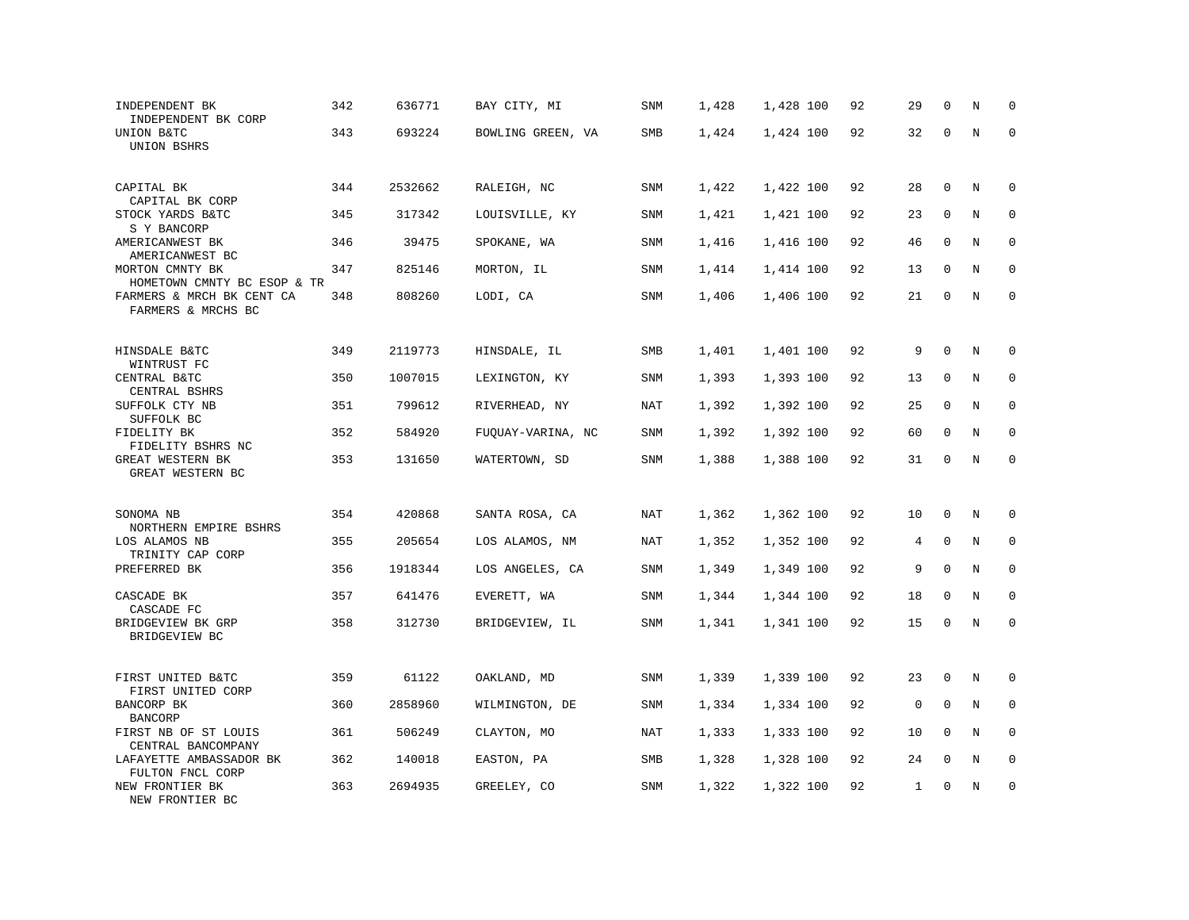| INDEPENDENT BK<br>INDEPENDENT BK CORP            | 342 | 636771  | BAY CITY, MI      | <b>SNM</b> | 1,428 | 1,428 100 | 92 | 29 | $\mathbf 0$  | N       | $\mathbf 0$  |
|--------------------------------------------------|-----|---------|-------------------|------------|-------|-----------|----|----|--------------|---------|--------------|
| UNION B&TC<br>UNION BSHRS                        | 343 | 693224  | BOWLING GREEN, VA | SMB        | 1,424 | 1,424 100 | 92 | 32 | $\mathbf 0$  | N       | $\Omega$     |
| CAPITAL BK<br>CAPITAL BK CORP                    | 344 | 2532662 | RALEIGH, NC       | <b>SNM</b> | 1,422 | 1,422 100 | 92 | 28 | $\mathbf 0$  | N       | 0            |
| STOCK YARDS B&TC<br>S Y BANCORP                  | 345 | 317342  | LOUISVILLE, KY    | SNM        | 1,421 | 1,421 100 | 92 | 23 | $\mathbf 0$  | N       | $\mathbf 0$  |
| AMERICANWEST BK<br>AMERICANWEST BC               | 346 | 39475   | SPOKANE, WA       | <b>SNM</b> | 1,416 | 1,416 100 | 92 | 46 | $\mathbf{0}$ | N       | $\mathbf 0$  |
| MORTON CMNTY BK<br>HOMETOWN CMNTY BC ESOP & TR   | 347 | 825146  | MORTON, IL        | SNM        | 1,414 | 1,414 100 | 92 | 13 | $\mathbf 0$  | N       | $\mathbf 0$  |
| FARMERS & MRCH BK CENT CA<br>FARMERS & MRCHS BC  | 348 | 808260  | LODI, CA          | SNM        | 1,406 | 1,406 100 | 92 | 21 | $\mathbf 0$  | N       | $\mathbf{0}$ |
| HINSDALE B&TC                                    | 349 | 2119773 | HINSDALE, IL      | SMB        | 1,401 | 1,401 100 | 92 | 9  | $\Omega$     | N       | $\Omega$     |
| WINTRUST FC<br>CENTRAL B&TC                      | 350 | 1007015 | LEXINGTON, KY     | SNM        | 1,393 | 1,393 100 | 92 | 13 | $\mathbf 0$  | N       | $\mathbf 0$  |
| CENTRAL BSHRS<br>SUFFOLK CTY NB                  | 351 | 799612  | RIVERHEAD, NY     | NAT        | 1,392 | 1,392 100 | 92 | 25 | $\mathbf 0$  | N       | $\mathbf 0$  |
| SUFFOLK BC<br>FIDELITY BK<br>FIDELITY BSHRS NC   | 352 | 584920  | FUQUAY-VARINA, NC | SNM        | 1,392 | 1,392 100 | 92 | 60 | $\mathbf 0$  | N       | $\mathbf 0$  |
| GREAT WESTERN BK<br>GREAT WESTERN BC             | 353 | 131650  | WATERTOWN, SD     | SNM        | 1,388 | 1,388 100 | 92 | 31 | $\mathbf 0$  | $\rm N$ | $\mathbf 0$  |
| SONOMA NB                                        | 354 | 420868  | SANTA ROSA, CA    | NAT        | 1,362 | 1,362 100 | 92 | 10 | $\mathbf 0$  | N       | $\mathbf 0$  |
| NORTHERN EMPIRE BSHRS<br>LOS ALAMOS NB           | 355 | 205654  | LOS ALAMOS, NM    | NAT        | 1,352 | 1,352 100 | 92 | 4  | $\Omega$     | N       | $\Omega$     |
| TRINITY CAP CORP<br>PREFERRED BK                 | 356 | 1918344 | LOS ANGELES, CA   | <b>SNM</b> | 1,349 | 1,349 100 | 92 | 9  | $\mathbf 0$  | N       | $\mathbf 0$  |
| CASCADE BK                                       | 357 | 641476  | EVERETT, WA       | SNM        | 1,344 | 1,344 100 | 92 | 18 | $\mathbf 0$  | N       | $\mathbf 0$  |
| CASCADE FC<br>BRIDGEVIEW BK GRP<br>BRIDGEVIEW BC | 358 | 312730  | BRIDGEVIEW, IL    | SNM        | 1,341 | 1,341 100 | 92 | 15 | $\mathbf 0$  | N       | $\mathbf 0$  |
| FIRST UNITED B&TC<br>FIRST UNITED CORP           | 359 | 61122   | OAKLAND, MD       | <b>SNM</b> | 1,339 | 1,339 100 | 92 | 23 | $\mathbf 0$  | N       | $\mathbf 0$  |
| BANCORP BK<br><b>BANCORP</b>                     | 360 | 2858960 | WILMINGTON, DE    | SNM        | 1,334 | 1,334 100 | 92 | 0  | $\mathbf 0$  | N       | 0            |
| FIRST NB OF ST LOUIS<br>CENTRAL BANCOMPANY       | 361 | 506249  | CLAYTON, MO       | NAT        | 1,333 | 1,333 100 | 92 | 10 | 0            | N       | $\mathbf 0$  |
| LAFAYETTE AMBASSADOR BK<br>FULTON FNCL CORP      | 362 | 140018  | EASTON, PA        | SMB        | 1,328 | 1,328 100 | 92 | 24 | $\mathbf 0$  | N       | $\mathbf 0$  |
| NEW FRONTIER BK<br>NEW FRONTIER BC               | 363 | 2694935 | GREELEY, CO       | SNM        | 1,322 | 1,322 100 | 92 | 1  | $\mathbf{0}$ | N       | $\mathbf 0$  |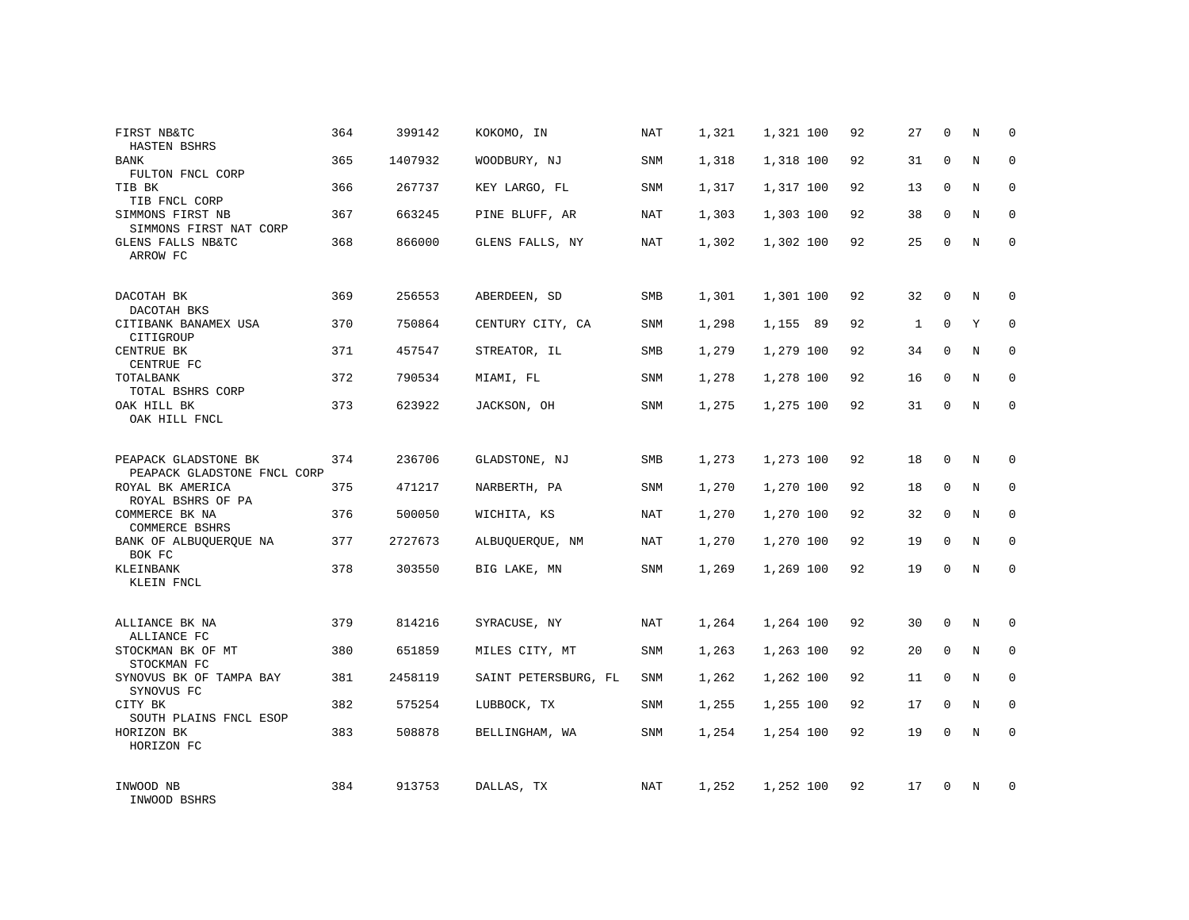| FIRST NB&TC<br>HASTEN BSHRS                         | 364 | 399142  | KOKOMO, IN           | NAT        | 1,321 | 1,321 100 | 92 | 27           | $\mathbf 0$ | N          | $\Omega$    |
|-----------------------------------------------------|-----|---------|----------------------|------------|-------|-----------|----|--------------|-------------|------------|-------------|
| <b>BANK</b><br>FULTON FNCL CORP                     | 365 | 1407932 | WOODBURY, NJ         | SNM        | 1,318 | 1,318 100 | 92 | 31           | $\Omega$    | N          | $\Omega$    |
| TIB BK<br>TIB FNCL CORP                             | 366 | 267737  | KEY LARGO, FL        | SNM        | 1,317 | 1,317 100 | 92 | 13           | $\mathbf 0$ | N          | $\mathbf 0$ |
| SIMMONS FIRST NB<br>SIMMONS FIRST NAT CORP          | 367 | 663245  | PINE BLUFF, AR       | NAT        | 1,303 | 1,303 100 | 92 | 38           | $\Omega$    | N          | $\mathbf 0$ |
| GLENS FALLS NB&TC<br>ARROW FC                       | 368 | 866000  | GLENS FALLS, NY      | NAT        | 1,302 | 1,302 100 | 92 | 25           | $\mathbf 0$ | N          | $\Omega$    |
| DACOTAH BK                                          | 369 | 256553  | ABERDEEN, SD         | SMB        | 1,301 | 1,301 100 | 92 | 32           | $\mathbf 0$ | N          | $\mathbf 0$ |
| DACOTAH BKS<br>CITIBANK BANAMEX USA<br>CITIGROUP    | 370 | 750864  | CENTURY CITY, CA     | SNM        | 1,298 | 1,155 89  | 92 | $\mathbf{1}$ | $\Omega$    | Y          | $\mathbf 0$ |
| CENTRUE BK<br>CENTRUE FC                            | 371 | 457547  | STREATOR, IL         | SMB        | 1,279 | 1,279 100 | 92 | 34           | $\mathbf 0$ | N          | $\mathbf 0$ |
| TOTALBANK<br>TOTAL BSHRS CORP                       | 372 | 790534  | MIAMI, FL            | <b>SNM</b> | 1,278 | 1,278 100 | 92 | 16           | $\Omega$    | N          | $\mathbf 0$ |
| OAK HILL BK<br>OAK HILL FNCL                        | 373 | 623922  | JACKSON, OH          | <b>SNM</b> | 1,275 | 1,275 100 | 92 | 31           | $\mathbf 0$ | N          | $\mathbf 0$ |
| PEAPACK GLADSTONE BK<br>PEAPACK GLADSTONE FNCL CORP | 374 | 236706  | GLADSTONE, NJ        | SMB        | 1,273 | 1,273 100 | 92 | 18           | $\Omega$    | N          | $\mathbf 0$ |
| ROYAL BK AMERICA<br>ROYAL BSHRS OF PA               | 375 | 471217  | NARBERTH, PA         | SNM        | 1,270 | 1,270 100 | 92 | 18           | $\mathbf 0$ | N          | $\mathbf 0$ |
| COMMERCE BK NA<br>COMMERCE BSHRS                    | 376 | 500050  | WICHITA, KS          | NAT        | 1,270 | 1,270 100 | 92 | 32           | $\Omega$    | N          | $\mathbf 0$ |
| BANK OF ALBUQUERQUE NA<br>BOK FC                    | 377 | 2727673 | ALBUQUERQUE, NM      | NAT        | 1,270 | 1,270 100 | 92 | 19           | $\mathbf 0$ | N          | 0           |
| KLEINBANK<br>KLEIN FNCL                             | 378 | 303550  | BIG LAKE, MN         | <b>SNM</b> | 1,269 | 1,269 100 | 92 | 19           | $\Omega$    | $_{\rm N}$ | $\Omega$    |
| ALLIANCE BK NA<br>ALLIANCE FC                       | 379 | 814216  | SYRACUSE, NY         | NAT        | 1,264 | 1,264 100 | 92 | 30           | $\mathbf 0$ | N          | $\mathbf 0$ |
| STOCKMAN BK OF MT<br>STOCKMAN FC                    | 380 | 651859  | MILES CITY, MT       | SNM        | 1,263 | 1,263 100 | 92 | 20           | $\mathbf 0$ | N          | 0           |
| SYNOVUS BK OF TAMPA BAY<br>SYNOVUS FC               | 381 | 2458119 | SAINT PETERSBURG, FL | <b>SNM</b> | 1,262 | 1,262 100 | 92 | 11           | $\Omega$    | N          | $\mathbf 0$ |
| CITY BK<br>SOUTH PLAINS FNCL ESOP                   | 382 | 575254  | LUBBOCK, TX          | SNM        | 1,255 | 1,255 100 | 92 | 17           | $\mathbf 0$ | N          | 0           |
| HORIZON BK<br>HORIZON FC                            | 383 | 508878  | BELLINGHAM, WA       | SNM        | 1,254 | 1,254 100 | 92 | 19           | $\Omega$    | N          | $\mathbf 0$ |
| INWOOD NB<br>INWOOD BSHRS                           | 384 | 913753  | DALLAS, TX           | NAT        | 1,252 | 1,252 100 | 92 | 17           | $\Omega$    | N          | $\mathbf 0$ |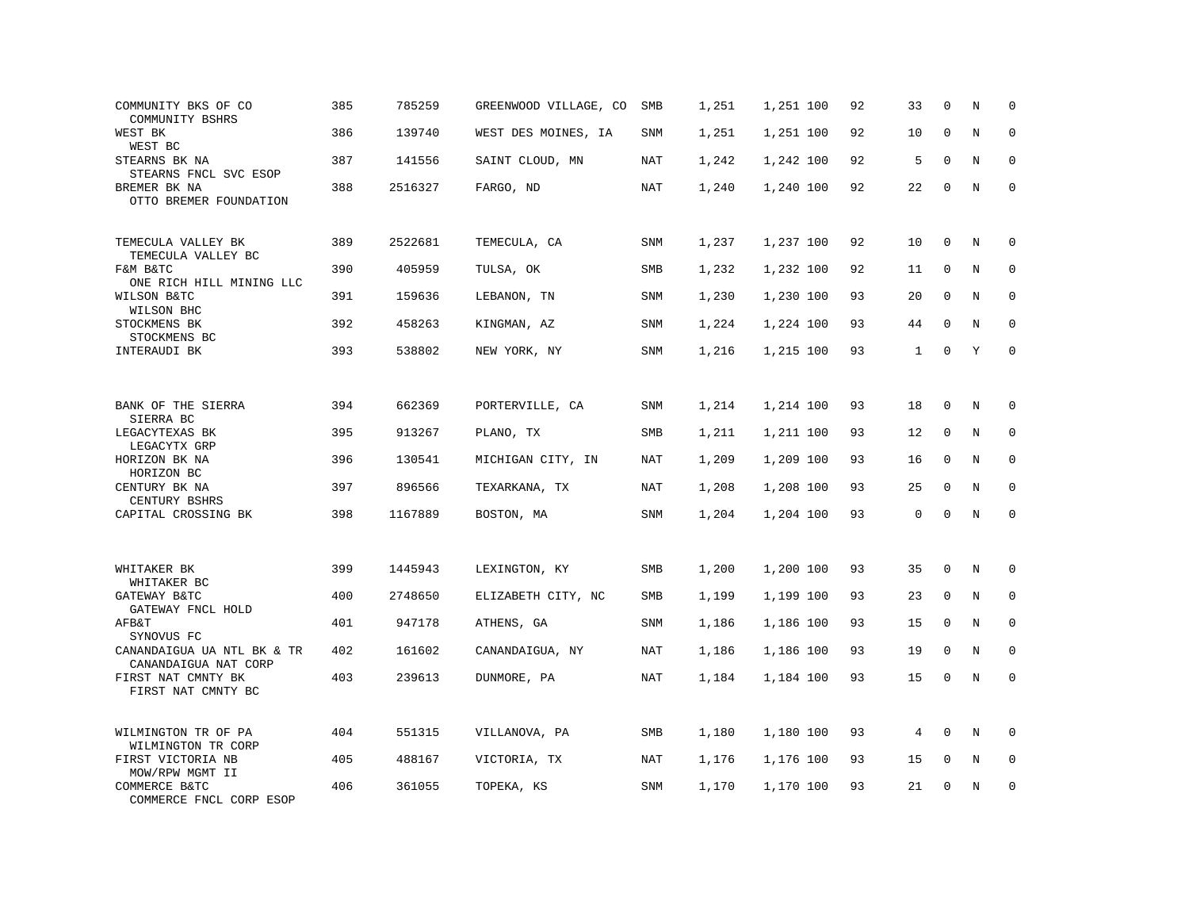| COMMUNITY BKS OF CO<br>COMMUNITY BSHRS             | 385 | 785259  | GREENWOOD VILLAGE, CO | SMB        | 1,251 | 1,251 100 | 92 | 33 | $\mathbf 0$  | N       | $\mathbf 0$ |
|----------------------------------------------------|-----|---------|-----------------------|------------|-------|-----------|----|----|--------------|---------|-------------|
| WEST BK<br>WEST BC                                 | 386 | 139740  | WEST DES MOINES, IA   | <b>SNM</b> | 1,251 | 1,251 100 | 92 | 10 | $\mathbf{0}$ | N       | $\mathbf 0$ |
| STEARNS BK NA<br>STEARNS FNCL SVC ESOP             | 387 | 141556  | SAINT CLOUD, MN       | NAT        | 1,242 | 1,242 100 | 92 | 5  | $\mathbf{0}$ | N       | $\mathbf 0$ |
| BREMER BK NA<br>OTTO BREMER FOUNDATION             | 388 | 2516327 | FARGO, ND             | <b>NAT</b> | 1,240 | 1,240 100 | 92 | 22 | $\mathbf 0$  | N       | $\mathbf 0$ |
| TEMECULA VALLEY BK<br>TEMECULA VALLEY BC           | 389 | 2522681 | TEMECULA, CA          | <b>SNM</b> | 1,237 | 1,237 100 | 92 | 10 | $\mathbf{0}$ | N       | $\mathbf 0$ |
| F&M B&TC<br>ONE RICH HILL MINING LLC               | 390 | 405959  | TULSA, OK             | <b>SMB</b> | 1,232 | 1,232 100 | 92 | 11 | $\mathbf 0$  | N       | $\mathbf 0$ |
| WILSON B&TC<br>WILSON BHC                          | 391 | 159636  | LEBANON, TN           | SNM        | 1,230 | 1,230 100 | 93 | 20 | $\mathbf 0$  | N       | $\mathbf 0$ |
| STOCKMENS BK<br>STOCKMENS BC                       | 392 | 458263  | KINGMAN, AZ           | SNM        | 1,224 | 1,224 100 | 93 | 44 | $\Omega$     | N       | $\Omega$    |
| INTERAUDI BK                                       | 393 | 538802  | NEW YORK, NY          | SNM        | 1,216 | 1,215 100 | 93 | 1  | $\mathbf 0$  | Y       | $\mathbf 0$ |
|                                                    |     |         |                       |            |       |           |    |    |              |         |             |
| BANK OF THE SIERRA<br>SIERRA BC                    | 394 | 662369  | PORTERVILLE, CA       | SNM        | 1,214 | 1,214 100 | 93 | 18 | $\mathbf 0$  | N       | 0           |
| LEGACYTEXAS BK<br>LEGACYTX GRP                     | 395 | 913267  | PLANO, TX             | SMB        | 1,211 | 1,211 100 | 93 | 12 | $\mathbf 0$  | N       | $\mathbf 0$ |
| HORIZON BK NA<br>HORIZON BC                        | 396 | 130541  | MICHIGAN CITY, IN     | <b>NAT</b> | 1,209 | 1,209 100 | 93 | 16 | $\mathbf 0$  | N       | 0           |
| CENTURY BK NA<br>CENTURY BSHRS                     | 397 | 896566  | TEXARKANA, TX         | <b>NAT</b> | 1,208 | 1,208 100 | 93 | 25 | $\Omega$     | N       | $\mathbf 0$ |
| CAPITAL CROSSING BK                                | 398 | 1167889 | BOSTON, MA            | SNM        | 1,204 | 1,204 100 | 93 | 0  | $\Omega$     | $\rm N$ | $\Omega$    |
|                                                    |     |         |                       |            |       |           |    |    |              |         |             |
| WHITAKER BK<br>WHITAKER BC                         | 399 | 1445943 | LEXINGTON, KY         | SMB        | 1,200 | 1,200 100 | 93 | 35 | $\mathbf 0$  | N       | $\mathbf 0$ |
| GATEWAY B&TC<br>GATEWAY FNCL HOLD                  | 400 | 2748650 | ELIZABETH CITY, NC    | SMB        | 1,199 | 1,199 100 | 93 | 23 | 0            | N       | 0           |
| AFB&T<br>SYNOVUS FC                                | 401 | 947178  | ATHENS, GA            | SNM        | 1,186 | 1,186 100 | 93 | 15 | $\mathbf 0$  | N       | $\mathbf 0$ |
| CANANDAIGUA UA NTL BK & TR<br>CANANDAIGUA NAT CORP | 402 | 161602  | CANANDAIGUA, NY       | NAT        | 1,186 | 1,186 100 | 93 | 19 | $\mathbf 0$  | N       | $\mathbf 0$ |
| FIRST NAT CMNTY BK<br>FIRST NAT CMNTY BC           | 403 | 239613  | DUNMORE, PA           | NAT        | 1,184 | 1,184 100 | 93 | 15 | $\mathbf 0$  | N       | $\mathbf 0$ |
| WILMINGTON TR OF PA<br>WILMINGTON TR CORP          | 404 | 551315  | VILLANOVA, PA         | SMB        | 1,180 | 1,180 100 | 93 | 4  | $\Omega$     | N       | $\mathbf 0$ |
| FIRST VICTORIA NB<br>MOW/RPW MGMT II               | 405 | 488167  | VICTORIA, TX          | NAT        | 1,176 | 1,176 100 | 93 | 15 | 0            | Ν       | 0           |
| COMMERCE B&TC<br>COMMERCE FNCL CORP ESOP           | 406 | 361055  | TOPEKA, KS            | <b>SNM</b> | 1,170 | 1,170 100 | 93 | 21 | $\mathbf 0$  | N       | $\mathbf 0$ |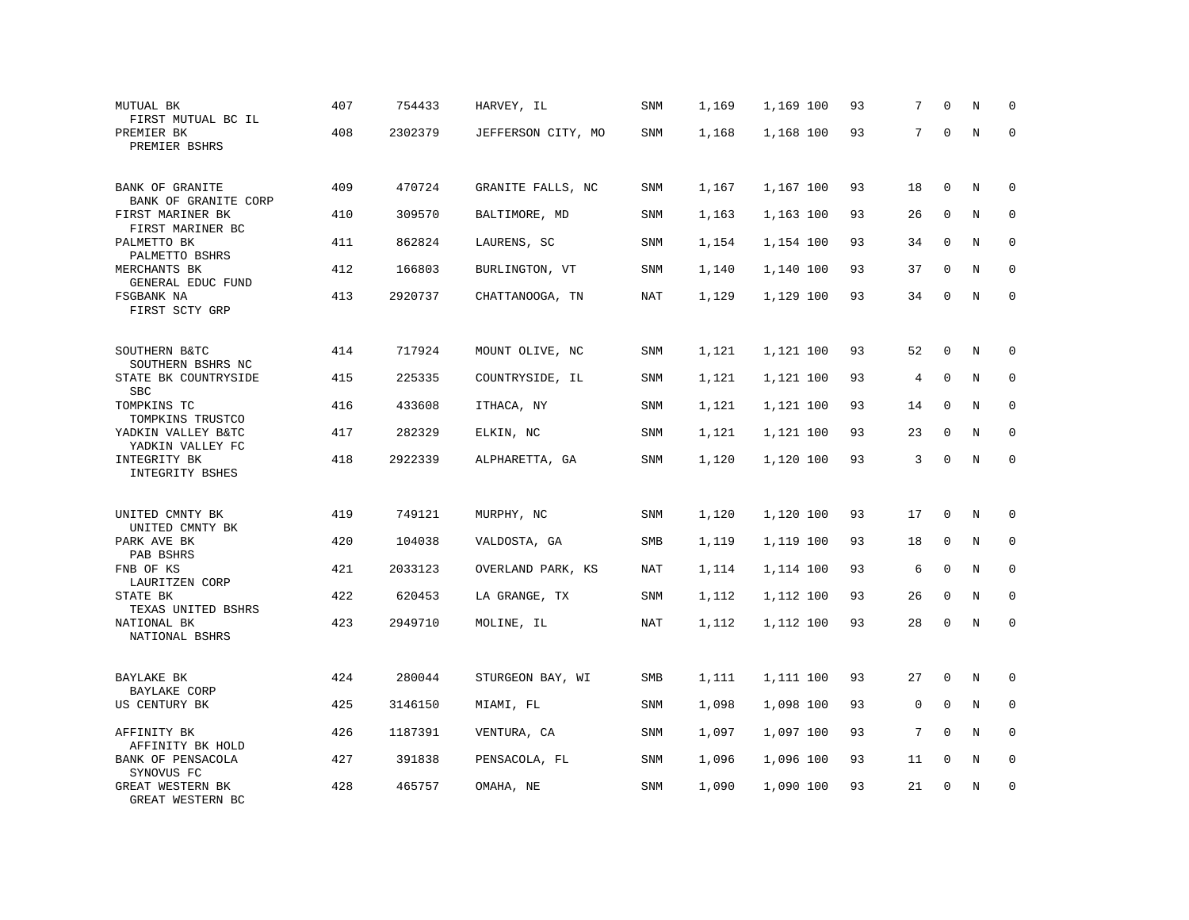| MUTUAL BK<br>FIRST MUTUAL BC IL                            | 407 | 754433  | HARVEY, IL         | <b>SNM</b> | 1,169 | 1,169 100 | 93 | 7  | $\mathbf 0$  | N       | $\mathbf 0$  |
|------------------------------------------------------------|-----|---------|--------------------|------------|-------|-----------|----|----|--------------|---------|--------------|
| PREMIER BK<br>PREMIER BSHRS                                | 408 | 2302379 | JEFFERSON CITY, MO | SNM        | 1,168 | 1,168 100 | 93 | 7  | $\mathbf 0$  | $\rm N$ | $\Omega$     |
| BANK OF GRANITE                                            | 409 | 470724  | GRANITE FALLS, NC  | <b>SNM</b> | 1,167 | 1,167 100 | 93 | 18 | $\mathbf 0$  | N       | 0            |
| BANK OF GRANITE CORP<br>FIRST MARINER BK                   | 410 | 309570  | BALTIMORE, MD      | SNM        | 1,163 | 1,163 100 | 93 | 26 | $\mathbf 0$  | N       | $\mathbf 0$  |
| FIRST MARINER BC<br>PALMETTO BK<br>PALMETTO BSHRS          | 411 | 862824  | LAURENS, SC        | <b>SNM</b> | 1,154 | 1,154 100 | 93 | 34 | $\mathbf 0$  | N       | $\mathbf 0$  |
| MERCHANTS BK<br>GENERAL EDUC FUND                          | 412 | 166803  | BURLINGTON, VT     | <b>SNM</b> | 1,140 | 1,140 100 | 93 | 37 | $\mathbf 0$  | N       | $\mathbf 0$  |
| FSGBANK NA<br>FIRST SCTY GRP                               | 413 | 2920737 | CHATTANOOGA, TN    | NAT        | 1,129 | 1,129 100 | 93 | 34 | 0            | N       | $\mathbf{0}$ |
| SOUTHERN B&TC                                              | 414 | 717924  | MOUNT OLIVE, NC    | SNM        | 1,121 | 1,121 100 | 93 | 52 | 0            | N       | $\Omega$     |
| SOUTHERN BSHRS NC<br>STATE BK COUNTRYSIDE                  | 415 | 225335  | COUNTRYSIDE, IL    | <b>SNM</b> | 1,121 | 1,121 100 | 93 | 4  | $\mathbf 0$  | N       | $\mathbf 0$  |
| <b>SBC</b><br>TOMPKINS TC                                  | 416 | 433608  | ITHACA, NY         | <b>SNM</b> | 1,121 | 1,121 100 | 93 | 14 | $\mathbf 0$  | N       | $\mathbf 0$  |
| TOMPKINS TRUSTCO<br>YADKIN VALLEY B&TC<br>YADKIN VALLEY FC | 417 | 282329  | ELKIN, NC          | <b>SNM</b> | 1,121 | 1,121 100 | 93 | 23 | $\mathbf 0$  | N       | $\mathbf 0$  |
| INTEGRITY BK<br>INTEGRITY BSHES                            | 418 | 2922339 | ALPHARETTA, GA     | SNM        | 1,120 | 1,120 100 | 93 | 3  | $\mathbf 0$  | $\rm N$ | $\mathbf 0$  |
| UNITED CMNTY BK                                            | 419 | 749121  | MURPHY, NC         | SNM        | 1,120 | 1,120 100 | 93 | 17 | 0            | N       | $\mathbf 0$  |
| UNITED CMNTY BK<br>PARK AVE BK                             | 420 | 104038  | VALDOSTA, GA       | SMB        | 1,119 | 1,119 100 | 93 | 18 | $\mathbf 0$  | N       | $\mathbf 0$  |
| PAB BSHRS<br>FNB OF KS                                     | 421 | 2033123 | OVERLAND PARK, KS  | NAT        | 1,114 | 1,114 100 | 93 | 6  | $\mathbf{0}$ | N       | $\mathbf 0$  |
| LAURITZEN CORP<br>STATE BK<br>TEXAS UNITED BSHRS           | 422 | 620453  | LA GRANGE, TX      | SNM        | 1,112 | 1,112 100 | 93 | 26 | $\mathbf{0}$ | N       | $\mathbf 0$  |
| NATIONAL BK<br>NATIONAL BSHRS                              | 423 | 2949710 | MOLINE, IL         | NAT        | 1,112 | 1,112 100 | 93 | 28 | $\mathsf 0$  | N       | $\mathbf 0$  |
| BAYLAKE BK                                                 | 424 | 280044  | STURGEON BAY, WI   | SMB        | 1,111 | 1,111 100 | 93 | 27 | $\mathbf 0$  | N       | $\mathbf 0$  |
| BAYLAKE CORP<br>US CENTURY BK                              | 425 | 3146150 | MIAMI, FL          | <b>SNM</b> | 1,098 | 1,098 100 | 93 | 0  | $\mathbf 0$  | N       | 0            |
| AFFINITY BK<br>AFFINITY BK HOLD                            | 426 | 1187391 | VENTURA, CA        | <b>SNM</b> | 1,097 | 1,097 100 | 93 | 7  | $\mathbf 0$  | N       | $\mathbf 0$  |
| BANK OF PENSACOLA<br>SYNOVUS FC                            | 427 | 391838  | PENSACOLA, FL      | <b>SNM</b> | 1,096 | 1,096 100 | 93 | 11 | $\mathbf 0$  | N       | $\mathbf 0$  |
| <b>GREAT WESTERN BK</b><br>GREAT WESTERN BC                | 428 | 465757  | OMAHA, NE          | <b>SNM</b> | 1,090 | 1,090 100 | 93 | 21 | $\mathbf{0}$ | N       | $\mathbf 0$  |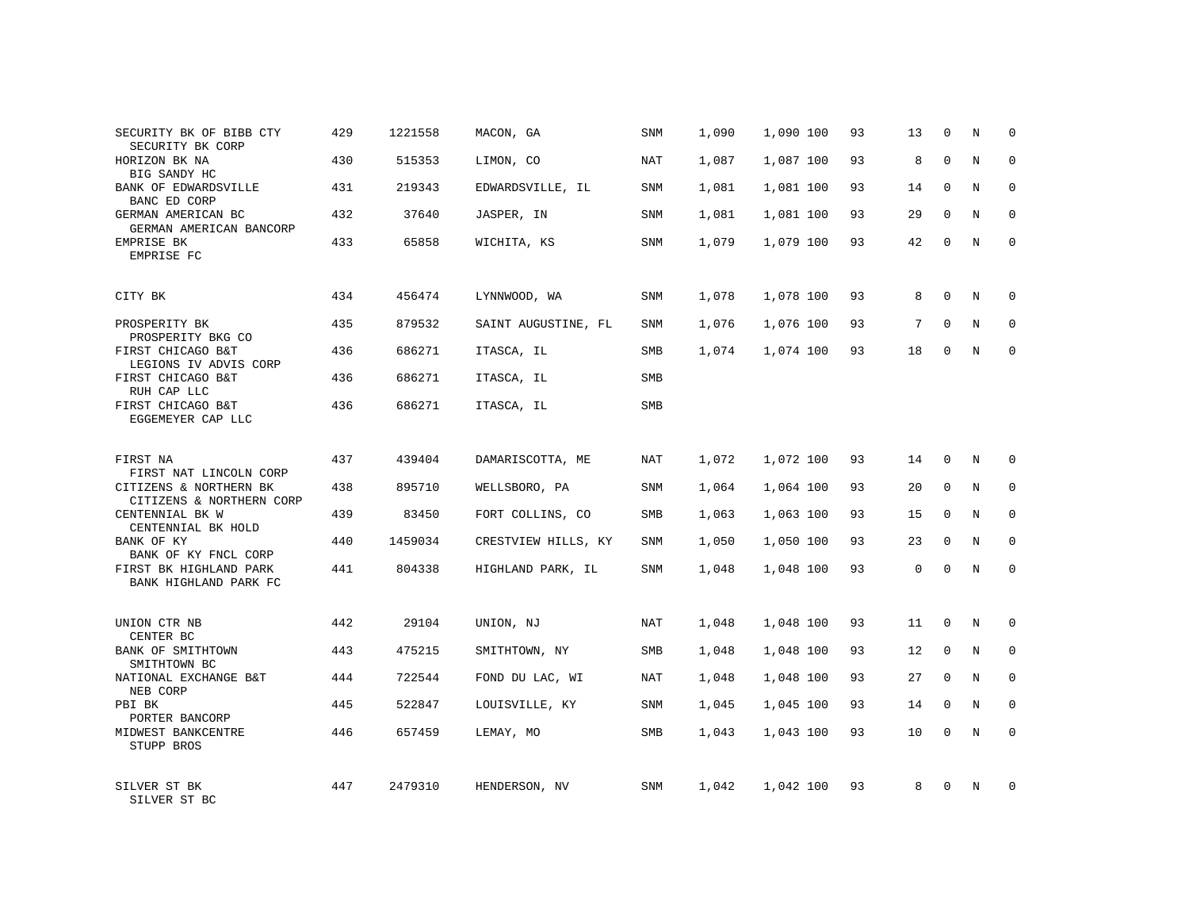| SECURITY BK OF BIBB CTY<br>SECURITY BK CORP        | 429 | 1221558 | MACON, GA           | SNM        | 1,090 | 1,090 100 | 93 | 13       | 0            | Ν | 0            |
|----------------------------------------------------|-----|---------|---------------------|------------|-------|-----------|----|----------|--------------|---|--------------|
| HORIZON BK NA<br>BIG SANDY HC                      | 430 | 515353  | LIMON, CO           | NAT        | 1,087 | 1,087 100 | 93 | 8        | $\mathbf{0}$ | N | $\mathbf 0$  |
| BANK OF EDWARDSVILLE<br>BANC ED CORP               | 431 | 219343  | EDWARDSVILLE, IL    | SNM        | 1,081 | 1,081 100 | 93 | 14       | 0            | N | 0            |
| GERMAN AMERICAN BC<br>GERMAN AMERICAN BANCORP      | 432 | 37640   | JASPER, IN          | <b>SNM</b> | 1,081 | 1,081 100 | 93 | 29       | $\mathbf{0}$ | N | $\mathbf 0$  |
| EMPRISE BK<br>EMPRISE FC                           | 433 | 65858   | WICHITA, KS         | SNM        | 1,079 | 1,079 100 | 93 | 42       | $\mathbf{0}$ | N | $\mathbf{0}$ |
| CITY BK                                            | 434 | 456474  | LYNNWOOD, WA        | <b>SNM</b> | 1,078 | 1,078 100 | 93 | 8        | $\mathbf{0}$ | N | 0            |
| PROSPERITY BK<br>PROSPERITY BKG CO                 | 435 | 879532  | SAINT AUGUSTINE, FL | SNM        | 1,076 | 1,076 100 | 93 | 7        | $\mathbf{0}$ | N | $\mathbf 0$  |
| FIRST CHICAGO B&T<br>LEGIONS IV ADVIS CORP         | 436 | 686271  | ITASCA, IL          | SMB        | 1,074 | 1,074 100 | 93 | 18       | $\mathbf{0}$ | N | $\mathbf 0$  |
| FIRST CHICAGO B&T<br>RUH CAP LLC                   | 436 | 686271  | ITASCA, IL          | SMB        |       |           |    |          |              |   |              |
| FIRST CHICAGO B&T<br>EGGEMEYER CAP LLC             | 436 | 686271  | ITASCA, IL          | SMB        |       |           |    |          |              |   |              |
| FIRST NA<br>FIRST NAT LINCOLN CORP                 | 437 | 439404  | DAMARISCOTTA, ME    | NAT        | 1,072 | 1,072 100 | 93 | 14       | 0            | N | $\Omega$     |
| CITIZENS & NORTHERN BK<br>CITIZENS & NORTHERN CORP | 438 | 895710  | WELLSBORO, PA       | SNM        | 1,064 | 1,064 100 | 93 | 20       | 0            | N | $\mathbf 0$  |
| CENTENNIAL BK W<br>CENTENNIAL BK HOLD              | 439 | 83450   | FORT COLLINS, CO    | SMB        | 1,063 | 1,063 100 | 93 | 15       | $\Omega$     | N | $\mathbf 0$  |
| BANK OF KY<br>BANK OF KY FNCL CORP                 | 440 | 1459034 | CRESTVIEW HILLS, KY | <b>SNM</b> | 1,050 | 1,050 100 | 93 | 23       | $\mathbf 0$  | N | 0            |
| FIRST BK HIGHLAND PARK<br>BANK HIGHLAND PARK FC    | 441 | 804338  | HIGHLAND PARK, IL   | <b>SNM</b> | 1,048 | 1,048 100 | 93 | $\Omega$ | $\Omega$     | N | $\Omega$     |
| UNION CTR NB<br>CENTER BC                          | 442 | 29104   | UNION, NJ           | NAT        | 1,048 | 1,048 100 | 93 | 11       | $\mathbf 0$  | N | $\mathbf 0$  |
| BANK OF SMITHTOWN<br>SMITHTOWN BC                  | 443 | 475215  | SMITHTOWN, NY       | SMB        | 1,048 | 1,048 100 | 93 | 12       | 0            | N | 0            |
| NATIONAL EXCHANGE B&T<br>NEB CORP                  | 444 | 722544  | FOND DU LAC, WI     | NAT        | 1,048 | 1,048 100 | 93 | 27       | 0            | N | $\mathbf{0}$ |
| PBI BK<br>PORTER BANCORP                           | 445 | 522847  | LOUISVILLE, KY      | SNM        | 1,045 | 1,045 100 | 93 | 14       | 0            | N | 0            |
| MIDWEST BANKCENTRE<br>STUPP BROS                   | 446 | 657459  | LEMAY, MO           | SMB        | 1,043 | 1,043 100 | 93 | 10       | $\mathbf 0$  | N | $\mathbf{0}$ |
| SILVER ST BK<br>SILVER ST BC                       | 447 | 2479310 | HENDERSON, NV       | <b>SNM</b> | 1,042 | 1,042 100 | 93 | 8        | $\Omega$     | N | $\mathbf 0$  |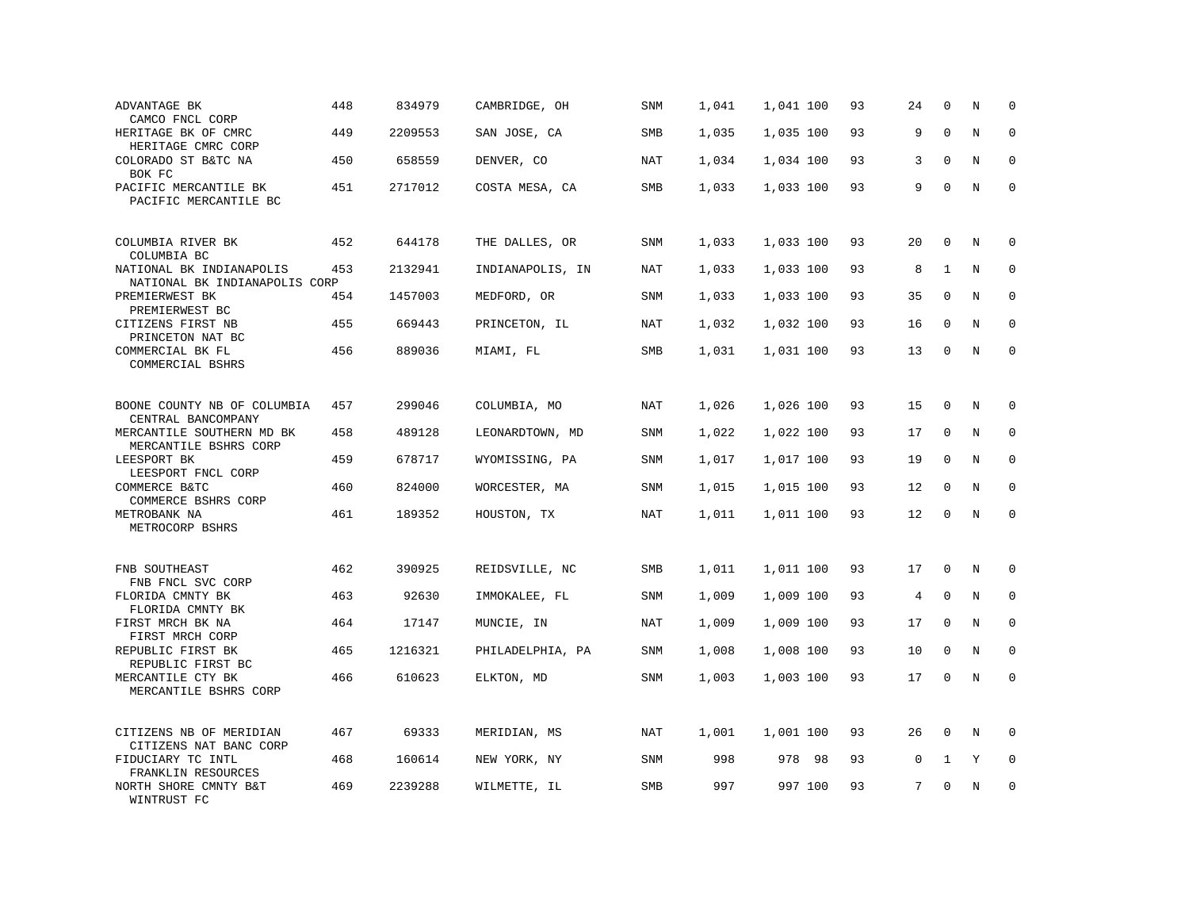| ADVANTAGE BK<br>CAMCO FNCL CORP                           | 448 | 834979  | CAMBRIDGE, OH    | <b>SNM</b> | 1,041 | 1,041 100 | 93 | 24          | $\mathbf 0$  | N | $\Omega$    |
|-----------------------------------------------------------|-----|---------|------------------|------------|-------|-----------|----|-------------|--------------|---|-------------|
| HERITAGE BK OF CMRC<br>HERITAGE CMRC CORP                 | 449 | 2209553 | SAN JOSE, CA     | SMB        | 1,035 | 1,035 100 | 93 | 9           | $\mathbf 0$  | N | 0           |
| COLORADO ST B&TC NA<br>BOK FC                             | 450 | 658559  | DENVER, CO       | NAT        | 1,034 | 1,034 100 | 93 | 3           | $\Omega$     | N | $\mathbf 0$ |
| PACIFIC MERCANTILE BK<br>PACIFIC MERCANTILE BC            | 451 | 2717012 | COSTA MESA, CA   | SMB        | 1,033 | 1,033 100 | 93 | 9           | $\mathbf 0$  | N | $\mathbf 0$ |
| COLUMBIA RIVER BK<br>COLUMBIA BC                          | 452 | 644178  | THE DALLES, OR   | SNM        | 1,033 | 1,033 100 | 93 | 20          | $\mathbf 0$  | N | 0           |
| NATIONAL BK INDIANAPOLIS<br>NATIONAL BK INDIANAPOLIS CORP | 453 | 2132941 | INDIANAPOLIS, IN | NAT        | 1,033 | 1,033 100 | 93 | 8           | 1            | N | $\mathbf 0$ |
| PREMIERWEST BK<br>PREMIERWEST BC                          | 454 | 1457003 | MEDFORD, OR      | SNM        | 1,033 | 1,033 100 | 93 | 35          | $\mathbf 0$  | N | $\mathbf 0$ |
| CITIZENS FIRST NB<br>PRINCETON NAT BC                     | 455 | 669443  | PRINCETON, IL    | <b>NAT</b> | 1,032 | 1,032 100 | 93 | 16          | $\Omega$     | N | $\mathbf 0$ |
| COMMERCIAL BK FL<br>COMMERCIAL BSHRS                      | 456 | 889036  | MIAMI, FL        | SMB        | 1,031 | 1,031 100 | 93 | 13          | $\mathbf 0$  | N | $\mathbf 0$ |
| BOONE COUNTY NB OF COLUMBIA<br>CENTRAL BANCOMPANY         | 457 | 299046  | COLUMBIA, MO     | <b>NAT</b> | 1,026 | 1,026 100 | 93 | 15          | $\mathbf 0$  | N | $\Omega$    |
| MERCANTILE SOUTHERN MD BK<br>MERCANTILE BSHRS CORP        | 458 | 489128  | LEONARDTOWN, MD  | SNM        | 1,022 | 1,022 100 | 93 | 17          | $\mathbf 0$  | N | $\mathbf 0$ |
| LEESPORT BK<br>LEESPORT FNCL CORP                         | 459 | 678717  | WYOMISSING, PA   | SNM        | 1,017 | 1,017 100 | 93 | 19          | $\Omega$     | N | 0           |
| COMMERCE B&TC<br>COMMERCE BSHRS CORP                      | 460 | 824000  | WORCESTER, MA    | SNM        | 1,015 | 1,015 100 | 93 | 12          | $\Omega$     | N | $\Omega$    |
| METROBANK NA<br>METROCORP BSHRS                           | 461 | 189352  | HOUSTON, TX      | NAT        | 1,011 | 1,011 100 | 93 | 12          | $\mathbf 0$  | N | $\mathbf 0$ |
| FNB SOUTHEAST<br>FNB FNCL SVC CORP                        | 462 | 390925  | REIDSVILLE, NC   | <b>SMB</b> | 1,011 | 1,011 100 | 93 | 17          | $\mathbf 0$  | N | $\mathbf 0$ |
| FLORIDA CMNTY BK<br>FLORIDA CMNTY BK                      | 463 | 92630   | IMMOKALEE, FL    | <b>SNM</b> | 1,009 | 1,009 100 | 93 | 4           | $\mathbf 0$  | N | $\mathbf 0$ |
| FIRST MRCH BK NA<br>FIRST MRCH CORP                       | 464 | 17147   | MUNCIE, IN       | NAT        | 1,009 | 1,009 100 | 93 | 17          | $\Omega$     | N | 0           |
| REPUBLIC FIRST BK<br>REPUBLIC FIRST BC                    | 465 | 1216321 | PHILADELPHIA, PA | <b>SNM</b> | 1,008 | 1,008 100 | 93 | 10          | $\mathbf 0$  | N | $\mathbf 0$ |
| MERCANTILE CTY BK<br>MERCANTILE BSHRS CORP                | 466 | 610623  | ELKTON, MD       | SNM        | 1,003 | 1,003 100 | 93 | 17          | $\mathbf 0$  | N | $\Omega$    |
| CITIZENS NB OF MERIDIAN<br>CITIZENS NAT BANC CORP         | 467 | 69333   | MERIDIAN, MS     | NAT        | 1,001 | 1,001 100 | 93 | 26          | $\mathbf{0}$ | N | $\mathbf 0$ |
| FIDUCIARY TC INTL<br>FRANKLIN RESOURCES                   | 468 | 160614  | NEW YORK, NY     | SNM        | 998   | 978 98    | 93 | $\mathsf 0$ | $\mathbf{1}$ | Y | $\mathbf 0$ |
| NORTH SHORE CMNTY B&T<br>WINTRUST FC                      | 469 | 2239288 | WILMETTE, IL     | SMB        | 997   | 997 100   | 93 | 7           | $\Omega$     | Ν | $\Omega$    |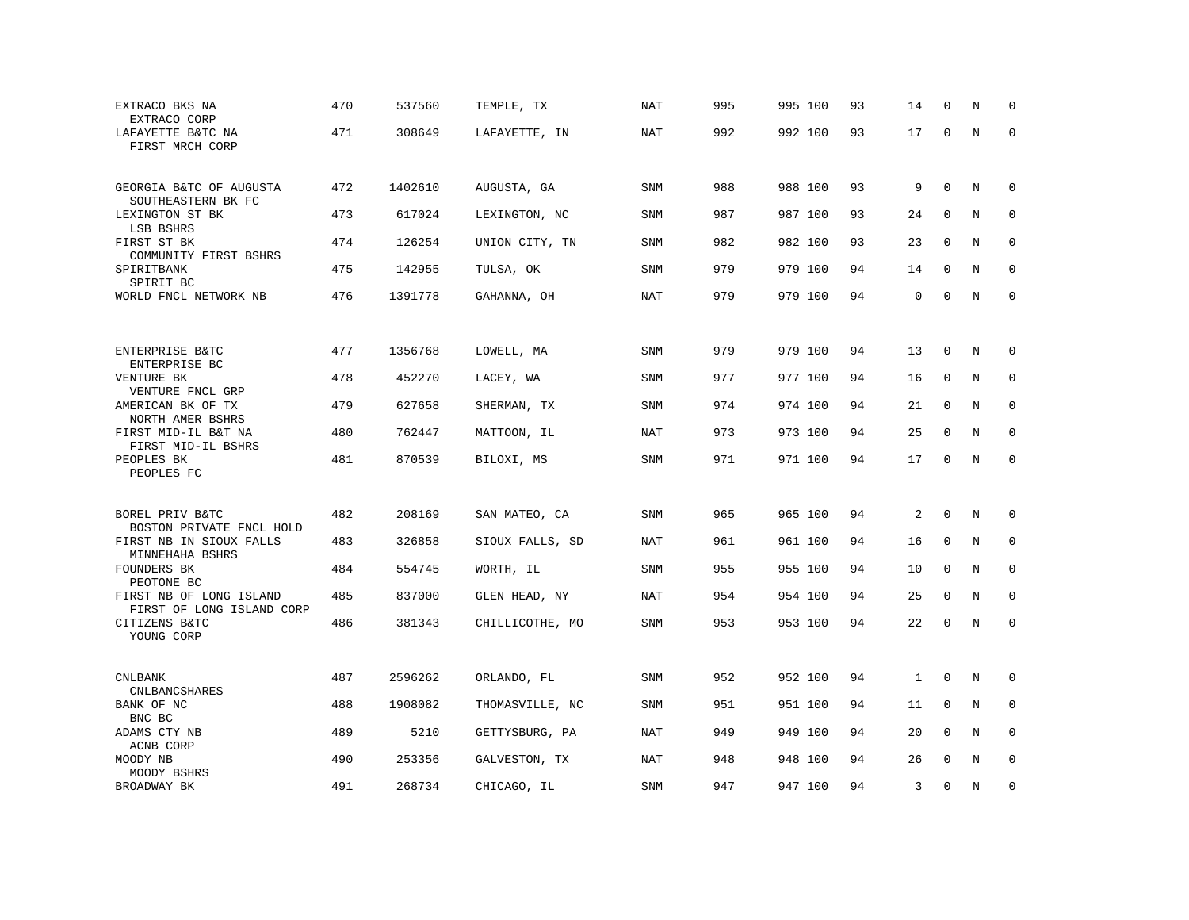| EXTRACO BKS NA<br>EXTRACO CORP                       | 470 | 537560  | TEMPLE, TX      | <b>NAT</b> | 995 | 995 100 | 93 | 14 | $\Omega$     | N | $\Omega$    |
|------------------------------------------------------|-----|---------|-----------------|------------|-----|---------|----|----|--------------|---|-------------|
| LAFAYETTE B&TC NA<br>FIRST MRCH CORP                 | 471 | 308649  | LAFAYETTE, IN   | NAT        | 992 | 992 100 | 93 | 17 | $\mathbf 0$  | N | $\Omega$    |
| GEORGIA B&TC OF AUGUSTA<br>SOUTHEASTERN BK FC        | 472 | 1402610 | AUGUSTA, GA     | SNM        | 988 | 988 100 | 93 | 9  | $\mathbf 0$  | N | 0           |
| LEXINGTON ST BK                                      | 473 | 617024  | LEXINGTON, NC   | <b>SNM</b> | 987 | 987 100 | 93 | 24 | $\mathbf 0$  | N | $\mathbf 0$ |
| LSB BSHRS<br>FIRST ST BK<br>COMMUNITY FIRST BSHRS    | 474 | 126254  | UNION CITY, TN  | SNM        | 982 | 982 100 | 93 | 23 | 0            | N | $\mathbf 0$ |
| SPIRITBANK<br>SPIRIT BC                              | 475 | 142955  | TULSA, OK       | SNM        | 979 | 979 100 | 94 | 14 | $\mathbf{0}$ | N | $\mathbf 0$ |
| WORLD FNCL NETWORK NB                                | 476 | 1391778 | GAHANNA, OH     | NAT        | 979 | 979 100 | 94 | 0  | $\mathbf 0$  | N | $\mathbf 0$ |
|                                                      |     |         |                 |            |     |         |    |    |              |   |             |
| ENTERPRISE B&TC<br>ENTERPRISE BC                     | 477 | 1356768 | LOWELL, MA      | SNM        | 979 | 979 100 | 94 | 13 | $\mathbf 0$  | N | 0           |
| VENTURE BK<br>VENTURE FNCL GRP                       | 478 | 452270  | LACEY, WA       | SNM        | 977 | 977 100 | 94 | 16 | $\mathbf 0$  | N | $\mathbf 0$ |
| AMERICAN BK OF TX                                    | 479 | 627658  | SHERMAN, TX     | SNM        | 974 | 974 100 | 94 | 21 | $\mathbf 0$  | N | 0           |
| NORTH AMER BSHRS<br>FIRST MID-IL B&T NA              | 480 | 762447  | MATTOON, IL     | <b>NAT</b> | 973 | 973 100 | 94 | 25 | $\Omega$     | N | $\Omega$    |
| FIRST MID-IL BSHRS<br>PEOPLES BK<br>PEOPLES FC       | 481 | 870539  | BILOXI, MS      | <b>SNM</b> | 971 | 971 100 | 94 | 17 | $\mathbf 0$  | N | $\mathbf 0$ |
|                                                      |     |         |                 |            |     |         |    |    |              |   |             |
| BOREL PRIV B&TC<br>BOSTON PRIVATE FNCL HOLD          | 482 | 208169  | SAN MATEO, CA   | SNM        | 965 | 965 100 | 94 | 2  | $\mathbf 0$  | N | 0           |
| FIRST NB IN SIOUX FALLS<br>MINNEHAHA BSHRS           | 483 | 326858  | SIOUX FALLS, SD | NAT        | 961 | 961 100 | 94 | 16 | 0            | N | $\mathbf 0$ |
| FOUNDERS BK<br>PEOTONE BC                            | 484 | 554745  | WORTH, IL       | SNM        | 955 | 955 100 | 94 | 10 | $\mathbf 0$  | N | $\mathbf 0$ |
| FIRST NB OF LONG ISLAND<br>FIRST OF LONG ISLAND CORP | 485 | 837000  | GLEN HEAD, NY   | <b>NAT</b> | 954 | 954 100 | 94 | 25 | $\mathbf 0$  | N | $\mathbf 0$ |
| CITIZENS B&TC<br>YOUNG CORP                          | 486 | 381343  | CHILLICOTHE, MO | SNM        | 953 | 953 100 | 94 | 22 | $\mathbf 0$  | N | $\mathbf 0$ |
|                                                      |     |         |                 |            |     |         |    |    |              |   |             |
| <b>CNLBANK</b><br>CNLBANCSHARES                      | 487 | 2596262 | ORLANDO, FL     | SNM        | 952 | 952 100 | 94 | 1  | $\mathbf 0$  | N | 0           |
| BANK OF NC<br>BNC BC                                 | 488 | 1908082 | THOMASVILLE, NC | SNM        | 951 | 951 100 | 94 | 11 | $\mathbf 0$  | N | 0           |
| ADAMS CTY NB<br>ACNB CORP                            | 489 | 5210    | GETTYSBURG, PA  | <b>NAT</b> | 949 | 949 100 | 94 | 20 | $\mathbf 0$  | N | 0           |
| MOODY NB<br>MOODY BSHRS                              | 490 | 253356  | GALVESTON, TX   | NAT        | 948 | 948 100 | 94 | 26 | $\Omega$     | N | $\Omega$    |
| BROADWAY BK                                          | 491 | 268734  | CHICAGO, IL     | SNM        | 947 | 947 100 | 94 | 3  | $\mathbf 0$  | N | 0           |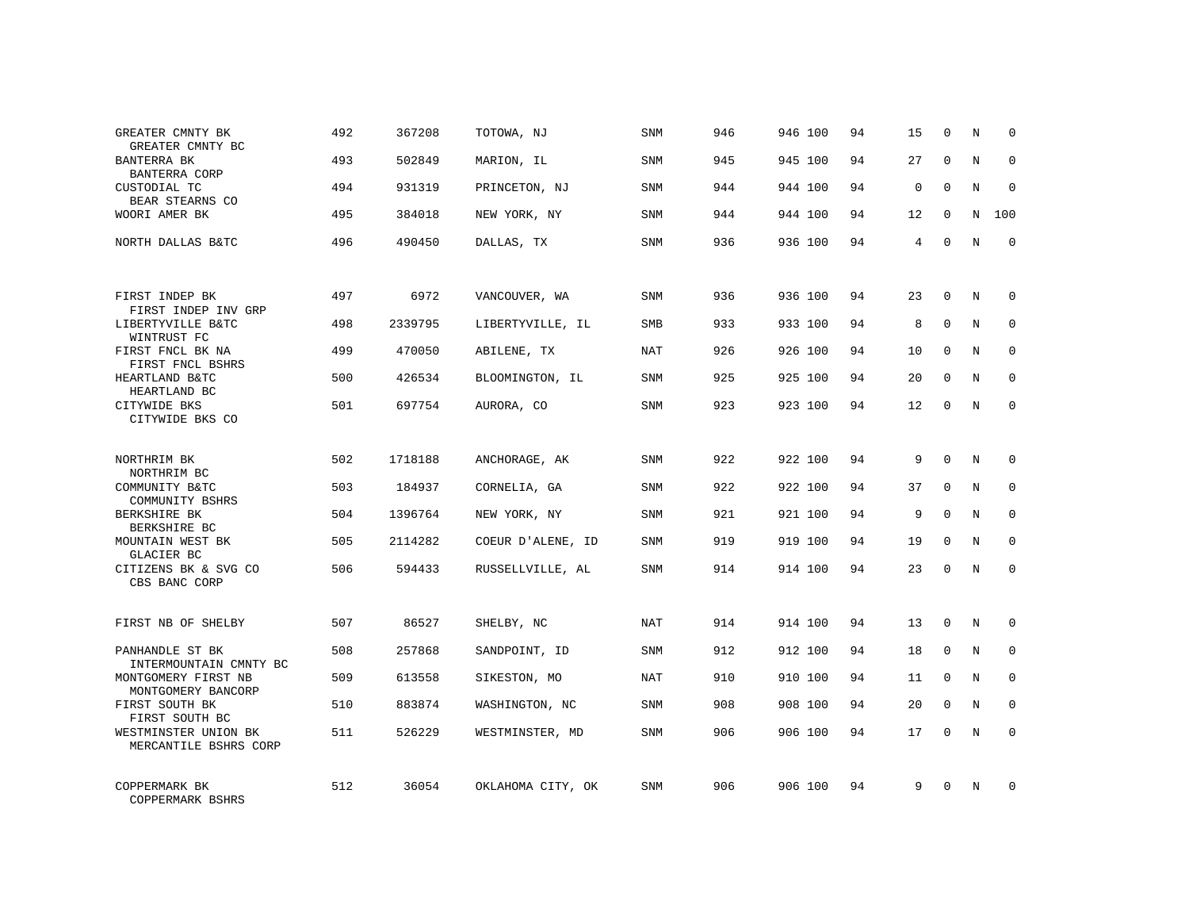| GREATER CMNTY BK<br>GREATER CMNTY BC                            | 492 | 367208  | TOTOWA, NJ        | SNM        | 946 | 946 100 | 94 | 15          | $\mathbf 0$  | N | $\Omega$    |
|-----------------------------------------------------------------|-----|---------|-------------------|------------|-----|---------|----|-------------|--------------|---|-------------|
| BANTERRA BK<br><b>BANTERRA CORP</b>                             | 493 | 502849  | MARION, IL        | SNM        | 945 | 945 100 | 94 | 27          | $\Omega$     | N | $\Omega$    |
| CUSTODIAL TC<br>BEAR STEARNS CO                                 | 494 | 931319  | PRINCETON, NJ     | SNM        | 944 | 944 100 | 94 | $\mathbf 0$ | $\Omega$     | N | $\Omega$    |
| WOORI AMER BK                                                   | 495 | 384018  | NEW YORK, NY      | SNM        | 944 | 944 100 | 94 | 12          | $\Omega$     | N | 100         |
| NORTH DALLAS B&TC                                               | 496 | 490450  | DALLAS, TX        | SNM        | 936 | 936 100 | 94 | 4           | $\mathbf 0$  | N | $\mathbf 0$ |
| FIRST INDEP BK                                                  | 497 | 6972    | VANCOUVER, WA     | SNM        | 936 | 936 100 | 94 | 23          | $\mathbf{0}$ | N | 0           |
| FIRST INDEP INV GRP                                             | 498 | 2339795 | LIBERTYVILLE, IL  | <b>SMB</b> | 933 | 933 100 | 94 | 8           | $\Omega$     | N | $\mathbf 0$ |
| LIBERTYVILLE B&TC<br>WINTRUST FC                                |     |         |                   |            |     |         |    |             |              |   |             |
| FIRST FNCL BK NA<br>FIRST FNCL BSHRS                            | 499 | 470050  | ABILENE, TX       | <b>NAT</b> | 926 | 926 100 | 94 | 10          | $\mathbf 0$  | N | $\mathbf 0$ |
| HEARTLAND B&TC<br>HEARTLAND BC                                  | 500 | 426534  | BLOOMINGTON, IL   | <b>SNM</b> | 925 | 925 100 | 94 | 20          | $\mathbf{0}$ | N | $\mathbf 0$ |
| CITYWIDE BKS<br>CITYWIDE BKS CO                                 | 501 | 697754  | AURORA, CO        | <b>SNM</b> | 923 | 923 100 | 94 | 12          | $\mathbf 0$  | N | $\mathbf 0$ |
| NORTHRIM BK                                                     | 502 | 1718188 | ANCHORAGE, AK     | SNM        | 922 | 922 100 | 94 | 9           | $\Omega$     | N | 0           |
| NORTHRIM BC                                                     | 503 |         |                   | SNM        | 922 | 922 100 | 94 | 37          | $\mathbf{0}$ | N | 0           |
| COMMUNITY B&TC<br>COMMUNITY BSHRS                               |     | 184937  | CORNELIA, GA      |            |     |         |    |             |              |   |             |
| BERKSHIRE BK<br>BERKSHIRE BC                                    | 504 | 1396764 | NEW YORK, NY      | SNM        | 921 | 921 100 | 94 | 9           | $\Omega$     | N | $\mathbf 0$ |
| MOUNTAIN WEST BK<br><b>GLACIER BC</b>                           | 505 | 2114282 | COEUR D'ALENE, ID | <b>SNM</b> | 919 | 919 100 | 94 | 19          | $\mathbf{0}$ | N | 0           |
| CITIZENS BK & SVG CO<br>CBS BANC CORP                           | 506 | 594433  | RUSSELLVILLE, AL  | <b>SNM</b> | 914 | 914 100 | 94 | 23          | $\Omega$     | N | $\mathbf 0$ |
| FIRST NB OF SHELBY                                              | 507 | 86527   | SHELBY, NC        | NAT        | 914 | 914 100 | 94 | 13          | $\mathbf 0$  | N | 0           |
| PANHANDLE ST BK                                                 | 508 | 257868  | SANDPOINT, ID     | <b>SNM</b> | 912 | 912 100 | 94 | 18          | 0            | N | 0           |
| INTERMOUNTAIN CMNTY BC<br>MONTGOMERY FIRST NB                   | 509 | 613558  | SIKESTON, MO      | NAT        | 910 | 910 100 | 94 | 11          | $\Omega$     | N | $\mathbf 0$ |
| MONTGOMERY BANCORP<br>FIRST SOUTH BK                            | 510 | 883874  | WASHINGTON, NC    | SNM        | 908 | 908 100 | 94 | 20          | $\mathbf 0$  | N | 0           |
| FIRST SOUTH BC<br>WESTMINSTER UNION BK<br>MERCANTILE BSHRS CORP | 511 | 526229  | WESTMINSTER, MD   | <b>SNM</b> | 906 | 906 100 | 94 | 17          | $\Omega$     | N | $\mathbf 0$ |
| COPPERMARK BK<br>COPPERMARK BSHRS                               | 512 | 36054   | OKLAHOMA CITY, OK | <b>SNM</b> | 906 | 906 100 | 94 | 9           | $\Omega$     | N | 0           |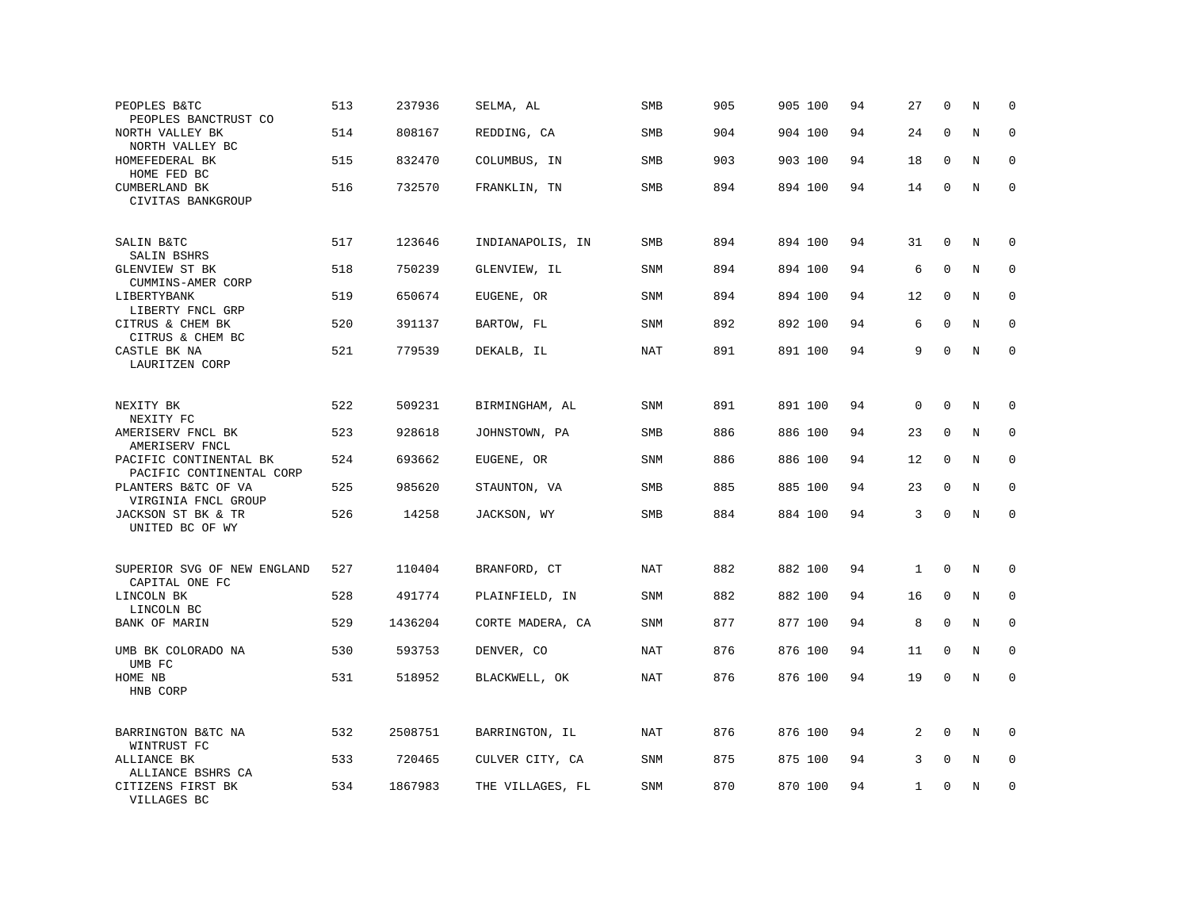| PEOPLES B&TC<br>PEOPLES BANCTRUST CO               | 513 | 237936  | SELMA, AL        | SMB        | 905 | 905 100 | 94 | 27           | $\mathbf 0$  | N       | 0           |
|----------------------------------------------------|-----|---------|------------------|------------|-----|---------|----|--------------|--------------|---------|-------------|
| NORTH VALLEY BK<br>NORTH VALLEY BC                 | 514 | 808167  | REDDING, CA      | <b>SMB</b> | 904 | 904 100 | 94 | 24           | $\mathbf{0}$ | N       | $\mathbf 0$ |
| HOMEFEDERAL BK<br>HOME FED BC                      | 515 | 832470  | COLUMBUS, IN     | SMB        | 903 | 903 100 | 94 | 18           | $\mathbf 0$  | N       | $\mathbf 0$ |
| CUMBERLAND BK<br>CIVITAS BANKGROUP                 | 516 | 732570  | FRANKLIN, TN     | <b>SMB</b> | 894 | 894 100 | 94 | 14           | $\mathbf 0$  | N       | $\mathbf 0$ |
| SALIN B&TC<br>SALIN BSHRS                          | 517 | 123646  | INDIANAPOLIS, IN | <b>SMB</b> | 894 | 894 100 | 94 | 31           | $\mathbf{0}$ | N       | 0           |
| GLENVIEW ST BK<br>CUMMINS-AMER CORP                | 518 | 750239  | GLENVIEW, IL     | SNM        | 894 | 894 100 | 94 | 6            | $\mathbf 0$  | N       | 0           |
| LIBERTYBANK<br>LIBERTY FNCL GRP                    | 519 | 650674  | EUGENE, OR       | SNM        | 894 | 894 100 | 94 | 12           | $\mathbf 0$  | N       | 0           |
| CITRUS & CHEM BK<br>CITRUS & CHEM BC               | 520 | 391137  | BARTOW, FL       | SNM        | 892 | 892 100 | 94 | 6            | $\Omega$     | N       | 0           |
| CASTLE BK NA<br>LAURITZEN CORP                     | 521 | 779539  | DEKALB, IL       | <b>NAT</b> | 891 | 891 100 | 94 | 9            | $\mathbf{0}$ | N       | $\mathbf 0$ |
| NEXITY BK                                          | 522 | 509231  | BIRMINGHAM, AL   | SNM        | 891 | 891 100 | 94 | $\mathbf 0$  | $\mathbf{0}$ | N       | 0           |
| NEXITY FC<br>AMERISERV FNCL BK<br>AMERISERV FNCL   | 523 | 928618  | JOHNSTOWN, PA    | <b>SMB</b> | 886 | 886 100 | 94 | 23           | $\mathbf 0$  | N       | $\mathbf 0$ |
| PACIFIC CONTINENTAL BK<br>PACIFIC CONTINENTAL CORP | 524 | 693662  | EUGENE, OR       | SNM        | 886 | 886 100 | 94 | 12           | $\mathbf 0$  | N       | 0           |
| PLANTERS B&TC OF VA<br>VIRGINIA FNCL GROUP         | 525 | 985620  | STAUNTON, VA     | <b>SMB</b> | 885 | 885 100 | 94 | 23           | $\Omega$     | N       | $\mathbf 0$ |
| JACKSON ST BK & TR<br>UNITED BC OF WY              | 526 | 14258   | JACKSON, WY      | SMB        | 884 | 884 100 | 94 | 3            | $\Omega$     | $\rm N$ | $\mathbf 0$ |
| SUPERIOR SVG OF NEW ENGLAND                        | 527 | 110404  | BRANFORD, CT     | NAT        | 882 | 882 100 | 94 | $\mathbf{1}$ | $\mathbf 0$  | N       | $\mathbf 0$ |
| CAPITAL ONE FC<br>LINCOLN BK<br>LINCOLN BC         | 528 | 491774  | PLAINFIELD, IN   | SNM        | 882 | 882 100 | 94 | 16           | $\mathbf 0$  | N       | 0           |
| BANK OF MARIN                                      | 529 | 1436204 | CORTE MADERA, CA | SNM        | 877 | 877 100 | 94 | 8            | $\mathbf 0$  | N       | $\mathbf 0$ |
| UMB BK COLORADO NA<br>UMB FC                       | 530 | 593753  | DENVER, CO       | <b>NAT</b> | 876 | 876 100 | 94 | 11           | $\mathbf 0$  | N       | $\mathbf 0$ |
| HOME NB<br>HNB CORP                                | 531 | 518952  | BLACKWELL, OK    | NAT        | 876 | 876 100 | 94 | 19           | $\mathbf 0$  | N       | $\mathbf 0$ |
| BARRINGTON B&TC NA<br>WINTRUST FC                  | 532 | 2508751 | BARRINGTON, IL   | <b>NAT</b> | 876 | 876 100 | 94 | 2            | $\Omega$     | N       | $\mathbf 0$ |
| ALLIANCE BK<br>ALLIANCE BSHRS CA                   | 533 | 720465  | CULVER CITY, CA  | SNM        | 875 | 875 100 | 94 | 3            | 0            | Ν       | 0           |
| CITIZENS FIRST BK<br>VILLAGES BC                   | 534 | 1867983 | THE VILLAGES, FL | <b>SNM</b> | 870 | 870 100 | 94 | 1            | $\mathbf 0$  | N       | $\mathbf 0$ |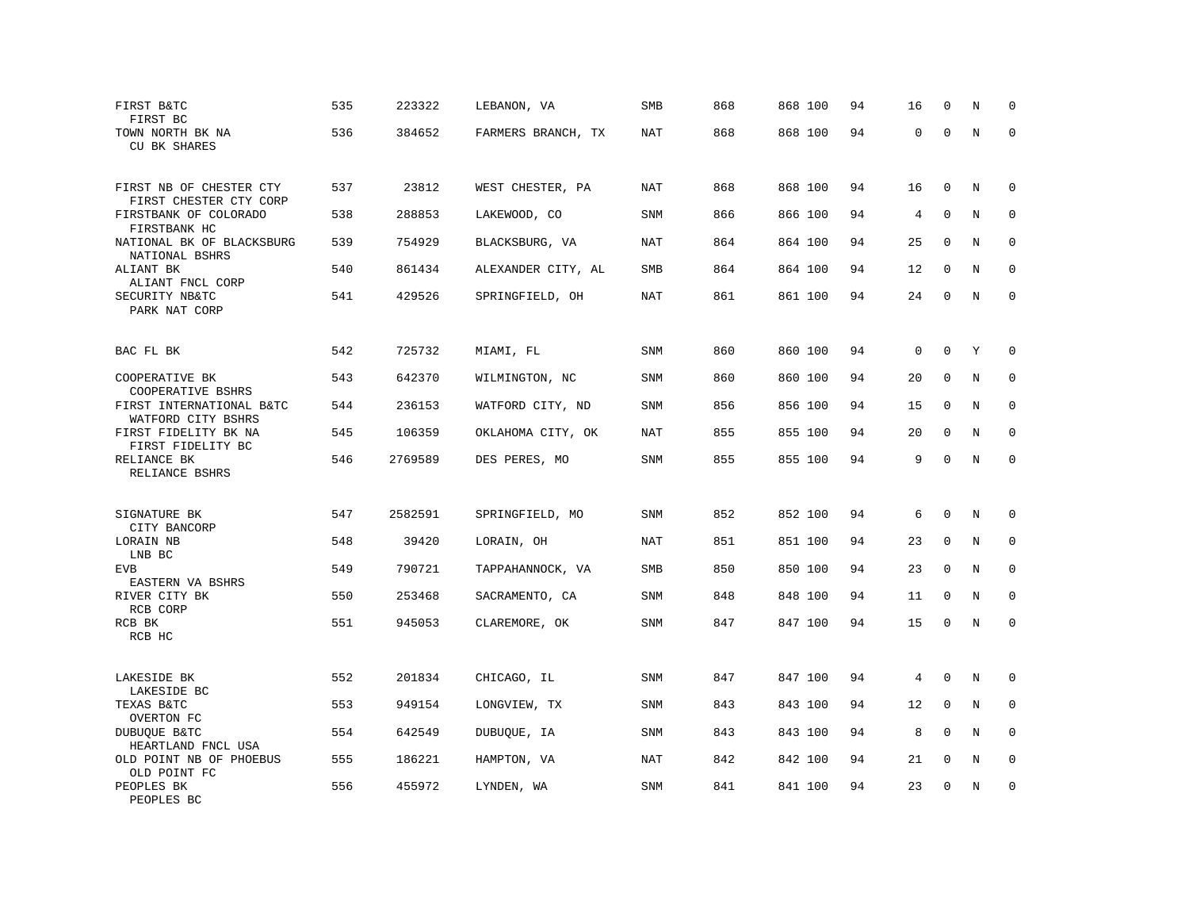| FIRST B&TC<br>FIRST BC                            | 535 | 223322  | LEBANON, VA        | SMB        | 868 | 868 100 | 94 | 16          | $\mathbf 0$ | N       | $\mathbf 0$  |
|---------------------------------------------------|-----|---------|--------------------|------------|-----|---------|----|-------------|-------------|---------|--------------|
| TOWN NORTH BK NA<br><b>CU BK SHARES</b>           | 536 | 384652  | FARMERS BRANCH, TX | NAT        | 868 | 868 100 | 94 | 0           | $\mathbf 0$ | N       | $\Omega$     |
| FIRST NB OF CHESTER CTY<br>FIRST CHESTER CTY CORP | 537 | 23812   | WEST CHESTER, PA   | NAT        | 868 | 868 100 | 94 | 16          | $\mathbf 0$ | N       | $\mathbf 0$  |
| FIRSTBANK OF COLORADO<br>FIRSTBANK HC             | 538 | 288853  | LAKEWOOD, CO       | <b>SNM</b> | 866 | 866 100 | 94 | 4           | $\mathbf 0$ | N       | 0            |
| NATIONAL BK OF BLACKSBURG<br>NATIONAL BSHRS       | 539 | 754929  | BLACKSBURG, VA     | NAT        | 864 | 864 100 | 94 | 25          | $\mathbf 0$ | N       | $\mathbf 0$  |
| ALIANT BK<br>ALIANT FNCL CORP                     | 540 | 861434  | ALEXANDER CITY, AL | SMB        | 864 | 864 100 | 94 | 12          | $\mathbf 0$ | N       | $\mathbf 0$  |
| SECURITY NB&TC<br>PARK NAT CORP                   | 541 | 429526  | SPRINGFIELD, OH    | NAT        | 861 | 861 100 | 94 | 24          | $\mathbf 0$ | N       | $\mathbf{0}$ |
| BAC FL BK                                         | 542 | 725732  | MIAMI, FL          | <b>SNM</b> | 860 | 860 100 | 94 | $\mathbf 0$ | $\mathbf 0$ | Y       | 0            |
| COOPERATIVE BK<br>COOPERATIVE BSHRS               | 543 | 642370  | WILMINGTON, NC     | <b>SNM</b> | 860 | 860 100 | 94 | 20          | 0           | N       | 0            |
| FIRST INTERNATIONAL B&TC<br>WATFORD CITY BSHRS    | 544 | 236153  | WATFORD CITY, ND   | <b>SNM</b> | 856 | 856 100 | 94 | 15          | $\mathbf 0$ | N       | $\mathbf{0}$ |
| FIRST FIDELITY BK NA<br>FIRST FIDELITY BC         | 545 | 106359  | OKLAHOMA CITY, OK  | <b>NAT</b> | 855 | 855 100 | 94 | 20          | $\mathbf 0$ | N       | $\mathbf 0$  |
| RELIANCE BK<br>RELIANCE BSHRS                     | 546 | 2769589 | DES PERES, MO      | SNM        | 855 | 855 100 | 94 | 9           | $\mathbf 0$ | $\rm N$ | $\mathbf 0$  |
| SIGNATURE BK<br>CITY BANCORP                      | 547 | 2582591 | SPRINGFIELD, MO    | <b>SNM</b> | 852 | 852 100 | 94 | 6           | $\mathbf 0$ | N       | $\mathbf 0$  |
| LORAIN NB<br>LNB BC                               | 548 | 39420   | LORAIN, OH         | NAT        | 851 | 851 100 | 94 | 23          | $\mathbf 0$ | N       | $\mathbf 0$  |
| <b>EVB</b><br>EASTERN VA BSHRS                    | 549 | 790721  | TAPPAHANNOCK, VA   | SMB        | 850 | 850 100 | 94 | 23          | $\mathbf 0$ | N       | $\mathbf 0$  |
| RIVER CITY BK<br>RCB CORP                         | 550 | 253468  | SACRAMENTO, CA     | SNM        | 848 | 848 100 | 94 | 11          | $\mathbf 0$ | N       | 0            |
| RCB BK<br>RCB HC                                  | 551 | 945053  | CLAREMORE, OK      | <b>SNM</b> | 847 | 847 100 | 94 | 15          | $\mathbf 0$ | N       | $\mathbf 0$  |
| LAKESIDE BK<br>LAKESIDE BC                        | 552 | 201834  | CHICAGO, IL        | <b>SNM</b> | 847 | 847 100 | 94 | 4           | $\mathbf 0$ | N       | $\mathbf 0$  |
| TEXAS B&TC<br>OVERTON FC                          | 553 | 949154  | LONGVIEW, TX       | SNM        | 843 | 843 100 | 94 | 12          | 0           | Ν       | 0            |
| DUBUQUE B&TC<br>HEARTLAND FNCL USA                | 554 | 642549  | DUBUQUE, IA        | <b>SNM</b> | 843 | 843 100 | 94 | 8           | $\Omega$    | N       | $\mathbf 0$  |
| OLD POINT NB OF PHOEBUS<br>OLD POINT FC           | 555 | 186221  | HAMPTON, VA        | NAT        | 842 | 842 100 | 94 | 21          | $\mathbf 0$ | N       | $\mathbf 0$  |
| PEOPLES BK<br>PEOPLES BC                          | 556 | 455972  | LYNDEN, WA         | <b>SNM</b> | 841 | 841 100 | 94 | 23          | $\mathbf 0$ | N       | $\mathbf 0$  |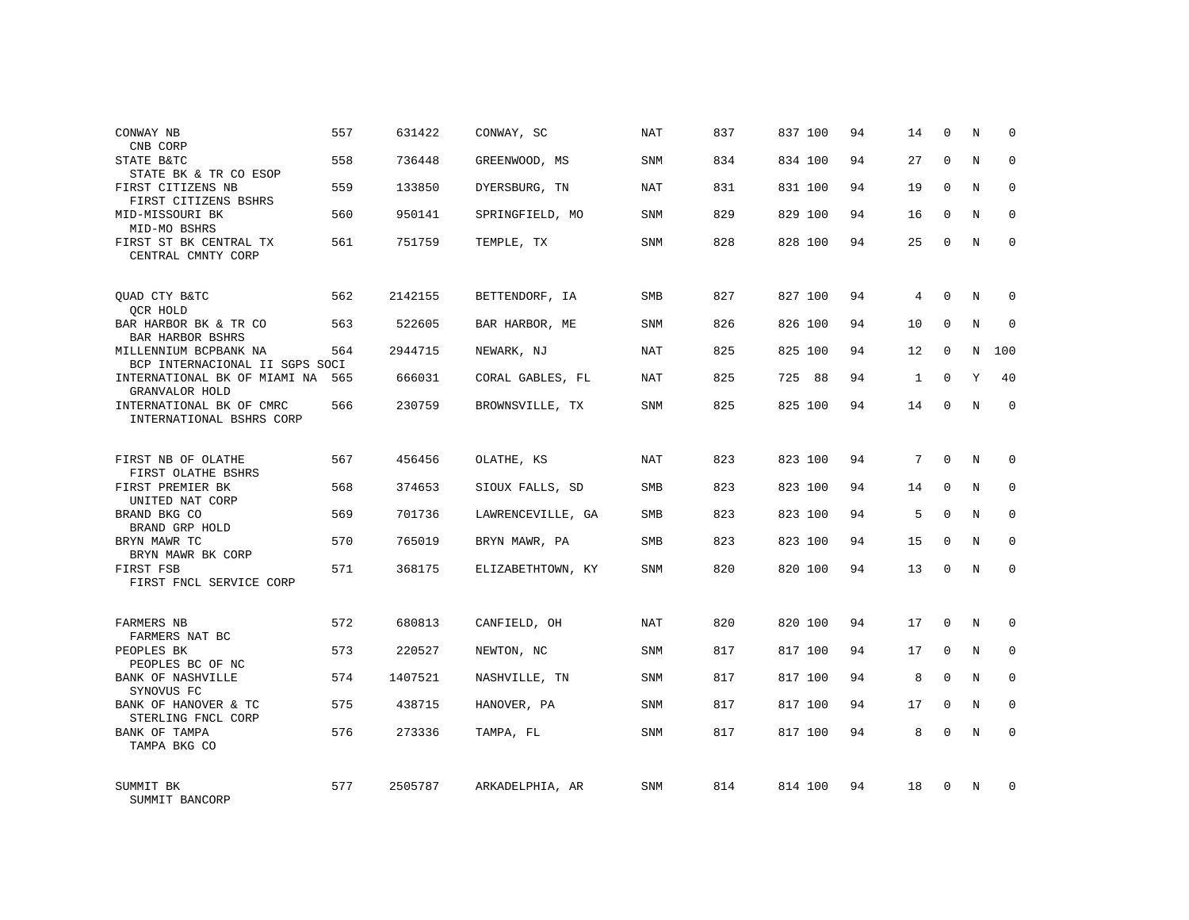| CONWAY NB<br>CNB CORP                                   | 557 | 631422  | CONWAY, SC        | <b>NAT</b> | 837 | 837 100   | 94 | 14           | $\mathbf 0$ | N | $\Omega$    |
|---------------------------------------------------------|-----|---------|-------------------|------------|-----|-----------|----|--------------|-------------|---|-------------|
| STATE B&TC<br>STATE BK & TR CO ESOP                     | 558 | 736448  | GREENWOOD, MS     | <b>SNM</b> | 834 | 834 100   | 94 | 27           | $\Omega$    | N | $\Omega$    |
| FIRST CITIZENS NB<br>FIRST CITIZENS BSHRS               | 559 | 133850  | DYERSBURG, TN     | <b>NAT</b> | 831 | 831 100   | 94 | 19           | $\mathbf 0$ | N | $\mathbf 0$ |
| MID-MISSOURI BK<br>MID-MO BSHRS                         | 560 | 950141  | SPRINGFIELD, MO   | <b>SNM</b> | 829 | 829 100   | 94 | 16           | $\Omega$    | N | $\mathbf 0$ |
| FIRST ST BK CENTRAL TX<br>CENTRAL CMNTY CORP            | 561 | 751759  | TEMPLE, TX        | <b>SNM</b> | 828 | 828 100   | 94 | 25           | $\Omega$    | N | $\Omega$    |
| QUAD CTY B&TC<br>QCR HOLD                               | 562 | 2142155 | BETTENDORF, IA    | <b>SMB</b> | 827 | 827 100   | 94 | 4            | $\Omega$    | N | $\Omega$    |
| BAR HARBOR BK & TR CO<br>BAR HARBOR BSHRS               | 563 | 522605  | BAR HARBOR, ME    | SNM        | 826 | 826 100   | 94 | 10           | $\mathbf 0$ | N | $\mathbf 0$ |
| MILLENNIUM BCPBANK NA<br>BCP INTERNACIONAL II SGPS SOCI | 564 | 2944715 | NEWARK, NJ        | NAT        | 825 | 825 100   | 94 | 12           | $\Omega$    | N | 100         |
| INTERNATIONAL BK OF MIAMI NA<br>GRANVALOR HOLD          | 565 | 666031  | CORAL GABLES, FL  | NAT        | 825 | 725<br>88 | 94 | $\mathbf{1}$ | 0           | Y | 40          |
| INTERNATIONAL BK OF CMRC<br>INTERNATIONAL BSHRS CORP    | 566 | 230759  | BROWNSVILLE, TX   | <b>SNM</b> | 825 | 825 100   | 94 | 14           | $\Omega$    | N | $\mathbf 0$ |
| FIRST NB OF OLATHE<br>FIRST OLATHE BSHRS                | 567 | 456456  | OLATHE, KS        | <b>NAT</b> | 823 | 823 100   | 94 | 7            | $\Omega$    | N | $\mathbf 0$ |
| FIRST PREMIER BK<br>UNITED NAT CORP                     | 568 | 374653  | SIOUX FALLS, SD   | <b>SMB</b> | 823 | 823 100   | 94 | 14           | $\Omega$    | N | $\mathbf 0$ |
| BRAND BKG CO<br>BRAND GRP HOLD                          | 569 | 701736  | LAWRENCEVILLE, GA | SMB        | 823 | 823 100   | 94 | 5            | $\Omega$    | N | $\mathbf 0$ |
| BRYN MAWR TC<br>BRYN MAWR BK CORP                       | 570 | 765019  | BRYN MAWR, PA     | <b>SMB</b> | 823 | 823 100   | 94 | 15           | $\Omega$    | N | $\mathbf 0$ |
| FIRST FSB<br>FIRST FNCL SERVICE CORP                    | 571 | 368175  | ELIZABETHTOWN, KY | SNM        | 820 | 820 100   | 94 | 13           | 0           | N | $\mathbf 0$ |
| FARMERS NB<br>FARMERS NAT BC                            | 572 | 680813  | CANFIELD, OH      | <b>NAT</b> | 820 | 820 100   | 94 | 17           | 0           | N | $\mathbf 0$ |
| PEOPLES BK<br>PEOPLES BC OF NC                          | 573 | 220527  | NEWTON, NC        | <b>SNM</b> | 817 | 817 100   | 94 | 17           | 0           | N | 0           |
| <b>BANK OF NASHVILLE</b><br>SYNOVUS FC                  | 574 | 1407521 | NASHVILLE, TN     | SNM        | 817 | 817 100   | 94 | 8            | $\Omega$    | N | $\mathbf 0$ |
| BANK OF HANOVER & TC<br>STERLING FNCL CORP              | 575 | 438715  | HANOVER, PA       | SNM        | 817 | 817 100   | 94 | 17           | $\mathbf 0$ | N | 0           |
| BANK OF TAMPA<br>TAMPA BKG CO                           | 576 | 273336  | TAMPA, FL         | SNM        | 817 | 817 100   | 94 | 8            | $\Omega$    | N | $\mathbf 0$ |
| SUMMIT BK<br>SUMMIT BANCORP                             | 577 | 2505787 | ARKADELPHIA, AR   | SNM        | 814 | 814 100   | 94 | 18           | $\Omega$    | N | $\mathbf 0$ |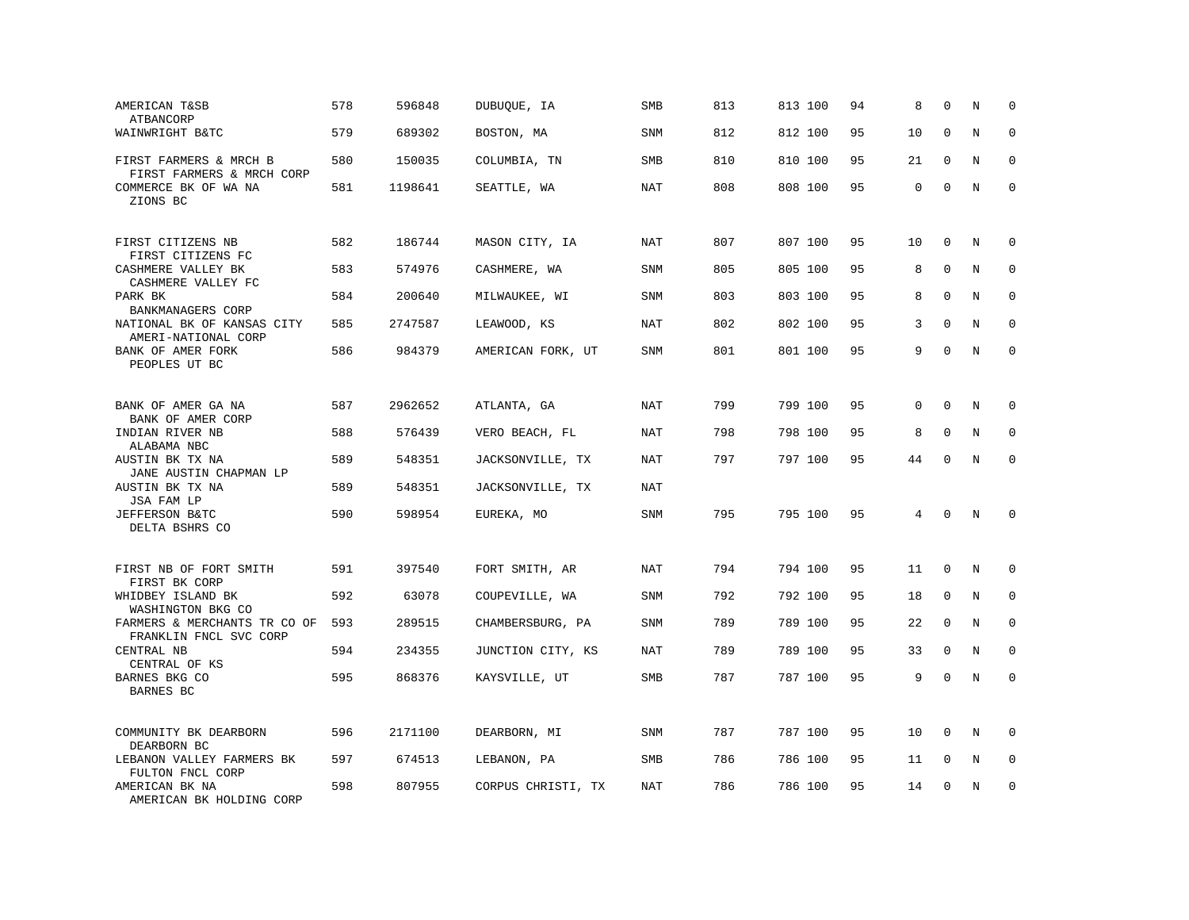| AMERICAN T&SB<br>ATBANCORP                             | 578 | 596848  | DUBUQUE, IA        | SMB        | 813 | 813 100 | 94 | 8           | $\mathbf 0$  | N              | $\mathbf 0$ |
|--------------------------------------------------------|-----|---------|--------------------|------------|-----|---------|----|-------------|--------------|----------------|-------------|
| WAINWRIGHT B&TC                                        | 579 | 689302  | BOSTON, MA         | <b>SNM</b> | 812 | 812 100 | 95 | 10          | $\mathbf{0}$ | N              | $\mathbf 0$ |
| FIRST FARMERS & MRCH B<br>FIRST FARMERS & MRCH CORP    | 580 | 150035  | COLUMBIA, TN       | SMB        | 810 | 810 100 | 95 | 21          | $\mathbf{0}$ | N              | $\mathbf 0$ |
| COMMERCE BK OF WA NA<br>ZIONS BC                       | 581 | 1198641 | SEATTLE, WA        | <b>NAT</b> | 808 | 808 100 | 95 | $\mathbf 0$ | $\mathbf 0$  | N              | $\mathbf 0$ |
| FIRST CITIZENS NB<br>FIRST CITIZENS FC                 | 582 | 186744  | MASON CITY, IA     | NAT        | 807 | 807 100 | 95 | 10          | $\mathbf 0$  | N              | $\mathbf 0$ |
| CASHMERE VALLEY BK<br>CASHMERE VALLEY FC               | 583 | 574976  | CASHMERE, WA       | SNM        | 805 | 805 100 | 95 | 8           | $\Omega$     | N              | $\mathbf 0$ |
| PARK BK<br>BANKMANAGERS CORP                           | 584 | 200640  | MILWAUKEE, WI      | <b>SNM</b> | 803 | 803 100 | 95 | 8           | $\Omega$     | N              | $\mathbf 0$ |
| NATIONAL BK OF KANSAS CITY<br>AMERI-NATIONAL CORP      | 585 | 2747587 | LEAWOOD, KS        | NAT        | 802 | 802 100 | 95 | 3           | $\Omega$     | N              | $\Omega$    |
| BANK OF AMER FORK<br>PEOPLES UT BC                     | 586 | 984379  | AMERICAN FORK, UT  | <b>SNM</b> | 801 | 801 100 | 95 | 9           | $\mathbf{0}$ | N              | $\mathbf 0$ |
| BANK OF AMER GA NA<br>BANK OF AMER CORP                | 587 | 2962652 | ATLANTA, GA        | <b>NAT</b> | 799 | 799 100 | 95 | 0           | $\mathbf{0}$ | N              | $\mathbf 0$ |
| INDIAN RIVER NB<br>ALABAMA NBC                         | 588 | 576439  | VERO BEACH, FL     | NAT        | 798 | 798 100 | 95 | 8           | $\mathbf 0$  | N              | $\Omega$    |
| AUSTIN BK TX NA<br>JANE AUSTIN CHAPMAN LP              | 589 | 548351  | JACKSONVILLE, TX   | <b>NAT</b> | 797 | 797 100 | 95 | 44          | $\mathbf 0$  | N              | $\mathbf 0$ |
| AUSTIN BK TX NA<br>JSA FAM LP                          | 589 | 548351  | JACKSONVILLE, TX   | NAT        |     |         |    |             |              |                |             |
| JEFFERSON B&TC<br>DELTA BSHRS CO                       | 590 | 598954  | EUREKA, MO         | SNM        | 795 | 795 100 | 95 | 4           | $\Omega$     | N              | $\Omega$    |
| FIRST NB OF FORT SMITH<br>FIRST BK CORP                | 591 | 397540  | FORT SMITH, AR     | NAT        | 794 | 794 100 | 95 | 11          | $\mathbf 0$  | N              | $\mathbf 0$ |
| WHIDBEY ISLAND BK<br>WASHINGTON BKG CO                 | 592 | 63078   | COUPEVILLE, WA     | SNM        | 792 | 792 100 | 95 | 18          | 0            | N              | $\mathbf 0$ |
| FARMERS & MERCHANTS TR CO OF<br>FRANKLIN FNCL SVC CORP | 593 | 289515  | CHAMBERSBURG, PA   | SNM        | 789 | 789 100 | 95 | 22          | $\Omega$     | N              | $\mathbf 0$ |
| CENTRAL NB<br>CENTRAL OF KS                            | 594 | 234355  | JUNCTION CITY, KS  | <b>NAT</b> | 789 | 789 100 | 95 | 33          | $\mathbf{0}$ | N              | $\mathbf 0$ |
| BARNES BKG CO<br>BARNES BC                             | 595 | 868376  | KAYSVILLE, UT      | SMB        | 787 | 787 100 | 95 | 9           | $\Omega$     | $\overline{N}$ | $\mathbf 0$ |
| COMMUNITY BK DEARBORN<br>DEARBORN BC                   | 596 | 2171100 | DEARBORN, MI       | <b>SNM</b> | 787 | 787 100 | 95 | 10          | $\Omega$     | N              | $\Omega$    |
| LEBANON VALLEY FARMERS BK<br>FULTON FNCL CORP          | 597 | 674513  | LEBANON, PA        | SMB        | 786 | 786 100 | 95 | 11          | 0            | Ν              | 0           |
| AMERICAN BK NA<br>AMERICAN BK HOLDING CORP             | 598 | 807955  | CORPUS CHRISTI, TX | NAT        | 786 | 786 100 | 95 | 14          | $\mathbf 0$  | N              | $\mathbf 0$ |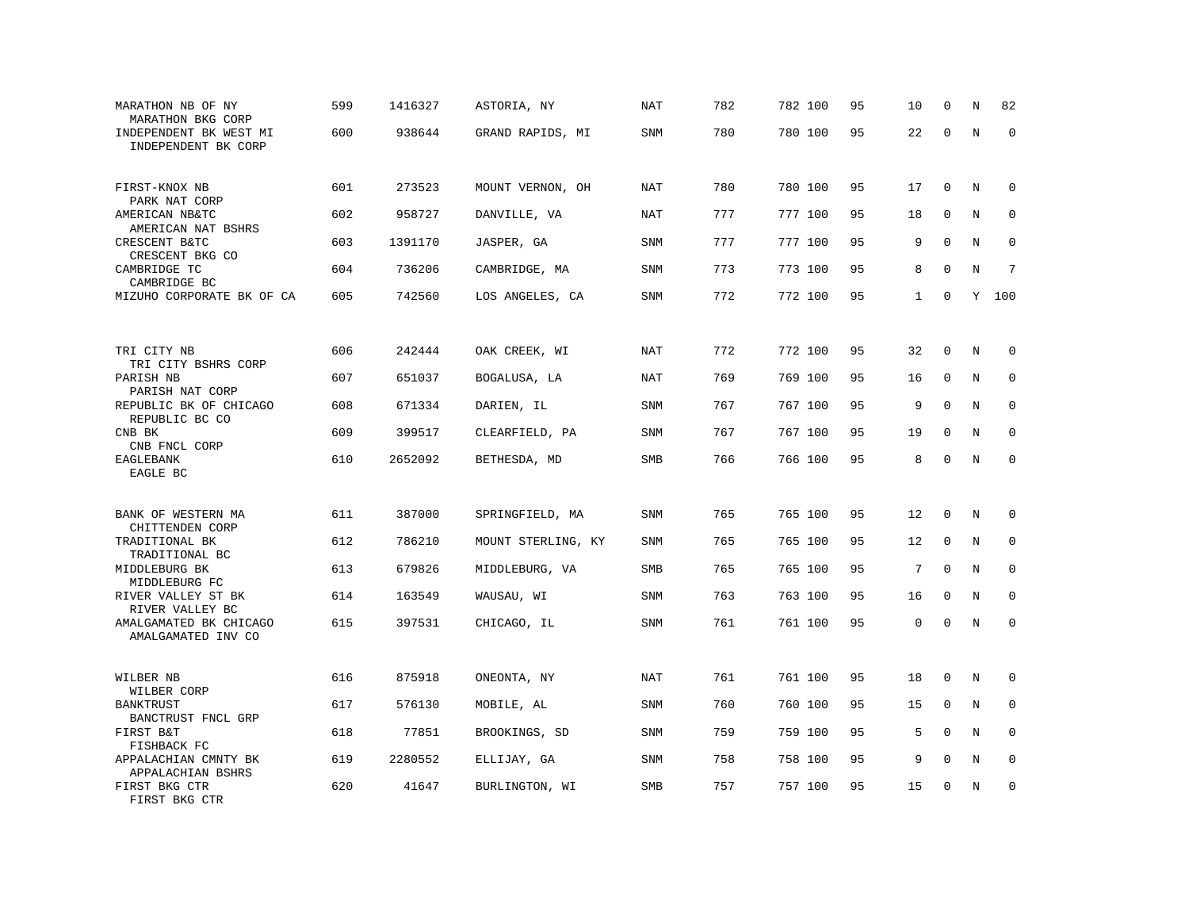| MARATHON NB OF NY<br>MARATHON BKG CORP           | 599 | 1416327 | ASTORIA, NY        | NAT        | 782 | 782 100 | 95 | 10           | $\mathbf 0$ | N       | 82          |
|--------------------------------------------------|-----|---------|--------------------|------------|-----|---------|----|--------------|-------------|---------|-------------|
| INDEPENDENT BK WEST MI<br>INDEPENDENT BK CORP    | 600 | 938644  | GRAND RAPIDS, MI   | SNM        | 780 | 780 100 | 95 | 22           | $\Omega$    | $\rm N$ | $\mathbf 0$ |
| FIRST-KNOX NB<br>PARK NAT CORP                   | 601 | 273523  | MOUNT VERNON, OH   | <b>NAT</b> | 780 | 780 100 | 95 | 17           | $\mathbf 0$ | N       | 0           |
| AMERICAN NB&TC<br>AMERICAN NAT BSHRS             | 602 | 958727  | DANVILLE, VA       | NAT        | 777 | 777 100 | 95 | 18           | $\mathbf 0$ | N       | $\mathbf 0$ |
| CRESCENT B&TC<br>CRESCENT BKG CO                 | 603 | 1391170 | JASPER, GA         | <b>SNM</b> | 777 | 777 100 | 95 | 9            | $\mathbf 0$ | N       | $\mathbf 0$ |
| CAMBRIDGE TC<br>CAMBRIDGE BC                     | 604 | 736206  | CAMBRIDGE, MA      | <b>SNM</b> | 773 | 773 100 | 95 | 8            | $\Omega$    | N       | 7           |
| MIZUHO CORPORATE BK OF CA                        | 605 | 742560  | LOS ANGELES, CA    | <b>SNM</b> | 772 | 772 100 | 95 | $\mathbf{1}$ | $\mathbf 0$ | Y       | 100         |
|                                                  |     |         |                    |            |     |         |    |              |             |         |             |
| TRI CITY NB<br>TRI CITY BSHRS CORP               | 606 | 242444  | OAK CREEK, WI      | NAT        | 772 | 772 100 | 95 | 32           | 0           | N       | $\mathbf 0$ |
| PARISH NB<br>PARISH NAT CORP                     | 607 | 651037  | BOGALUSA, LA       | NAT        | 769 | 769 100 | 95 | 16           | $\mathbf 0$ | N       | $\mathbf 0$ |
| REPUBLIC BK OF CHICAGO<br>REPUBLIC BC CO         | 608 | 671334  | DARIEN, IL         | <b>SNM</b> | 767 | 767 100 | 95 | 9            | $\Omega$    | N       | $\mathbf 0$ |
| CNB BK<br>CNB FNCL CORP                          | 609 | 399517  | CLEARFIELD, PA     | <b>SNM</b> | 767 | 767 100 | 95 | 19           | $\mathbf 0$ | N       | $\mathbf 0$ |
| EAGLEBANK<br>EAGLE BC                            | 610 | 2652092 | BETHESDA, MD       | SMB        | 766 | 766 100 | 95 | 8            | $\Omega$    | N       | $\mathbf 0$ |
| BANK OF WESTERN MA                               | 611 | 387000  | SPRINGFIELD, MA    | <b>SNM</b> | 765 | 765 100 | 95 | 12           | $\mathbf 0$ | N       | $\mathbf 0$ |
| CHITTENDEN CORP<br>TRADITIONAL BK                | 612 | 786210  | MOUNT STERLING, KY | <b>SNM</b> | 765 | 765 100 | 95 | 12           | 0           | N       | $\mathbf 0$ |
| TRADITIONAL BC<br>MIDDLEBURG BK<br>MIDDLEBURG FC | 613 | 679826  | MIDDLEBURG, VA     | SMB        | 765 | 765 100 | 95 | 7            | $\mathbf 0$ | N       | 0           |
| RIVER VALLEY ST BK<br>RIVER VALLEY BC            | 614 | 163549  | WAUSAU, WI         | <b>SNM</b> | 763 | 763 100 | 95 | 16           | $\mathbf 0$ | N       | $\mathbf 0$ |
| AMALGAMATED BK CHICAGO<br>AMALGAMATED INV CO     | 615 | 397531  | CHICAGO, IL        | SNM        | 761 | 761 100 | 95 | 0            | $\mathbf 0$ | N       | $\Omega$    |
| WILBER NB<br>WILBER CORP                         | 616 | 875918  | ONEONTA, NY        | NAT        | 761 | 761 100 | 95 | 18           | $\mathbf 0$ | N       | 0           |
| BANKTRUST                                        | 617 | 576130  | MOBILE, AL         | <b>SNM</b> | 760 | 760 100 | 95 | 15           | $\mathbf 0$ | N       | 0           |
| BANCTRUST FNCL GRP<br>FIRST B&T<br>FISHBACK FC   | 618 | 77851   | BROOKINGS, SD      | SNM        | 759 | 759 100 | 95 | 5            | $\Omega$    | N       | $\mathbf 0$ |
| APPALACHIAN CMNTY BK<br>APPALACHIAN BSHRS        | 619 | 2280552 | ELLIJAY, GA        | <b>SNM</b> | 758 | 758 100 | 95 | 9            | $\mathbf 0$ | $\rm N$ | 0           |
| FIRST BKG CTR<br>FIRST BKG CTR                   | 620 | 41647   | BURLINGTON, WI     | <b>SMB</b> | 757 | 757 100 | 95 | 15           | $\mathbf 0$ | N       | $\mathbf 0$ |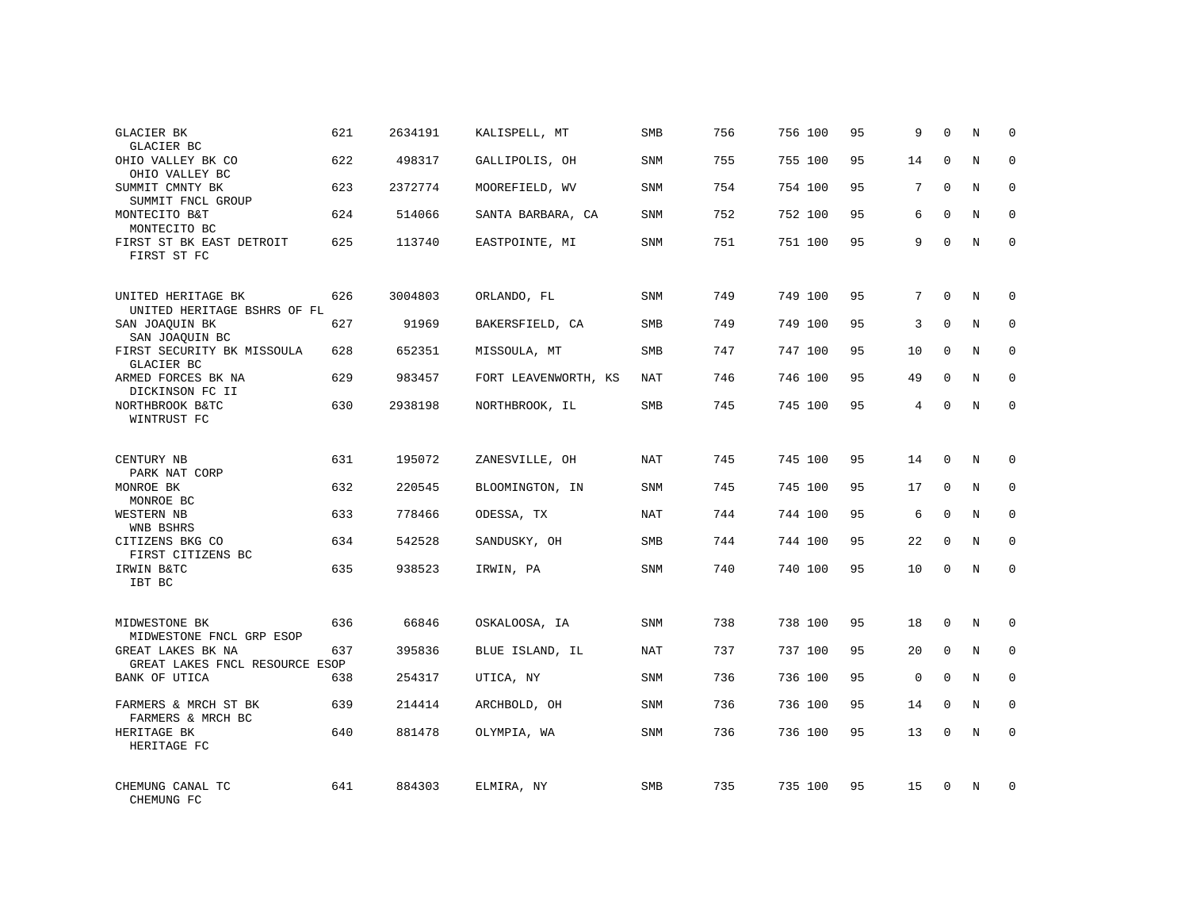| GLACIER BK<br>GLACIER BC                            | 621 | 2634191 | KALISPELL, MT        | SMB        | 756 | 756 100 | 95 | 9           | $\Omega$     | N          | $\Omega$    |
|-----------------------------------------------------|-----|---------|----------------------|------------|-----|---------|----|-------------|--------------|------------|-------------|
| OHIO VALLEY BK CO<br>OHIO VALLEY BC                 | 622 | 498317  | GALLIPOLIS, OH       | <b>SNM</b> | 755 | 755 100 | 95 | 14          | $\Omega$     | N          | $\Omega$    |
| SUMMIT CMNTY BK<br>SUMMIT FNCL GROUP                | 623 | 2372774 | MOOREFIELD, WV       | SNM        | 754 | 754 100 | 95 | 7           | $\Omega$     | N          | $\mathbf 0$ |
| MONTECITO B&T<br>MONTECITO BC                       | 624 | 514066  | SANTA BARBARA, CA    | <b>SNM</b> | 752 | 752 100 | 95 | 6           | $\Omega$     | N          | $\Omega$    |
| FIRST ST BK EAST DETROIT<br>FIRST ST FC             | 625 | 113740  | EASTPOINTE, MI       | SNM        | 751 | 751 100 | 95 | 9           | $\Omega$     | N          | $\Omega$    |
| UNITED HERITAGE BK<br>UNITED HERITAGE BSHRS OF FL   | 626 | 3004803 | ORLANDO, FL          | SNM        | 749 | 749 100 | 95 | 7           | $\mathbf 0$  | N          | $\mathbf 0$ |
| SAN JOAQUIN BK<br>SAN JOAQUIN BC                    | 627 | 91969   | BAKERSFIELD, CA      | <b>SMB</b> | 749 | 749 100 | 95 | 3           | $\Omega$     | N          | $\mathbf 0$ |
| FIRST SECURITY BK MISSOULA<br>GLACIER BC            | 628 | 652351  | MISSOULA, MT         | SMB        | 747 | 747 100 | 95 | 10          | $\mathbf{0}$ | N          | $\mathbf 0$ |
| ARMED FORCES BK NA<br>DICKINSON FC II               | 629 | 983457  | FORT LEAVENWORTH, KS | NAT        | 746 | 746 100 | 95 | 49          | $\Omega$     | N          | $\mathbf 0$ |
| NORTHBROOK B&TC<br>WINTRUST FC                      | 630 | 2938198 | NORTHBROOK, IL       | SMB        | 745 | 745 100 | 95 | 4           | $\mathbf 0$  | N          | $\mathbf 0$ |
| CENTURY NB<br>PARK NAT CORP                         | 631 | 195072  | ZANESVILLE, OH       | <b>NAT</b> | 745 | 745 100 | 95 | 14          | $\Omega$     | N          | $\mathbf 0$ |
| MONROE BK<br>MONROE BC                              | 632 | 220545  | BLOOMINGTON, IN      | <b>SNM</b> | 745 | 745 100 | 95 | 17          | $\mathbf{0}$ | N          | $\mathbf 0$ |
| WESTERN NB<br>WNB BSHRS                             | 633 | 778466  | ODESSA, TX           | NAT        | 744 | 744 100 | 95 | 6           | $\Omega$     | N          | $\mathbf 0$ |
| CITIZENS BKG CO<br>FIRST CITIZENS BC                | 634 | 542528  | SANDUSKY, OH         | SMB        | 744 | 744 100 | 95 | 22          | $\mathbf{0}$ | N          | 0           |
| IRWIN B&TC<br>IBT BC                                | 635 | 938523  | IRWIN, PA            | SNM        | 740 | 740 100 | 95 | 10          | $\Omega$     | $_{\rm N}$ | $\mathbf 0$ |
| MIDWESTONE BK<br>MIDWESTONE FNCL GRP ESOP           | 636 | 66846   | OSKALOOSA, IA        | <b>SNM</b> | 738 | 738 100 | 95 | 18          | $\mathbf 0$  | N          | $\mathbf 0$ |
| GREAT LAKES BK NA<br>GREAT LAKES FNCL RESOURCE ESOP | 637 | 395836  | BLUE ISLAND, IL      | <b>NAT</b> | 737 | 737 100 | 95 | 20          | $\mathbf 0$  | N          | 0           |
| BANK OF UTICA                                       | 638 | 254317  | UTICA, NY            | <b>SNM</b> | 736 | 736 100 | 95 | $\mathbf 0$ | $\Omega$     | N          | $\mathbf 0$ |
| FARMERS & MRCH ST BK<br>FARMERS & MRCH BC           | 639 | 214414  | ARCHBOLD, OH         | SNM        | 736 | 736 100 | 95 | 14          | $\mathbf 0$  | N          | 0           |
| HERITAGE BK<br>HERITAGE FC                          | 640 | 881478  | OLYMPIA, WA          | <b>SNM</b> | 736 | 736 100 | 95 | 13          | $\Omega$     | N          | $\mathbf 0$ |
| CHEMUNG CANAL TC<br>CHEMUNG FC                      | 641 | 884303  | ELMIRA, NY           | <b>SMB</b> | 735 | 735 100 | 95 | 15          | $\Omega$     | N          | $\mathbf 0$ |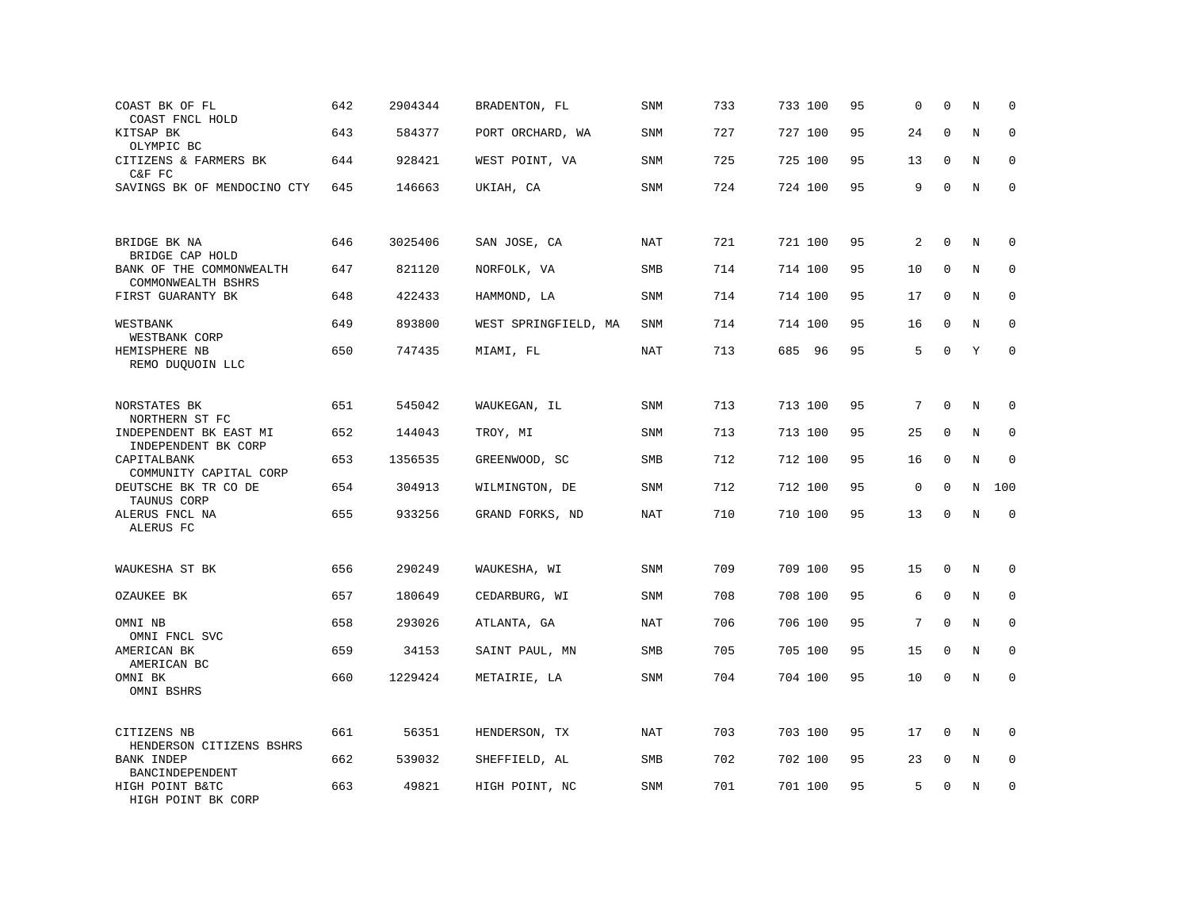| COAST BK OF FL<br>COAST FNCL HOLD              | 642 | 2904344 | BRADENTON, FL        | SNM        | 733 | 733 100   | 95 | 0           | $\mathbf 0$ | N       | $\mathbf 0$ |
|------------------------------------------------|-----|---------|----------------------|------------|-----|-----------|----|-------------|-------------|---------|-------------|
| KITSAP BK<br>OLYMPIC BC                        | 643 | 584377  | PORT ORCHARD, WA     | <b>SNM</b> | 727 | 727 100   | 95 | 24          | $\Omega$    | N       | $\Omega$    |
| CITIZENS & FARMERS BK<br>C&F FC                | 644 | 928421  | WEST POINT, VA       | <b>SNM</b> | 725 | 725 100   | 95 | 13          | $\mathbf 0$ | N       | $\mathbf 0$ |
| SAVINGS BK OF MENDOCINO CTY                    | 645 | 146663  | UKIAH, CA            | SNM        | 724 | 724 100   | 95 | 9           | $\Omega$    | N       | $\mathbf 0$ |
|                                                |     |         |                      |            |     |           |    |             |             |         |             |
| BRIDGE BK NA<br>BRIDGE CAP HOLD                | 646 | 3025406 | SAN JOSE, CA         | NAT        | 721 | 721 100   | 95 | 2           | $\mathbf 0$ | N       | $\mathbf 0$ |
| BANK OF THE COMMONWEALTH<br>COMMONWEALTH BSHRS | 647 | 821120  | NORFOLK, VA          | SMB        | 714 | 714 100   | 95 | 10          | $\mathbf 0$ | $\rm N$ | $\mathbf 0$ |
| FIRST GUARANTY BK                              | 648 | 422433  | HAMMOND, LA          | SNM        | 714 | 714 100   | 95 | 17          | 0           | N       | 0           |
| WESTBANK<br>WESTBANK CORP                      | 649 | 893800  | WEST SPRINGFIELD, MA | <b>SNM</b> | 714 | 714 100   | 95 | 16          | $\Omega$    | N       | $\mathbf 0$ |
| HEMISPHERE NB<br>REMO DUQUOIN LLC              | 650 | 747435  | MIAMI, FL            | NAT        | 713 | 685<br>96 | 95 | 5           | $\mathbf 0$ | Y       | $\mathbf 0$ |
|                                                |     |         |                      |            |     |           |    |             |             |         |             |
| NORSTATES BK<br>NORTHERN ST FC                 | 651 | 545042  | WAUKEGAN, IL         | SNM        | 713 | 713 100   | 95 | 7           | $\mathbf 0$ | N       | $\mathbf 0$ |
| INDEPENDENT BK EAST MI<br>INDEPENDENT BK CORP  | 652 | 144043  | TROY, MI             | <b>SNM</b> | 713 | 713 100   | 95 | 25          | $\mathbf 0$ | N       | $\mathbf 0$ |
| CAPITALBANK<br>COMMUNITY CAPITAL CORP          | 653 | 1356535 | GREENWOOD, SC        | SMB        | 712 | 712 100   | 95 | 16          | $\mathbf 0$ | N       | 0           |
| DEUTSCHE BK TR CO DE<br>TAUNUS CORP            | 654 | 304913  | WILMINGTON, DE       | SNM        | 712 | 712 100   | 95 | $\mathbf 0$ | $\Omega$    | N       | 100         |
| ALERUS FNCL NA<br>ALERUS FC                    | 655 | 933256  | GRAND FORKS, ND      | <b>NAT</b> | 710 | 710 100   | 95 | 13          | $\mathbf 0$ | $\rm N$ | $\mathbf 0$ |
| WAUKESHA ST BK                                 | 656 | 290249  | WAUKESHA, WI         | <b>SNM</b> | 709 | 709 100   | 95 | 15          | $\mathbf 0$ | N       | 0           |
|                                                |     |         |                      |            |     |           |    |             |             |         |             |
| OZAUKEE BK                                     | 657 | 180649  | CEDARBURG, WI        | <b>SNM</b> | 708 | 708 100   | 95 | 6           | $\Omega$    | N       | $\mathbf 0$ |
| OMNI NB<br>OMNI FNCL SVC                       | 658 | 293026  | ATLANTA, GA          | <b>NAT</b> | 706 | 706 100   | 95 | 7           | $\mathbf 0$ | N       | $\mathbf 0$ |
| AMERICAN BK<br>AMERICAN BC                     | 659 | 34153   | SAINT PAUL, MN       | <b>SMB</b> | 705 | 705 100   | 95 | 15          | $\Omega$    | N       | $\Omega$    |
| OMNI BK<br>OMNI BSHRS                          | 660 | 1229424 | METAIRIE, LA         | SNM        | 704 | 704 100   | 95 | 10          | $\mathbf 0$ | N       | $\mathbf 0$ |
| CITIZENS NB                                    | 661 | 56351   | HENDERSON, TX        | <b>NAT</b> | 703 | 703 100   | 95 | 17          | $\mathbf 0$ | N       | $\mathbf 0$ |
| HENDERSON CITIZENS BSHRS                       |     |         |                      |            |     |           |    |             |             |         |             |
| BANK INDEP<br>BANCINDEPENDENT                  | 662 | 539032  | SHEFFIELD, AL        | <b>SMB</b> | 702 | 702 100   | 95 | 23          | $\mathbf 0$ | N       | $\mathbf 0$ |
| HIGH POINT B&TC<br>HIGH POINT BK CORP          | 663 | 49821   | HIGH POINT, NC       | <b>SNM</b> | 701 | 701 100   | 95 | 5           | $\mathbf 0$ | N       | $\mathbf 0$ |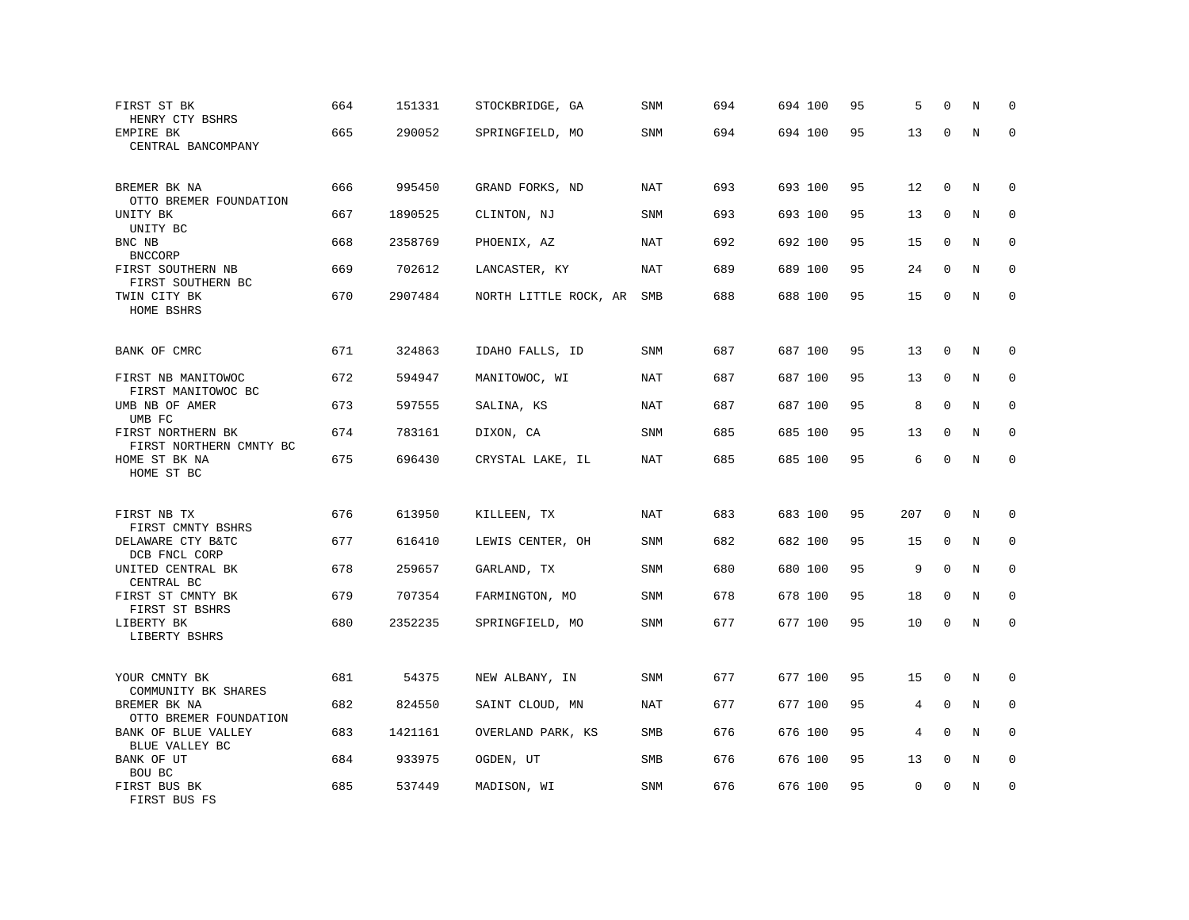| FIRST ST BK<br>HENRY CTY BSHRS<br>EMPIRE BK      | 664<br>665 | 151331<br>290052 | STOCKBRIDGE, GA<br>SPRINGFIELD, MO | SNM<br>SNM | 694<br>694 | 694 100<br>694 100 | 95<br>95 | 5<br>13     | $\Omega$<br>0 | N<br>N | $\mathbf 0$<br>$\Omega$ |
|--------------------------------------------------|------------|------------------|------------------------------------|------------|------------|--------------------|----------|-------------|---------------|--------|-------------------------|
| CENTRAL BANCOMPANY                               |            |                  |                                    |            |            |                    |          |             |               |        |                         |
| BREMER BK NA                                     | 666        | 995450           | GRAND FORKS, ND                    | NAT        | 693        | 693 100            | 95       | 12          | 0             | N      | 0                       |
| OTTO BREMER FOUNDATION<br>UNITY BK<br>UNITY BC   | 667        | 1890525          | CLINTON, NJ                        | <b>SNM</b> | 693        | 693 100            | 95       | 13          | 0             | N      | $\mathbf 0$             |
| BNC NB<br><b>BNCCORP</b>                         | 668        | 2358769          | PHOENIX, AZ                        | NAT        | 692        | 692 100            | 95       | 15          | $\mathbf 0$   | N      | $\Omega$                |
| FIRST SOUTHERN NB<br>FIRST SOUTHERN BC           | 669        | 702612           | LANCASTER, KY                      | <b>NAT</b> | 689        | 689 100            | 95       | 24          | $\mathbf 0$   | N      | $\mathbf 0$             |
| TWIN CITY BK<br>HOME BSHRS                       | 670        | 2907484          | NORTH LITTLE ROCK, AR              | SMB        | 688        | 688 100            | 95       | 15          | 0             | N      | $\mathbf{0}$            |
| BANK OF CMRC                                     | 671        | 324863           | IDAHO FALLS, ID                    | <b>SNM</b> | 687        | 687 100            | 95       | 13          | $\mathbf 0$   | N      | 0                       |
| FIRST NB MANITOWOC                               | 672        | 594947           | MANITOWOC, WI                      | NAT        | 687        | 687 100            | 95       | 13          | 0             | N      | 0                       |
| FIRST MANITOWOC BC<br>UMB NB OF AMER<br>UMB FC   | 673        | 597555           | SALINA, KS                         | NAT        | 687        | 687 100            | 95       | 8           | $\mathbf 0$   | N      | $\mathbf{0}$            |
| FIRST NORTHERN BK<br>FIRST NORTHERN CMNTY BC     | 674        | 783161           | DIXON, CA                          | SNM        | 685        | 685 100            | 95       | 13          | $\mathbf 0$   | N      | $\mathbf 0$             |
| HOME ST BK NA<br>HOME ST BC                      | 675        | 696430           | CRYSTAL LAKE, IL                   | <b>NAT</b> | 685        | 685 100            | 95       | 6           | $\mathbf 0$   | N      | $\mathbf 0$             |
| FIRST NB TX                                      | 676        | 613950           | KILLEEN, TX                        | <b>NAT</b> | 683        | 683 100            | 95       | 207         | $\mathbf 0$   | N      | $\mathbf 0$             |
| FIRST CMNTY BSHRS<br>DELAWARE CTY B&TC           | 677        | 616410           | LEWIS CENTER, OH                   | SNM        | 682        | 682 100            | 95       | 15          | $\mathbf 0$   | N      | $\mathbf 0$             |
| DCB FNCL CORP<br>UNITED CENTRAL BK<br>CENTRAL BC | 678        | 259657           | GARLAND, TX                        | SNM        | 680        | 680 100            | 95       | 9           | $\mathbf 0$   | N      | $\mathbf 0$             |
| FIRST ST CMNTY BK<br>FIRST ST BSHRS              | 679        | 707354           | FARMINGTON, MO                     | SNM        | 678        | 678 100            | 95       | 18          | $\mathbf 0$   | N      | 0                       |
| LIBERTY BK<br>LIBERTY BSHRS                      | 680        | 2352235          | SPRINGFIELD, MO                    | SNM        | 677        | 677 100            | 95       | 10          | $\mathbf 0$   | N      | $\mathbf 0$             |
| YOUR CMNTY BK<br>COMMUNITY BK SHARES             | 681        | 54375            | NEW ALBANY, IN                     | SNM        | 677        | 677 100            | 95       | 15          | $\mathbf 0$   | N      | $\mathbf 0$             |
| BREMER BK NA<br>OTTO BREMER FOUNDATION           | 682        | 824550           | SAINT CLOUD, MN                    | NAT        | 677        | 677 100            | 95       | 4           | $\Omega$      | Ν      | 0                       |
| BANK OF BLUE VALLEY<br>BLUE VALLEY BC            | 683        | 1421161          | OVERLAND PARK, KS                  | SMB        | 676        | 676 100            | 95       | 4           | $\Omega$      | N      | $\mathbf 0$             |
| BANK OF UT<br>BOU BC                             | 684        | 933975           | OGDEN, UT                          | <b>SMB</b> | 676        | 676 100            | 95       | 13          | $\mathbf 0$   | N      | $\mathbf 0$             |
| FIRST BUS BK<br>FIRST BUS FS                     | 685        | 537449           | MADISON, WI                        | SNM        | 676        | 676 100            | 95       | $\mathbf 0$ | $\mathbf 0$   | N      | $\mathbf 0$             |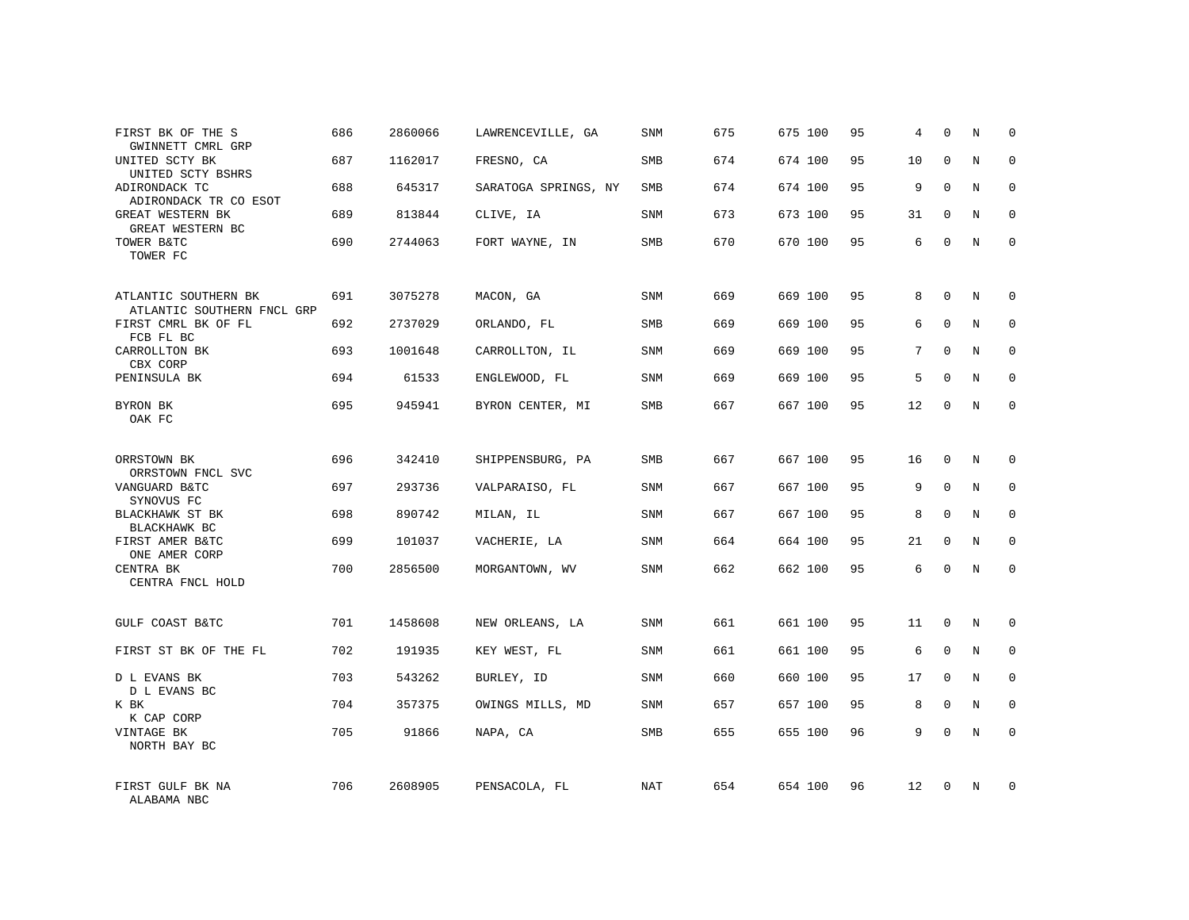| FIRST BK OF THE S<br>GWINNETT CMRL GRP                         | 686 | 2860066 | LAWRENCEVILLE, GA    | SNM        | 675 | 675 100 | 95 | 4              | $\mathbf 0$ | N | $\Omega$     |
|----------------------------------------------------------------|-----|---------|----------------------|------------|-----|---------|----|----------------|-------------|---|--------------|
| UNITED SCTY BK<br>UNITED SCTY BSHRS                            | 687 | 1162017 | FRESNO, CA           | SMB        | 674 | 674 100 | 95 | 10             | $\Omega$    | N | $\Omega$     |
| ADIRONDACK TC<br>ADIRONDACK TR CO ESOT                         | 688 | 645317  | SARATOGA SPRINGS, NY | SMB        | 674 | 674 100 | 95 | 9              | 0           | N | $\mathbf 0$  |
| GREAT WESTERN BK<br>GREAT WESTERN BC                           | 689 | 813844  | CLIVE, IA            | SNM        | 673 | 673 100 | 95 | 31             | $\mathbf 0$ | N | $\mathbf 0$  |
| TOWER B&TC<br>TOWER FC                                         | 690 | 2744063 | FORT WAYNE, IN       | SMB        | 670 | 670 100 | 95 | 6              | $\mathbf 0$ | N | $\mathbf 0$  |
| ATLANTIC SOUTHERN BK                                           | 691 | 3075278 | MACON, GA            | SNM        | 669 | 669 100 | 95 | 8              | $\mathbf 0$ | N | $\mathbf 0$  |
| ATLANTIC SOUTHERN FNCL GRP<br>FIRST CMRL BK OF FL<br>FCB FL BC | 692 | 2737029 | ORLANDO, FL          | <b>SMB</b> | 669 | 669 100 | 95 | 6              | $\mathbf 0$ | N | $\mathbf 0$  |
| CARROLLTON BK<br>CBX CORP                                      | 693 | 1001648 | CARROLLTON, IL       | SNM        | 669 | 669 100 | 95 | $7\phantom{.}$ | $\mathbf 0$ | N | $\mathbf 0$  |
| PENINSULA BK                                                   | 694 | 61533   | ENGLEWOOD, FL        | SNM        | 669 | 669 100 | 95 | 5              | $\mathbf 0$ | N | $\mathbf 0$  |
| BYRON BK<br>OAK FC                                             | 695 | 945941  | BYRON CENTER, MI     | SMB        | 667 | 667 100 | 95 | 12             | $\mathbf 0$ | N | $\mathbf 0$  |
| ORRSTOWN BK<br>ORRSTOWN FNCL SVC                               | 696 | 342410  | SHIPPENSBURG, PA     | <b>SMB</b> | 667 | 667 100 | 95 | 16             | $\mathbf 0$ | N | $\mathbf 0$  |
| VANGUARD B&TC<br>SYNOVUS FC                                    | 697 | 293736  | VALPARAISO, FL       | <b>SNM</b> | 667 | 667 100 | 95 | 9              | $\mathbf 0$ | N | $\mathbf 0$  |
| BLACKHAWK ST BK<br>BLACKHAWK BC                                | 698 | 890742  | MILAN, IL            | SNM        | 667 | 667 100 | 95 | 8              | $\Omega$    | N | $\mathbf{0}$ |
| FIRST AMER B&TC<br>ONE AMER CORP                               | 699 | 101037  | VACHERIE, LA         | SNM        | 664 | 664 100 | 95 | 21             | 0           | N | 0            |
| CENTRA BK<br>CENTRA FNCL HOLD                                  | 700 | 2856500 | MORGANTOWN, WV       | SNM        | 662 | 662 100 | 95 | 6              | $\Omega$    | N | $\mathbf{0}$ |
| GULF COAST B&TC                                                | 701 | 1458608 | NEW ORLEANS, LA      | SNM        | 661 | 661 100 | 95 | 11             | $\mathbf 0$ | N | $\mathbf 0$  |
| FIRST ST BK OF THE FL                                          | 702 | 191935  | KEY WEST, FL         | SNM        | 661 | 661 100 | 95 | 6              | $\mathbf 0$ | N | 0            |
| D L EVANS BK<br>D L EVANS BC                                   | 703 | 543262  | BURLEY, ID           | SNM        | 660 | 660 100 | 95 | 17             | $\Omega$    | N | $\mathbf{0}$ |
| K BK<br>K CAP CORP                                             | 704 | 357375  | OWINGS MILLS, MD     | SNM        | 657 | 657 100 | 95 | 8              | 0           | N | 0            |
| VINTAGE BK<br>NORTH BAY BC                                     | 705 | 91866   | NAPA, CA             | SMB        | 655 | 655 100 | 96 | 9              | $\Omega$    | N | $\mathbf 0$  |
| FIRST GULF BK NA<br>ALABAMA NBC                                | 706 | 2608905 | PENSACOLA, FL        | NAT        | 654 | 654 100 | 96 | 12             | 0           | N | $\mathbf 0$  |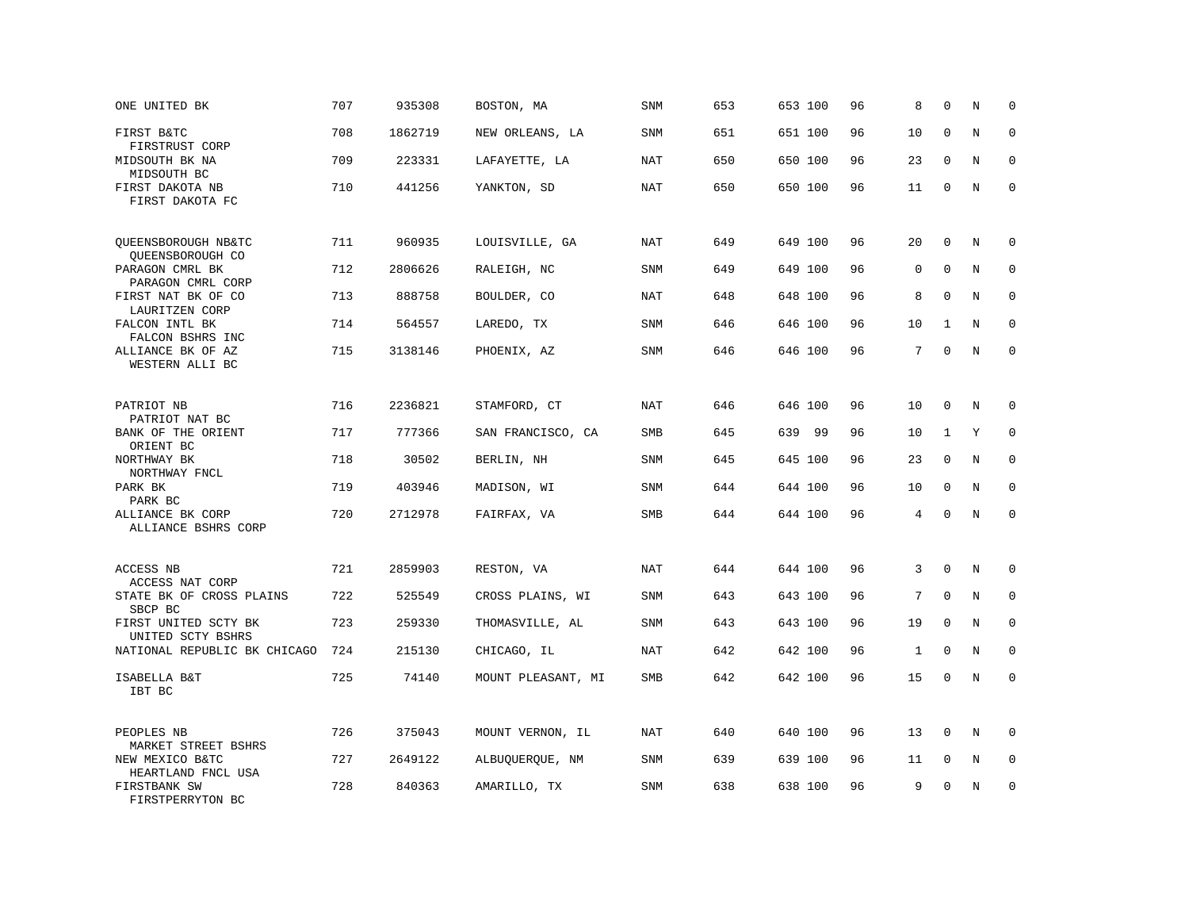| ONE UNITED BK                             | 707 | 935308  | BOSTON, MA         | <b>SNM</b> | 653 | 653 100 | 96 | 8            | $\mathbf 0$  | N       | $\mathbf 0$  |
|-------------------------------------------|-----|---------|--------------------|------------|-----|---------|----|--------------|--------------|---------|--------------|
| FIRST B&TC<br>FIRSTRUST CORP              | 708 | 1862719 | NEW ORLEANS, LA    | SNM        | 651 | 651 100 | 96 | 10           | $\mathbf{0}$ | $\rm N$ | $\mathbf 0$  |
| MIDSOUTH BK NA<br>MIDSOUTH BC             | 709 | 223331  | LAFAYETTE, LA      | <b>NAT</b> | 650 | 650 100 | 96 | 23           | $\mathbf 0$  | N       | 0            |
| FIRST DAKOTA NB<br>FIRST DAKOTA FC        | 710 | 441256  | YANKTON, SD        | <b>NAT</b> | 650 | 650 100 | 96 | 11           | $\mathbf 0$  | N       | $\mathbf{0}$ |
| QUEENSBOROUGH NB&TC<br>QUEENSBOROUGH CO   | 711 | 960935  | LOUISVILLE, GA     | <b>NAT</b> | 649 | 649 100 | 96 | 20           | $\mathbf{0}$ | $\rm N$ | 0            |
| PARAGON CMRL BK<br>PARAGON CMRL CORP      | 712 | 2806626 | RALEIGH, NC        | SNM        | 649 | 649 100 | 96 | $\mathbf 0$  | $\mathbf 0$  | N       | $\mathbf 0$  |
| FIRST NAT BK OF CO<br>LAURITZEN CORP      | 713 | 888758  | BOULDER, CO        | <b>NAT</b> | 648 | 648 100 | 96 | 8            | $\Omega$     | N       | $\mathbf 0$  |
| FALCON INTL BK<br>FALCON BSHRS INC        | 714 | 564557  | LAREDO, TX         | <b>SNM</b> | 646 | 646 100 | 96 | 10           | 1            | N       | $\mathbf 0$  |
| ALLIANCE BK OF AZ<br>WESTERN ALLI BC      | 715 | 3138146 | PHOENIX, AZ        | SNM        | 646 | 646 100 | 96 | 7            | $\Omega$     | N       | $\mathbf 0$  |
| PATRIOT NB<br>PATRIOT NAT BC              | 716 | 2236821 | STAMFORD, CT       | NAT        | 646 | 646 100 | 96 | 10           | $\mathbf 0$  | N       | $\mathbf 0$  |
| BANK OF THE ORIENT<br>ORIENT BC           | 717 | 777366  | SAN FRANCISCO, CA  | SMB        | 645 | 639 99  | 96 | 10           | $\mathbf{1}$ | Υ       | $\mathbf 0$  |
| NORTHWAY BK<br>NORTHWAY FNCL              | 718 | 30502   | BERLIN, NH         | <b>SNM</b> | 645 | 645 100 | 96 | 23           | $\mathbf 0$  | N       | $\mathbf 0$  |
| PARK BK<br>PARK BC                        | 719 | 403946  | MADISON, WI        | SNM        | 644 | 644 100 | 96 | 10           | $\Omega$     | N       | $\Omega$     |
| ALLIANCE BK CORP<br>ALLIANCE BSHRS CORP   | 720 | 2712978 | FAIRFAX, VA        | SMB        | 644 | 644 100 | 96 | 4            | $\Omega$     | N       | $\mathbf 0$  |
| ACCESS NB<br>ACCESS NAT CORP              | 721 | 2859903 | RESTON, VA         | <b>NAT</b> | 644 | 644 100 | 96 | 3            | $\mathbf 0$  | N       | 0            |
| STATE BK OF CROSS PLAINS<br>SBCP BC       | 722 | 525549  | CROSS PLAINS, WI   | SNM        | 643 | 643 100 | 96 | 7            | $\mathbf{0}$ | N       | $\mathbf{0}$ |
| FIRST UNITED SCTY BK<br>UNITED SCTY BSHRS | 723 | 259330  | THOMASVILLE, AL    | <b>SNM</b> | 643 | 643 100 | 96 | 19           | $\Omega$     | N       | 0            |
| NATIONAL REPUBLIC BK CHICAGO              | 724 | 215130  | CHICAGO, IL        | <b>NAT</b> | 642 | 642 100 | 96 | $\mathbf{1}$ | $\mathbf 0$  | N       | $\mathbf 0$  |
| ISABELLA B&T<br>IBT BC                    | 725 | 74140   | MOUNT PLEASANT, MI | SMB        | 642 | 642 100 | 96 | 15           | $\mathbf 0$  | N       | $\mathbf 0$  |
| PEOPLES NB<br>MARKET STREET BSHRS         | 726 | 375043  | MOUNT VERNON, IL   | NAT        | 640 | 640 100 | 96 | 13           | $\mathbf{0}$ | N       | $\Omega$     |
| NEW MEXICO B&TC<br>HEARTLAND FNCL USA     | 727 | 2649122 | ALBUQUERQUE, NM    | <b>SNM</b> | 639 | 639 100 | 96 | 11           | 0            | Ν       | 0            |
| FIRSTBANK SW<br>FIRSTPERRYTON BC          | 728 | 840363  | AMARILLO, TX       | <b>SNM</b> | 638 | 638 100 | 96 | 9            | $\mathbf 0$  | N       | $\mathbf 0$  |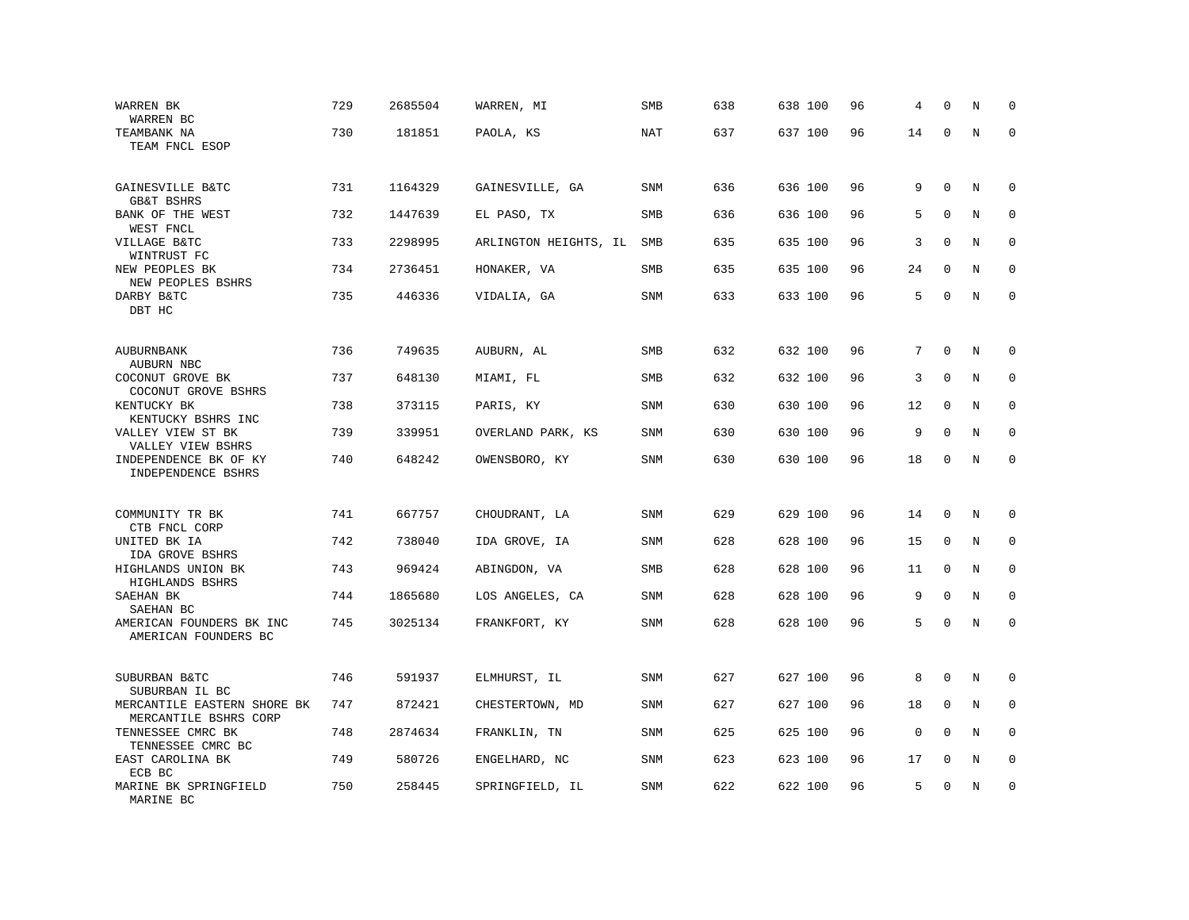| WARREN BK<br>WARREN BC                                | 729 | 2685504 | WARREN, MI            | SMB        | 638 | 638 100 | 96 | 4           | $\Omega$     | N       | 0           |
|-------------------------------------------------------|-----|---------|-----------------------|------------|-----|---------|----|-------------|--------------|---------|-------------|
| TEAMBANK NA<br>TEAM FNCL ESOP                         | 730 | 181851  | PAOLA, KS             | <b>NAT</b> | 637 | 637 100 | 96 | 14          | $\mathbf 0$  | N       | $\mathbf 0$ |
| GAINESVILLE B&TC<br><b>GB&amp;T BSHRS</b>             | 731 | 1164329 | GAINESVILLE, GA       | SNM        | 636 | 636 100 | 96 | 9           | $\mathbf 0$  | N       | 0           |
| BANK OF THE WEST<br>WEST FNCL                         | 732 | 1447639 | EL PASO, TX           | SMB        | 636 | 636 100 | 96 | 5           | $\mathbf 0$  | N       | 0           |
| VILLAGE B&TC<br>WINTRUST FC                           | 733 | 2298995 | ARLINGTON HEIGHTS, IL | SMB        | 635 | 635 100 | 96 | 3           | $\mathbf 0$  | N       | $\mathbf 0$ |
| NEW PEOPLES BK<br>NEW PEOPLES BSHRS                   | 734 | 2736451 | HONAKER, VA           | SMB        | 635 | 635 100 | 96 | 24          | $\mathbf 0$  | N       | $\mathbf 0$ |
| DARBY B&TC<br>DBT HC                                  | 735 | 446336  | VIDALIA, GA           | <b>SNM</b> | 633 | 633 100 | 96 | 5           | $\Omega$     | N       | $\mathbf 0$ |
| AUBURNBANK                                            | 736 | 749635  | AUBURN, AL            | <b>SMB</b> | 632 | 632 100 | 96 | 7           | $\mathbf 0$  | N       | 0           |
| AUBURN NBC<br>COCONUT GROVE BK<br>COCONUT GROVE BSHRS | 737 | 648130  | MIAMI, FL             | SMB        | 632 | 632 100 | 96 | 3           | 0            | N       | 0           |
| KENTUCKY BK<br>KENTUCKY BSHRS INC                     | 738 | 373115  | PARIS, KY             | <b>SNM</b> | 630 | 630 100 | 96 | 12          | $\mathbf 0$  | N       | $\mathbf 0$ |
| VALLEY VIEW ST BK<br>VALLEY VIEW BSHRS                | 739 | 339951  | OVERLAND PARK, KS     | SNM        | 630 | 630 100 | 96 | 9           | $\Omega$     | N       | $\Omega$    |
| INDEPENDENCE BK OF KY<br>INDEPENDENCE BSHRS           | 740 | 648242  | OWENSBORO, KY         | <b>SNM</b> | 630 | 630 100 | 96 | 18          | $\mathbf 0$  | $\rm N$ | $\mathbf 0$ |
| COMMUNITY TR BK                                       | 741 | 667757  | CHOUDRANT, LA         | <b>SNM</b> | 629 | 629 100 | 96 | 14          | $\mathbf 0$  | N       | 0           |
| CTB FNCL CORP<br>UNITED BK IA<br>IDA GROVE BSHRS      | 742 | 738040  | IDA GROVE, IA         | <b>SNM</b> | 628 | 628 100 | 96 | 15          | $\mathbf 0$  | N       | 0           |
| HIGHLANDS UNION BK<br>HIGHLANDS BSHRS                 | 743 | 969424  | ABINGDON, VA          | <b>SMB</b> | 628 | 628 100 | 96 | 11          | $\mathbf{0}$ | N       | $\mathbf 0$ |
| SAEHAN BK<br>SAEHAN BC                                | 744 | 1865680 | LOS ANGELES, CA       | SNM        | 628 | 628 100 | 96 | 9           | $\Omega$     | N       | 0           |
| AMERICAN FOUNDERS BK INC<br>AMERICAN FOUNDERS BC      | 745 | 3025134 | FRANKFORT, KY         | SNM        | 628 | 628 100 | 96 | 5           | $\mathbf 0$  | $\rm N$ | $\mathbf 0$ |
| SUBURBAN B&TC<br>SUBURBAN IL BC                       | 746 | 591937  | ELMHURST, IL          | <b>SNM</b> | 627 | 627 100 | 96 | 8           | $\mathbf{0}$ | $\rm N$ | 0           |
| MERCANTILE EASTERN SHORE BK<br>MERCANTILE BSHRS CORP  | 747 | 872421  | CHESTERTOWN, MD       | SNM        | 627 | 627 100 | 96 | 18          | $\mathbf 0$  | N       | 0           |
| TENNESSEE CMRC BK<br>TENNESSEE CMRC BC                | 748 | 2874634 | FRANKLIN, TN          | <b>SNM</b> | 625 | 625 100 | 96 | $\mathbf 0$ | $\Omega$     | N       | 0           |
| EAST CAROLINA BK<br>ECB BC                            | 749 | 580726  | ENGELHARD, NC         | SNM        | 623 | 623 100 | 96 | 17          | $\mathbf 0$  | N       | 0           |
| MARINE BK SPRINGFIELD<br>MARINE BC                    | 750 | 258445  | SPRINGFIELD, IL       | SNM        | 622 | 622 100 | 96 | 5           | $\Omega$     | N       | $\mathbf 0$ |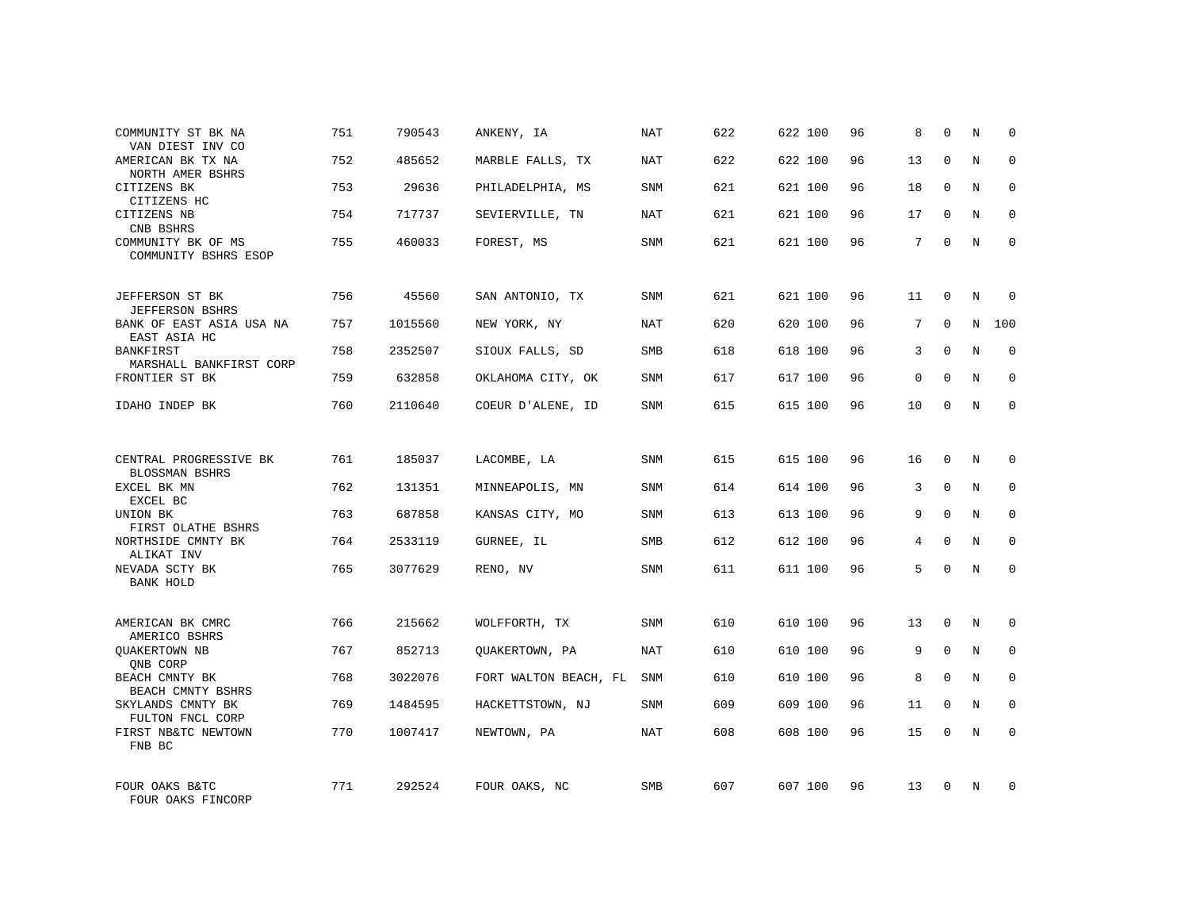| COMMUNITY ST BK NA<br>VAN DIEST INV CO                             | 751 | 790543  | ANKENY, IA            | NAT        | 622 | 622 100 | 96 | 8  | $\mathbf 0$ | N          | $\Omega$     |
|--------------------------------------------------------------------|-----|---------|-----------------------|------------|-----|---------|----|----|-------------|------------|--------------|
| AMERICAN BK TX NA<br>NORTH AMER BSHRS                              | 752 | 485652  | MARBLE FALLS, TX      | NAT        | 622 | 622 100 | 96 | 13 | $\Omega$    | N          | $\Omega$     |
| CITIZENS BK<br>CITIZENS HC                                         | 753 | 29636   | PHILADELPHIA, MS      | SNM        | 621 | 621 100 | 96 | 18 | $\Omega$    | N          | 0            |
| CITIZENS NB<br>CNB BSHRS                                           | 754 | 717737  | SEVIERVILLE, TN       | NAT        | 621 | 621 100 | 96 | 17 | $\Omega$    | N          | $\Omega$     |
| COMMUNITY BK OF MS<br>COMMUNITY BSHRS ESOP                         | 755 | 460033  | FOREST, MS            | SNM        | 621 | 621 100 | 96 | 7  | $\Omega$    | N          | $\mathbf 0$  |
| JEFFERSON ST BK                                                    | 756 | 45560   | SAN ANTONIO, TX       | SNM        | 621 | 621 100 | 96 | 11 | $\mathbf 0$ | N          | $\mathbf 0$  |
| <b>JEFFERSON BSHRS</b><br>BANK OF EAST ASIA USA NA<br>EAST ASIA HC | 757 | 1015560 | NEW YORK, NY          | NAT        | 620 | 620 100 | 96 | 7  | $\Omega$    | N          | 100          |
| BANKFIRST<br>MARSHALL BANKFIRST CORP                               | 758 | 2352507 | SIOUX FALLS, SD       | SMB        | 618 | 618 100 | 96 | 3  | $\mathbf 0$ | N          | $\mathbf 0$  |
| FRONTIER ST BK                                                     | 759 | 632858  | OKLAHOMA CITY, OK     | SNM        | 617 | 617 100 | 96 | 0  | $\Omega$    | N          | $\mathbf 0$  |
| IDAHO INDEP BK                                                     | 760 | 2110640 | COEUR D'ALENE, ID     | <b>SNM</b> | 615 | 615 100 | 96 | 10 | $\mathbf 0$ | N          | $\mathbf 0$  |
| CENTRAL PROGRESSIVE BK<br>BLOSSMAN BSHRS                           | 761 | 185037  | LACOMBE, LA           | SNM        | 615 | 615 100 | 96 | 16 | $\Omega$    | N          | $\mathbf 0$  |
| EXCEL BK MN<br>EXCEL BC                                            | 762 | 131351  | MINNEAPOLIS, MN       | SNM        | 614 | 614 100 | 96 | 3  | $\mathbf 0$ | N          | 0            |
| UNION BK<br>FIRST OLATHE BSHRS                                     | 763 | 687858  | KANSAS CITY, MO       | <b>SNM</b> | 613 | 613 100 | 96 | 9  | $\Omega$    | N          | $\mathbf 0$  |
| NORTHSIDE CMNTY BK<br>ALIKAT INV                                   | 764 | 2533119 | GURNEE, IL            | SMB        | 612 | 612 100 | 96 | 4  | $\mathbf 0$ | N          | 0            |
| NEVADA SCTY BK<br>BANK HOLD                                        | 765 | 3077629 | RENO, NV              | SNM        | 611 | 611 100 | 96 | 5  | $\Omega$    | $_{\rm N}$ | $\mathbf 0$  |
| AMERICAN BK CMRC<br>AMERICO BSHRS                                  | 766 | 215662  | WOLFFORTH, TX         | <b>SNM</b> | 610 | 610 100 | 96 | 13 | $\mathbf 0$ | N          | $\mathbf 0$  |
| QUAKERTOWN NB<br>QNB CORP                                          | 767 | 852713  | QUAKERTOWN, PA        | NAT        | 610 | 610 100 | 96 | 9  | $\mathbf 0$ | N          | 0            |
| BEACH CMNTY BK<br>BEACH CMNTY BSHRS                                | 768 | 3022076 | FORT WALTON BEACH, FL | SNM        | 610 | 610 100 | 96 | 8  | $\Omega$    | N          | $\mathbf{0}$ |
| SKYLANDS CMNTY BK<br>FULTON FNCL CORP                              | 769 | 1484595 | HACKETTSTOWN, NJ      | SNM        | 609 | 609 100 | 96 | 11 | $\mathbf 0$ | N          | 0            |
| FIRST NB&TC NEWTOWN<br>FNB BC                                      | 770 | 1007417 | NEWTOWN, PA           | NAT        | 608 | 608 100 | 96 | 15 | $\Omega$    | N          | $\mathbf 0$  |
| FOUR OAKS B&TC<br>FOUR OAKS FINCORP                                | 771 | 292524  | FOUR OAKS, NC         | <b>SMB</b> | 607 | 607 100 | 96 | 13 | $\Omega$    | N          | $\mathbf 0$  |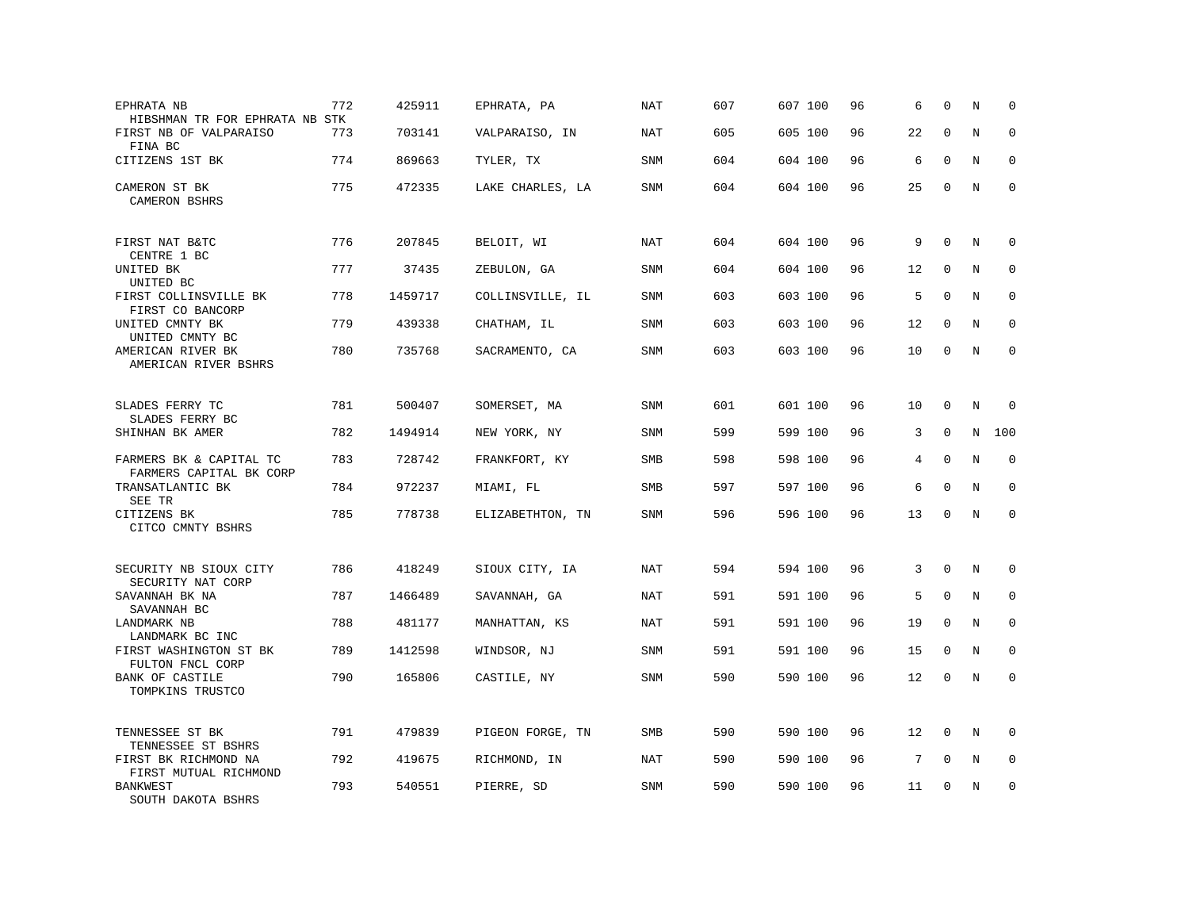| EPHRATA NB<br>HIBSHMAN TR FOR EPHRATA NB STK       | 772 | 425911  | EPHRATA, PA      | <b>NAT</b> | 607 | 607 100 | 96 | 6  | $\mathbf 0$ | N       | $\mathbf 0$  |
|----------------------------------------------------|-----|---------|------------------|------------|-----|---------|----|----|-------------|---------|--------------|
| FIRST NB OF VALPARAISO<br>FINA BC                  | 773 | 703141  | VALPARAISO, IN   | NAT        | 605 | 605 100 | 96 | 22 | $\Omega$    | N       | $\mathbf 0$  |
| CITIZENS 1ST BK                                    | 774 | 869663  | TYLER, TX        | SNM        | 604 | 604 100 | 96 | 6  | $\mathbf 0$ | N       | $\mathbf 0$  |
| CAMERON ST BK<br>CAMERON BSHRS                     | 775 | 472335  | LAKE CHARLES, LA | <b>SNM</b> | 604 | 604 100 | 96 | 25 | $\mathbf 0$ | N       | $\mathbf 0$  |
| FIRST NAT B&TC<br>CENTRE 1 BC                      | 776 | 207845  | BELOIT, WI       | NAT        | 604 | 604 100 | 96 | 9  | $\Omega$    | N       | 0            |
| UNITED BK<br>UNITED BC                             | 777 | 37435   | ZEBULON, GA      | SNM        | 604 | 604 100 | 96 | 12 | $\mathbf 0$ | N       | $\mathbf 0$  |
| FIRST COLLINSVILLE BK<br>FIRST CO BANCORP          | 778 | 1459717 | COLLINSVILLE, IL | SNM        | 603 | 603 100 | 96 | 5  | $\Omega$    | N       | $\mathbf{0}$ |
| UNITED CMNTY BK<br>UNITED CMNTY BC                 | 779 | 439338  | CHATHAM, IL      | <b>SNM</b> | 603 | 603 100 | 96 | 12 | $\mathbf 0$ | N       | $\mathbf 0$  |
| AMERICAN RIVER BK<br>AMERICAN RIVER BSHRS          | 780 | 735768  | SACRAMENTO, CA   | <b>SNM</b> | 603 | 603 100 | 96 | 10 | $\mathbf 0$ | N       | $\mathbf 0$  |
| SLADES FERRY TC<br>SLADES FERRY BC                 | 781 | 500407  | SOMERSET, MA     | SNM        | 601 | 601 100 | 96 | 10 | $\mathbf 0$ | N       | 0            |
| SHINHAN BK AMER                                    | 782 | 1494914 | NEW YORK, NY     | <b>SNM</b> | 599 | 599 100 | 96 | 3  | $\mathbf 0$ | N       | 100          |
| FARMERS BK & CAPITAL TC<br>FARMERS CAPITAL BK CORP | 783 | 728742  | FRANKFORT, KY    | SMB        | 598 | 598 100 | 96 | 4  | $\mathbf 0$ | $\rm N$ | $\mathbf 0$  |
| TRANSATLANTIC BK<br>SEE TR                         | 784 | 972237  | MIAMI, FL        | SMB        | 597 | 597 100 | 96 | 6  | $\mathbf 0$ | N       | $\mathbf 0$  |
| CITIZENS BK<br>CITCO CMNTY BSHRS                   | 785 | 778738  | ELIZABETHTON, TN | <b>SNM</b> | 596 | 596 100 | 96 | 13 | $\mathbf 0$ | $\rm N$ | $\mathbf 0$  |
| SECURITY NB SIOUX CITY<br>SECURITY NAT CORP        | 786 | 418249  | SIOUX CITY, IA   | <b>NAT</b> | 594 | 594 100 | 96 | 3  | $\mathbf 0$ | N       | 0            |
| SAVANNAH BK NA<br>SAVANNAH BC                      | 787 | 1466489 | SAVANNAH, GA     | NAT        | 591 | 591 100 | 96 | 5  | $\mathbf 0$ | N       | 0            |
| <b>LANDMARK NB</b><br>LANDMARK BC INC              | 788 | 481177  | MANHATTAN, KS    | <b>NAT</b> | 591 | 591 100 | 96 | 19 | $\mathbf 0$ | N       | $\mathbf 0$  |
| FIRST WASHINGTON ST BK<br>FULTON FNCL CORP         | 789 | 1412598 | WINDSOR, NJ      | SNM        | 591 | 591 100 | 96 | 15 | $\mathbf 0$ | N       | $\mathbf 0$  |
| BANK OF CASTILE<br>TOMPKINS TRUSTCO                | 790 | 165806  | CASTILE, NY      | <b>SNM</b> | 590 | 590 100 | 96 | 12 | $\mathbf 0$ | N       | $\mathbf 0$  |
| TENNESSEE ST BK<br>TENNESSEE ST BSHRS              | 791 | 479839  | PIGEON FORGE, TN | SMB        | 590 | 590 100 | 96 | 12 | $\mathbf 0$ | N       | $\Omega$     |
| FIRST BK RICHMOND NA<br>FIRST MUTUAL RICHMOND      | 792 | 419675  | RICHMOND, IN     | NAT        | 590 | 590 100 | 96 | 7  | $\mathbf 0$ | N       | $\mathbf 0$  |
| <b>BANKWEST</b><br>SOUTH DAKOTA BSHRS              | 793 | 540551  | PIERRE, SD       | <b>SNM</b> | 590 | 590 100 | 96 | 11 | $\mathbf 0$ | N       | $\mathbf 0$  |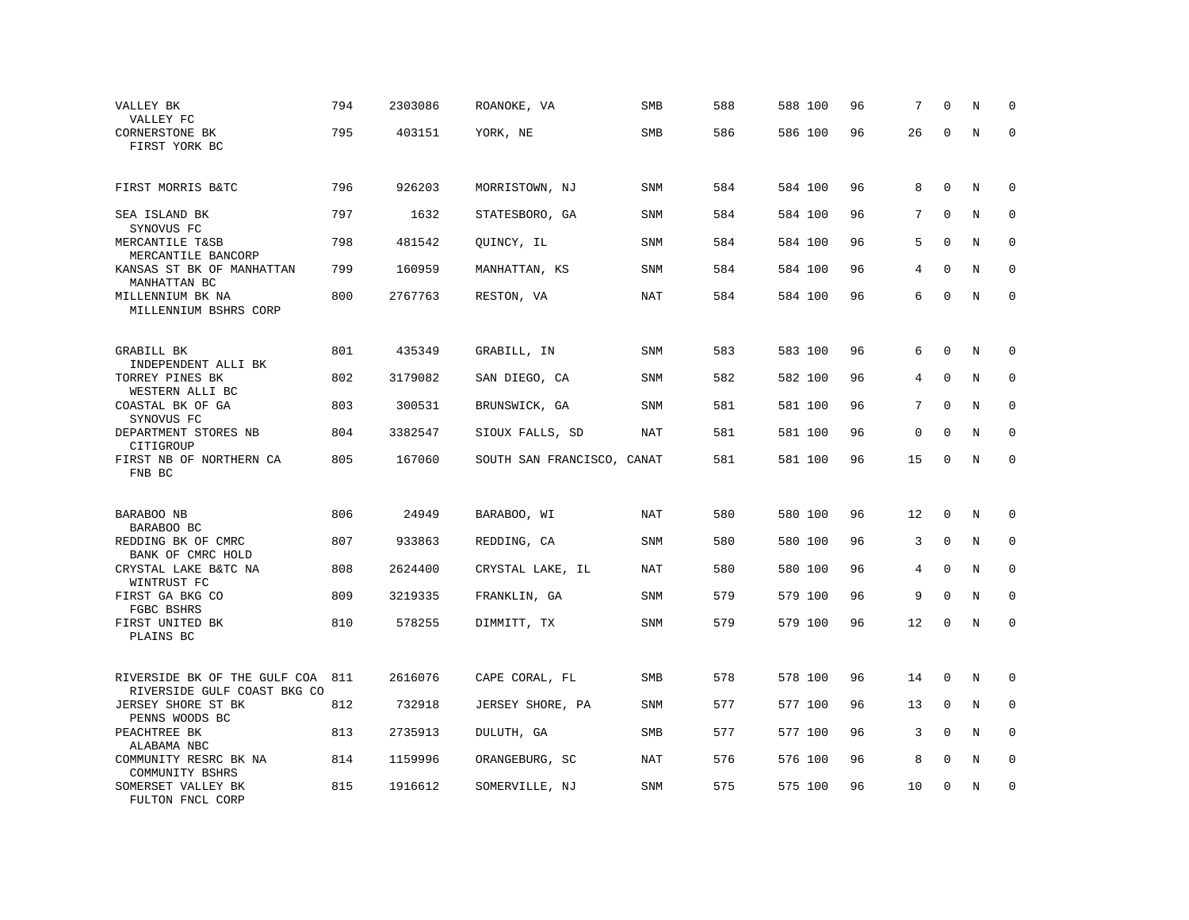| VALLEY BK<br>VALLEY FC                                      | 794 | 2303086 | ROANOKE, VA                | SMB        | 588 | 588 100 | 96 | 7  | $\Omega$    | N       | $\mathbf 0$ |
|-------------------------------------------------------------|-----|---------|----------------------------|------------|-----|---------|----|----|-------------|---------|-------------|
| CORNERSTONE BK<br>FIRST YORK BC                             | 795 | 403151  | YORK, NE                   | <b>SMB</b> | 586 | 586 100 | 96 | 26 | $\Omega$    | N       | $\Omega$    |
| FIRST MORRIS B&TC                                           | 796 | 926203  | MORRISTOWN, NJ             | <b>SNM</b> | 584 | 584 100 | 96 | 8  | $\mathbf 0$ | N       | $\mathbf 0$ |
| SEA ISLAND BK<br>SYNOVUS FC                                 | 797 | 1632    | STATESBORO, GA             | SNM        | 584 | 584 100 | 96 | 7  | $\Omega$    | N       | $\mathbf 0$ |
| MERCANTILE T&SB<br>MERCANTILE BANCORP                       | 798 | 481542  | QUINCY, IL                 | <b>SNM</b> | 584 | 584 100 | 96 | 5  | $\mathbf 0$ | N       | $\mathbf 0$ |
| KANSAS ST BK OF MANHATTAN<br>MANHATTAN BC                   | 799 | 160959  | MANHATTAN, KS              | SNM        | 584 | 584 100 | 96 | 4  | $\Omega$    | N       | $\mathbf 0$ |
| MILLENNIUM BK NA<br>MILLENNIUM BSHRS CORP                   | 800 | 2767763 | RESTON, VA                 | NAT        | 584 | 584 100 | 96 | 6  | $\mathbf 0$ | N       | $\mathbf 0$ |
| GRABILL BK                                                  | 801 | 435349  | GRABILL, IN                | SNM        | 583 | 583 100 | 96 | 6  | $\Omega$    | N       | $\Omega$    |
| INDEPENDENT ALLI BK<br>TORREY PINES BK<br>WESTERN ALLI BC   | 802 | 3179082 | SAN DIEGO, CA              | <b>SNM</b> | 582 | 582 100 | 96 | 4  | $\mathbf 0$ | N       | $\mathbf 0$ |
| COASTAL BK OF GA<br>SYNOVUS FC                              | 803 | 300531  | BRUNSWICK, GA              | <b>SNM</b> | 581 | 581 100 | 96 | 7  | $\Omega$    | N       | $\mathbf 0$ |
| DEPARTMENT STORES NB<br>CITIGROUP                           | 804 | 3382547 | SIOUX FALLS, SD            | <b>NAT</b> | 581 | 581 100 | 96 | 0  | $\mathbf 0$ | N       | $\mathbf 0$ |
| FIRST NB OF NORTHERN CA<br>FNB BC                           | 805 | 167060  | SOUTH SAN FRANCISCO, CANAT |            | 581 | 581 100 | 96 | 15 | $\mathbf 0$ | $\rm N$ | $\mathbf 0$ |
| BARABOO NB                                                  | 806 | 24949   | BARABOO, WI                | NAT        | 580 | 580 100 | 96 | 12 | $\mathbf 0$ | N       | $\mathbf 0$ |
| BARABOO BC<br>REDDING BK OF CMRC                            | 807 | 933863  | REDDING, CA                | SNM        | 580 | 580 100 | 96 | 3  | $\Omega$    | N       | $\Omega$    |
| BANK OF CMRC HOLD<br>CRYSTAL LAKE B&TC NA<br>WINTRUST FC    | 808 | 2624400 | CRYSTAL LAKE, IL           | NAT        | 580 | 580 100 | 96 | 4  | $\mathbf 0$ | N       | $\mathbf 0$ |
| FIRST GA BKG CO<br>FGBC BSHRS                               | 809 | 3219335 | FRANKLIN, GA               | SNM        | 579 | 579 100 | 96 | 9  | $\Omega$    | N       | $\mathbf 0$ |
| FIRST UNITED BK<br>PLAINS BC                                | 810 | 578255  | DIMMITT, TX                | <b>SNM</b> | 579 | 579 100 | 96 | 12 | $\mathsf 0$ | N       | $\mathbf 0$ |
| RIVERSIDE BK OF THE GULF COA<br>RIVERSIDE GULF COAST BKG CO | 811 | 2616076 | CAPE CORAL, FL             | SMB        | 578 | 578 100 | 96 | 14 | $\mathbf 0$ | N       | $\mathbf 0$ |
| JERSEY SHORE ST BK<br>PENNS WOODS BC                        | 812 | 732918  | JERSEY SHORE, PA           | SNM        | 577 | 577 100 | 96 | 13 | $\mathbf 0$ | N       | 0           |
| PEACHTREE BK<br>ALABAMA NBC                                 | 813 | 2735913 | DULUTH, GA                 | <b>SMB</b> | 577 | 577 100 | 96 | 3  | $\Omega$    | N       | $\mathbf 0$ |
| COMMUNITY RESRC BK NA<br>COMMUNITY BSHRS                    | 814 | 1159996 | ORANGEBURG, SC             | <b>NAT</b> | 576 | 576 100 | 96 | 8  | $\mathbf 0$ | N       | $\mathbf 0$ |
| SOMERSET VALLEY BK<br>FULTON FNCL CORP                      | 815 | 1916612 | SOMERVILLE, NJ             | <b>SNM</b> | 575 | 575 100 | 96 | 10 | $\mathbf 0$ | N       | $\mathbf 0$ |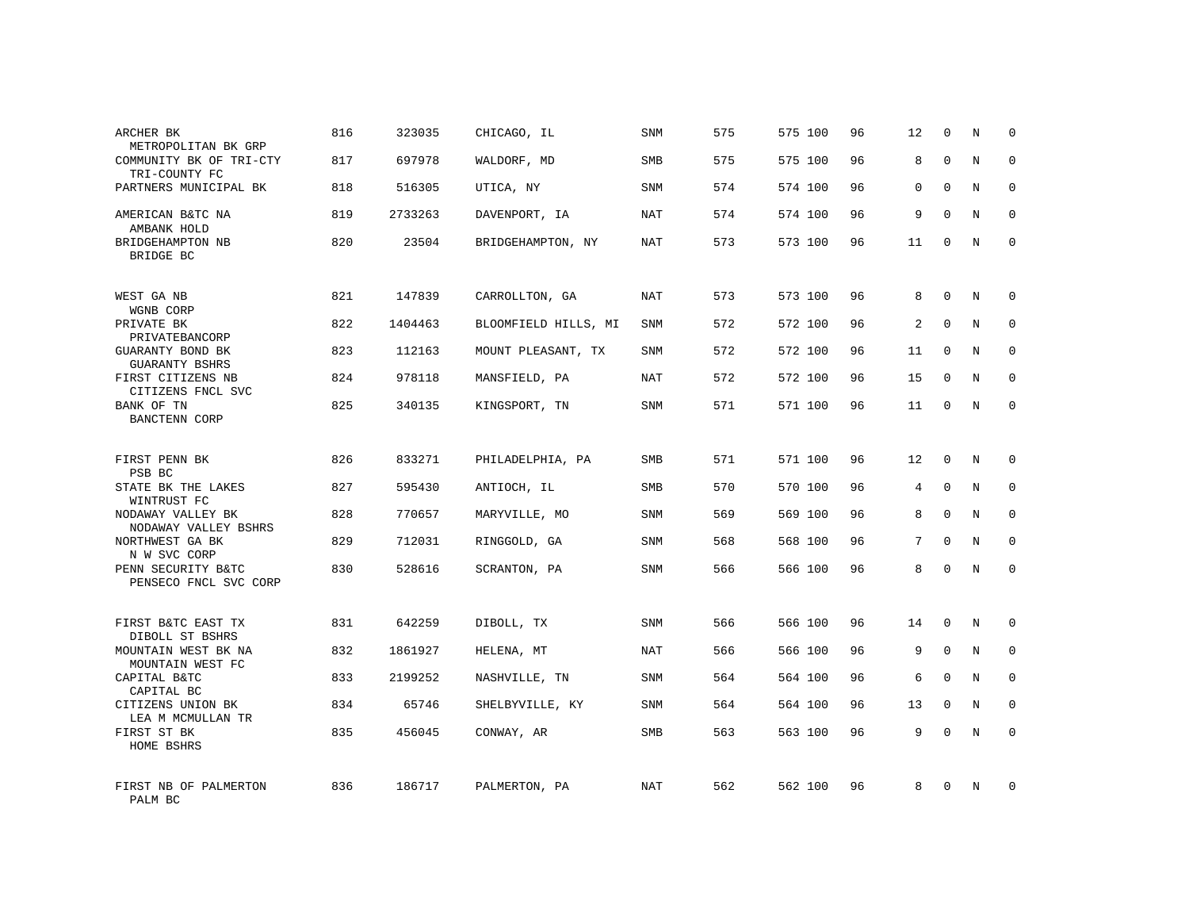| ARCHER BK<br>METROPOLITAN BK GRP                           | 816 | 323035  | CHICAGO, IL          | SNM        | 575 | 575 100 | 96 | 12 | 0           | N           | $\mathbf 0$ |
|------------------------------------------------------------|-----|---------|----------------------|------------|-----|---------|----|----|-------------|-------------|-------------|
| COMMUNITY BK OF TRI-CTY<br>TRI-COUNTY FC                   | 817 | 697978  | WALDORF, MD          | <b>SMB</b> | 575 | 575 100 | 96 | 8  | $\Omega$    | N           | $\mathbf 0$ |
| PARTNERS MUNICIPAL BK                                      | 818 | 516305  | UTICA, NY            | SNM        | 574 | 574 100 | 96 | 0  | $\Omega$    | N           | $\mathbf 0$ |
| AMERICAN B&TC NA<br>AMBANK HOLD                            | 819 | 2733263 | DAVENPORT, IA        | <b>NAT</b> | 574 | 574 100 | 96 | 9  | $\Omega$    | N           | $\Omega$    |
| BRIDGEHAMPTON NB<br>BRIDGE BC                              | 820 | 23504   | BRIDGEHAMPTON, NY    | NAT        | 573 | 573 100 | 96 | 11 | $\Omega$    | N           | $\Omega$    |
| WEST GA NB                                                 | 821 | 147839  | CARROLLTON, GA       | NAT        | 573 | 573 100 | 96 | 8  | $\Omega$    | N           | $\Omega$    |
| WGNB CORP<br>PRIVATE BK<br>PRIVATEBANCORP                  | 822 | 1404463 | BLOOMFIELD HILLS, MI | SNM        | 572 | 572 100 | 96 | 2  | $\Omega$    | N           | $\Omega$    |
| GUARANTY BOND BK<br>GUARANTY BSHRS                         | 823 | 112163  | MOUNT PLEASANT, TX   | SNM        | 572 | 572 100 | 96 | 11 | $\Omega$    | N           | $\mathbf 0$ |
| FIRST CITIZENS NB<br>CITIZENS FNCL SVC                     | 824 | 978118  | MANSFIELD, PA        | NAT        | 572 | 572 100 | 96 | 15 | $\Omega$    | N           | $\Omega$    |
| BANK OF TN<br><b>BANCTENN CORP</b>                         | 825 | 340135  | KINGSPORT, TN        | SNM        | 571 | 571 100 | 96 | 11 | $\Omega$    | N           | $\Omega$    |
| FIRST PENN BK<br>PSB BC                                    | 826 | 833271  | PHILADELPHIA, PA     | SMB        | 571 | 571 100 | 96 | 12 | $\mathbf 0$ | N           | $\mathbf 0$ |
| STATE BK THE LAKES<br>WINTRUST FC                          | 827 | 595430  | ANTIOCH, IL          | SMB        | 570 | 570 100 | 96 | 4  | $\mathsf 0$ | N           | $\mathbf 0$ |
| NODAWAY VALLEY BK<br>NODAWAY VALLEY BSHRS                  | 828 | 770657  | MARYVILLE, MO        | SNM        | 569 | 569 100 | 96 | 8  | $\Omega$    | N           | $\mathbf 0$ |
| NORTHWEST GA BK<br>N W SVC CORP                            | 829 | 712031  | RINGGOLD, GA         | SNM        | 568 | 568 100 | 96 | 7  | $\mathbf 0$ | $\rm N$     | $\mathbf 0$ |
| PENN SECURITY B&TC<br>PENSECO FNCL SVC CORP                | 830 | 528616  | SCRANTON, PA         | SNM        | 566 | 566 100 | 96 | 8  | $\Omega$    | N           | $\mathbf 0$ |
| FIRST B&TC EAST TX                                         | 831 | 642259  | DIBOLL, TX           | SNM        | 566 | 566 100 | 96 | 14 | $\mathbf 0$ | N           | $\mathbf 0$ |
| DIBOLL ST BSHRS<br>MOUNTAIN WEST BK NA<br>MOUNTAIN WEST FC | 832 | 1861927 | HELENA, MT           | <b>NAT</b> | 566 | 566 100 | 96 | 9  | $\mathsf 0$ | $\mathbf N$ | $\mathbf 0$ |
| CAPITAL B&TC<br>CAPITAL BC                                 | 833 | 2199252 | NASHVILLE, TN        | <b>SNM</b> | 564 | 564 100 | 96 | 6  | $\Omega$    | N           | $\mathbf 0$ |
| CITIZENS UNION BK<br>LEA M MCMULLAN TR                     | 834 | 65746   | SHELBYVILLE, KY      | <b>SNM</b> | 564 | 564 100 | 96 | 13 | $\mathbf 0$ | N           | $\mathbf 0$ |
| FIRST ST BK<br>HOME BSHRS                                  | 835 | 456045  | CONWAY, AR           | <b>SMB</b> | 563 | 563 100 | 96 | 9  | $\Omega$    | N           | $\mathbf 0$ |
| FIRST NB OF PALMERTON<br>PALM BC                           | 836 | 186717  | PALMERTON, PA        | NAT        | 562 | 562 100 | 96 | 8  | $\Omega$    | N           | $\mathbf 0$ |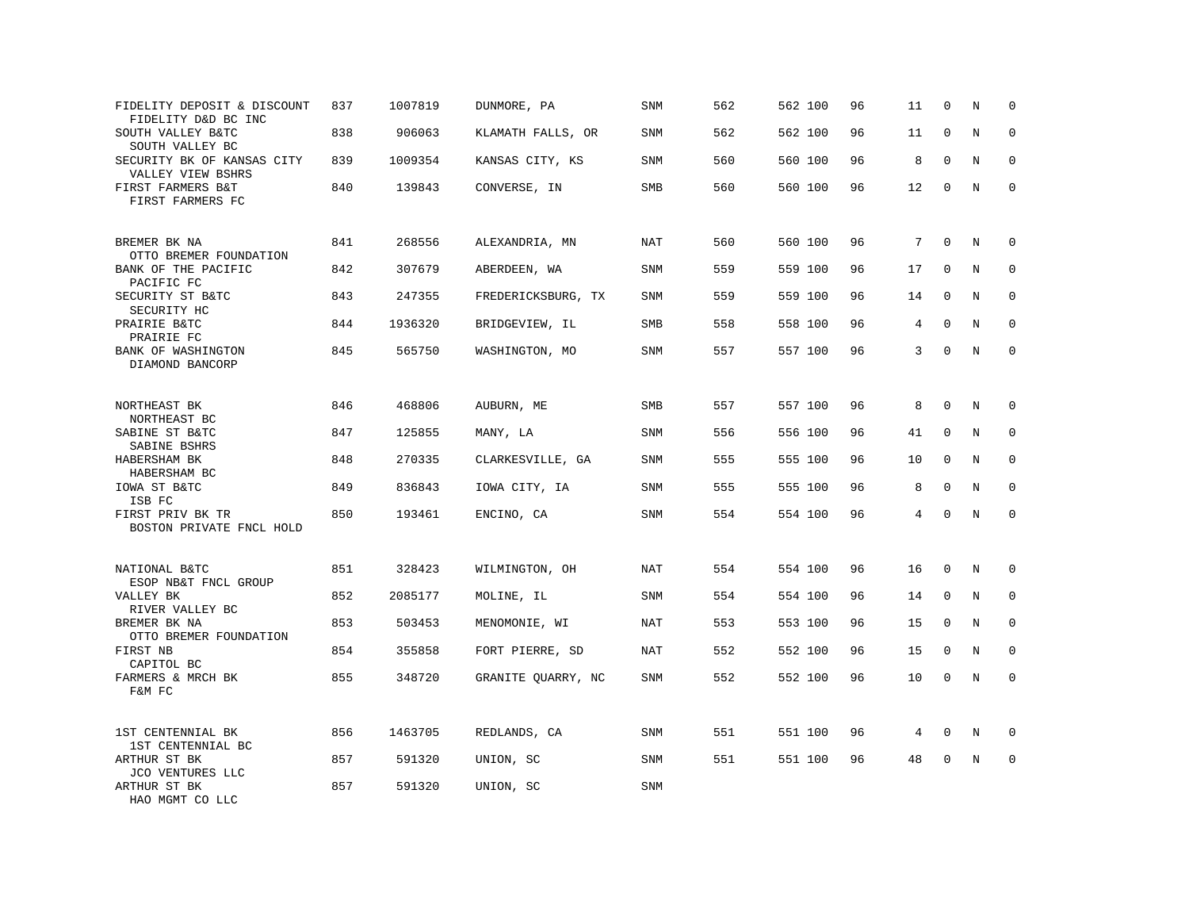| FIDELITY DEPOSIT & DISCOUNT<br>FIDELITY D&D BC INC | 837 | 1007819 | DUNMORE, PA        | <b>SNM</b> | 562 | 562 100 | 96 | 11 | 0           | N       | $\mathbf 0$ |
|----------------------------------------------------|-----|---------|--------------------|------------|-----|---------|----|----|-------------|---------|-------------|
| SOUTH VALLEY B&TC<br>SOUTH VALLEY BC               | 838 | 906063  | KLAMATH FALLS, OR  | SNM        | 562 | 562 100 | 96 | 11 | $\mathbf 0$ | N       | $\mathbf 0$ |
| SECURITY BK OF KANSAS CITY<br>VALLEY VIEW BSHRS    | 839 | 1009354 | KANSAS CITY, KS    | SNM        | 560 | 560 100 | 96 | 8  | $\Omega$    | N       | 0           |
| FIRST FARMERS B&T<br>FIRST FARMERS FC              | 840 | 139843  | CONVERSE, IN       | SMB        | 560 | 560 100 | 96 | 12 | $\mathbf 0$ | N       | $\mathbf 0$ |
| BREMER BK NA<br>OTTO BREMER FOUNDATION             | 841 | 268556  | ALEXANDRIA, MN     | NAT        | 560 | 560 100 | 96 | 7  | $\mathbf 0$ | N       | $\mathbf 0$ |
| BANK OF THE PACIFIC<br>PACIFIC FC                  | 842 | 307679  | ABERDEEN, WA       | SNM        | 559 | 559 100 | 96 | 17 | $\mathbf 0$ | N       | 0           |
| SECURITY ST B&TC<br>SECURITY HC                    | 843 | 247355  | FREDERICKSBURG, TX | SNM        | 559 | 559 100 | 96 | 14 | $\Omega$    | N       | $\mathbf 0$ |
| PRAIRIE B&TC<br>PRAIRIE FC                         | 844 | 1936320 | BRIDGEVIEW, IL     | SMB        | 558 | 558 100 | 96 | 4  | $\mathbf 0$ | N       | $\mathbf 0$ |
| BANK OF WASHINGTON<br>DIAMOND BANCORP              | 845 | 565750  | WASHINGTON, MO     | SNM        | 557 | 557 100 | 96 | 3  | $\mathbf 0$ | N       | $\mathbf 0$ |
| NORTHEAST BK<br>NORTHEAST BC                       | 846 | 468806  | AUBURN, ME         | <b>SMB</b> | 557 | 557 100 | 96 | 8  | $\mathbf 0$ | N       | $\mathbf 0$ |
| SABINE ST B&TC<br>SABINE BSHRS                     | 847 | 125855  | MANY, LA           | SNM        | 556 | 556 100 | 96 | 41 | 0           | N       | $\mathbf 0$ |
| HABERSHAM BK<br>HABERSHAM BC                       | 848 | 270335  | CLARKESVILLE, GA   | SNM        | 555 | 555 100 | 96 | 10 | $\mathbf 0$ | N       | 0           |
| IOWA ST B&TC<br>ISB FC                             | 849 | 836843  | IOWA CITY, IA      | SNM        | 555 | 555 100 | 96 | 8  | $\mathbf 0$ | N       | $\mathbf 0$ |
| FIRST PRIV BK TR<br>BOSTON PRIVATE FNCL HOLD       | 850 | 193461  | ENCINO, CA         | <b>SNM</b> | 554 | 554 100 | 96 | 4  | $\Omega$    | N       | $\mathbf 0$ |
| NATIONAL B&TC<br>ESOP NB&T FNCL GROUP              | 851 | 328423  | WILMINGTON, OH     | NAT        | 554 | 554 100 | 96 | 16 | $\mathbf 0$ | N       | $\mathbf 0$ |
| VALLEY BK<br>RIVER VALLEY BC                       | 852 | 2085177 | MOLINE, IL         | SNM        | 554 | 554 100 | 96 | 14 | $\Omega$    | N       | 0           |
| BREMER BK NA<br>OTTO BREMER FOUNDATION             | 853 | 503453  | MENOMONIE, WI      | NAT        | 553 | 553 100 | 96 | 15 | $\mathbf 0$ | N       | 0           |
| FIRST NB<br>CAPITOL BC                             | 854 | 355858  | FORT PIERRE, SD    | NAT        | 552 | 552 100 | 96 | 15 | 0           | N       | $\Omega$    |
| FARMERS & MRCH BK<br>F&M FC                        | 855 | 348720  | GRANITE QUARRY, NC | SNM        | 552 | 552 100 | 96 | 10 | $\mathbf 0$ | $\rm N$ | $\mathbf 0$ |
| 1ST CENTENNIAL BK<br>1ST CENTENNIAL BC             | 856 | 1463705 | REDLANDS, CA       | <b>SNM</b> | 551 | 551 100 | 96 | 4  | 0           | N       | 0           |
| ARTHUR ST BK<br>JCO VENTURES LLC                   | 857 | 591320  | UNION, SC          | SNM        | 551 | 551 100 | 96 | 48 | $\mathbf 0$ | N       | $\mathbf 0$ |
| ARTHUR ST BK<br>HAO MGMT CO LLC                    | 857 | 591320  | UNION, SC          | SNM        |     |         |    |    |             |         |             |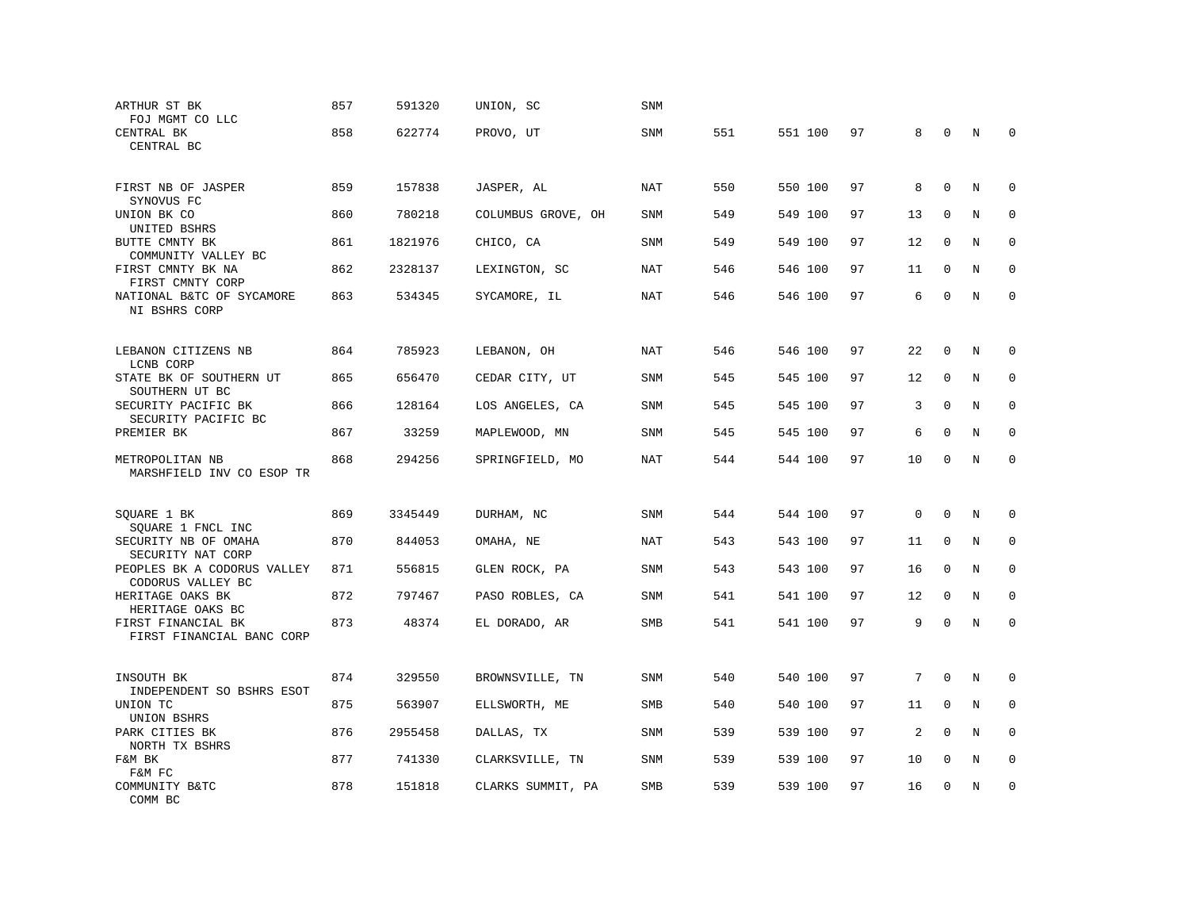| ARTHUR ST BK<br>FOJ MGMT CO LLC                                       | 857 | 591320  | UNION, SC          | <b>SNM</b> |     |         |    |             |              |   |             |
|-----------------------------------------------------------------------|-----|---------|--------------------|------------|-----|---------|----|-------------|--------------|---|-------------|
| CENTRAL BK<br>CENTRAL BC                                              | 858 | 622774  | PROVO, UT          | SNM        | 551 | 551 100 | 97 | 8           | $\mathbf 0$  | N | $\mathbf 0$ |
| FIRST NB OF JASPER                                                    | 859 | 157838  | JASPER, AL         | NAT        | 550 | 550 100 | 97 | 8           | $\mathbf 0$  | N | $\mathbf 0$ |
| SYNOVUS FC<br>UNION BK CO<br>UNITED BSHRS                             | 860 | 780218  | COLUMBUS GROVE, OH | SNM        | 549 | 549 100 | 97 | 13          | $\Omega$     | N | 0           |
| BUTTE CMNTY BK<br>COMMUNITY VALLEY BC                                 | 861 | 1821976 | CHICO, CA          | <b>SNM</b> | 549 | 549 100 | 97 | 12          | 0            | N | $\mathbf 0$ |
| FIRST CMNTY BK NA<br>FIRST CMNTY CORP                                 | 862 | 2328137 | LEXINGTON, SC      | <b>NAT</b> | 546 | 546 100 | 97 | 11          | $\mathbf{0}$ | N | $\Omega$    |
| NATIONAL B&TC OF SYCAMORE<br>NI BSHRS CORP                            | 863 | 534345  | SYCAMORE, IL       | NAT        | 546 | 546 100 | 97 | 6           | $\mathbf 0$  | N | $\mathbf 0$ |
| LEBANON CITIZENS NB                                                   | 864 | 785923  | LEBANON, OH        | NAT        | 546 | 546 100 | 97 | 22          | $\mathbf 0$  | N | $\mathbf 0$ |
| LCNB CORP<br>STATE BK OF SOUTHERN UT                                  | 865 | 656470  | CEDAR CITY, UT     | SNM        | 545 | 545 100 | 97 | 12          | $\mathbf{0}$ | N | $\mathbf 0$ |
| SOUTHERN UT BC<br>SECURITY PACIFIC BK                                 | 866 | 128164  | LOS ANGELES, CA    | <b>SNM</b> | 545 | 545 100 | 97 | 3           | $\Omega$     | N | $\Omega$    |
| SECURITY PACIFIC BC<br>PREMIER BK                                     | 867 | 33259   | MAPLEWOOD, MN      | <b>SNM</b> | 545 | 545 100 | 97 | 6           | $\mathbf 0$  | N | $\mathbf 0$ |
| METROPOLITAN NB<br>MARSHFIELD INV CO ESOP TR                          | 868 | 294256  | SPRINGFIELD, MO    | <b>NAT</b> | 544 | 544 100 | 97 | 10          | $\mathbf 0$  | N | $\mathbf 0$ |
| SQUARE 1 BK                                                           | 869 | 3345449 | DURHAM, NC         | <b>SNM</b> | 544 | 544 100 | 97 | $\mathbf 0$ | $\Omega$     | N | $\Omega$    |
| SQUARE 1 FNCL INC<br>SECURITY NB OF OMAHA                             | 870 | 844053  | OMAHA, NE          | <b>NAT</b> | 543 | 543 100 | 97 | 11          | 0            | N | 0           |
| SECURITY NAT CORP<br>PEOPLES BK A CODORUS VALLEY<br>CODORUS VALLEY BC | 871 | 556815  | GLEN ROCK, PA      | SNM        | 543 | 543 100 | 97 | 16          | $\mathbf 0$  | N | $\mathbf 0$ |
| HERITAGE OAKS BK<br>HERITAGE OAKS BC                                  | 872 | 797467  | PASO ROBLES, CA    | SNM        | 541 | 541 100 | 97 | 12          | $\mathbf 0$  | N | $\mathbf 0$ |
| FIRST FINANCIAL BK<br>FIRST FINANCIAL BANC CORP                       | 873 | 48374   | EL DORADO, AR      | SMB        | 541 | 541 100 | 97 | 9           | $\mathbf 0$  | N | $\Omega$    |
| INSOUTH BK                                                            | 874 | 329550  | BROWNSVILLE, TN    | SNM        | 540 | 540 100 | 97 | 7           | $\mathbf 0$  | N | $\mathbf 0$ |
| INDEPENDENT SO BSHRS ESOT<br>UNION TC                                 | 875 | 563907  | ELLSWORTH, ME      | <b>SMB</b> | 540 | 540 100 | 97 | 11          | $\Omega$     | N | $\mathbf 0$ |
| UNION BSHRS<br>PARK CITIES BK<br>NORTH TX BSHRS                       | 876 | 2955458 | DALLAS, TX         | SNM        | 539 | 539 100 | 97 | 2           | $\mathbf 0$  | N | $\mathbf 0$ |
| F&M BK<br>F&M FC                                                      | 877 | 741330  | CLARKSVILLE, TN    | SNM        | 539 | 539 100 | 97 | 10          | $\mathbf{0}$ | N | 0           |
| COMMUNITY B&TC<br>COMM BC                                             | 878 | 151818  | CLARKS SUMMIT, PA  | <b>SMB</b> | 539 | 539 100 | 97 | 16          | $\mathbf 0$  | N | $\mathbf 0$ |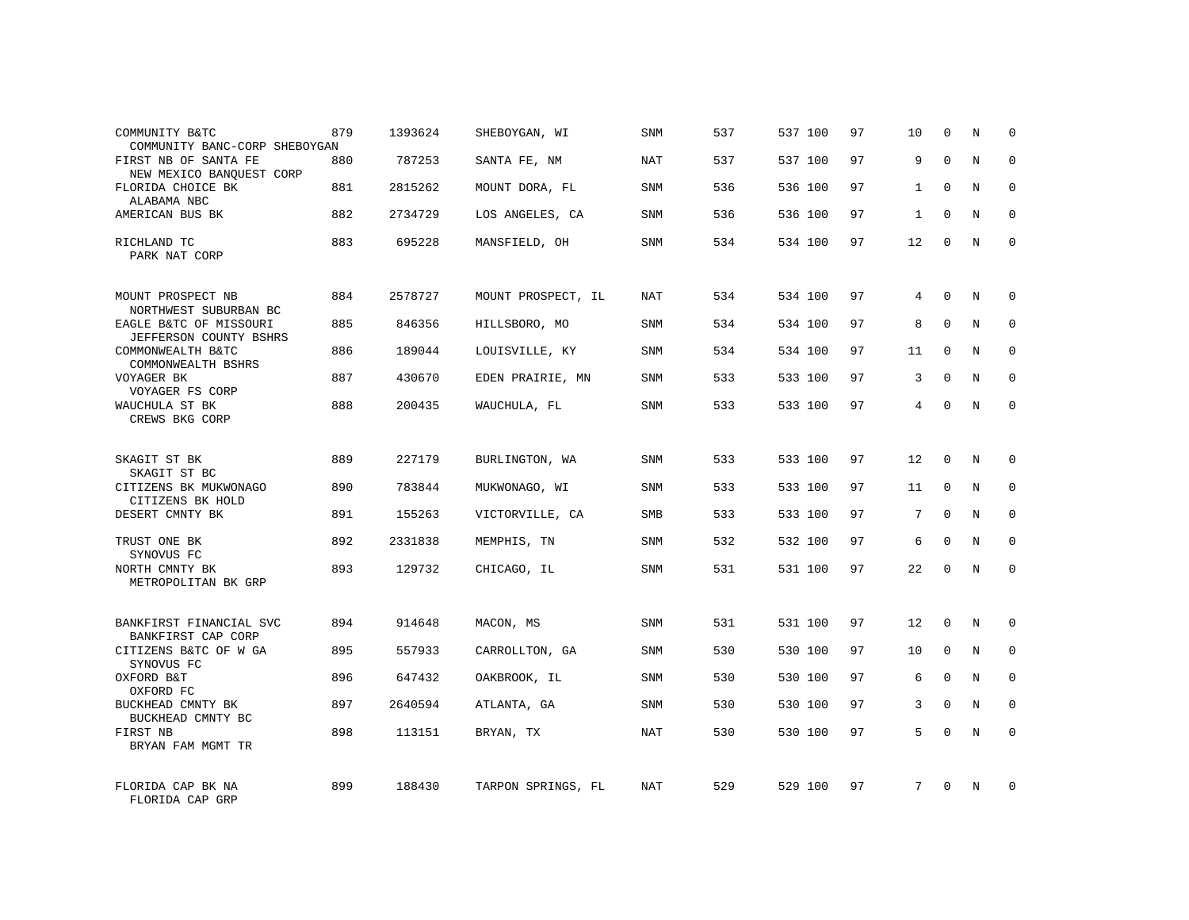| COMMUNITY B&TC<br>COMMUNITY BANC-CORP SHEBOYGAN  | 879 | 1393624 | SHEBOYGAN, WI      | SNM        | 537 | 537 100 | 97 | 10           | $\mathbf 0$ | N          | $\Omega$    |
|--------------------------------------------------|-----|---------|--------------------|------------|-----|---------|----|--------------|-------------|------------|-------------|
| FIRST NB OF SANTA FE<br>NEW MEXICO BANOUEST CORP | 880 | 787253  | SANTA FE, NM       | NAT        | 537 | 537 100 | 97 | 9            | $\Omega$    | N          | $\Omega$    |
| FLORIDA CHOICE BK<br>ALABAMA NBC                 | 881 | 2815262 | MOUNT DORA, FL     | SNM        | 536 | 536 100 | 97 | $\mathbf{1}$ | $\Omega$    | N          | $\Omega$    |
| AMERICAN BUS BK                                  | 882 | 2734729 | LOS ANGELES, CA    | <b>SNM</b> | 536 | 536 100 | 97 | $\mathbf{1}$ | $\Omega$    | N          | $\Omega$    |
| RICHLAND TC<br>PARK NAT CORP                     | 883 | 695228  | MANSFIELD, OH      | SNM        | 534 | 534 100 | 97 | 12           | $\Omega$    | N          | $\Omega$    |
| MOUNT PROSPECT NB<br>NORTHWEST SUBURBAN BC       | 884 | 2578727 | MOUNT PROSPECT, IL | <b>NAT</b> | 534 | 534 100 | 97 | 4            | $\mathbf 0$ | N          | $\mathbf 0$ |
| EAGLE B&TC OF MISSOURI<br>JEFFERSON COUNTY BSHRS | 885 | 846356  | HILLSBORO, MO      | <b>SNM</b> | 534 | 534 100 | 97 | 8            | $\Omega$    | N          | $\mathbf 0$ |
| COMMONWEALTH B&TC<br>COMMONWEALTH BSHRS          | 886 | 189044  | LOUISVILLE, KY     | <b>SNM</b> | 534 | 534 100 | 97 | 11           | $\Omega$    | N          | $\mathbf 0$ |
| VOYAGER BK<br>VOYAGER FS CORP                    | 887 | 430670  | EDEN PRAIRIE, MN   | <b>SNM</b> | 533 | 533 100 | 97 | 3            | $\Omega$    | N          | $\mathbf 0$ |
| WAUCHULA ST BK<br>CREWS BKG CORP                 | 888 | 200435  | WAUCHULA, FL       | SNM        | 533 | 533 100 | 97 | 4            | $\mathbf 0$ | N          | $\mathbf 0$ |
| SKAGIT ST BK<br>SKAGIT ST BC                     | 889 | 227179  | BURLINGTON, WA     | SNM        | 533 | 533 100 | 97 | 12           | $\Omega$    | N          | $\Omega$    |
| CITIZENS BK MUKWONAGO<br>CITIZENS BK HOLD        | 890 | 783844  | MUKWONAGO, WI      | <b>SNM</b> | 533 | 533 100 | 97 | 11           | $\mathbf 0$ | N          | $\mathbf 0$ |
| DESERT CMNTY BK                                  | 891 | 155263  | VICTORVILLE, CA    | <b>SMB</b> | 533 | 533 100 | 97 | 7            | $\Omega$    | N          | $\Omega$    |
| TRUST ONE BK<br>SYNOVUS FC                       | 892 | 2331838 | MEMPHIS, TN        | <b>SNM</b> | 532 | 532 100 | 97 | 6            | $\Omega$    | N          | $\mathbf 0$ |
| NORTH CMNTY BK<br>METROPOLITAN BK GRP            | 893 | 129732  | CHICAGO, IL        | SNM        | 531 | 531 100 | 97 | 22           | $\Omega$    | $_{\rm N}$ | $\Omega$    |
| BANKFIRST FINANCIAL SVC<br>BANKFIRST CAP CORP    | 894 | 914648  | MACON, MS          | <b>SNM</b> | 531 | 531 100 | 97 | 12           | $\mathbf 0$ | N          | $\mathbf 0$ |
| CITIZENS B&TC OF W GA<br>SYNOVUS FC              | 895 | 557933  | CARROLLTON, GA     | <b>SNM</b> | 530 | 530 100 | 97 | 10           | $\mathbf 0$ | N          | 0           |
| OXFORD B&T<br>OXFORD FC                          | 896 | 647432  | OAKBROOK, IL       | <b>SNM</b> | 530 | 530 100 | 97 | 6            | $\Omega$    | N          | $\mathbf 0$ |
| BUCKHEAD CMNTY BK<br>BUCKHEAD CMNTY BC           | 897 | 2640594 | ATLANTA, GA        | SNM        | 530 | 530 100 | 97 | 3            | $\mathbf 0$ | N          | 0           |
| FIRST NB<br>BRYAN FAM MGMT TR                    | 898 | 113151  | BRYAN, TX          | <b>NAT</b> | 530 | 530 100 | 97 | 5            | $\Omega$    | N          | $\mathbf 0$ |
| FLORIDA CAP BK NA<br>FLORIDA CAP GRP             | 899 | 188430  | TARPON SPRINGS, FL | NAT        | 529 | 529 100 | 97 | 7            | $\Omega$    | N          | $\mathbf 0$ |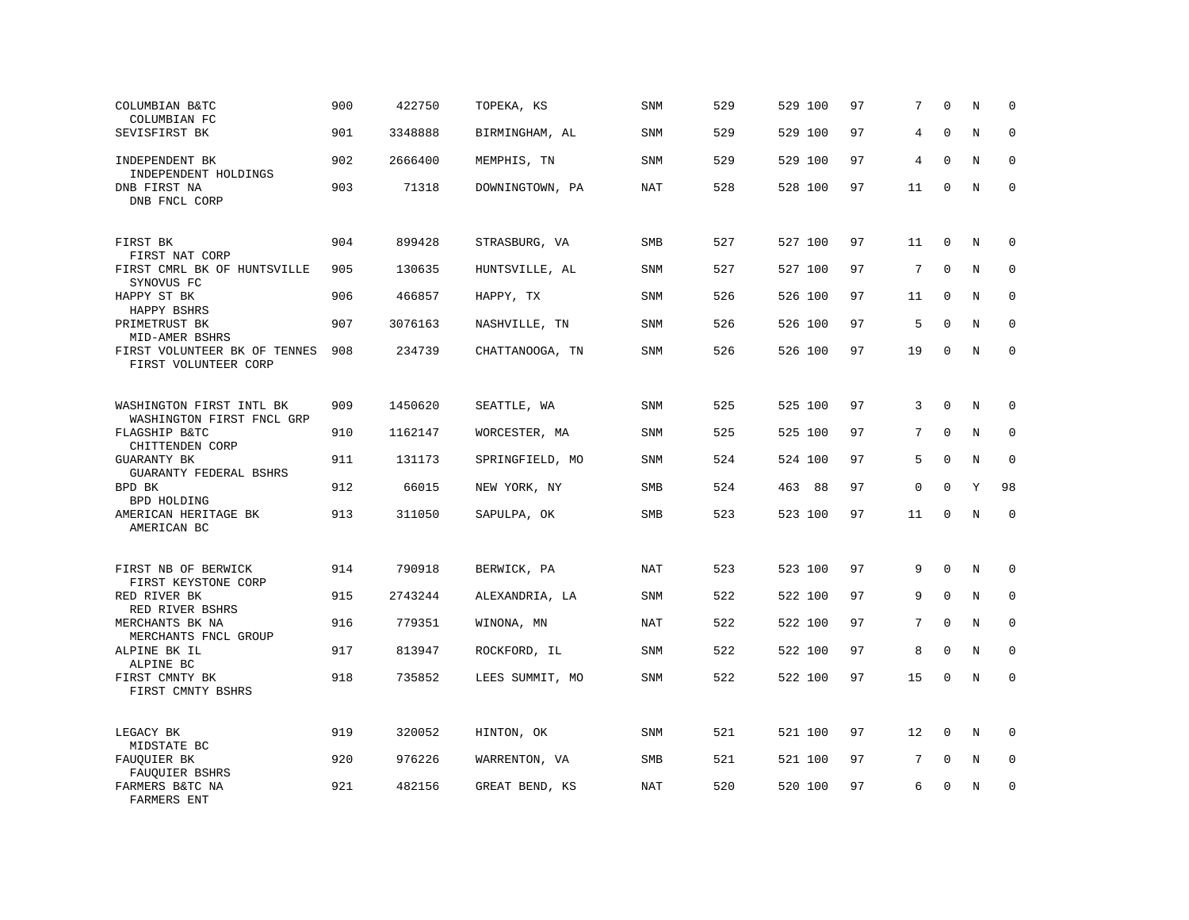| COLUMBIAN B&TC<br>COLUMBIAN FC                        | 900 | 422750  | TOPEKA, KS      | <b>SNM</b> | 529 | 529 100 | 97 | 7               | $\mathbf{0}$ | N       | $\mathbf 0$  |
|-------------------------------------------------------|-----|---------|-----------------|------------|-----|---------|----|-----------------|--------------|---------|--------------|
| SEVISFIRST BK                                         | 901 | 3348888 | BIRMINGHAM, AL  | <b>SNM</b> | 529 | 529 100 | 97 | 4               | $\Omega$     | N       | $\mathbf 0$  |
| INDEPENDENT BK<br>INDEPENDENT HOLDINGS                | 902 | 2666400 | MEMPHIS, TN     | <b>SNM</b> | 529 | 529 100 | 97 | 4               | $\mathbf 0$  | N       | $\mathbf 0$  |
| DNB FIRST NA<br>DNB FNCL CORP                         | 903 | 71318   | DOWNINGTOWN, PA | NAT        | 528 | 528 100 | 97 | 11              | $\mathbf 0$  | N       | $\mathbf 0$  |
| FIRST BK<br>FIRST NAT CORP                            | 904 | 899428  | STRASBURG, VA   | <b>SMB</b> | 527 | 527 100 | 97 | 11              | $\mathbf 0$  | N       | 0            |
| FIRST CMRL BK OF HUNTSVILLE<br>SYNOVUS FC             | 905 | 130635  | HUNTSVILLE, AL  | <b>SNM</b> | 527 | 527 100 | 97 | 7               | $\mathbf{0}$ | N       | $\mathbf 0$  |
| HAPPY ST BK<br>HAPPY BSHRS                            | 906 | 466857  | HAPPY, TX       | <b>SNM</b> | 526 | 526 100 | 97 | 11              | 0            | N       | $\mathbf{0}$ |
| PRIMETRUST BK<br>MID-AMER BSHRS                       | 907 | 3076163 | NASHVILLE, TN   | <b>SNM</b> | 526 | 526 100 | 97 | 5               | $\mathbf{0}$ | N       | $\mathbf 0$  |
| FIRST VOLUNTEER BK OF TENNES<br>FIRST VOLUNTEER CORP  | 908 | 234739  | CHATTANOOGA, TN | <b>SNM</b> | 526 | 526 100 | 97 | 19              | $\mathbf 0$  | N       | $\mathbf 0$  |
| WASHINGTON FIRST INTL BK<br>WASHINGTON FIRST FNCL GRP | 909 | 1450620 | SEATTLE, WA     | <b>SNM</b> | 525 | 525 100 | 97 | 3               | $\mathbf 0$  | N       | $\mathbf 0$  |
| FLAGSHIP B&TC<br>CHITTENDEN CORP                      | 910 | 1162147 | WORCESTER, MA   | <b>SNM</b> | 525 | 525 100 | 97 | 7               | $\mathbf 0$  | N       | $\mathbf 0$  |
| <b>GUARANTY BK</b><br>GUARANTY FEDERAL BSHRS          | 911 | 131173  | SPRINGFIELD, MO | <b>SNM</b> | 524 | 524 100 | 97 | 5               | $\mathbf 0$  | $\rm N$ | $\mathbf 0$  |
| BPD BK<br>BPD HOLDING                                 | 912 | 66015   | NEW YORK, NY    | SMB        | 524 | 463 88  | 97 | 0               | $\mathbf 0$  | Y       | 98           |
| AMERICAN HERITAGE BK<br>AMERICAN BC                   | 913 | 311050  | SAPULPA, OK     | SMB        | 523 | 523 100 | 97 | 11              | $\mathbf 0$  | $\rm N$ | $\mathbf 0$  |
| FIRST NB OF BERWICK<br>FIRST KEYSTONE CORP            | 914 | 790918  | BERWICK, PA     | <b>NAT</b> | 523 | 523 100 | 97 | 9               | $\mathbf 0$  | N       | 0            |
| RED RIVER BK<br>RED RIVER BSHRS                       | 915 | 2743244 | ALEXANDRIA, LA  | SNM        | 522 | 522 100 | 97 | 9               | $\mathbf 0$  | N       | 0            |
| MERCHANTS BK NA<br>MERCHANTS FNCL GROUP               | 916 | 779351  | WINONA, MN      | <b>NAT</b> | 522 | 522 100 | 97 | $7\overline{ }$ | $\mathbf 0$  | N       | $\mathbf 0$  |
| ALPINE BK IL<br>ALPINE BC                             | 917 | 813947  | ROCKFORD, IL    | SNM        | 522 | 522 100 | 97 | 8               | $\mathbf 0$  | N       | $\mathbf 0$  |
| FIRST CMNTY BK<br>FIRST CMNTY BSHRS                   | 918 | 735852  | LEES SUMMIT, MO | <b>SNM</b> | 522 | 522 100 | 97 | 15              | $\mathbf 0$  | N       | $\mathbf 0$  |
| LEGACY BK<br>MIDSTATE BC                              | 919 | 320052  | HINTON, OK      | <b>SNM</b> | 521 | 521 100 | 97 | 12              | $\mathbf 0$  | N       | $\mathbf 0$  |
| FAUQUIER BK<br>FAUQUIER BSHRS                         | 920 | 976226  | WARRENTON, VA   | <b>SMB</b> | 521 | 521 100 | 97 | 7               | $\mathbf 0$  | N       | $\mathbf 0$  |
| FARMERS B&TC NA<br>FARMERS ENT                        | 921 | 482156  | GREAT BEND, KS  | <b>NAT</b> | 520 | 520 100 | 97 | 6               | $\mathbf 0$  | N       | $\mathbf 0$  |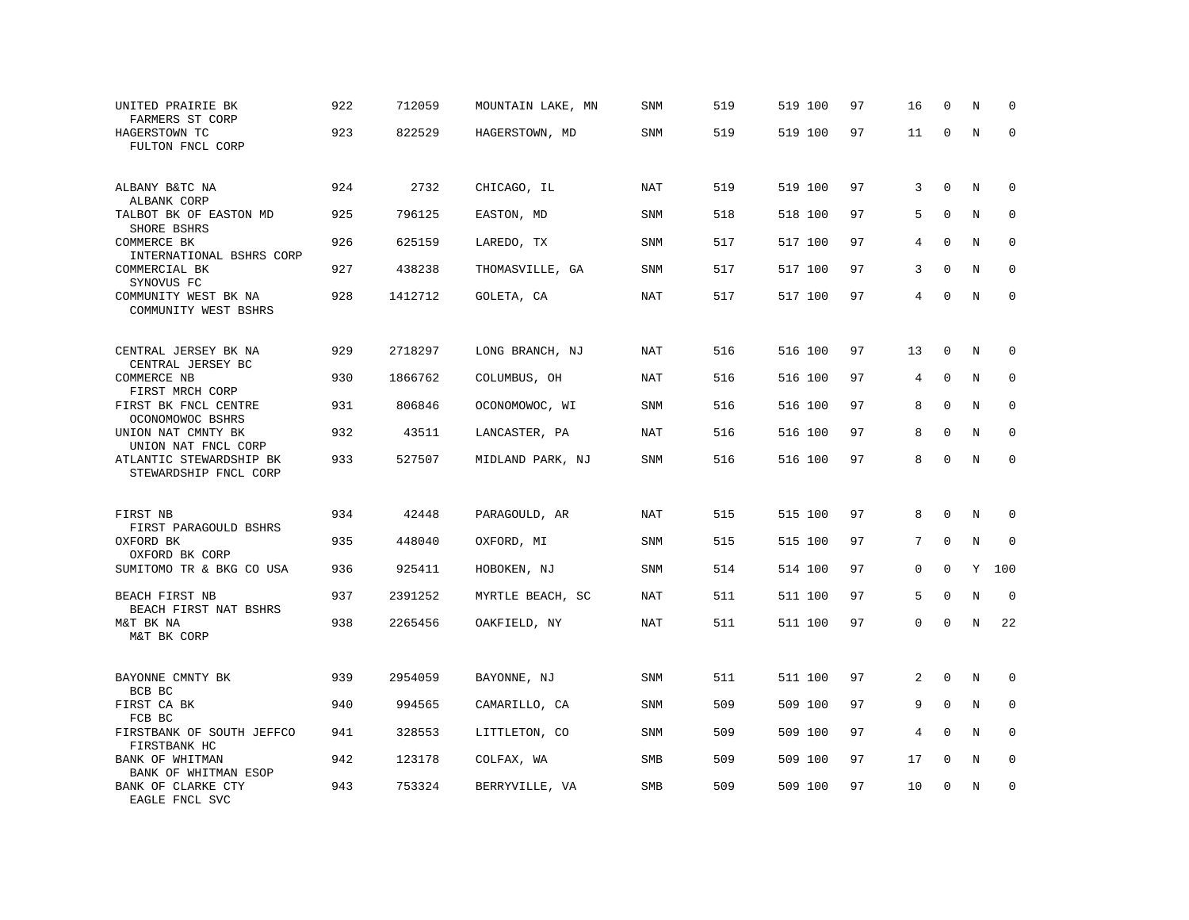| UNITED PRAIRIE BK<br>FARMERS ST CORP             | 922 | 712059  | MOUNTAIN LAKE, MN | SNM        | 519 | 519 100 | 97 | 16 | $\mathbf 0$ | N       | $\mathbf 0$ |
|--------------------------------------------------|-----|---------|-------------------|------------|-----|---------|----|----|-------------|---------|-------------|
| HAGERSTOWN TC<br>FULTON FNCL CORP                | 923 | 822529  | HAGERSTOWN, MD    | SNM        | 519 | 519 100 | 97 | 11 | $\mathbf 0$ | $\rm N$ | $\mathbf 0$ |
| ALBANY B&TC NA<br>ALBANK CORP                    | 924 | 2732    | CHICAGO, IL       | <b>NAT</b> | 519 | 519 100 | 97 | 3  | $\mathbf 0$ | N       | $\mathbf 0$ |
| TALBOT BK OF EASTON MD<br>SHORE BSHRS            | 925 | 796125  | EASTON, MD        | <b>SNM</b> | 518 | 518 100 | 97 | 5  | $\mathbf 0$ | N       | $\mathbf 0$ |
| COMMERCE BK<br>INTERNATIONAL BSHRS CORP          | 926 | 625159  | LAREDO, TX        | <b>SNM</b> | 517 | 517 100 | 97 | 4  | $\mathbf 0$ | N       | $\mathbf 0$ |
| COMMERCIAL BK<br>SYNOVUS FC                      | 927 | 438238  | THOMASVILLE, GA   | <b>SNM</b> | 517 | 517 100 | 97 | 3  | $\Omega$    | N       | $\mathbf 0$ |
| COMMUNITY WEST BK NA<br>COMMUNITY WEST BSHRS     | 928 | 1412712 | GOLETA, CA        | <b>NAT</b> | 517 | 517 100 | 97 | 4  | $\mathbf 0$ | N       | $\mathbf 0$ |
| CENTRAL JERSEY BK NA<br>CENTRAL JERSEY BC        | 929 | 2718297 | LONG BRANCH, NJ   | <b>NAT</b> | 516 | 516 100 | 97 | 13 | $\mathbf 0$ | N       | 0           |
| COMMERCE NB<br>FIRST MRCH CORP                   | 930 | 1866762 | COLUMBUS, OH      | NAT        | 516 | 516 100 | 97 | 4  | $\mathbf 0$ | N       | 0           |
| FIRST BK FNCL CENTRE<br>OCONOMOWOC BSHRS         | 931 | 806846  | OCONOMOWOC, WI    | SNM        | 516 | 516 100 | 97 | 8  | $\mathbf 0$ | N       | $\mathbf 0$ |
| UNION NAT CMNTY BK<br>UNION NAT FNCL CORP        | 932 | 43511   | LANCASTER, PA     | <b>NAT</b> | 516 | 516 100 | 97 | 8  | $\mathbf 0$ | N       | $\Omega$    |
| ATLANTIC STEWARDSHIP BK<br>STEWARDSHIP FNCL CORP | 933 | 527507  | MIDLAND PARK, NJ  | SNM        | 516 | 516 100 | 97 | 8  | $\mathbf 0$ | N       | $\mathbf 0$ |
| FIRST NB                                         | 934 | 42448   | PARAGOULD, AR     | NAT        | 515 | 515 100 | 97 | 8  | $\Omega$    | N       | $\Omega$    |
| FIRST PARAGOULD BSHRS<br>OXFORD BK               | 935 | 448040  | OXFORD, MI        | SNM        | 515 | 515 100 | 97 | 7  | $\Omega$    | N       | $\mathbf 0$ |
| OXFORD BK CORP<br>SUMITOMO TR & BKG CO USA       | 936 | 925411  | HOBOKEN, NJ       | <b>SNM</b> | 514 | 514 100 | 97 | 0  | $\mathbf 0$ | Y       | 100         |
| BEACH FIRST NB<br>BEACH FIRST NAT BSHRS          | 937 | 2391252 | MYRTLE BEACH, SC  | NAT        | 511 | 511 100 | 97 | 5  | $\mathbf 0$ | N       | $\mathbf 0$ |
| M&T BK NA<br>M&T BK CORP                         | 938 | 2265456 | OAKFIELD, NY      | <b>NAT</b> | 511 | 511 100 | 97 | 0  | $\mathbf 0$ | N       | 22          |
| BAYONNE CMNTY BK<br>BCB BC                       | 939 | 2954059 | BAYONNE, NJ       | SNM        | 511 | 511 100 | 97 | 2  | $\Omega$    | N       | 0           |
| FIRST CA BK<br>FCB BC                            | 940 | 994565  | CAMARILLO, CA     | <b>SNM</b> | 509 | 509 100 | 97 | 9  | $\mathbf 0$ | N       | 0           |
| FIRSTBANK OF SOUTH JEFFCO<br>FIRSTBANK HC        | 941 | 328553  | LITTLETON, CO     | <b>SNM</b> | 509 | 509 100 | 97 | 4  | $\Omega$    | N       | $\mathbf 0$ |
| BANK OF WHITMAN<br>BANK OF WHITMAN ESOP          | 942 | 123178  | COLFAX, WA        | SMB        | 509 | 509 100 | 97 | 17 | 0           | Ν       | 0           |
| BANK OF CLARKE CTY<br>EAGLE FNCL SVC             | 943 | 753324  | BERRYVILLE, VA    | <b>SMB</b> | 509 | 509 100 | 97 | 10 | $\mathbf 0$ | N       | $\mathbf 0$ |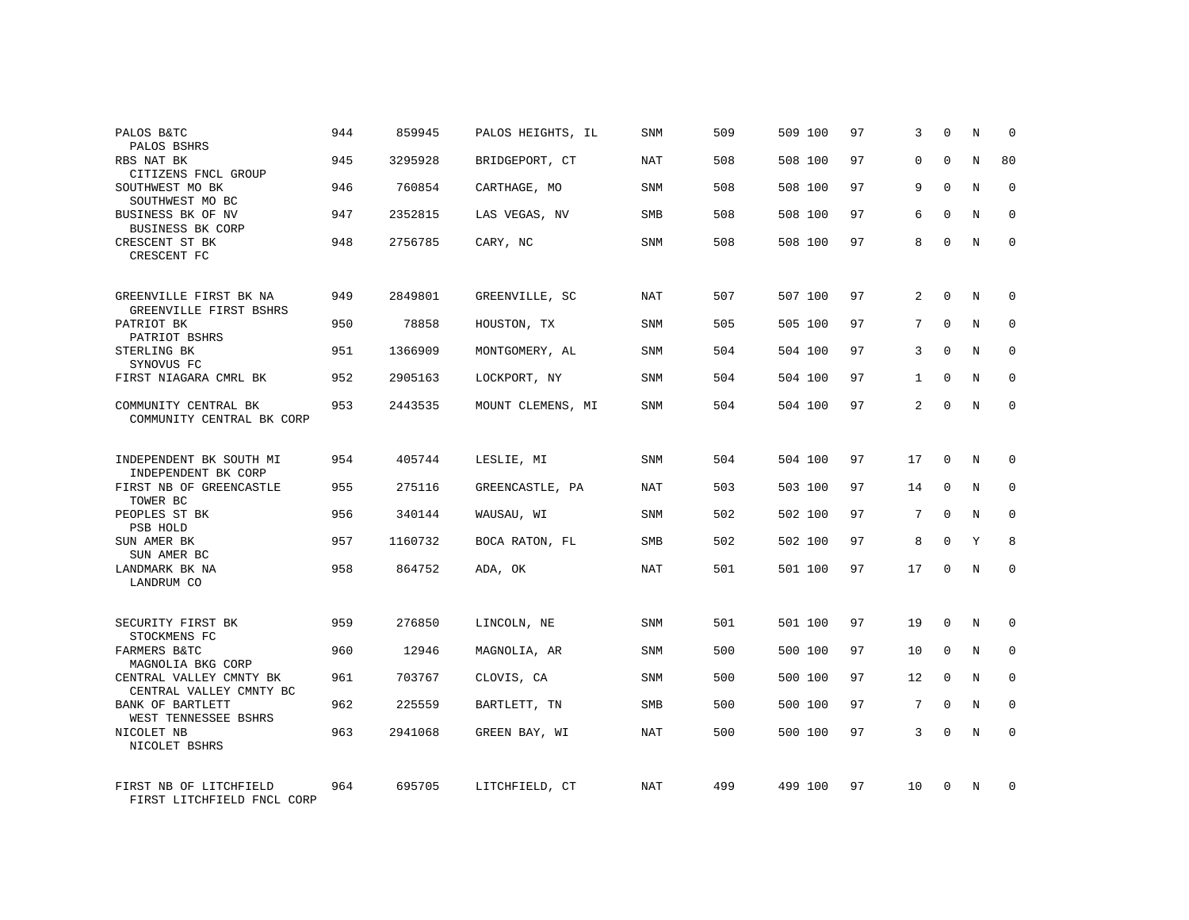| PALOS B&TC<br>PALOS BSHRS                            | 944 | 859945  | PALOS HEIGHTS, IL | SNM        | 509 | 509 100 | 97 | 3               | $\Omega$     | N           | $\Omega$    |
|------------------------------------------------------|-----|---------|-------------------|------------|-----|---------|----|-----------------|--------------|-------------|-------------|
| RBS NAT BK<br>CITIZENS FNCL GROUP                    | 945 | 3295928 | BRIDGEPORT, CT    | NAT        | 508 | 508 100 | 97 | $\Omega$        | $\Omega$     | N           | 80          |
| SOUTHWEST MO BK<br>SOUTHWEST MO BC                   | 946 | 760854  | CARTHAGE, MO      | SNM        | 508 | 508 100 | 97 | 9               | $\Omega$     | N           | $\Omega$    |
| BUSINESS BK OF NV<br>BUSINESS BK CORP                | 947 | 2352815 | LAS VEGAS, NV     | <b>SMB</b> | 508 | 508 100 | 97 | 6               | $\Omega$     | N           | $\Omega$    |
| CRESCENT ST BK<br>CRESCENT FC                        | 948 | 2756785 | CARY, NC          | SNM        | 508 | 508 100 | 97 | 8               | $\Omega$     | N           | $\Omega$    |
| GREENVILLE FIRST BK NA<br>GREENVILLE FIRST BSHRS     | 949 | 2849801 | GREENVILLE, SC    | NAT        | 507 | 507 100 | 97 | 2               | $\Omega$     | N           | $\Omega$    |
| PATRIOT BK<br>PATRIOT BSHRS                          | 950 | 78858   | HOUSTON, TX       | SNM        | 505 | 505 100 | 97 | 7               | $\Omega$     | N           | $\Omega$    |
| STERLING BK<br>SYNOVUS FC                            | 951 | 1366909 | MONTGOMERY, AL    | SNM        | 504 | 504 100 | 97 | 3               | $\Omega$     | N           | $\Omega$    |
| FIRST NIAGARA CMRL BK                                | 952 | 2905163 | LOCKPORT, NY      | SNM        | 504 | 504 100 | 97 | $\mathbf{1}$    | $\Omega$     | N           | $\Omega$    |
| COMMUNITY CENTRAL BK<br>COMMUNITY CENTRAL BK CORP    | 953 | 2443535 | MOUNT CLEMENS, MI | SNM        | 504 | 504 100 | 97 | 2               | $\Omega$     | N           | $\Omega$    |
| INDEPENDENT BK SOUTH MI<br>INDEPENDENT BK CORP       | 954 | 405744  | LESLIE, MI        | SNM        | 504 | 504 100 | 97 | 17              | $\mathbf 0$  | N           | $\mathbf 0$ |
| FIRST NB OF GREENCASTLE<br>TOWER BC                  | 955 | 275116  | GREENCASTLE, PA   | <b>NAT</b> | 503 | 503 100 | 97 | 14              | $\Omega$     | N           | $\Omega$    |
| PEOPLES ST BK<br>PSB HOLD                            | 956 | 340144  | WAUSAU, WI        | <b>SNM</b> | 502 | 502 100 | 97 | 7               | $\Omega$     | N           | $\mathbf 0$ |
| SUN AMER BK<br>SUN AMER BC                           | 957 | 1160732 | BOCA RATON, FL    | SMB        | 502 | 502 100 | 97 | 8               | $\mathbf 0$  | Y           | 8           |
| LANDMARK BK NA<br>LANDRUM CO                         | 958 | 864752  | ADA, OK           | NAT        | 501 | 501 100 | 97 | 17              | $\Omega$     | N           | $\mathbf 0$ |
| SECURITY FIRST BK<br>STOCKMENS FC                    | 959 | 276850  | LINCOLN, NE       | <b>SNM</b> | 501 | 501 100 | 97 | 19              | $\Omega$     | N           | $\mathbf 0$ |
| FARMERS B&TC<br>MAGNOLIA BKG CORP                    | 960 | 12946   | MAGNOLIA, AR      | SNM        | 500 | 500 100 | 97 | 10              | $\mathbf 0$  | $\mathbf N$ | $\mathbf 0$ |
| CENTRAL VALLEY CMNTY BK<br>CENTRAL VALLEY CMNTY BC   | 961 | 703767  | CLOVIS, CA        | <b>SNM</b> | 500 | 500 100 | 97 | 12              | $\Omega$     | N           | $\mathbf 0$ |
| BANK OF BARTLETT<br>WEST TENNESSEE BSHRS             | 962 | 225559  | BARTLETT, TN      | SMB        | 500 | 500 100 | 97 | $7\phantom{.0}$ | $\mathbf{0}$ | $\mathbf N$ | $\mathbf 0$ |
| NICOLET NB<br>NICOLET BSHRS                          | 963 | 2941068 | GREEN BAY, WI     | <b>NAT</b> | 500 | 500 100 | 97 | 3               | $\Omega$     | N           | $\mathbf 0$ |
| FIRST NB OF LITCHFIELD<br>FIRST LITCHFIELD FNCL CORP | 964 | 695705  | LITCHFIELD, CT    | NAT        | 499 | 499 100 | 97 | 10              | $\Omega$     | N           | $\mathbf 0$ |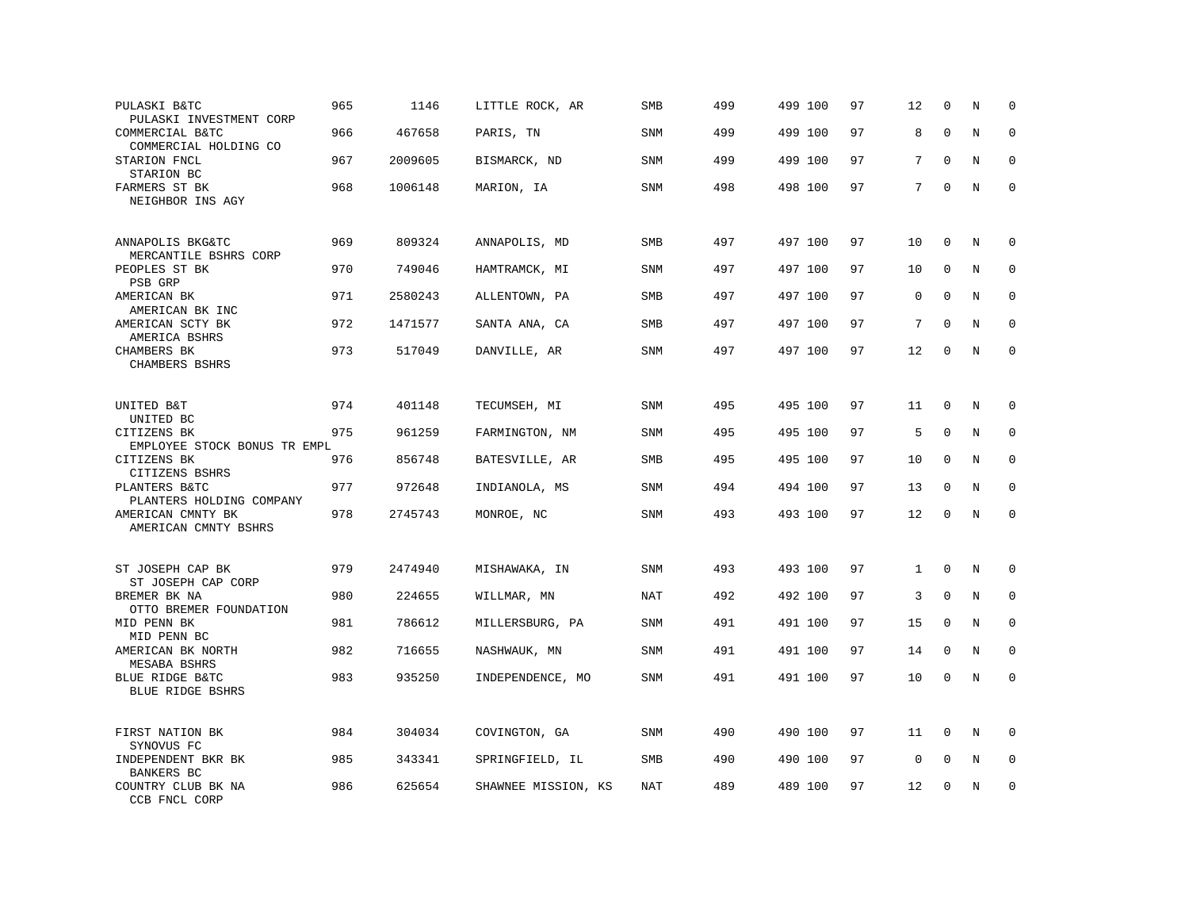| PULASKI B&TC<br>PULASKI INVESTMENT CORP     | 965 | 1146    | LITTLE ROCK, AR     | SMB        | 499 | 499 100 | 97 | 12           | $\mathbf 0$  | N       | $\mathbf 0$ |
|---------------------------------------------|-----|---------|---------------------|------------|-----|---------|----|--------------|--------------|---------|-------------|
| COMMERCIAL B&TC<br>COMMERCIAL HOLDING CO    | 966 | 467658  | PARIS, TN           | <b>SNM</b> | 499 | 499 100 | 97 | 8            | $\mathbf 0$  | N       | $\mathbf 0$ |
| STARION FNCL<br>STARION BC                  | 967 | 2009605 | BISMARCK, ND        | SNM        | 499 | 499 100 | 97 | 7            | $\mathbf{0}$ | N       | $\mathbf 0$ |
| FARMERS ST BK<br>NEIGHBOR INS AGY           | 968 | 1006148 | MARION, IA          | <b>SNM</b> | 498 | 498 100 | 97 | 7            | $\mathbf{0}$ | N       | $\mathbf 0$ |
| ANNAPOLIS BKG&TC<br>MERCANTILE BSHRS CORP   | 969 | 809324  | ANNAPOLIS, MD       | SMB        | 497 | 497 100 | 97 | 10           | $\mathbf{0}$ | N       | $\mathbf 0$ |
| PEOPLES ST BK<br>PSB GRP                    | 970 | 749046  | HAMTRAMCK, MI       | SNM        | 497 | 497 100 | 97 | 10           | $\mathbf 0$  | N       | $\mathbf 0$ |
| AMERICAN BK<br>AMERICAN BK INC              | 971 | 2580243 | ALLENTOWN, PA       | SMB        | 497 | 497 100 | 97 | $\mathbf 0$  | $\Omega$     | N       | $\mathbf 0$ |
| AMERICAN SCTY BK<br>AMERICA BSHRS           | 972 | 1471577 | SANTA ANA, CA       | <b>SMB</b> | 497 | 497 100 | 97 | 7            | $\Omega$     | N       | $\Omega$    |
| CHAMBERS BK<br>CHAMBERS BSHRS               | 973 | 517049  | DANVILLE, AR        | SNM        | 497 | 497 100 | 97 | 12           | $\mathbf 0$  | N       | $\mathbf 0$ |
| UNITED B&T<br>UNITED BC                     | 974 | 401148  | TECUMSEH, MI        | SNM        | 495 | 495 100 | 97 | 11           | $\mathbf 0$  | N       | 0           |
| CITIZENS BK<br>EMPLOYEE STOCK BONUS TR EMPL | 975 | 961259  | FARMINGTON, NM      | <b>SNM</b> | 495 | 495 100 | 97 | 5            | $\mathbf 0$  | N       | $\mathbf 0$ |
| CITIZENS BK<br>CITIZENS BSHRS               | 976 | 856748  | BATESVILLE, AR      | SMB        | 495 | 495 100 | 97 | 10           | $\mathbf 0$  | N       | 0           |
| PLANTERS B&TC<br>PLANTERS HOLDING COMPANY   | 977 | 972648  | INDIANOLA, MS       | SNM        | 494 | 494 100 | 97 | 13           | $\Omega$     | N       | $\mathbf 0$ |
| AMERICAN CMNTY BK<br>AMERICAN CMNTY BSHRS   | 978 | 2745743 | MONROE, NC          | SNM        | 493 | 493 100 | 97 | 12           | $\Omega$     | $\rm N$ | $\mathbf 0$ |
| ST JOSEPH CAP BK<br>ST JOSEPH CAP CORP      | 979 | 2474940 | MISHAWAKA, IN       | <b>SNM</b> | 493 | 493 100 | 97 | $\mathbf{1}$ | $\mathbf 0$  | N       | $\mathbf 0$ |
| BREMER BK NA<br>OTTO BREMER FOUNDATION      | 980 | 224655  | WILLMAR, MN         | NAT        | 492 | 492 100 | 97 | 3            | $\mathbf 0$  | N       | 0           |
| MID PENN BK<br>MID PENN BC                  | 981 | 786612  | MILLERSBURG, PA     | SNM        | 491 | 491 100 | 97 | 15           | $\mathbf 0$  | N       | $\mathbf 0$ |
| AMERICAN BK NORTH<br>MESABA BSHRS           | 982 | 716655  | NASHWAUK, MN        | SNM        | 491 | 491 100 | 97 | 14           | $\mathbf 0$  | N       | $\mathbf 0$ |
| BLUE RIDGE B&TC<br>BLUE RIDGE BSHRS         | 983 | 935250  | INDEPENDENCE, MO    | SNM        | 491 | 491 100 | 97 | 10           | $\mathbf 0$  | N       | $\mathbf 0$ |
| FIRST NATION BK<br>SYNOVUS FC               | 984 | 304034  | COVINGTON, GA       | <b>SNM</b> | 490 | 490 100 | 97 | 11           | $\mathbf 0$  | N       | $\Omega$    |
| INDEPENDENT BKR BK<br>BANKERS BC            | 985 | 343341  | SPRINGFIELD, IL     | SMB        | 490 | 490 100 | 97 | $\mathsf 0$  | 0            | Ν       | 0           |
| COUNTRY CLUB BK NA<br>CCB FNCL CORP         | 986 | 625654  | SHAWNEE MISSION, KS | NAT        | 489 | 489 100 | 97 | 12           | $\mathbf 0$  | N       | $\mathbf 0$ |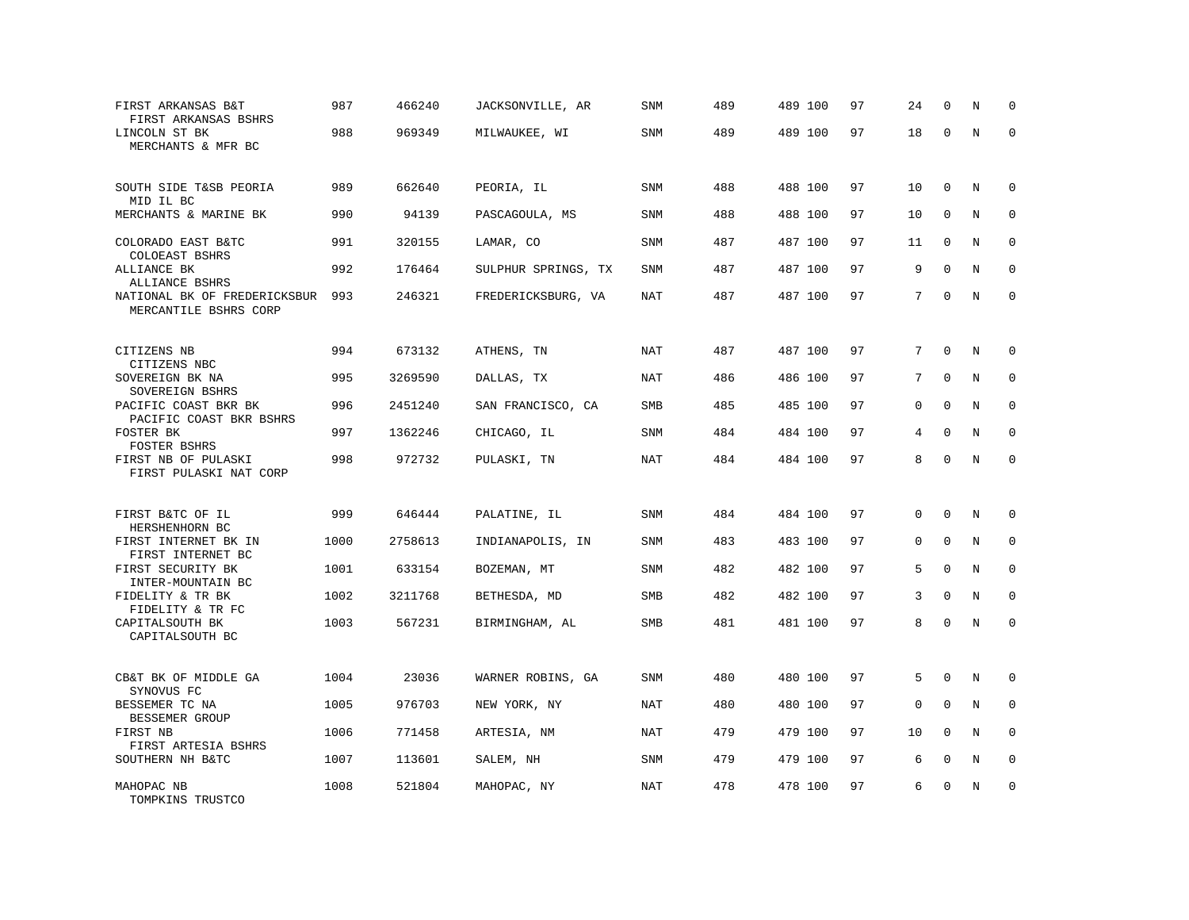| FIRST ARKANSAS B&T<br>FIRST ARKANSAS BSHRS            | 987  | 466240  | JACKSONVILLE, AR    | <b>SNM</b> | 489 | 489 100 | 97 | 24          | $\mathbf 0$ | N       | $\mathbf 0$  |
|-------------------------------------------------------|------|---------|---------------------|------------|-----|---------|----|-------------|-------------|---------|--------------|
| LINCOLN ST BK<br>MERCHANTS & MFR BC                   | 988  | 969349  | MILWAUKEE, WI       | <b>SNM</b> | 489 | 489 100 | 97 | 18          | $\mathbf 0$ | N       | $\mathbf 0$  |
| SOUTH SIDE T&SB PEORIA<br>MID IL BC                   | 989  | 662640  | PEORIA, IL          | SNM        | 488 | 488 100 | 97 | 10          | $\mathbf 0$ | N       | $\mathbf 0$  |
| MERCHANTS & MARINE BK                                 | 990  | 94139   | PASCAGOULA, MS      | <b>SNM</b> | 488 | 488 100 | 97 | 10          | $\mathbf 0$ | N       | $\mathbf 0$  |
| COLORADO EAST B&TC<br>COLOEAST BSHRS                  | 991  | 320155  | LAMAR, CO           | <b>SNM</b> | 487 | 487 100 | 97 | 11          | $\mathbf 0$ | N       | $\mathbf 0$  |
| ALLIANCE BK<br>ALLIANCE BSHRS                         | 992  | 176464  | SULPHUR SPRINGS, TX | SNM        | 487 | 487 100 | 97 | 9           | $\Omega$    | N       | $\mathbf 0$  |
| NATIONAL BK OF FREDERICKSBUR<br>MERCANTILE BSHRS CORP | 993  | 246321  | FREDERICKSBURG, VA  | <b>NAT</b> | 487 | 487 100 | 97 | 7           | $\Omega$    | N       | $\mathbf 0$  |
| CITIZENS NB                                           | 994  | 673132  | ATHENS, TN          | <b>NAT</b> | 487 | 487 100 | 97 | 7           | $\mathbf 0$ | N       | 0            |
| CITIZENS NBC<br>SOVEREIGN BK NA<br>SOVEREIGN BSHRS    | 995  | 3269590 | DALLAS, TX          | NAT        | 486 | 486 100 | 97 | 7           | $\mathbf 0$ | N       | $\mathbf 0$  |
| PACIFIC COAST BKR BK<br>PACIFIC COAST BKR BSHRS       | 996  | 2451240 | SAN FRANCISCO, CA   | SMB        | 485 | 485 100 | 97 | 0           | $\mathbf 0$ | N       | $\mathbf 0$  |
| FOSTER BK<br>FOSTER BSHRS                             | 997  | 1362246 | CHICAGO, IL         | SNM        | 484 | 484 100 | 97 | 4           | $\mathbf 0$ | N       | $\Omega$     |
| FIRST NB OF PULASKI<br>FIRST PULASKI NAT CORP         | 998  | 972732  | PULASKI, TN         | <b>NAT</b> | 484 | 484 100 | 97 | 8           | $\mathbf 0$ | N       | $\mathbf 0$  |
| FIRST B&TC OF IL<br>HERSHENHORN BC                    | 999  | 646444  | PALATINE, IL        | SNM        | 484 | 484 100 | 97 | 0           | 0           | N       | 0            |
| FIRST INTERNET BK IN<br>FIRST INTERNET BC             | 1000 | 2758613 | INDIANAPOLIS, IN    | SNM        | 483 | 483 100 | 97 | 0           | $\mathbf 0$ | N       | $\mathbf 0$  |
| FIRST SECURITY BK<br>INTER-MOUNTAIN BC                | 1001 | 633154  | BOZEMAN, MT         | SNM        | 482 | 482 100 | 97 | 5           | $\mathbf 0$ | N       | $\mathbf 0$  |
| FIDELITY & TR BK<br>FIDELITY & TR FC                  | 1002 | 3211768 | BETHESDA, MD        | <b>SMB</b> | 482 | 482 100 | 97 | 3           | $\mathbf 0$ | N       | $\mathbf{0}$ |
| CAPITALSOUTH BK<br>CAPITALSOUTH BC                    | 1003 | 567231  | BIRMINGHAM, AL      | SMB        | 481 | 481 100 | 97 | 8           | $\mathbf 0$ | N       | $\mathbf 0$  |
| CB&T BK OF MIDDLE GA<br>SYNOVUS FC                    | 1004 | 23036   | WARNER ROBINS, GA   | SNM        | 480 | 480 100 | 97 | 5           | $\Omega$    | N       | 0            |
| BESSEMER TC NA<br>BESSEMER GROUP                      | 1005 | 976703  | NEW YORK, NY        | <b>NAT</b> | 480 | 480 100 | 97 | $\mathbf 0$ | $\mathbf 0$ | N       | 0            |
| FIRST NB<br>FIRST ARTESIA BSHRS                       | 1006 | 771458  | ARTESIA, NM         | <b>NAT</b> | 479 | 479 100 | 97 | 10          | $\Omega$    | N       | $\mathbf 0$  |
| SOUTHERN NH B&TC                                      | 1007 | 113601  | SALEM, NH           | SNM        | 479 | 479 100 | 97 | 6           | $\mathbf 0$ | $\rm N$ | 0            |
| MAHOPAC NB<br>TOMPKINS TRUSTCO                        | 1008 | 521804  | MAHOPAC, NY         | NAT        | 478 | 478 100 | 97 | 6           | $\mathbf 0$ | N       | $\mathbf 0$  |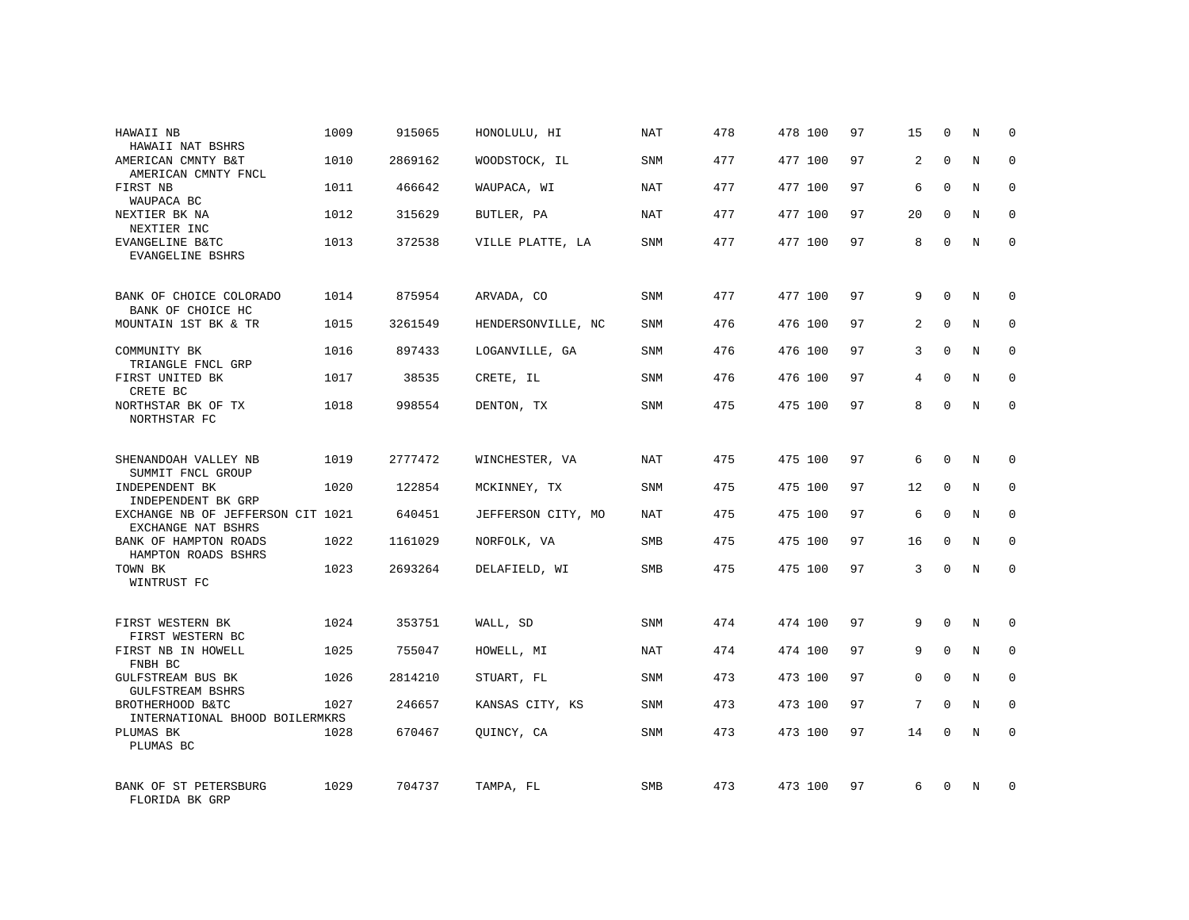| HAWAII NB<br>HAWAII NAT BSHRS                           | 1009 | 915065  | HONOLULU, HI       | NAT        | 478 | 478 100 | 97 | 15             | $\mathbf 0$  | N       | $\Omega$    |
|---------------------------------------------------------|------|---------|--------------------|------------|-----|---------|----|----------------|--------------|---------|-------------|
| AMERICAN CMNTY B&T<br>AMERICAN CMNTY FNCL               | 1010 | 2869162 | WOODSTOCK, IL      | SNM        | 477 | 477 100 | 97 | 2              | $\Omega$     | N       | $\Omega$    |
| FIRST NB<br>WAUPACA BC                                  | 1011 | 466642  | WAUPACA, WI        | NAT        | 477 | 477 100 | 97 | 6              | $\Omega$     | N       | $\mathbf 0$ |
| NEXTIER BK NA<br>NEXTIER INC                            | 1012 | 315629  | BUTLER, PA         | NAT        | 477 | 477 100 | 97 | 20             | $\Omega$     | N       | $\Omega$    |
| EVANGELINE B&TC<br>EVANGELINE BSHRS                     | 1013 | 372538  | VILLE PLATTE, LA   | SNM        | 477 | 477 100 | 97 | 8              | $\Omega$     | N       | $\Omega$    |
| BANK OF CHOICE COLORADO<br>BANK OF CHOICE HC            | 1014 | 875954  | ARVADA, CO         | SNM        | 477 | 477 100 | 97 | 9              | $\Omega$     | N       | $\Omega$    |
| MOUNTAIN 1ST BK & TR                                    | 1015 | 3261549 | HENDERSONVILLE, NC | SNM        | 476 | 476 100 | 97 | $\overline{2}$ | $\Omega$     | N       | $\Omega$    |
| COMMUNITY BK<br>TRIANGLE FNCL GRP                       | 1016 | 897433  | LOGANVILLE, GA     | SNM        | 476 | 476 100 | 97 | 3              | $\Omega$     | N       | $\Omega$    |
| FIRST UNITED BK<br>CRETE BC                             | 1017 | 38535   | CRETE, IL          | <b>SNM</b> | 476 | 476 100 | 97 | 4              | $\Omega$     | N       | $\Omega$    |
| NORTHSTAR BK OF TX<br>NORTHSTAR FC                      | 1018 | 998554  | DENTON, TX         | SNM        | 475 | 475 100 | 97 | 8              | $\Omega$     | N       | $\Omega$    |
| SHENANDOAH VALLEY NB<br>SUMMIT FNCL GROUP               | 1019 | 2777472 | WINCHESTER, VA     | NAT        | 475 | 475 100 | 97 | 6              | $\Omega$     | N       | $\mathbf 0$ |
| INDEPENDENT BK<br>INDEPENDENT BK GRP                    | 1020 | 122854  | MCKINNEY, TX       | <b>SNM</b> | 475 | 475 100 | 97 | 12             | $\Omega$     | N       | $\mathbf 0$ |
| EXCHANGE NB OF JEFFERSON CIT 1021<br>EXCHANGE NAT BSHRS |      | 640451  | JEFFERSON CITY, MO | NAT        | 475 | 475 100 | 97 | 6              | $\Omega$     | N       | $\mathbf 0$ |
| BANK OF HAMPTON ROADS<br>HAMPTON ROADS BSHRS            | 1022 | 1161029 | NORFOLK, VA        | SMB        | 475 | 475 100 | 97 | 16             | $\mathbf{0}$ | $\rm N$ | $\mathbf 0$ |
| TOWN BK<br>WINTRUST FC                                  | 1023 | 2693264 | DELAFIELD, WI      | <b>SMB</b> | 475 | 475 100 | 97 | 3              | $\Omega$     | N       | $\mathbf 0$ |
| FIRST WESTERN BK<br>FIRST WESTERN BC                    | 1024 | 353751  | WALL, SD           | SNM        | 474 | 474 100 | 97 | 9              | $\Omega$     | N       | $\mathbf 0$ |
| FIRST NB IN HOWELL<br>FNBH BC                           | 1025 | 755047  | HOWELL, MI         | <b>NAT</b> | 474 | 474 100 | 97 | 9              | $\mathbf 0$  | $\rm N$ | $\mathbf 0$ |
| GULFSTREAM BUS BK<br><b>GULFSTREAM BSHRS</b>            | 1026 | 2814210 | STUART, FL         | SNM        | 473 | 473 100 | 97 | $\Omega$       | $\Omega$     | N       | $\mathbf 0$ |
| BROTHERHOOD B&TC<br>INTERNATIONAL BHOOD BOILERMKRS      | 1027 | 246657  | KANSAS CITY, KS    | <b>SNM</b> | 473 | 473 100 | 97 | 7              | $\mathbf 0$  | N       | $\mathbf 0$ |
| PLUMAS BK<br>PLUMAS BC                                  | 1028 | 670467  | OUINCY, CA         | SNM        | 473 | 473 100 | 97 | 14             | $\Omega$     | N       | $\mathbf 0$ |
| BANK OF ST PETERSBURG<br>FLORIDA BK GRP                 | 1029 | 704737  | TAMPA, FL          | <b>SMB</b> | 473 | 473 100 | 97 | 6              | $\Omega$     | N       | $\mathbf 0$ |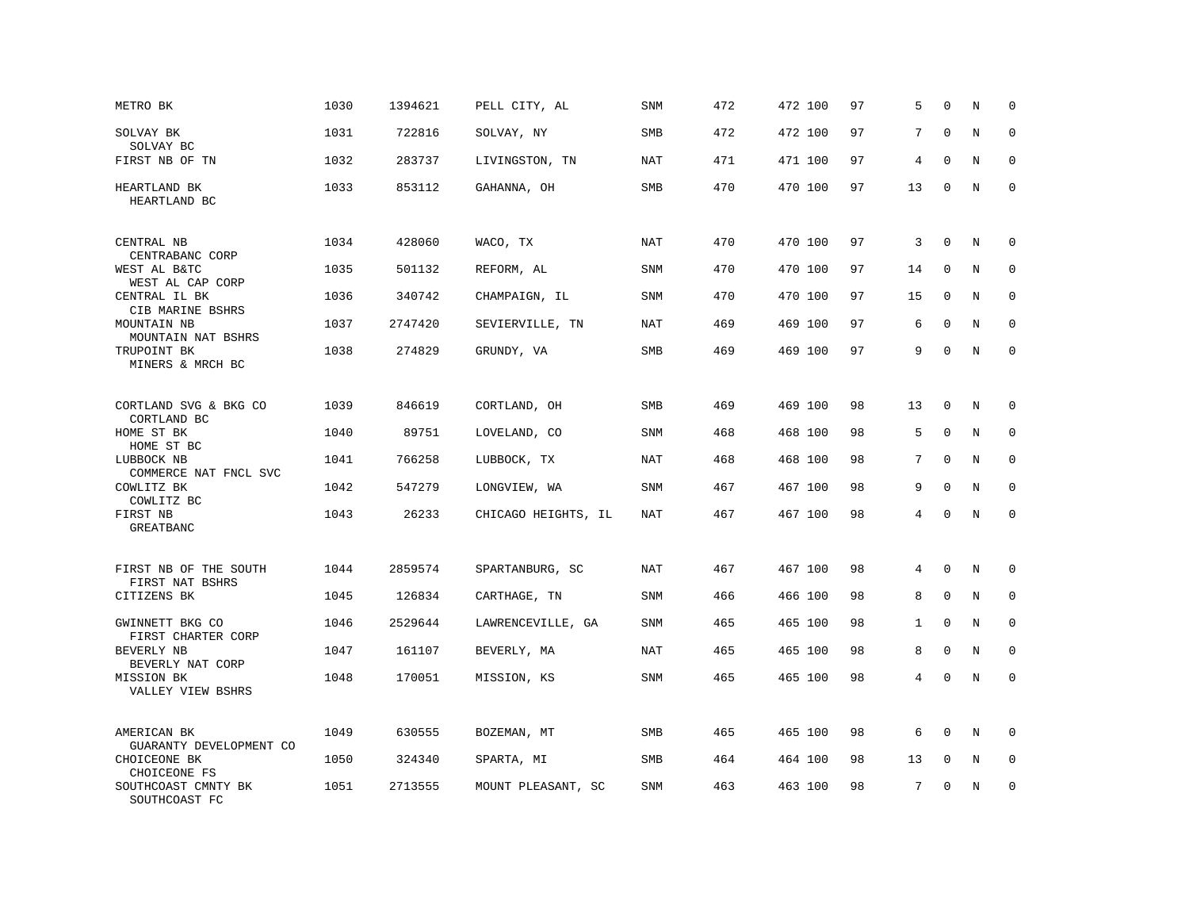| METRO BK                                 | 1030 | 1394621 | PELL CITY, AL       | <b>SNM</b> | 472 | 472 100 | 97 | 5            | $\mathbf 0$  | N       | $\mathbf 0$  |
|------------------------------------------|------|---------|---------------------|------------|-----|---------|----|--------------|--------------|---------|--------------|
| SOLVAY BK<br>SOLVAY BC                   | 1031 | 722816  | SOLVAY, NY          | <b>SMB</b> | 472 | 472 100 | 97 | 7            | $\Omega$     | N       | $\mathbf 0$  |
| FIRST NB OF TN                           | 1032 | 283737  | LIVINGSTON, TN      | <b>NAT</b> | 471 | 471 100 | 97 | 4            | $\mathbf 0$  | N       | $\mathbf 0$  |
| HEARTLAND BK<br>HEARTLAND BC             | 1033 | 853112  | GAHANNA, OH         | <b>SMB</b> | 470 | 470 100 | 97 | 13           | $\mathbf 0$  | N       | $\mathbf 0$  |
| CENTRAL NB<br>CENTRABANC CORP            | 1034 | 428060  | WACO, TX            | NAT        | 470 | 470 100 | 97 | 3            | $\mathbf 0$  | N       | 0            |
| WEST AL B&TC<br>WEST AL CAP CORP         | 1035 | 501132  | REFORM, AL          | <b>SNM</b> | 470 | 470 100 | 97 | 14           | $\mathbf 0$  | N       | $\mathbf 0$  |
| CENTRAL IL BK<br>CIB MARINE BSHRS        | 1036 | 340742  | CHAMPAIGN, IL       | <b>SNM</b> | 470 | 470 100 | 97 | 15           | $\Omega$     | N       | $\mathbf{0}$ |
| MOUNTAIN NB<br>MOUNTAIN NAT BSHRS        | 1037 | 2747420 | SEVIERVILLE, TN     | <b>NAT</b> | 469 | 469 100 | 97 | 6            | $\mathbf 0$  | N       | $\mathbf 0$  |
| TRUPOINT BK<br>MINERS & MRCH BC          | 1038 | 274829  | GRUNDY, VA          | <b>SMB</b> | 469 | 469 100 | 97 | 9            | $\mathbf 0$  | $\rm N$ | $\mathbf 0$  |
| CORTLAND SVG & BKG CO<br>CORTLAND BC     | 1039 | 846619  | CORTLAND, OH        | SMB        | 469 | 469 100 | 98 | 13           | $\mathbf 0$  | N       | 0            |
| HOME ST BK<br>HOME ST BC                 | 1040 | 89751   | LOVELAND, CO        | <b>SNM</b> | 468 | 468 100 | 98 | 5            | $\mathbf 0$  | N       | $\mathbf 0$  |
| LUBBOCK NB<br>COMMERCE NAT FNCL SVC      | 1041 | 766258  | LUBBOCK, TX         | <b>NAT</b> | 468 | 468 100 | 98 | 7            | $\mathbf 0$  | $\rm N$ | $\mathbf 0$  |
| COWLITZ BK<br>COWLITZ BC                 | 1042 | 547279  | LONGVIEW, WA        | <b>SNM</b> | 467 | 467 100 | 98 | 9            | $\Omega$     | N       | $\mathbf 0$  |
| FIRST NB<br>GREATBANC                    | 1043 | 26233   | CHICAGO HEIGHTS, IL | <b>NAT</b> | 467 | 467 100 | 98 | 4            | $\Omega$     | $\rm N$ | $\mathbf 0$  |
| FIRST NB OF THE SOUTH<br>FIRST NAT BSHRS | 1044 | 2859574 | SPARTANBURG, SC     | <b>NAT</b> | 467 | 467 100 | 98 | 4            | $\mathbf 0$  | N       | 0            |
| CITIZENS BK                              | 1045 | 126834  | CARTHAGE, TN        | SNM        | 466 | 466 100 | 98 | 8            | $\mathbf 0$  | N       | 0            |
| GWINNETT BKG CO<br>FIRST CHARTER CORP    | 1046 | 2529644 | LAWRENCEVILLE, GA   | <b>SNM</b> | 465 | 465 100 | 98 | $\mathbf{1}$ | $\mathbf{0}$ | N       | $\mathbf 0$  |
| BEVERLY NB<br>BEVERLY NAT CORP           | 1047 | 161107  | BEVERLY, MA         | NAT        | 465 | 465 100 | 98 | 8            | $\mathbf 0$  | N       | $\mathbf 0$  |
| MISSION BK<br>VALLEY VIEW BSHRS          | 1048 | 170051  | MISSION, KS         | <b>SNM</b> | 465 | 465 100 | 98 | 4            | $\mathbf{0}$ | N       | $\mathbf 0$  |
| AMERICAN BK<br>GUARANTY DEVELOPMENT CO   | 1049 | 630555  | BOZEMAN, MT         | SMB        | 465 | 465 100 | 98 | 6            | $\Omega$     | N       | $\mathbf 0$  |
| CHOICEONE BK<br>CHOICEONE FS             | 1050 | 324340  | SPARTA, MI          | <b>SMB</b> | 464 | 464 100 | 98 | 13           | $\mathbf 0$  | N       | $\mathbf 0$  |
| SOUTHCOAST CMNTY BK<br>SOUTHCOAST FC     | 1051 | 2713555 | MOUNT PLEASANT, SC  | <b>SNM</b> | 463 | 463 100 | 98 | 7            | $\mathbf{0}$ | N       | $\mathbf 0$  |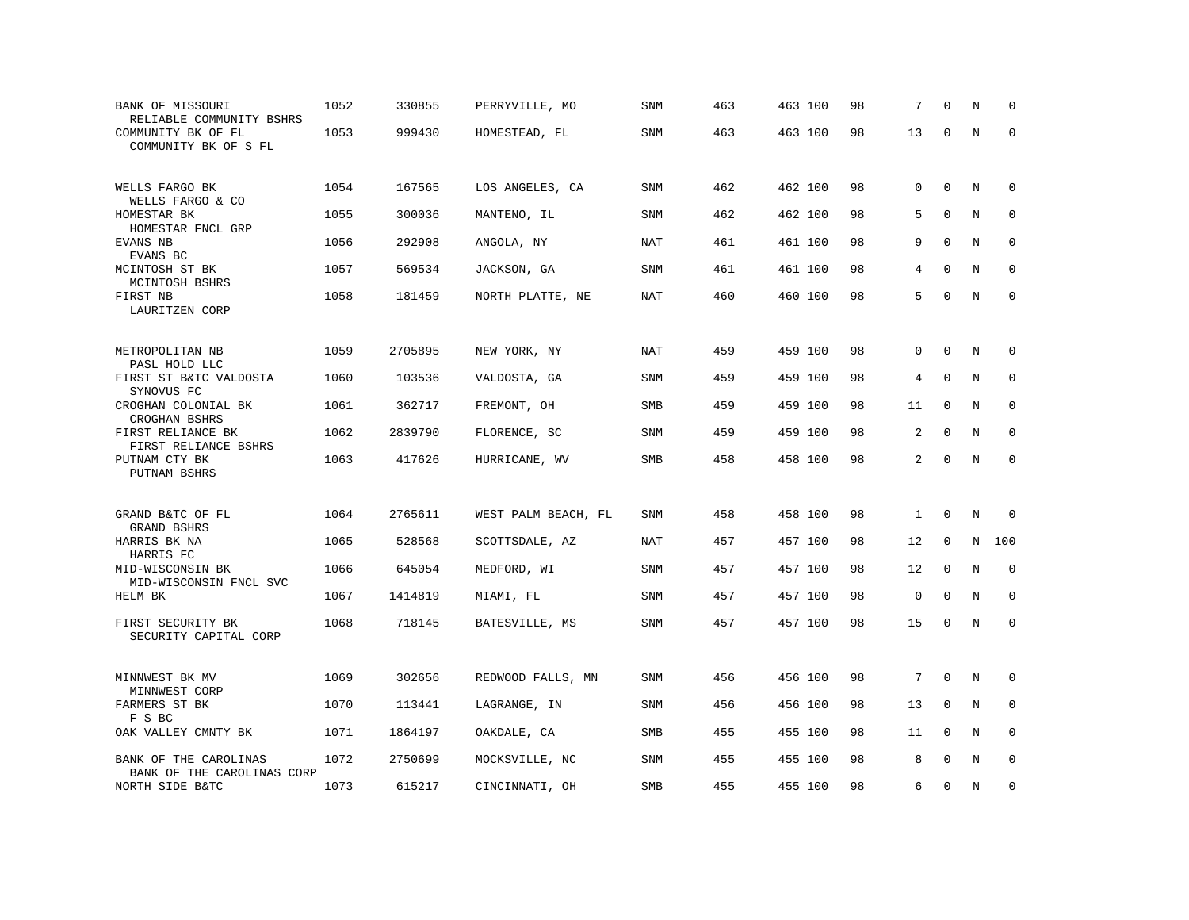| BANK OF MISSOURI<br>RELIABLE COMMUNITY BSHRS        | 1052 | 330855  | PERRYVILLE, MO      | <b>SNM</b> | 463 | 463 100 | 98 | 7              | $\Omega$     | N | $\Omega$    |
|-----------------------------------------------------|------|---------|---------------------|------------|-----|---------|----|----------------|--------------|---|-------------|
| COMMUNITY BK OF FL<br>COMMUNITY BK OF S FL          | 1053 | 999430  | HOMESTEAD, FL       | <b>SNM</b> | 463 | 463 100 | 98 | 13             | $\mathbf 0$  | N | $\mathbf 0$ |
| WELLS FARGO BK<br>WELLS FARGO & CO                  | 1054 | 167565  | LOS ANGELES, CA     | SNM        | 462 | 462 100 | 98 | 0              | $\mathbf 0$  | N | $\mathbf 0$ |
| HOMESTAR BK<br>HOMESTAR FNCL GRP                    | 1055 | 300036  | MANTENO, IL         | <b>SNM</b> | 462 | 462 100 | 98 | 5              | $\mathbf 0$  | N | 0           |
| EVANS NB<br>EVANS BC                                | 1056 | 292908  | ANGOLA, NY          | <b>NAT</b> | 461 | 461 100 | 98 | 9              | $\mathbf 0$  | N | 0           |
| MCINTOSH ST BK<br>MCINTOSH BSHRS                    | 1057 | 569534  | JACKSON, GA         | <b>SNM</b> | 461 | 461 100 | 98 | 4              | $\Omega$     | N | $\mathbf 0$ |
| FIRST NB<br>LAURITZEN CORP                          | 1058 | 181459  | NORTH PLATTE, NE    | NAT        | 460 | 460 100 | 98 | 5              | $\mathbf 0$  | N | $\mathbf 0$ |
| METROPOLITAN NB<br>PASL HOLD LLC                    | 1059 | 2705895 | NEW YORK, NY        | NAT        | 459 | 459 100 | 98 | $\Omega$       | $\Omega$     | N | 0           |
| FIRST ST B&TC VALDOSTA<br>SYNOVUS FC                | 1060 | 103536  | VALDOSTA, GA        | SNM        | 459 | 459 100 | 98 | 4              | $\mathbf 0$  | N | $\mathbf 0$ |
| CROGHAN COLONIAL BK<br>CROGHAN BSHRS                | 1061 | 362717  | FREMONT, OH         | SMB        | 459 | 459 100 | 98 | 11             | $\mathbf 0$  | N | 0           |
| FIRST RELIANCE BK<br>FIRST RELIANCE BSHRS           | 1062 | 2839790 | FLORENCE, SC        | SNM        | 459 | 459 100 | 98 | $\overline{a}$ | $\Omega$     | N | $\Omega$    |
| PUTNAM CTY BK<br>PUTNAM BSHRS                       | 1063 | 417626  | HURRICANE, WV       | <b>SMB</b> | 458 | 458 100 | 98 | 2              | $\mathbf 0$  | N | $\mathbf 0$ |
| GRAND B&TC OF FL<br>GRAND BSHRS                     | 1064 | 2765611 | WEST PALM BEACH, FL | <b>SNM</b> | 458 | 458 100 | 98 | $\mathbf{1}$   | $\Omega$     | N | $\mathbf 0$ |
| HARRIS BK NA<br>HARRIS FC                           | 1065 | 528568  | SCOTTSDALE, AZ      | NAT        | 457 | 457 100 | 98 | 12             | $\mathbf 0$  | N | 100         |
| MID-WISCONSIN BK<br>MID-WISCONSIN FNCL SVC          | 1066 | 645054  | MEDFORD, WI         | <b>SNM</b> | 457 | 457 100 | 98 | 12             | $\mathbf 0$  | N | $\mathbf 0$ |
| HELM BK                                             | 1067 | 1414819 | MIAMI, FL           | SNM        | 457 | 457 100 | 98 | 0              | $\Omega$     | N | $\mathbf 0$ |
| FIRST SECURITY BK<br>SECURITY CAPITAL CORP          | 1068 | 718145  | BATESVILLE, MS      | <b>SNM</b> | 457 | 457 100 | 98 | 15             | $\mathbf 0$  | N | $\mathbf 0$ |
| MINNWEST BK MV<br>MINNWEST CORP                     | 1069 | 302656  | REDWOOD FALLS, MN   | SNM        | 456 | 456 100 | 98 | 7              | $\Omega$     | N | $\mathbf 0$ |
| FARMERS ST BK<br>F S BC                             | 1070 | 113441  | LAGRANGE, IN        | <b>SNM</b> | 456 | 456 100 | 98 | 13             | 0            | N | $\mathbf 0$ |
| OAK VALLEY CMNTY BK                                 | 1071 | 1864197 | OAKDALE, CA         | SMB        | 455 | 455 100 | 98 | 11             | $\mathbf{0}$ | N | $\mathbf 0$ |
| BANK OF THE CAROLINAS<br>BANK OF THE CAROLINAS CORP | 1072 | 2750699 | MOCKSVILLE, NC      | <b>SNM</b> | 455 | 455 100 | 98 | 8              | $\Omega$     | N | $\Omega$    |
| NORTH SIDE B&TC                                     | 1073 | 615217  | CINCINNATI, OH      | <b>SMB</b> | 455 | 455 100 | 98 | 6              | $\mathbf 0$  | N | $\mathbf 0$ |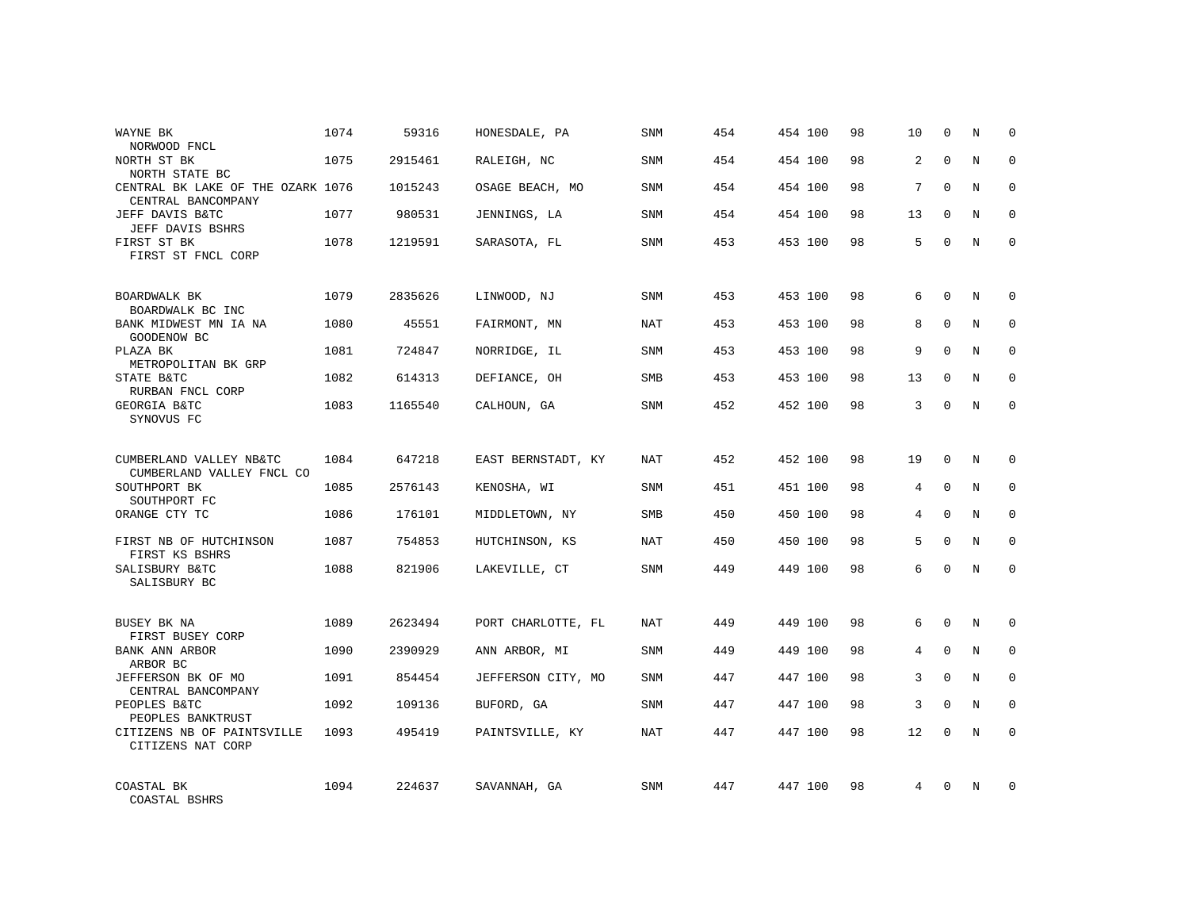| WAYNE BK<br>NORWOOD FNCL                                | 1074 | 59316   | HONESDALE, PA      | <b>SNM</b> | 454 | 454 100 | 98 | 10 | $\mathbf 0$  | N | $\mathbf 0$ |
|---------------------------------------------------------|------|---------|--------------------|------------|-----|---------|----|----|--------------|---|-------------|
| NORTH ST BK<br>NORTH STATE BC                           | 1075 | 2915461 | RALEIGH, NC        | <b>SNM</b> | 454 | 454 100 | 98 | 2  | $\Omega$     | N | $\Omega$    |
| CENTRAL BK LAKE OF THE OZARK 1076<br>CENTRAL BANCOMPANY |      | 1015243 | OSAGE BEACH, MO    | <b>SNM</b> | 454 | 454 100 | 98 | 7  | $\Omega$     | N | $\mathbf 0$ |
| JEFF DAVIS B&TC<br>JEFF DAVIS BSHRS                     | 1077 | 980531  | JENNINGS, LA       | <b>SNM</b> | 454 | 454 100 | 98 | 13 | $\Omega$     | N | $\mathbf 0$ |
| FIRST ST BK<br>FIRST ST FNCL CORP                       | 1078 | 1219591 | SARASOTA, FL       | <b>SNM</b> | 453 | 453 100 | 98 | 5  | $\Omega$     | N | $\Omega$    |
| BOARDWALK BK<br>BOARDWALK BC INC                        | 1079 | 2835626 | LINWOOD, NJ        | <b>SNM</b> | 453 | 453 100 | 98 | 6  | $\Omega$     | N | $\Omega$    |
| BANK MIDWEST MN IA NA<br>GOODENOW BC                    | 1080 | 45551   | FAIRMONT, MN       | NAT        | 453 | 453 100 | 98 | 8  | $\mathbf{0}$ | N | $\mathbf 0$ |
| PLAZA BK<br>METROPOLITAN BK GRP                         | 1081 | 724847  | NORRIDGE, IL       | <b>SNM</b> | 453 | 453 100 | 98 | 9  | $\Omega$     | N | $\mathbf 0$ |
| STATE B&TC<br>RURBAN FNCL CORP                          | 1082 | 614313  | DEFIANCE, OH       | SMB        | 453 | 453 100 | 98 | 13 | $\mathbf 0$  | N | 0           |
| GEORGIA B&TC<br>SYNOVUS FC                              | 1083 | 1165540 | CALHOUN, GA        | <b>SNM</b> | 452 | 452 100 | 98 | 3  | $\Omega$     | N | $\mathbf 0$ |
| CUMBERLAND VALLEY NB&TC<br>CUMBERLAND VALLEY FNCL CO    | 1084 | 647218  | EAST BERNSTADT, KY | <b>NAT</b> | 452 | 452 100 | 98 | 19 | $\mathbf 0$  | N | $\mathbf 0$ |
| SOUTHPORT BK<br>SOUTHPORT FC                            | 1085 | 2576143 | KENOSHA, WI        | <b>SNM</b> | 451 | 451 100 | 98 | 4  | $\Omega$     | N | $\mathbf 0$ |
| ORANGE CTY TC                                           | 1086 | 176101  | MIDDLETOWN, NY     | SMB        | 450 | 450 100 | 98 | 4  | $\Omega$     | N | $\mathbf 0$ |
| FIRST NB OF HUTCHINSON<br>FIRST KS BSHRS                | 1087 | 754853  | HUTCHINSON, KS     | NAT        | 450 | 450 100 | 98 | 5  | $\Omega$     | N | $\mathbf 0$ |
| SALISBURY B&TC<br>SALISBURY BC                          | 1088 | 821906  | LAKEVILLE, CT      | SNM        | 449 | 449 100 | 98 | 6  | $\Omega$     | N | $\mathbf 0$ |
| BUSEY BK NA<br>FIRST BUSEY CORP                         | 1089 | 2623494 | PORT CHARLOTTE, FL | <b>NAT</b> | 449 | 449 100 | 98 | 6  | $\mathbf{0}$ | N | $\mathbf 0$ |
| BANK ANN ARBOR<br>ARBOR BC                              | 1090 | 2390929 | ANN ARBOR, MI      | SNM        | 449 | 449 100 | 98 | 4  | $\mathbf{0}$ | N | $\mathbf 0$ |
| JEFFERSON BK OF MO<br>CENTRAL BANCOMPANY                | 1091 | 854454  | JEFFERSON CITY, MO | <b>SNM</b> | 447 | 447 100 | 98 | 3  | $\Omega$     | N | $\mathbf 0$ |
| PEOPLES B&TC<br>PEOPLES BANKTRUST                       | 1092 | 109136  | BUFORD, GA         | SNM        | 447 | 447 100 | 98 | 3  | $\mathbf 0$  | N | 0           |
| CITIZENS NB OF PAINTSVILLE<br>CITIZENS NAT CORP         | 1093 | 495419  | PAINTSVILLE, KY    | <b>NAT</b> | 447 | 447 100 | 98 | 12 | $\Omega$     | N | $\mathbf 0$ |
| COASTAL BK<br>COASTAL BSHRS                             | 1094 | 224637  | SAVANNAH, GA       | <b>SNM</b> | 447 | 447 100 | 98 | 4  | $\Omega$     | N | $\mathbf 0$ |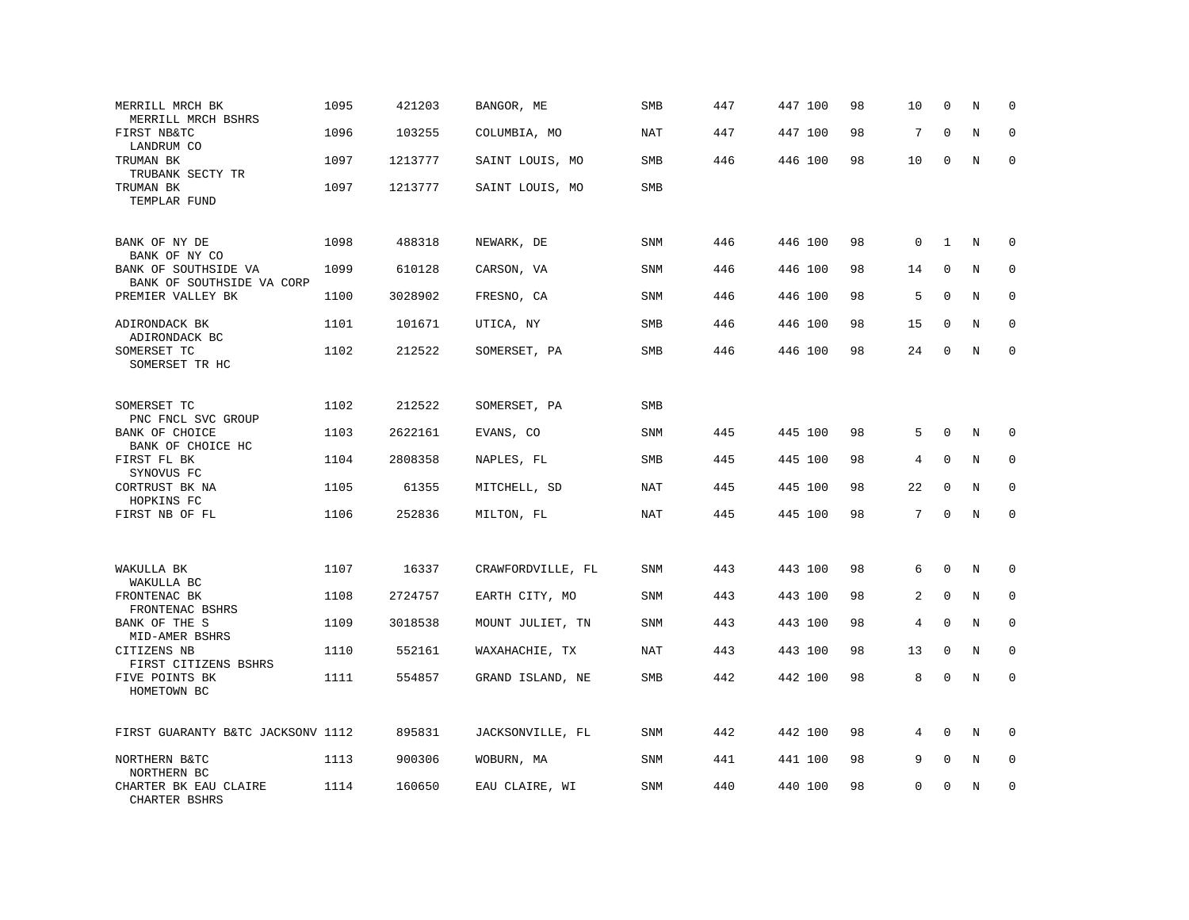| MERRILL MRCH BK<br>MERRILL MRCH BSHRS             | 1095 | 421203  | BANGOR, ME        | SMB        | 447 | 447 100 | 98 | 10          | $\mathbf 0$  | N       | $\Omega$     |
|---------------------------------------------------|------|---------|-------------------|------------|-----|---------|----|-------------|--------------|---------|--------------|
| FIRST NB&TC<br>LANDRUM CO                         | 1096 | 103255  | COLUMBIA, MO      | <b>NAT</b> | 447 | 447 100 | 98 | 7           | $\mathbf{0}$ | $\rm N$ | $\mathbf 0$  |
| TRUMAN BK<br>TRUBANK SECTY TR                     | 1097 | 1213777 | SAINT LOUIS, MO   | SMB        | 446 | 446 100 | 98 | 10          | 0            | N       | $\mathbf 0$  |
| TRUMAN BK<br>TEMPLAR FUND                         | 1097 | 1213777 | SAINT LOUIS, MO   | SMB        |     |         |    |             |              |         |              |
| BANK OF NY DE<br>BANK OF NY CO                    | 1098 | 488318  | NEWARK, DE        | <b>SNM</b> | 446 | 446 100 | 98 | $\mathsf 0$ | $\mathbf{1}$ | N       | 0            |
| BANK OF SOUTHSIDE VA<br>BANK OF SOUTHSIDE VA CORP | 1099 | 610128  | CARSON, VA        | <b>SNM</b> | 446 | 446 100 | 98 | 14          | $\mathbf{0}$ | N       | $\mathbf 0$  |
| PREMIER VALLEY BK                                 | 1100 | 3028902 | FRESNO, CA        | SNM        | 446 | 446 100 | 98 | 5           | $\Omega$     | N       | $\mathbf 0$  |
| ADIRONDACK BK<br>ADIRONDACK BC                    | 1101 | 101671  | UTICA, NY         | <b>SMB</b> | 446 | 446 100 | 98 | 15          | $\mathbf 0$  | N       | $\mathbf 0$  |
| SOMERSET TC<br>SOMERSET TR HC                     | 1102 | 212522  | SOMERSET, PA      | <b>SMB</b> | 446 | 446 100 | 98 | 24          | $\Omega$     | N       | $\mathbf 0$  |
| SOMERSET TC<br>PNC FNCL SVC GROUP                 | 1102 | 212522  | SOMERSET, PA      | <b>SMB</b> |     |         |    |             |              |         |              |
| BANK OF CHOICE<br>BANK OF CHOICE HC               | 1103 | 2622161 | EVANS, CO         | <b>SNM</b> | 445 | 445 100 | 98 | 5           | $\mathbf{0}$ | N       | $\mathbf 0$  |
| FIRST FL BK<br>SYNOVUS FC                         | 1104 | 2808358 | NAPLES, FL        | SMB        | 445 | 445 100 | 98 | 4           | $\mathbf{0}$ | N       | $\mathbf 0$  |
| CORTRUST BK NA<br>HOPKINS FC                      | 1105 | 61355   | MITCHELL, SD      | NAT        | 445 | 445 100 | 98 | 22          | $\Omega$     | N       | $\Omega$     |
| FIRST NB OF FL                                    | 1106 | 252836  | MILTON, FL        | <b>NAT</b> | 445 | 445 100 | 98 | 7           | $\mathbf 0$  | N       | $\mathbf 0$  |
| WAKULLA BK<br>WAKULLA BC                          | 1107 | 16337   | CRAWFORDVILLE, FL | SNM        | 443 | 443 100 | 98 | 6           | $\mathbf 0$  | N       | 0            |
| FRONTENAC BK<br>FRONTENAC BSHRS                   | 1108 | 2724757 | EARTH CITY, MO    | <b>SNM</b> | 443 | 443 100 | 98 | 2           | $\mathbf{0}$ | N       | $\mathbf{0}$ |
| BANK OF THE S<br>MID-AMER BSHRS                   | 1109 | 3018538 | MOUNT JULIET, TN  | SNM        | 443 | 443 100 | 98 | 4           | $\Omega$     | N       | $\Omega$     |
| CITIZENS NB<br>FIRST CITIZENS BSHRS               | 1110 | 552161  | WAXAHACHIE, TX    | <b>NAT</b> | 443 | 443 100 | 98 | 13          | $\mathbf{0}$ | N       | $\mathbf 0$  |
| FIVE POINTS BK<br>HOMETOWN BC                     | 1111 | 554857  | GRAND ISLAND, NE  | <b>SMB</b> | 442 | 442 100 | 98 | 8           | $\mathbf 0$  | N       | $\mathbf 0$  |
| FIRST GUARANTY B&TC JACKSONV 1112                 |      | 895831  | JACKSONVILLE, FL  | SNM        | 442 | 442 100 | 98 | 4           | $\Omega$     | N       | $\Omega$     |
| NORTHERN B&TC<br>NORTHERN BC                      | 1113 | 900306  | WOBURN, MA        | SNM        | 441 | 441 100 | 98 | 9           | $\mathbf 0$  | Ν       | 0            |
| CHARTER BK EAU CLAIRE<br>CHARTER BSHRS            | 1114 | 160650  | EAU CLAIRE, WI    | SNM        | 440 | 440 100 | 98 | 0           | $\mathbf 0$  | N       | $\mathbf 0$  |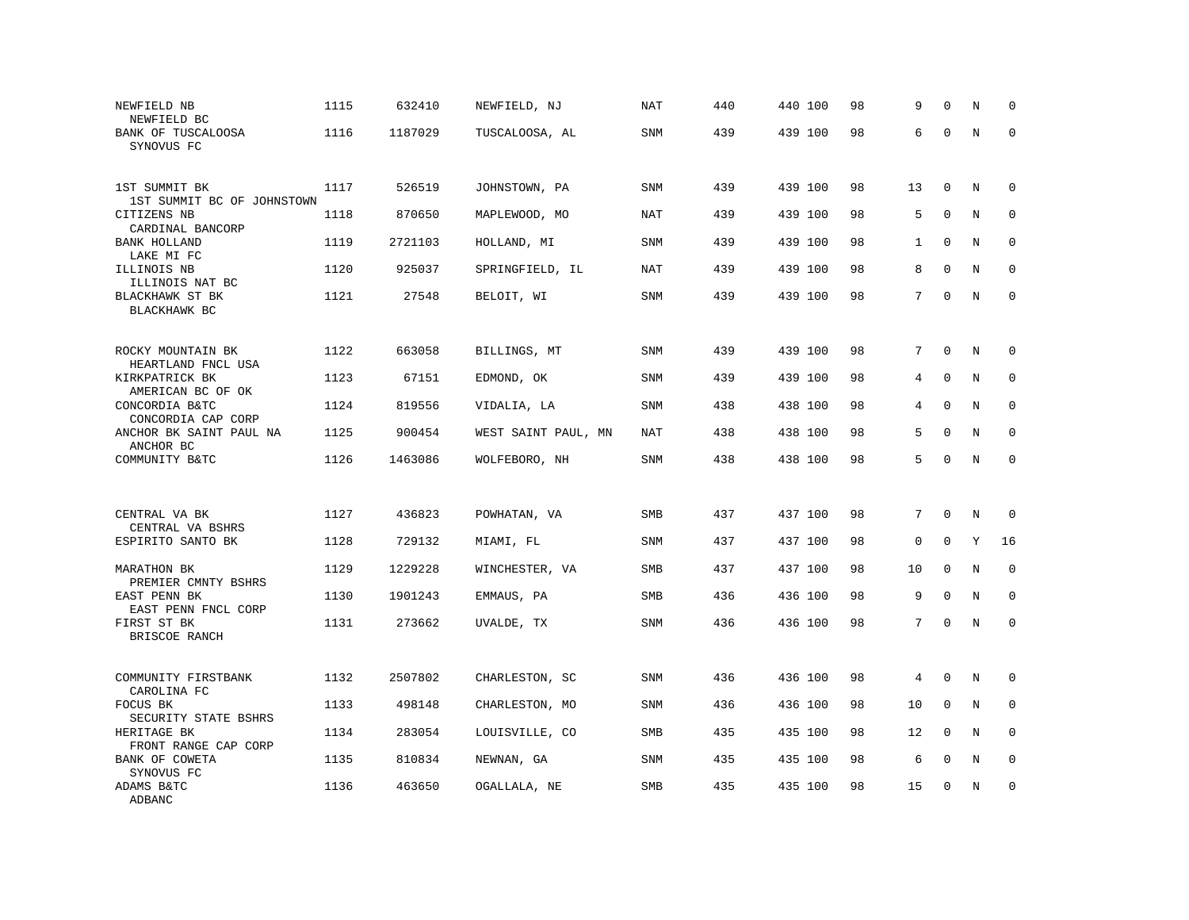| NEWFIELD NB<br>NEWFIELD BC                            | 1115 | 632410  | NEWFIELD, NJ        | <b>NAT</b> | 440 | 440 100 | 98 | 9              | $\Omega$     | N       | $\mathbf 0$  |
|-------------------------------------------------------|------|---------|---------------------|------------|-----|---------|----|----------------|--------------|---------|--------------|
| BANK OF TUSCALOOSA<br>SYNOVUS FC                      | 1116 | 1187029 | TUSCALOOSA, AL      | SNM        | 439 | 439 100 | 98 | 6              | $\mathbf 0$  | $\rm N$ | $\mathbf 0$  |
| 1ST SUMMIT BK<br>1ST SUMMIT BC OF JOHNSTOWN           | 1117 | 526519  | JOHNSTOWN, PA       | <b>SNM</b> | 439 | 439 100 | 98 | 13             | $\mathbf 0$  | N       | $\mathbf 0$  |
| CITIZENS NB                                           | 1118 | 870650  | MAPLEWOOD, MO       | <b>NAT</b> | 439 | 439 100 | 98 | 5              | $\mathbf{0}$ | N       | $\mathbf 0$  |
| CARDINAL BANCORP<br><b>BANK HOLLAND</b><br>LAKE MI FC | 1119 | 2721103 | HOLLAND, MI         | <b>SNM</b> | 439 | 439 100 | 98 | $\mathbf{1}$   | $\mathbf 0$  | N       | $\mathbf 0$  |
| ILLINOIS NB                                           | 1120 | 925037  | SPRINGFIELD, IL     | <b>NAT</b> | 439 | 439 100 | 98 | 8              | $\Omega$     | N       | $\mathbf 0$  |
| ILLINOIS NAT BC<br>BLACKHAWK ST BK<br>BLACKHAWK BC    | 1121 | 27548   | BELOIT, WI          | SNM        | 439 | 439 100 | 98 | 7              | $\Omega$     | N       | $\mathbf 0$  |
| ROCKY MOUNTAIN BK                                     | 1122 | 663058  | BILLINGS, MT        | SNM        | 439 | 439 100 | 98 | 7              | $\mathbf 0$  | N       | $\mathbf 0$  |
| HEARTLAND FNCL USA<br>KIRKPATRICK BK                  | 1123 | 67151   | EDMOND, OK          | <b>SNM</b> | 439 | 439 100 | 98 | 4              | $\mathbf 0$  | N       | $\mathbf 0$  |
| AMERICAN BC OF OK<br>CONCORDIA B&TC                   | 1124 | 819556  | VIDALIA, LA         | <b>SNM</b> | 438 | 438 100 | 98 | 4              | $\mathbf{0}$ | N       | 0            |
| CONCORDIA CAP CORP<br>ANCHOR BK SAINT PAUL NA         | 1125 | 900454  | WEST SAINT PAUL, MN | <b>NAT</b> | 438 | 438 100 | 98 | 5              | $\Omega$     | N       | $\Omega$     |
| ANCHOR BC                                             |      |         |                     |            |     |         |    |                |              |         |              |
| COMMUNITY B&TC                                        | 1126 | 1463086 | WOLFEBORO, NH       | SNM        | 438 | 438 100 | 98 | 5              | $\mathbf 0$  | N       | $\mathbf 0$  |
| CENTRAL VA BK                                         | 1127 | 436823  | POWHATAN, VA        | SMB        | 437 | 437 100 | 98 | 7              | $\Omega$     | N       | 0            |
| CENTRAL VA BSHRS<br>ESPIRITO SANTO BK                 | 1128 | 729132  | MIAMI, FL           | <b>SNM</b> | 437 | 437 100 | 98 | 0              | $\Omega$     | Y       | 16           |
| MARATHON BK                                           | 1129 | 1229228 | WINCHESTER, VA      | <b>SMB</b> | 437 | 437 100 | 98 | 10             | $\Omega$     | N       | $\mathbf 0$  |
| PREMIER CMNTY BSHRS<br>EAST PENN BK                   | 1130 | 1901243 | EMMAUS, PA          | <b>SMB</b> | 436 | 436 100 | 98 | 9              | $\mathbf{0}$ | N       | $\mathbf{0}$ |
| EAST PENN FNCL CORP<br>FIRST ST BK<br>BRISCOE RANCH   | 1131 | 273662  | UVALDE, TX          | SNM        | 436 | 436 100 | 98 | 7 <sup>1</sup> | $\mathbf{0}$ | N       | $\Omega$     |
|                                                       |      |         |                     |            |     |         |    |                |              |         |              |
| COMMUNITY FIRSTBANK<br>CAROLINA FC                    | 1132 | 2507802 | CHARLESTON, SC      | SNM        | 436 | 436 100 | 98 | 4              | $\mathbf{0}$ | N       | 0            |
| FOCUS BK<br>SECURITY STATE BSHRS                      | 1133 | 498148  | CHARLESTON, MO      | SNM        | 436 | 436 100 | 98 | 10             | $\mathbf{0}$ | N       | 0            |
| HERITAGE BK<br>FRONT RANGE CAP CORP                   | 1134 | 283054  | LOUISVILLE, CO      | <b>SMB</b> | 435 | 435 100 | 98 | 12             | $\Omega$     | N       | $\Omega$     |
| BANK OF COWETA<br>SYNOVUS FC                          | 1135 | 810834  | NEWNAN, GA          | SNM        | 435 | 435 100 | 98 | 6              | $\mathbf{0}$ | $\rm N$ | 0            |
| ADAMS B&TC<br>ADBANC                                  | 1136 | 463650  | OGALLALA, NE        | <b>SMB</b> | 435 | 435 100 | 98 | 15             | $\mathbf 0$  | N       | $\mathbf 0$  |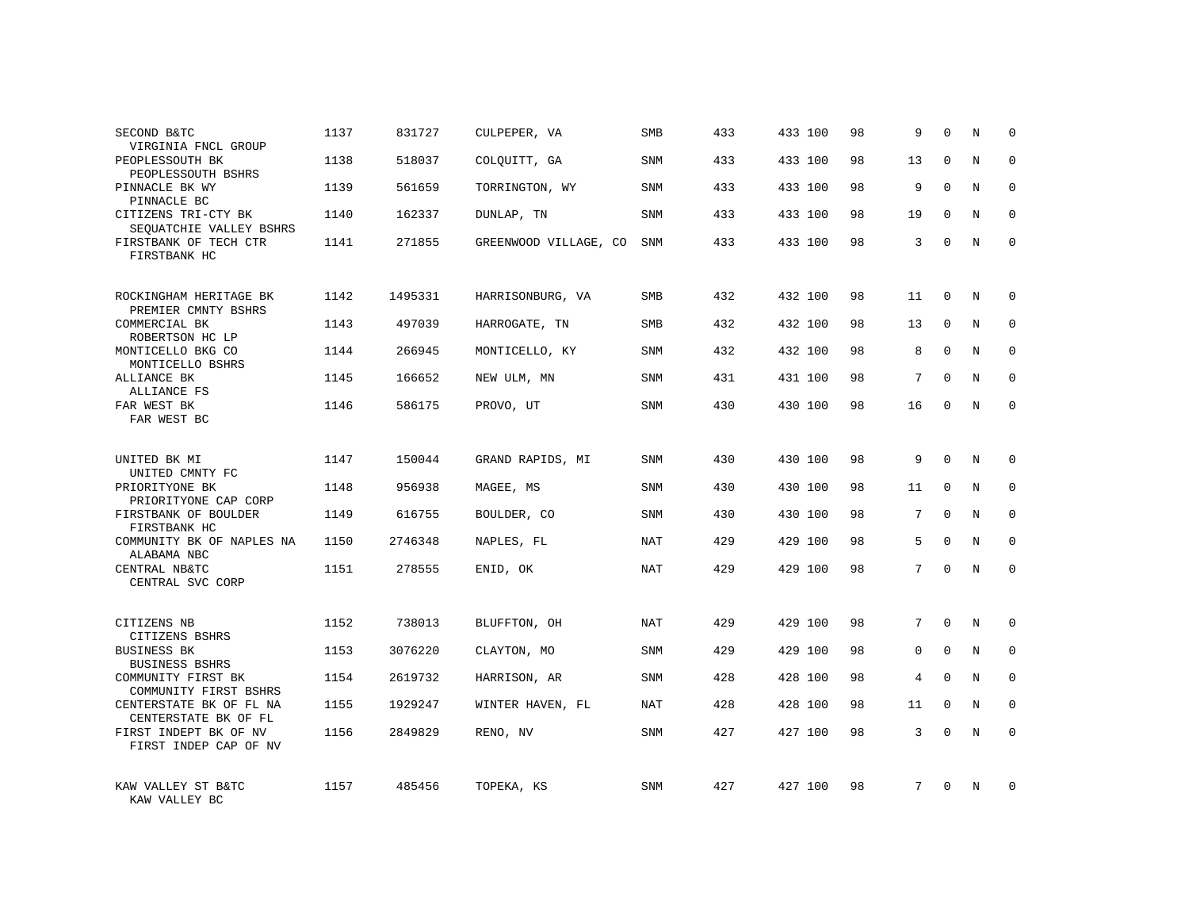| SECOND B&TC<br>VIRGINIA FNCL GROUP              | 1137 | 831727  | CULPEPER, VA          | SMB        | 433 | 433 100 | 98 | 9           | $\Omega$    | N              | $\Omega$    |
|-------------------------------------------------|------|---------|-----------------------|------------|-----|---------|----|-------------|-------------|----------------|-------------|
| PEOPLESSOUTH BK<br>PEOPLESSOUTH BSHRS           | 1138 | 518037  | COLOUITT, GA          | <b>SNM</b> | 433 | 433 100 | 98 | 13          | $\Omega$    | N              | $\Omega$    |
| PINNACLE BK WY<br>PINNACLE BC                   | 1139 | 561659  | TORRINGTON, WY        | SNM        | 433 | 433 100 | 98 | 9           | $\Omega$    | N              | $\mathbf 0$ |
| CITIZENS TRI-CTY BK<br>SEQUATCHIE VALLEY BSHRS  | 1140 | 162337  | DUNLAP, TN            | <b>SNM</b> | 433 | 433 100 | 98 | 19          | $\Omega$    | N              | $\Omega$    |
| FIRSTBANK OF TECH CTR<br>FIRSTBANK HC           | 1141 | 271855  | GREENWOOD VILLAGE, CO | SNM        | 433 | 433 100 | 98 | 3           | $\Omega$    | N              | $\Omega$    |
| ROCKINGHAM HERITAGE BK<br>PREMIER CMNTY BSHRS   | 1142 | 1495331 | HARRISONBURG, VA      | <b>SMB</b> | 432 | 432 100 | 98 | 11          | $\Omega$    | N              | $\Omega$    |
| COMMERCIAL BK<br>ROBERTSON HC LP                | 1143 | 497039  | HARROGATE, TN         | <b>SMB</b> | 432 | 432 100 | 98 | 13          | $\Omega$    | N              | $\Omega$    |
| MONTICELLO BKG CO<br>MONTICELLO BSHRS           | 1144 | 266945  | MONTICELLO, KY        | <b>SNM</b> | 432 | 432 100 | 98 | 8           | $\Omega$    | N              | $\Omega$    |
| ALLIANCE BK<br>ALLIANCE FS                      | 1145 | 166652  | NEW ULM, MN           | <b>SNM</b> | 431 | 431 100 | 98 | 7           | $\Omega$    | $\overline{N}$ | $\Omega$    |
| FAR WEST BK<br>FAR WEST BC                      | 1146 | 586175  | PROVO, UT             | SNM        | 430 | 430 100 | 98 | 16          | $\Omega$    | N              | $\Omega$    |
| UNITED BK MI<br>UNITED CMNTY FC                 | 1147 | 150044  | GRAND RAPIDS, MI      | SNM        | 430 | 430 100 | 98 | 9           | $\Omega$    | N              | $\mathbf 0$ |
| PRIORITYONE BK<br>PRIORITYONE CAP CORP          | 1148 | 956938  | MAGEE, MS             | SNM        | 430 | 430 100 | 98 | 11          | $\Omega$    | $\overline{N}$ | $\Omega$    |
| FIRSTBANK OF BOULDER<br>FIRSTBANK HC            | 1149 | 616755  | BOULDER, CO           | <b>SNM</b> | 430 | 430 100 | 98 | 7           | $\Omega$    | N              | $\mathbf 0$ |
| COMMUNITY BK OF NAPLES NA<br>ALABAMA NBC        | 1150 | 2746348 | NAPLES, FL            | <b>NAT</b> | 429 | 429 100 | 98 | 5           | $\mathbf 0$ | $\rm N$        | $\mathbf 0$ |
| CENTRAL NB&TC<br>CENTRAL SVC CORP               | 1151 | 278555  | ENID, OK              | NAT        | 429 | 429 100 | 98 | 7           | $\Omega$    | $\overline{N}$ | $\mathbf 0$ |
| CITIZENS NB<br>CITIZENS BSHRS                   | 1152 | 738013  | BLUFFTON, OH          | <b>NAT</b> | 429 | 429 100 | 98 | 7           | $\Omega$    | N              | $\mathbf 0$ |
| <b>BUSINESS BK</b><br><b>BUSINESS BSHRS</b>     | 1153 | 3076220 | CLAYTON, MO           | SNM        | 429 | 429 100 | 98 | $\mathbf 0$ | $\mathbf 0$ | $\rm N$        | $\mathbf 0$ |
| COMMUNITY FIRST BK<br>COMMUNITY FIRST BSHRS     | 1154 | 2619732 | HARRISON, AR          | SNM        | 428 | 428 100 | 98 | 4           | $\Omega$    | N              | $\mathbf 0$ |
| CENTERSTATE BK OF FL NA<br>CENTERSTATE BK OF FL | 1155 | 1929247 | WINTER HAVEN, FL      | <b>NAT</b> | 428 | 428 100 | 98 | 11          | $\Omega$    | $\mathbf N$    | $\mathbf 0$ |
| FIRST INDEPT BK OF NV<br>FIRST INDEP CAP OF NV  | 1156 | 2849829 | RENO, NV              | <b>SNM</b> | 427 | 427 100 | 98 | 3           | $\Omega$    | N              | $\mathbf 0$ |
| KAW VALLEY ST B&TC<br>KAW VALLEY BC             | 1157 | 485456  | TOPEKA, KS            | <b>SNM</b> | 427 | 427 100 | 98 | 7           | $\Omega$    | N              | $\mathbf 0$ |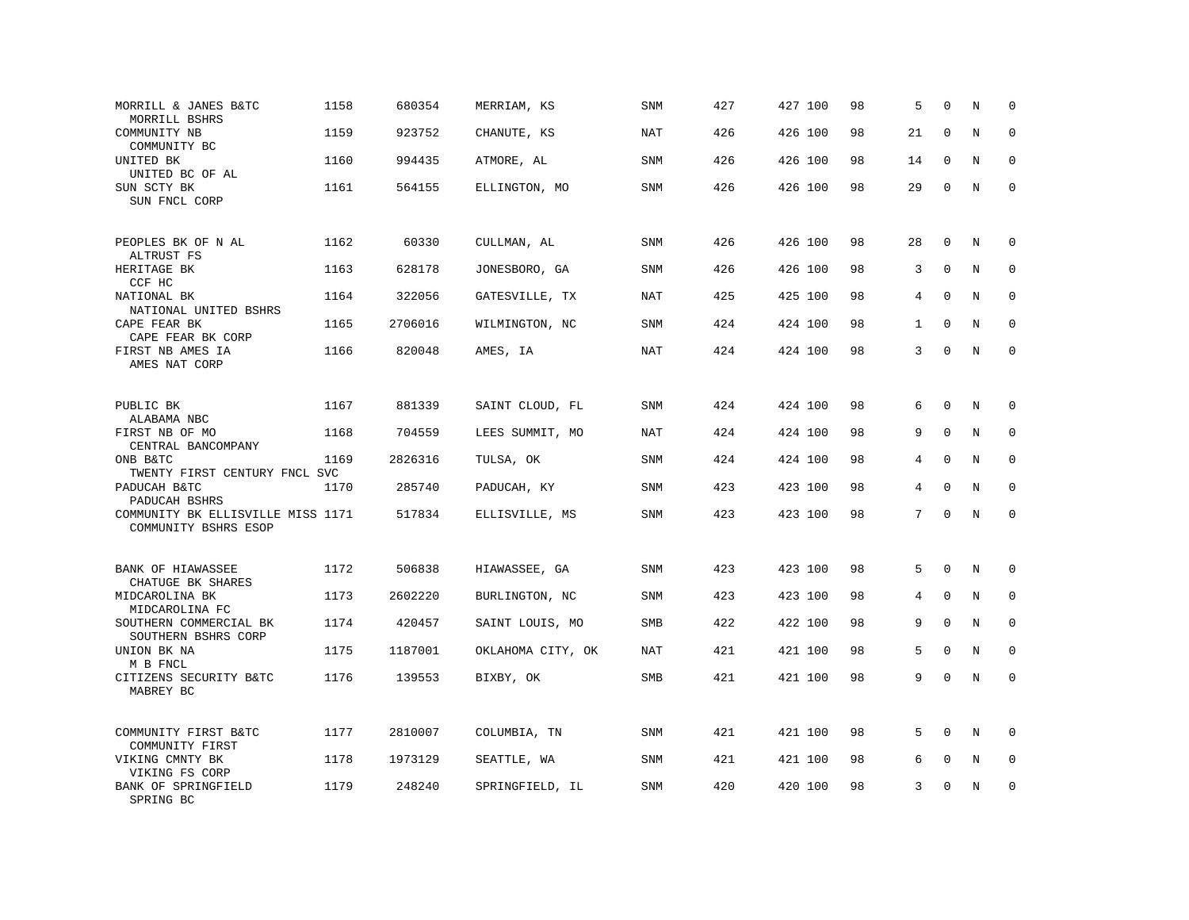| MORRILL & JANES B&TC<br>MORRILL BSHRS                     | 1158 | 680354  | MERRIAM, KS       | SNM        | 427 | 427 100 | 98 | 5              | $\mathbf 0$ | N              | $\mathbf 0$ |
|-----------------------------------------------------------|------|---------|-------------------|------------|-----|---------|----|----------------|-------------|----------------|-------------|
| COMMUNITY NB<br>COMMUNITY BC                              | 1159 | 923752  | CHANUTE, KS       | NAT        | 426 | 426 100 | 98 | 21             | $\mathbf 0$ | N              | $\mathbf 0$ |
| UNITED BK<br>UNITED BC OF AL                              | 1160 | 994435  | ATMORE, AL        | SNM        | 426 | 426 100 | 98 | 14             | $\mathbf 0$ | N              | $\mathbf 0$ |
| SUN SCTY BK<br>SUN FNCL CORP                              | 1161 | 564155  | ELLINGTON, MO     | <b>SNM</b> | 426 | 426 100 | 98 | 29             | $\mathbf 0$ | N              | $\mathbf 0$ |
| PEOPLES BK OF N AL<br>ALTRUST FS                          | 1162 | 60330   | CULLMAN, AL       | <b>SNM</b> | 426 | 426 100 | 98 | 28             | $\mathbf 0$ | N              | $\mathbf 0$ |
| HERITAGE BK<br>CCF HC                                     | 1163 | 628178  | JONESBORO, GA     | SNM        | 426 | 426 100 | 98 | 3              | $\Omega$    | N              | $\mathbf 0$ |
| NATIONAL BK<br>NATIONAL UNITED BSHRS                      | 1164 | 322056  | GATESVILLE, TX    | <b>NAT</b> | 425 | 425 100 | 98 | $\overline{4}$ | $\Omega$    | N              | $\mathbf 0$ |
| CAPE FEAR BK<br>CAPE FEAR BK CORP                         | 1165 | 2706016 | WILMINGTON, NC    | <b>SNM</b> | 424 | 424 100 | 98 | $\mathbf{1}$   | $\Omega$    | N              | $\Omega$    |
| FIRST NB AMES IA<br>AMES NAT CORP                         | 1166 | 820048  | AMES, IA          | <b>NAT</b> | 424 | 424 100 | 98 | 3              | $\mathbf 0$ | N              | $\mathbf 0$ |
| PUBLIC BK<br>ALABAMA NBC                                  | 1167 | 881339  | SAINT CLOUD, FL   | SNM        | 424 | 424 100 | 98 | 6              | $\mathbf 0$ | N              | 0           |
| FIRST NB OF MO<br>CENTRAL BANCOMPANY                      | 1168 | 704559  | LEES SUMMIT, MO   | <b>NAT</b> | 424 | 424 100 | 98 | 9              | $\Omega$    | N              | $\mathbf 0$ |
| ONB B&TC<br>TWENTY FIRST CENTURY FNCL SVC                 | 1169 | 2826316 | TULSA, OK         | SNM        | 424 | 424 100 | 98 | 4              | $\mathbf 0$ | N              | 0           |
| PADUCAH B&TC<br>PADUCAH BSHRS                             | 1170 | 285740  | PADUCAH, KY       | <b>SNM</b> | 423 | 423 100 | 98 | 4              | $\Omega$    | N              | $\mathbf 0$ |
| COMMUNITY BK ELLISVILLE MISS 1171<br>COMMUNITY BSHRS ESOP |      | 517834  | ELLISVILLE, MS    | SNM        | 423 | 423 100 | 98 | 7              | $\Omega$    | $\rm N$        | $\Omega$    |
| BANK OF HIAWASSEE<br>CHATUGE BK SHARES                    | 1172 | 506838  | HIAWASSEE, GA     | <b>SNM</b> | 423 | 423 100 | 98 | 5              | $\mathbf 0$ | N              | $\mathbf 0$ |
| MIDCAROLINA BK<br>MIDCAROLINA FC                          | 1173 | 2602220 | BURLINGTON, NC    | <b>SNM</b> | 423 | 423 100 | 98 | 4              | $\mathbf 0$ | N              | $\mathbf 0$ |
| SOUTHERN COMMERCIAL BK<br>SOUTHERN BSHRS CORP             | 1174 | 420457  | SAINT LOUIS, MO   | <b>SMB</b> | 422 | 422 100 | 98 | 9              | $\Omega$    | N              | $\mathbf 0$ |
| UNION BK NA<br>M B FNCL                                   | 1175 | 1187001 | OKLAHOMA CITY, OK | <b>NAT</b> | 421 | 421 100 | 98 | 5              | $\mathbf 0$ | N              | $\mathbf 0$ |
| CITIZENS SECURITY B&TC<br>MABREY BC                       | 1176 | 139553  | BIXBY, OK         | SMB        | 421 | 421 100 | 98 | 9              | $\Omega$    | $\overline{N}$ | $\mathbf 0$ |
| COMMUNITY FIRST B&TC<br>COMMUNITY FIRST                   | 1177 | 2810007 | COLUMBIA, TN      | SNM        | 421 | 421 100 | 98 | 5              | $\Omega$    | N              | $\Omega$    |
| VIKING CMNTY BK<br>VIKING FS CORP                         | 1178 | 1973129 | SEATTLE, WA       | SNM        | 421 | 421 100 | 98 | 6              | $\mathbf 0$ | Ν              | 0           |
| BANK OF SPRINGFIELD<br>SPRING BC                          | 1179 | 248240  | SPRINGFIELD, IL   | <b>SNM</b> | 420 | 420 100 | 98 | 3              | $\mathbf 0$ | N              | $\mathbf 0$ |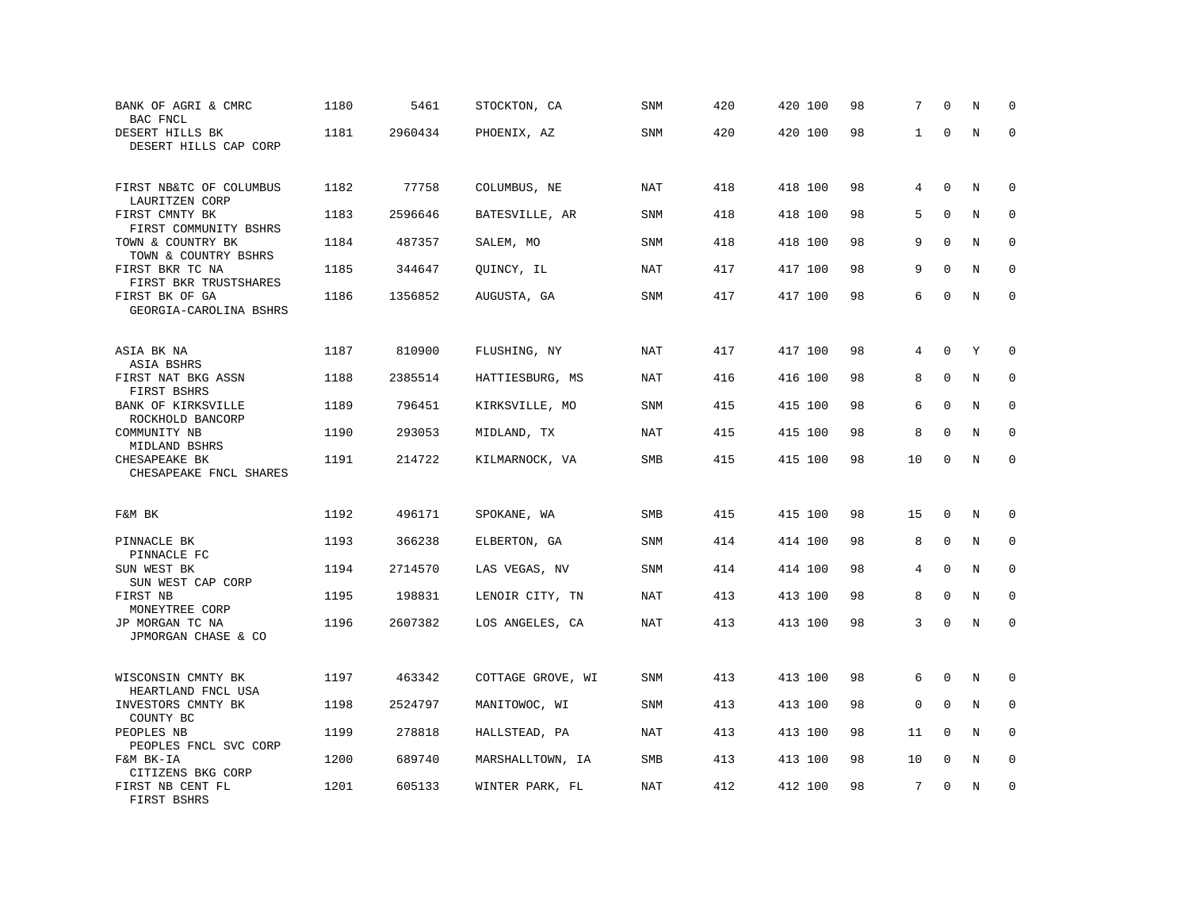| BANK OF AGRI & CMRC<br>BAC FNCL                       | 1180 | 5461    | STOCKTON, CA      | SNM        | 420 | 420 100 | 98 | 7            | $\mathbf 0$  | N       | $\Omega$     |
|-------------------------------------------------------|------|---------|-------------------|------------|-----|---------|----|--------------|--------------|---------|--------------|
| DESERT HILLS BK<br>DESERT HILLS CAP CORP              | 1181 | 2960434 | PHOENIX, AZ       | SNM        | 420 | 420 100 | 98 | $\mathbf{1}$ | $\Omega$     | $\rm N$ | $\mathbf 0$  |
| FIRST NB&TC OF COLUMBUS<br>LAURITZEN CORP             | 1182 | 77758   | COLUMBUS, NE      | NAT        | 418 | 418 100 | 98 | 4            | $\mathbf 0$  | N       | $\mathbf 0$  |
| FIRST CMNTY BK<br>FIRST COMMUNITY BSHRS               | 1183 | 2596646 | BATESVILLE, AR    | <b>SNM</b> | 418 | 418 100 | 98 | 5            | $\Omega$     | N       | $\mathbf 0$  |
| TOWN & COUNTRY BK<br>TOWN & COUNTRY BSHRS             | 1184 | 487357  | SALEM, MO         | SNM        | 418 | 418 100 | 98 | 9            | $\mathbf 0$  | N       | 0            |
| FIRST BKR TC NA<br>FIRST BKR TRUSTSHARES              | 1185 | 344647  | QUINCY, IL        | NAT        | 417 | 417 100 | 98 | 9            | $\Omega$     | N       | $\mathbf 0$  |
| FIRST BK OF GA<br>GEORGIA-CAROLINA BSHRS              | 1186 | 1356852 | AUGUSTA, GA       | SNM        | 417 | 417 100 | 98 | 6            | $\Omega$     | N       | $\mathbf 0$  |
| ASIA BK NA                                            | 1187 | 810900  | FLUSHING, NY      | NAT        | 417 | 417 100 | 98 | 4            | $\Omega$     | Y       | $\mathbf 0$  |
| ASIA BSHRS<br>FIRST NAT BKG ASSN                      | 1188 | 2385514 | HATTIESBURG, MS   | <b>NAT</b> | 416 | 416 100 | 98 | 8            | $\mathbf 0$  | N       | 0            |
| FIRST BSHRS<br>BANK OF KIRKSVILLE<br>ROCKHOLD BANCORP | 1189 | 796451  | KIRKSVILLE, MO    | <b>SNM</b> | 415 | 415 100 | 98 | 6            | $\mathbf 0$  | N       | $\mathbf 0$  |
| COMMUNITY NB<br>MIDLAND BSHRS                         | 1190 | 293053  | MIDLAND, TX       | <b>NAT</b> | 415 | 415 100 | 98 | 8            | $\mathbf{0}$ | N       | $\mathbf 0$  |
| CHESAPEAKE BK<br>CHESAPEAKE FNCL SHARES               | 1191 | 214722  | KILMARNOCK, VA    | SMB        | 415 | 415 100 | 98 | 10           | $\mathbf 0$  | N       | $\mathbf 0$  |
| F&M BK                                                | 1192 | 496171  | SPOKANE, WA       | SMB        | 415 | 415 100 | 98 | 15           | $\mathbf 0$  | N       | $\mathbf 0$  |
| PINNACLE BK<br>PINNACLE FC                            | 1193 | 366238  | ELBERTON, GA      | <b>SNM</b> | 414 | 414 100 | 98 | 8            | $\Omega$     | N       | $\mathbf 0$  |
| SUN WEST BK<br>SUN WEST CAP CORP                      | 1194 | 2714570 | LAS VEGAS, NV     | <b>SNM</b> | 414 | 414 100 | 98 | 4            | $\mathbf{0}$ | N       | 0            |
| FIRST NB<br>MONEYTREE CORP                            | 1195 | 198831  | LENOIR CITY, TN   | <b>NAT</b> | 413 | 413 100 | 98 | 8            | $\mathbf 0$  | N       | $\mathbf{0}$ |
| JP MORGAN TC NA<br>JPMORGAN CHASE & CO                | 1196 | 2607382 | LOS ANGELES, CA   | <b>NAT</b> | 413 | 413 100 | 98 | 3            | $\Omega$     | N       | $\Omega$     |
| WISCONSIN CMNTY BK<br>HEARTLAND FNCL USA              | 1197 | 463342  | COTTAGE GROVE, WI | SNM        | 413 | 413 100 | 98 | 6            | $\Omega$     | N       | 0            |
| INVESTORS CMNTY BK<br>COUNTY BC                       | 1198 | 2524797 | MANITOWOC, WI     | <b>SNM</b> | 413 | 413 100 | 98 | $\mathbf 0$  | $\mathbf 0$  | N       | $\mathbf 0$  |
| PEOPLES NB<br>PEOPLES FNCL SVC CORP                   | 1199 | 278818  | HALLSTEAD, PA     | NAT        | 413 | 413 100 | 98 | 11           | $\Omega$     | N       | $\Omega$     |
| F&M BK-IA<br>CITIZENS BKG CORP                        | 1200 | 689740  | MARSHALLTOWN, IA  | SMB        | 413 | 413 100 | 98 | 10           | $\mathbf 0$  | N       | 0            |
| FIRST NB CENT FL<br>FIRST BSHRS                       | 1201 | 605133  | WINTER PARK, FL   | NAT        | 412 | 412 100 | 98 | 7            | $\mathbf{0}$ | N       | $\mathbf 0$  |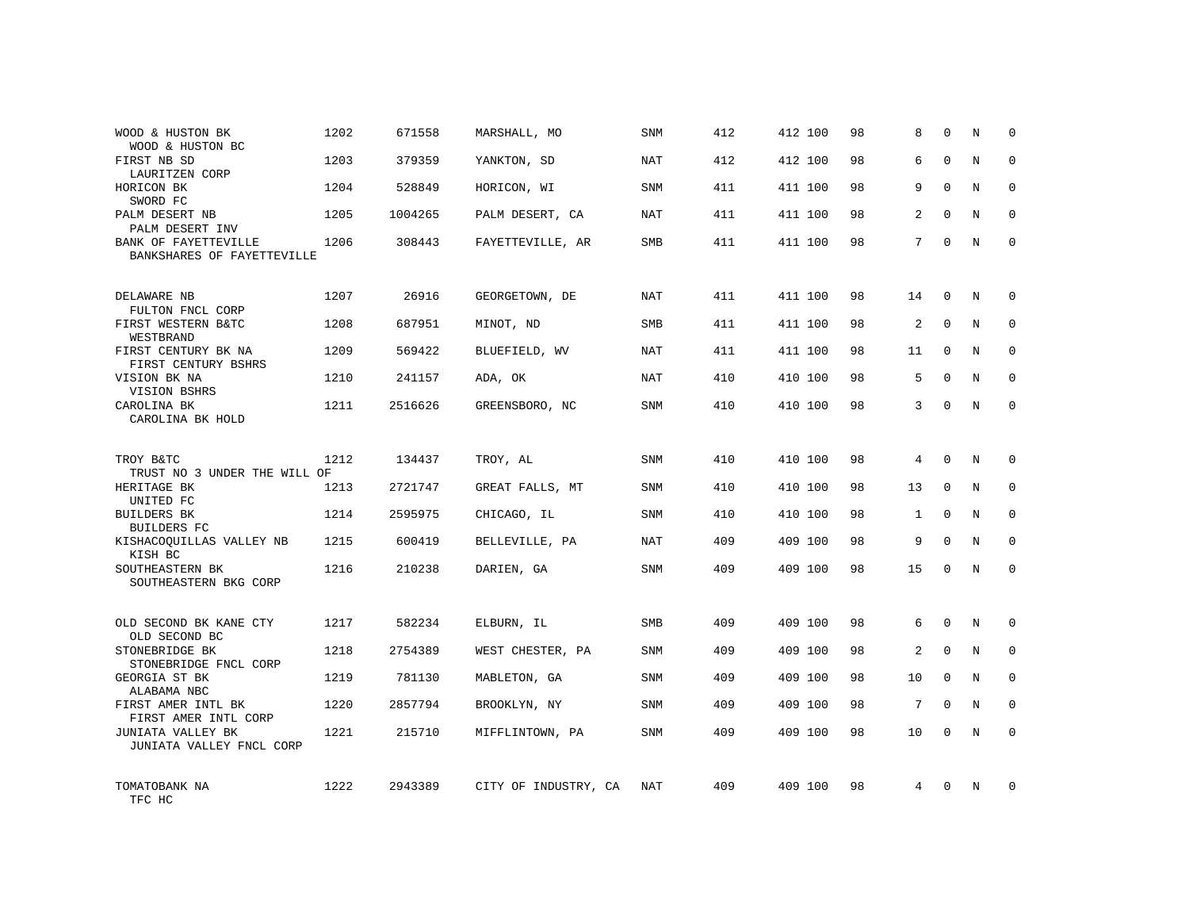| WOOD & HUSTON BK<br>WOOD & HUSTON BC                     | 1202 | 671558  | MARSHALL, MO         | <b>SNM</b> | 412 | 412 100 | 98 | 8              | $\Omega$    | N | $\Omega$    |
|----------------------------------------------------------|------|---------|----------------------|------------|-----|---------|----|----------------|-------------|---|-------------|
| FIRST NB SD<br>LAURITZEN CORP                            | 1203 | 379359  | YANKTON, SD          | NAT        | 412 | 412 100 | 98 | 6              | $\Omega$    | N | $\Omega$    |
| HORICON BK<br>SWORD FC                                   | 1204 | 528849  | HORICON, WI          | SNM        | 411 | 411 100 | 98 | 9              | $\Omega$    | N | $\Omega$    |
| PALM DESERT NB<br>PALM DESERT INV                        | 1205 | 1004265 | PALM DESERT, CA      | NAT        | 411 | 411 100 | 98 | $\overline{2}$ | $\Omega$    | N | $\Omega$    |
| BANK OF FAYETTEVILLE<br>BANKSHARES OF FAYETTEVILLE       | 1206 | 308443  | FAYETTEVILLE, AR     | SMB        | 411 | 411 100 | 98 | 7              | $\Omega$    | N | $\Omega$    |
| DELAWARE NB                                              | 1207 | 26916   | GEORGETOWN, DE       | NAT        | 411 | 411 100 | 98 | 14             | $\mathbf 0$ | N | $\mathbf 0$ |
| FULTON FNCL CORP<br>FIRST WESTERN B&TC<br>WESTBRAND      | 1208 | 687951  | MINOT, ND            | <b>SMB</b> | 411 | 411 100 | 98 | 2              | $\Omega$    | N | $\mathbf 0$ |
| FIRST CENTURY BK NA<br>FIRST CENTURY BSHRS               | 1209 | 569422  | BLUEFIELD, WV        | <b>NAT</b> | 411 | 411 100 | 98 | 11             | $\mathbf 0$ | N | $\mathbf 0$ |
| VISION BK NA<br>VISION BSHRS                             | 1210 | 241157  | ADA, OK              | NAT        | 410 | 410 100 | 98 | 5              | $\Omega$    | N | $\mathbf 0$ |
| CAROLINA BK<br>CAROLINA BK HOLD                          | 1211 | 2516626 | GREENSBORO, NC       | <b>SNM</b> | 410 | 410 100 | 98 | 3              | $\mathbf 0$ | N | $\mathbf 0$ |
| TROY B&TC<br>TRUST NO 3 UNDER THE WILL OF                | 1212 | 134437  | TROY, AL             | <b>SNM</b> | 410 | 410 100 | 98 | 4              | $\Omega$    | N | $\Omega$    |
| HERITAGE BK<br>UNITED FC                                 | 1213 | 2721747 | GREAT FALLS, MT      | <b>SNM</b> | 410 | 410 100 | 98 | 13             | $\mathbf 0$ | N | $\mathbf 0$ |
| <b>BUILDERS BK</b><br><b>BUILDERS FC</b>                 | 1214 | 2595975 | CHICAGO, IL          | <b>SNM</b> | 410 | 410 100 | 98 | 1              | $\Omega$    | N | $\Omega$    |
| KISHACOQUILLAS VALLEY NB<br>KISH BC                      | 1215 | 600419  | BELLEVILLE, PA       | <b>NAT</b> | 409 | 409 100 | 98 | 9              | $\Omega$    | N | $\mathbf 0$ |
| SOUTHEASTERN BK<br>SOUTHEASTERN BKG CORP                 | 1216 | 210238  | DARIEN, GA           | SNM        | 409 | 409 100 | 98 | 15             | $\Omega$    | N | $\Omega$    |
| OLD SECOND BK KANE CTY                                   | 1217 | 582234  | ELBURN, IL           | <b>SMB</b> | 409 | 409 100 | 98 | 6              | $\Omega$    | N | $\mathbf 0$ |
| OLD SECOND BC<br>STONEBRIDGE BK<br>STONEBRIDGE FNCL CORP | 1218 | 2754389 | WEST CHESTER, PA     | <b>SNM</b> | 409 | 409 100 | 98 | 2              | $\mathbf 0$ | N | 0           |
| GEORGIA ST BK<br>ALABAMA NBC                             | 1219 | 781130  | MABLETON, GA         | <b>SNM</b> | 409 | 409 100 | 98 | 10             | $\Omega$    | N | $\mathbf 0$ |
| FIRST AMER INTL BK<br>FIRST AMER INTL CORP               | 1220 | 2857794 | BROOKLYN, NY         | SNM        | 409 | 409 100 | 98 | 7              | $\Omega$    | N | 0           |
| JUNIATA VALLEY BK<br>JUNIATA VALLEY FNCL CORP            | 1221 | 215710  | MIFFLINTOWN, PA      | <b>SNM</b> | 409 | 409 100 | 98 | 10             | $\Omega$    | N | $\mathbf 0$ |
| TOMATOBANK NA<br>TFC HC                                  | 1222 | 2943389 | CITY OF INDUSTRY, CA | NAT        | 409 | 409 100 | 98 | 4              | $\Omega$    | N | $\mathbf 0$ |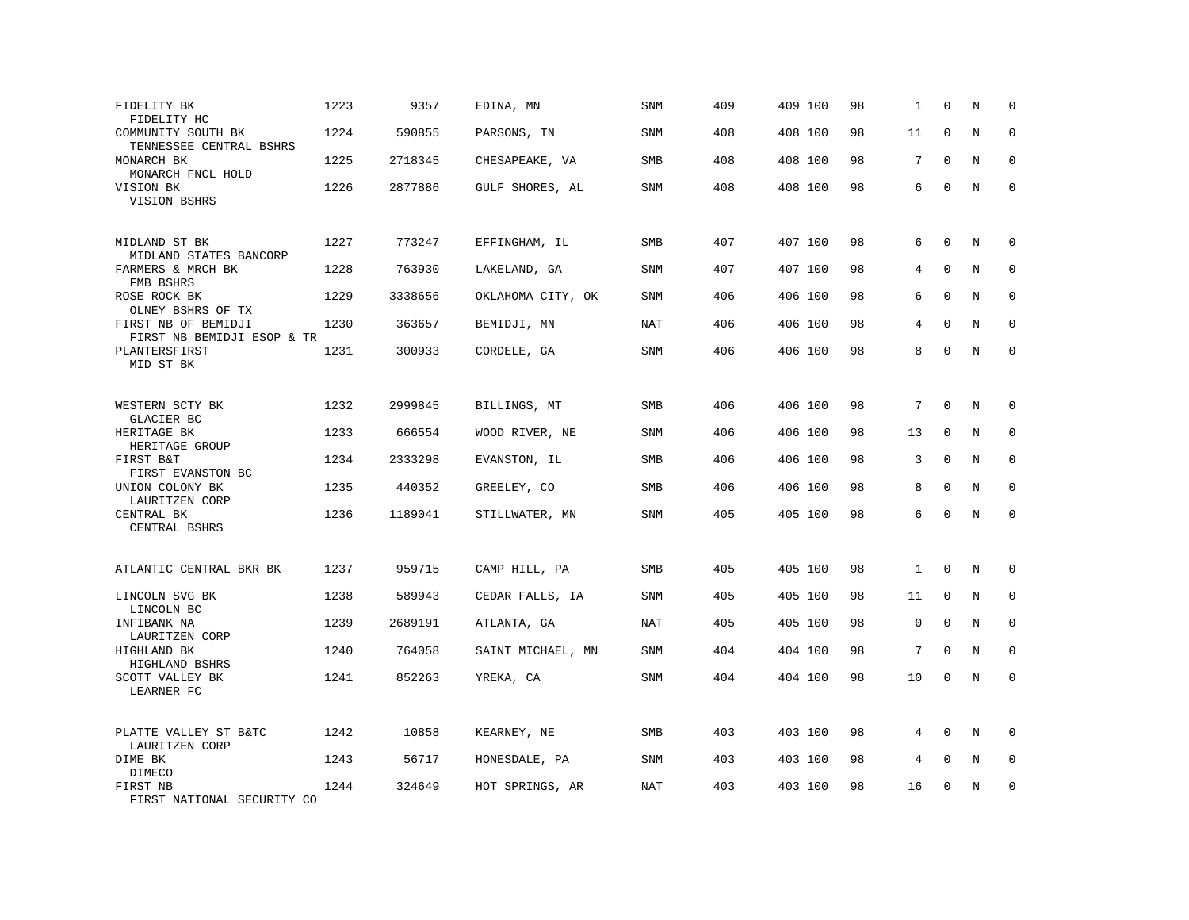| FIDELITY BK<br>FIDELITY HC                        | 1223 | 9357    | EDINA, MN         | SNM        | 409 | 409 100 | 98 | 1            | $\mathbf 0$ | N           | $\mathbf 0$  |
|---------------------------------------------------|------|---------|-------------------|------------|-----|---------|----|--------------|-------------|-------------|--------------|
| COMMUNITY SOUTH BK<br>TENNESSEE CENTRAL BSHRS     | 1224 | 590855  | PARSONS, TN       | SNM        | 408 | 408 100 | 98 | 11           | $\mathbf 0$ | N           | $\mathbf 0$  |
| MONARCH BK<br>MONARCH FNCL HOLD                   | 1225 | 2718345 | CHESAPEAKE, VA    | SMB        | 408 | 408 100 | 98 | 7            | $\Omega$    | $\mathbf N$ | $\mathbf 0$  |
| VISION BK<br>VISION BSHRS                         | 1226 | 2877886 | GULF SHORES, AL   | <b>SNM</b> | 408 | 408 100 | 98 | 6            | $\mathbf 0$ | N           | $\mathbf 0$  |
| MIDLAND ST BK<br>MIDLAND STATES BANCORP           | 1227 | 773247  | EFFINGHAM, IL     | SMB        | 407 | 407 100 | 98 | 6            | $\mathbf 0$ | N           | $\mathbf 0$  |
| FARMERS & MRCH BK<br>FMB BSHRS                    | 1228 | 763930  | LAKELAND, GA      | <b>SNM</b> | 407 | 407 100 | 98 | 4            | $\mathbf 0$ | N           | 0            |
| ROSE ROCK BK<br>OLNEY BSHRS OF TX                 | 1229 | 3338656 | OKLAHOMA CITY, OK | <b>SNM</b> | 406 | 406 100 | 98 | 6            | $\Omega$    | N           | $\mathbf 0$  |
| FIRST NB OF BEMIDJI<br>FIRST NB BEMIDJI ESOP & TR | 1230 | 363657  | BEMIDJI, MN       | NAT        | 406 | 406 100 | 98 | 4            | $\mathbf 0$ | N           | $\mathbf 0$  |
| PLANTERSFIRST<br>MID ST BK                        | 1231 | 300933  | CORDELE, GA       | <b>SNM</b> | 406 | 406 100 | 98 | 8            | $\mathbf 0$ | N           | $\mathbf 0$  |
| WESTERN SCTY BK<br>GLACIER BC                     | 1232 | 2999845 | BILLINGS, MT      | SMB        | 406 | 406 100 | 98 | 7            | $\mathbf 0$ | N           | $\mathbf 0$  |
| HERITAGE BK<br>HERITAGE GROUP                     | 1233 | 666554  | WOOD RIVER, NE    | <b>SNM</b> | 406 | 406 100 | 98 | 13           | $\mathbf 0$ | N           | 0            |
| FIRST B&T<br>FIRST EVANSTON BC                    | 1234 | 2333298 | EVANSTON, IL      | <b>SMB</b> | 406 | 406 100 | 98 | 3            | $\mathbf 0$ | N           | $\mathbf 0$  |
| UNION COLONY BK<br>LAURITZEN CORP                 | 1235 | 440352  | GREELEY, CO       | SMB        | 406 | 406 100 | 98 | 8            | $\Omega$    | N           | $\mathbf{0}$ |
| CENTRAL BK<br>CENTRAL BSHRS                       | 1236 | 1189041 | STILLWATER, MN    | <b>SNM</b> | 405 | 405 100 | 98 | 6            | $\Omega$    | N           | $\Omega$     |
| ATLANTIC CENTRAL BKR BK                           | 1237 | 959715  | CAMP HILL, PA     | <b>SMB</b> | 405 | 405 100 | 98 | $\mathbf{1}$ | $\mathbf 0$ | N           | 0            |
| LINCOLN SVG BK<br>LINCOLN BC                      | 1238 | 589943  | CEDAR FALLS, IA   | SNM        | 405 | 405 100 | 98 | 11           | $\mathbf 0$ | N           | $\Omega$     |
| INFIBANK NA<br>LAURITZEN CORP                     | 1239 | 2689191 | ATLANTA, GA       | <b>NAT</b> | 405 | 405 100 | 98 | 0            | $\mathbf 0$ | N           | $\mathbf 0$  |
| HIGHLAND BK<br>HIGHLAND BSHRS                     | 1240 | 764058  | SAINT MICHAEL, MN | SNM        | 404 | 404 100 | 98 | 7            | $\Omega$    | N           | 0            |
| SCOTT VALLEY BK<br>LEARNER FC                     | 1241 | 852263  | YREKA, CA         | <b>SNM</b> | 404 | 404 100 | 98 | 10           | $\mathbf 0$ | N           | $\mathbf 0$  |
| PLATTE VALLEY ST B&TC<br>LAURITZEN CORP           | 1242 | 10858   | KEARNEY, NE       | <b>SMB</b> | 403 | 403 100 | 98 | 4            | $\mathbf 0$ | N           | $\mathbf 0$  |
| DIME BK<br>DIMECO                                 | 1243 | 56717   | HONESDALE, PA     | SNM        | 403 | 403 100 | 98 | 4            | $\mathbf 0$ | N           | $\mathbf 0$  |
| FIRST NB<br>FIRST NATIONAL SECURITY CO            | 1244 | 324649  | HOT SPRINGS, AR   | <b>NAT</b> | 403 | 403 100 | 98 | 16           | $\mathbf 0$ | N           | $\mathbf 0$  |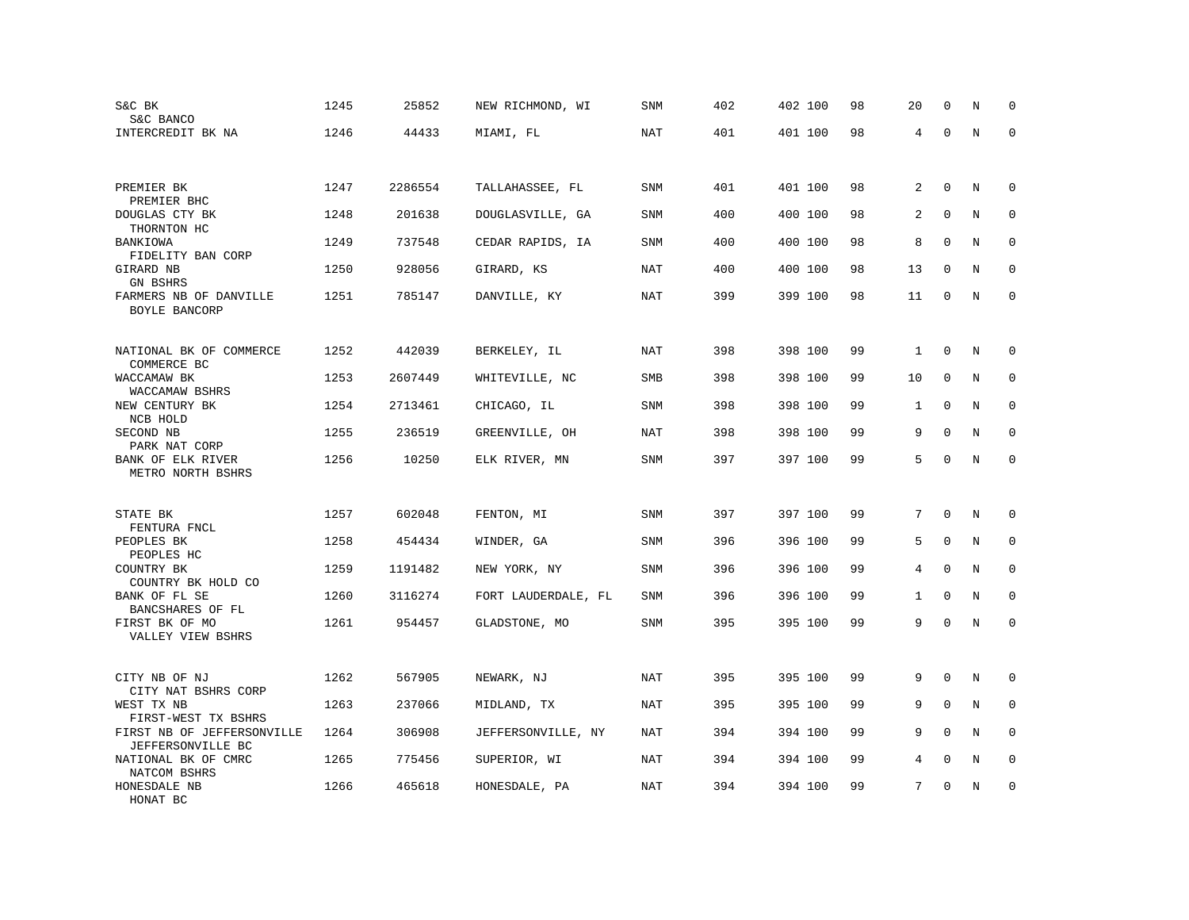| S&C BK<br>S&C BANCO                                                    | 1245 | 25852   | NEW RICHMOND, WI    | SNM        | 402 | 402 100 | 98 | 20             | $\mathbf 0$  | N           | $\mathbf 0$  |
|------------------------------------------------------------------------|------|---------|---------------------|------------|-----|---------|----|----------------|--------------|-------------|--------------|
| INTERCREDIT BK NA                                                      | 1246 | 44433   | MIAMI, FL           | NAT        | 401 | 401 100 | 98 | 4              | $\Omega$     | N           | $\Omega$     |
|                                                                        |      |         |                     |            |     |         |    |                |              |             |              |
|                                                                        |      |         |                     |            |     |         |    |                |              |             |              |
| PREMIER BK<br>PREMIER BHC                                              | 1247 | 2286554 | TALLAHASSEE, FL     | <b>SNM</b> | 401 | 401 100 | 98 | 2              | $\mathbf 0$  | N           | $\mathbf 0$  |
| DOUGLAS CTY BK                                                         | 1248 | 201638  | DOUGLASVILLE, GA    | <b>SNM</b> | 400 | 400 100 | 98 | 2              | $\mathbf 0$  | N           | $\mathbf 0$  |
| THORNTON HC<br>BANKIOWA<br>FIDELITY BAN CORP                           | 1249 | 737548  | CEDAR RAPIDS, IA    | <b>SNM</b> | 400 | 400 100 | 98 | 8              | $\Omega$     | N           | $\Omega$     |
| GIRARD NB<br><b>GN BSHRS</b>                                           | 1250 | 928056  | GIRARD, KS          | <b>NAT</b> | 400 | 400 100 | 98 | 13             | $\mathbf 0$  | N           | $\mathbf 0$  |
| FARMERS NB OF DANVILLE<br>BOYLE BANCORP                                | 1251 | 785147  | DANVILLE, KY        | NAT        | 399 | 399 100 | 98 | 11             | 0            | N           | $\mathbf{0}$ |
|                                                                        |      |         |                     |            |     |         |    |                |              |             |              |
| NATIONAL BK OF COMMERCE<br>COMMERCE BC                                 | 1252 | 442039  | BERKELEY, IL        | NAT        | 398 | 398 100 | 99 | 1              | $\mathbf 0$  | N           | 0            |
| WACCAMAW BK                                                            | 1253 | 2607449 | WHITEVILLE, NC      | SMB        | 398 | 398 100 | 99 | 10             | 0            | N           | 0            |
| WACCAMAW BSHRS<br>NEW CENTURY BK<br>NCB HOLD                           | 1254 | 2713461 | CHICAGO, IL         | <b>SNM</b> | 398 | 398 100 | 99 | $\mathbf{1}$   | $\mathbf{0}$ | N           | $\mathbf 0$  |
| SECOND NB                                                              | 1255 | 236519  | GREENVILLE, OH      | <b>NAT</b> | 398 | 398 100 | 99 | 9              | $\mathbf 0$  | N           | $\mathbf 0$  |
| PARK NAT CORP<br>BANK OF ELK RIVER<br>METRO NORTH BSHRS                | 1256 | 10250   | ELK RIVER, MN       | SNM        | 397 | 397 100 | 99 | 5              | $\mathbf 0$  | $\rm N$     | $\mathbf 0$  |
|                                                                        |      |         |                     |            |     |         |    |                |              |             |              |
| STATE BK                                                               | 1257 | 602048  | FENTON, MI          | <b>SNM</b> | 397 | 397 100 | 99 | 7              | $\mathbf 0$  | N           | $\mathbf 0$  |
| FENTURA FNCL<br>PEOPLES BK<br>PEOPLES HC                               | 1258 | 454434  | WINDER, GA          | SNM        | 396 | 396 100 | 99 | 5              | $\mathbf 0$  | N           | $\mathbf 0$  |
| COUNTRY BK<br>COUNTRY BK HOLD CO                                       | 1259 | 1191482 | NEW YORK, NY        | <b>SNM</b> | 396 | 396 100 | 99 | $\overline{4}$ | $\mathbf 0$  | $\mathbf N$ | $\mathbf 0$  |
| BANK OF FL SE<br>BANCSHARES OF FL                                      | 1260 | 3116274 | FORT LAUDERDALE, FL | SNM        | 396 | 396 100 | 99 | $\mathbf{1}$   | $\mathbf 0$  | N           | 0            |
| FIRST BK OF MO<br>VALLEY VIEW BSHRS                                    | 1261 | 954457  | GLADSTONE, MO       | <b>SNM</b> | 395 | 395 100 | 99 | 9              | $\mathbf 0$  | N           | $\mathbf 0$  |
|                                                                        |      |         |                     |            |     |         |    |                |              |             |              |
| CITY NB OF NJ<br>CITY NAT BSHRS CORP                                   | 1262 | 567905  | NEWARK, NJ          | <b>NAT</b> | 395 | 395 100 | 99 | 9              | $\Omega$     | N           | $\mathbf 0$  |
| WEST TX NB                                                             | 1263 | 237066  | MIDLAND, TX         | NAT        | 395 | 395 100 | 99 | 9              | $\Omega$     | $\rm N$     | 0            |
| FIRST-WEST TX BSHRS<br>FIRST NB OF JEFFERSONVILLE<br>JEFFERSONVILLE BC | 1264 | 306908  | JEFFERSONVILLE, NY  | <b>NAT</b> | 394 | 394 100 | 99 | 9              | $\Omega$     | N           | $\Omega$     |
| NATIONAL BK OF CMRC<br>NATCOM BSHRS                                    | 1265 | 775456  | SUPERIOR, WI        | NAT        | 394 | 394 100 | 99 | 4              | $\mathbf{0}$ | N           | $\mathbf 0$  |
| HONESDALE NB<br>HONAT BC                                               | 1266 | 465618  | HONESDALE, PA       | <b>NAT</b> | 394 | 394 100 | 99 | 7              | $\mathbf 0$  | N           | $\mathbf 0$  |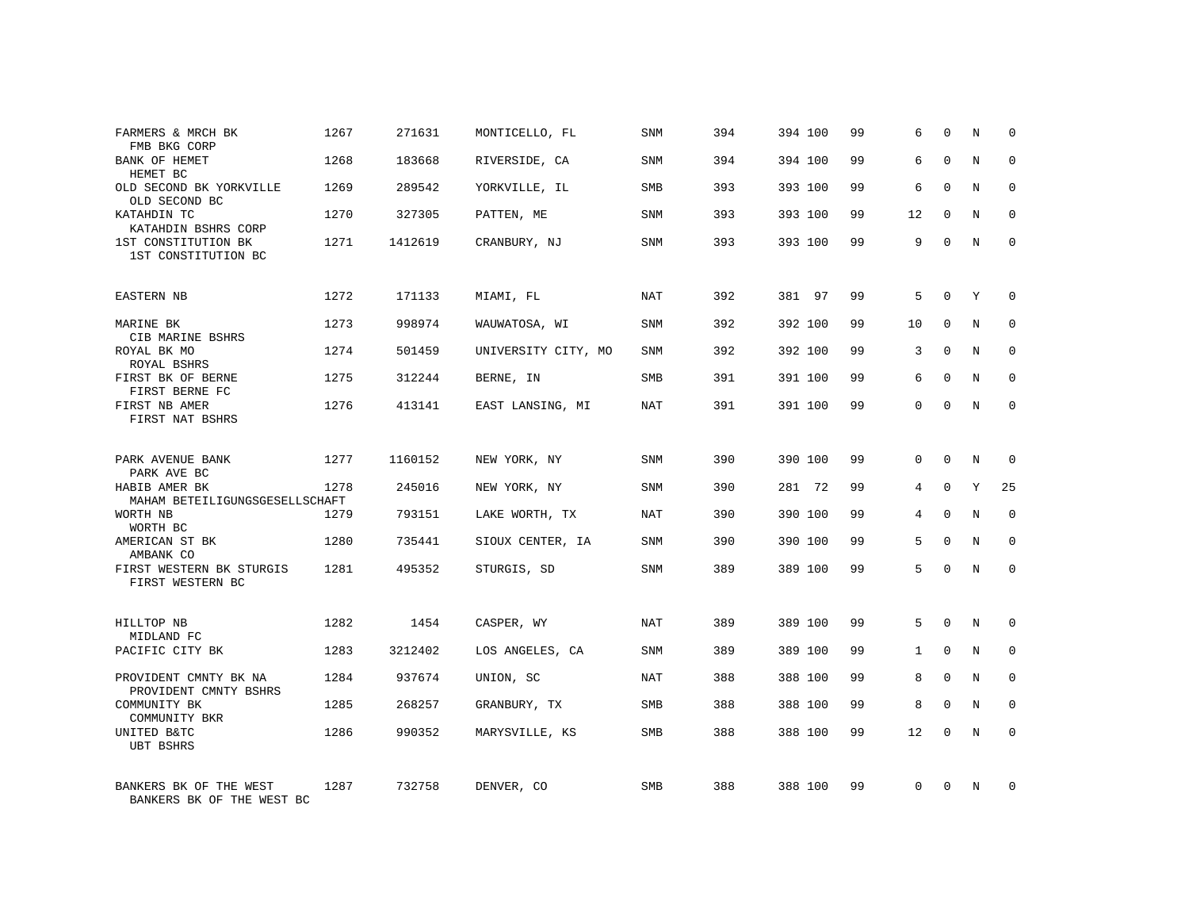| FARMERS & MRCH BK<br>FMB BKG CORP                   | 1267 | 271631  | MONTICELLO, FL      | SNM        | 394 | 394 100 | 99 | 6            | $\Omega$    | N       | $\Omega$    |
|-----------------------------------------------------|------|---------|---------------------|------------|-----|---------|----|--------------|-------------|---------|-------------|
| BANK OF HEMET<br>HEMET BC                           | 1268 | 183668  | RIVERSIDE, CA       | SNM        | 394 | 394 100 | 99 | 6            | $\Omega$    | N       | $\Omega$    |
| OLD SECOND BK YORKVILLE<br>OLD SECOND BC            | 1269 | 289542  | YORKVILLE, IL       | SMB        | 393 | 393 100 | 99 | 6            | $\Omega$    | N       | $\mathbf 0$ |
| KATAHDIN TC<br>KATAHDIN BSHRS CORP                  | 1270 | 327305  | PATTEN, ME          | SNM        | 393 | 393 100 | 99 | 12           | $\Omega$    | N       | $\Omega$    |
| 1ST CONSTITUTION BK<br>1ST CONSTITUTION BC          | 1271 | 1412619 | CRANBURY, NJ        | SNM        | 393 | 393 100 | 99 | 9            | $\Omega$    | N       | $\Omega$    |
| EASTERN NB                                          | 1272 | 171133  | MIAMI, FL           | NAT        | 392 | 381 97  | 99 | 5            | $\Omega$    | Y       | $\Omega$    |
| MARINE BK<br>CIB MARINE BSHRS                       | 1273 | 998974  | WAUWATOSA, WI       | SNM        | 392 | 392 100 | 99 | 10           | $\Omega$    | N       | $\Omega$    |
| ROYAL BK MO<br>ROYAL BSHRS                          | 1274 | 501459  | UNIVERSITY CITY, MO | <b>SNM</b> | 392 | 392 100 | 99 | 3            | $\Omega$    | N       | $\Omega$    |
| FIRST BK OF BERNE<br>FIRST BERNE FC                 | 1275 | 312244  | BERNE, IN           | <b>SMB</b> | 391 | 391 100 | 99 | 6            | $\Omega$    | N       | $\Omega$    |
| FIRST NB AMER<br>FIRST NAT BSHRS                    | 1276 | 413141  | EAST LANSING, MI    | NAT        | 391 | 391 100 | 99 | $\Omega$     | $\Omega$    | N       | $\Omega$    |
| PARK AVENUE BANK<br>PARK AVE BC                     | 1277 | 1160152 | NEW YORK, NY        | SNM        | 390 | 390 100 | 99 | $\Omega$     | $\mathbf 0$ | N       | $\mathbf 0$ |
| HABIB AMER BK<br>MAHAM BETEILIGUNGSGESELLSCHAFT     | 1278 | 245016  | NEW YORK, NY        | <b>SNM</b> | 390 | 281 72  | 99 | 4            | $\Omega$    | Y       | 25          |
| WORTH NB<br>WORTH BC                                | 1279 | 793151  | LAKE WORTH, TX      | NAT        | 390 | 390 100 | 99 | 4            | $\Omega$    | N       | $\mathbf 0$ |
| AMERICAN ST BK<br>AMBANK CO                         | 1280 | 735441  | SIOUX CENTER, IA    | <b>SNM</b> | 390 | 390 100 | 99 | 5            | $\mathbf 0$ | $\rm N$ | $\mathbf 0$ |
| FIRST WESTERN BK STURGIS<br>FIRST WESTERN BC        | 1281 | 495352  | STURGIS, SD         | SNM        | 389 | 389 100 | 99 | 5            | $\Omega$    | N       | $\mathbf 0$ |
| HILLTOP NB<br>MIDLAND FC                            | 1282 | 1454    | CASPER, WY          | NAT        | 389 | 389 100 | 99 | 5            | $\Omega$    | N       | $\mathbf 0$ |
| PACIFIC CITY BK                                     | 1283 | 3212402 | LOS ANGELES, CA     | SNM        | 389 | 389 100 | 99 | $\mathbf{1}$ | $\mathbf 0$ | $\rm N$ | $\mathbf 0$ |
| PROVIDENT CMNTY BK NA<br>PROVIDENT CMNTY BSHRS      | 1284 | 937674  | UNION, SC           | NAT        | 388 | 388 100 | 99 | 8            | $\Omega$    | N       | $\mathbf 0$ |
| COMMUNITY BK<br>COMMUNITY BKR                       | 1285 | 268257  | GRANBURY, TX        | SMB        | 388 | 388 100 | 99 | 8            | $\mathbf 0$ | N       | $\mathbf 0$ |
| UNITED B&TC<br><b>UBT BSHRS</b>                     | 1286 | 990352  | MARYSVILLE, KS      | SMB        | 388 | 388 100 | 99 | 12           | $\Omega$    | N       | $\mathbf 0$ |
| BANKERS BK OF THE WEST<br>BANKERS BK OF THE WEST BC | 1287 | 732758  | DENVER, CO          | <b>SMB</b> | 388 | 388 100 | 99 | $\Omega$     | $\Omega$    | N       | $\mathbf 0$ |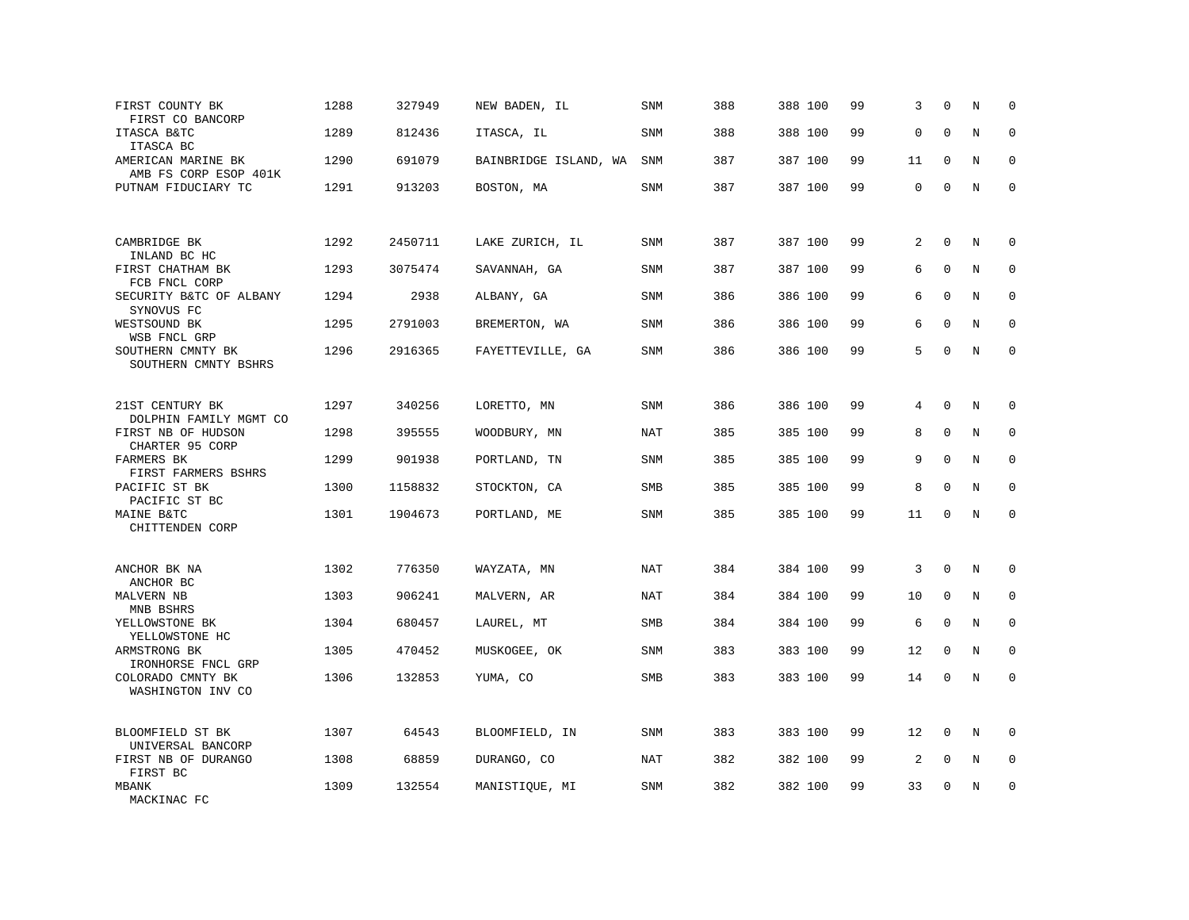| FIRST COUNTY BK<br>FIRST CO BANCORP         | 1288 | 327949  | NEW BADEN, IL         | <b>SNM</b> | 388 | 388 100 | 99 | 3              | $\mathbf 0$  | N       | $\mathbf 0$ |
|---------------------------------------------|------|---------|-----------------------|------------|-----|---------|----|----------------|--------------|---------|-------------|
| ITASCA B&TC<br>ITASCA BC                    | 1289 | 812436  | ITASCA, IL            | <b>SNM</b> | 388 | 388 100 | 99 | 0              | $\Omega$     | N       | $\Omega$    |
| AMERICAN MARINE BK<br>AMB FS CORP ESOP 401K | 1290 | 691079  | BAINBRIDGE ISLAND, WA | SNM        | 387 | 387 100 | 99 | 11             | $\mathbf 0$  | N       | $\mathbf 0$ |
| PUTNAM FIDUCIARY TC                         | 1291 | 913203  | BOSTON, MA            | <b>SNM</b> | 387 | 387 100 | 99 | 0              | $\mathbf 0$  | N       | $\mathbf 0$ |
| CAMBRIDGE BK<br>INLAND BC HC                | 1292 | 2450711 | LAKE ZURICH, IL       | SNM        | 387 | 387 100 | 99 | 2              | $\Omega$     | N       | $\Omega$    |
| FIRST CHATHAM BK<br>FCB FNCL CORP           | 1293 | 3075474 | SAVANNAH, GA          | SNM        | 387 | 387 100 | 99 | 6              | $\mathbf{0}$ | N       | $\mathbf 0$ |
| SECURITY B&TC OF ALBANY<br>SYNOVUS FC       | 1294 | 2938    | ALBANY, GA            | <b>SNM</b> | 386 | 386 100 | 99 | 6              | $\Omega$     | N       | $\Omega$    |
| WESTSOUND BK<br>WSB FNCL GRP                | 1295 | 2791003 | BREMERTON, WA         | <b>SNM</b> | 386 | 386 100 | 99 | 6              | $\mathbf 0$  | N       | $\mathbf 0$ |
| SOUTHERN CMNTY BK<br>SOUTHERN CMNTY BSHRS   | 1296 | 2916365 | FAYETTEVILLE, GA      | SNM        | 386 | 386 100 | 99 | 5              | $\Omega$     | N       | $\mathbf 0$ |
| 21ST CENTURY BK<br>DOLPHIN FAMILY MGMT CO   | 1297 | 340256  | LORETTO, MN           | <b>SNM</b> | 386 | 386 100 | 99 | 4              | $\mathbf 0$  | N       | 0           |
| FIRST NB OF HUDSON<br>CHARTER 95 CORP       | 1298 | 395555  | WOODBURY, MN          | <b>NAT</b> | 385 | 385 100 | 99 | 8              | $\mathbf{0}$ | N       | $\mathbf 0$ |
| FARMERS BK<br>FIRST FARMERS BSHRS           | 1299 | 901938  | PORTLAND, TN          | SNM        | 385 | 385 100 | 99 | 9              | $\mathbf{0}$ | $\rm N$ | $\mathbf 0$ |
| PACIFIC ST BK<br>PACIFIC ST BC              | 1300 | 1158832 | STOCKTON, CA          | SMB        | 385 | 385 100 | 99 | 8              | $\Omega$     | N       | $\mathbf 0$ |
| MAINE B&TC<br>CHITTENDEN CORP               | 1301 | 1904673 | PORTLAND, ME          | SNM        | 385 | 385 100 | 99 | 11             | $\Omega$     | N       | $\mathbf 0$ |
| ANCHOR BK NA<br>ANCHOR BC                   | 1302 | 776350  | WAYZATA, MN           | NAT        | 384 | 384 100 | 99 | 3              | $\mathbf{0}$ | N       | 0           |
| MALVERN NB<br>MNB BSHRS                     | 1303 | 906241  | MALVERN, AR           | NAT        | 384 | 384 100 | 99 | 10             | $\mathbf 0$  | N       | 0           |
| YELLOWSTONE BK<br>YELLOWSTONE HC            | 1304 | 680457  | LAUREL, MT            | SMB        | 384 | 384 100 | 99 | 6              | $\mathbf{0}$ | N       | $\mathbf 0$ |
| ARMSTRONG BK<br>IRONHORSE FNCL GRP          | 1305 | 470452  | MUSKOGEE, OK          | <b>SNM</b> | 383 | 383 100 | 99 | 12             | $\mathbf 0$  | N       | $\mathbf 0$ |
| COLORADO CMNTY BK<br>WASHINGTON INV CO      | 1306 | 132853  | YUMA, CO              | SMB        | 383 | 383 100 | 99 | 14             | $\mathbf 0$  | N       | $\mathbf 0$ |
| BLOOMFIELD ST BK<br>UNIVERSAL BANCORP       | 1307 | 64543   | BLOOMFIELD, IN        | <b>SNM</b> | 383 | 383 100 | 99 | 12             | $\mathbf 0$  | N       | $\Omega$    |
| FIRST NB OF DURANGO<br>FIRST BC             | 1308 | 68859   | DURANGO, CO           | NAT        | 382 | 382 100 | 99 | $\overline{a}$ | $\mathbf 0$  | N       | $\mathbf 0$ |
| <b>MBANK</b><br>MACKINAC FC                 | 1309 | 132554  | MANISTIQUE, MI        | SNM        | 382 | 382 100 | 99 | 33             | $\mathbf 0$  | N       | $\mathbf 0$ |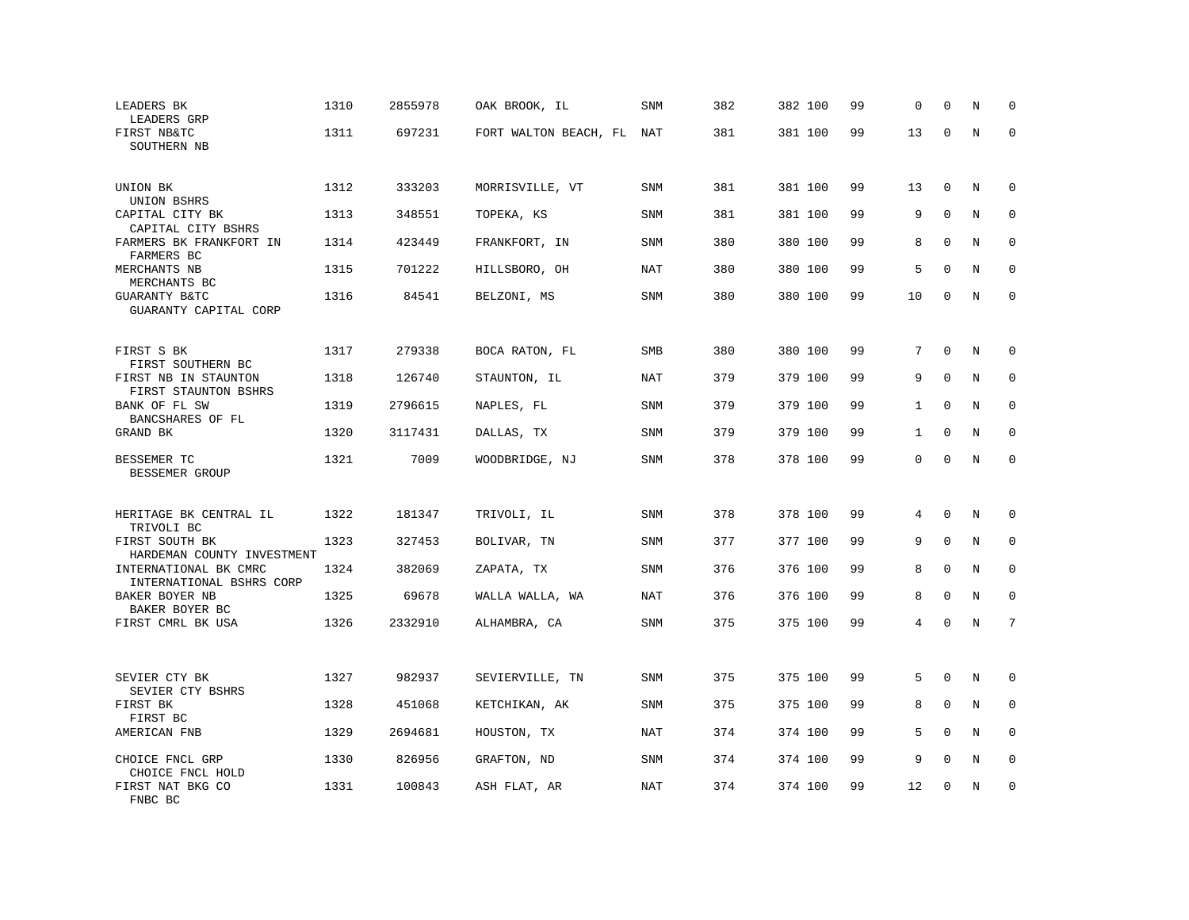| LEADERS BK<br>LEADERS GRP                                                       | 1310 | 2855978 | OAK BROOK, IL             | SNM        | 382 | 382 100 | 99 | 0            | $\Omega$     | N | $\mathbf 0$  |
|---------------------------------------------------------------------------------|------|---------|---------------------------|------------|-----|---------|----|--------------|--------------|---|--------------|
| FIRST NB&TC<br>SOUTHERN NB                                                      | 1311 | 697231  | FORT WALTON BEACH, FL NAT |            | 381 | 381 100 | 99 | 13           | $\mathbf 0$  | N | $\mathbf 0$  |
| UNION BK                                                                        | 1312 | 333203  | MORRISVILLE, VT           | <b>SNM</b> | 381 | 381 100 | 99 | 13           | $\mathbf 0$  | N | $\mathbf 0$  |
| UNION BSHRS<br>CAPITAL CITY BK<br>CAPITAL CITY BSHRS                            | 1313 | 348551  | TOPEKA, KS                | SNM        | 381 | 381 100 | 99 | 9            | $\mathbf{0}$ | N | $\mathbf 0$  |
| FARMERS BK FRANKFORT IN<br>FARMERS BC                                           | 1314 | 423449  | FRANKFORT, IN             | <b>SNM</b> | 380 | 380 100 | 99 | 8            | $\mathbf 0$  | N | $\mathbf 0$  |
| MERCHANTS NB<br>MERCHANTS BC                                                    | 1315 | 701222  | HILLSBORO, OH             | <b>NAT</b> | 380 | 380 100 | 99 | 5            | $\Omega$     | N | $\mathbf 0$  |
| GUARANTY B&TC<br>GUARANTY CAPITAL CORP                                          | 1316 | 84541   | BELZONI, MS               | SNM        | 380 | 380 100 | 99 | 10           | $\Omega$     | N | $\mathbf 0$  |
| FIRST S BK                                                                      | 1317 | 279338  | BOCA RATON, FL            | SMB        | 380 | 380 100 | 99 | 7            | $\mathbf 0$  | N | $\mathbf 0$  |
| FIRST SOUTHERN BC<br>FIRST NB IN STAUNTON                                       | 1318 | 126740  | STAUNTON, IL              | NAT        | 379 | 379 100 | 99 | 9            | $\mathbf 0$  | N | $\mathbf 0$  |
| FIRST STAUNTON BSHRS<br>BANK OF FL SW                                           | 1319 | 2796615 | NAPLES, FL                | SNM        | 379 | 379 100 | 99 | $\mathbf{1}$ | $\mathbf 0$  | N | $\mathbf 0$  |
| BANCSHARES OF FL<br>GRAND BK                                                    | 1320 | 3117431 | DALLAS, TX                | <b>SNM</b> | 379 | 379 100 | 99 | $\mathbf{1}$ | $\Omega$     | N | $\Omega$     |
| BESSEMER TC<br>BESSEMER GROUP                                                   | 1321 | 7009    | WOODBRIDGE, NJ            | SNM        | 378 | 378 100 | 99 | 0            | $\mathbf 0$  | N | $\mathbf 0$  |
| HERITAGE BK CENTRAL IL                                                          | 1322 | 181347  | TRIVOLI, IL               | SNM        | 378 | 378 100 | 99 | 4            | $\Omega$     | N | $\Omega$     |
| TRIVOLI BC<br>FIRST SOUTH BK                                                    | 1323 | 327453  | BOLIVAR, TN               | <b>SNM</b> | 377 | 377 100 | 99 | 9            | $\Omega$     | N | $\mathbf 0$  |
| HARDEMAN COUNTY INVESTMENT<br>INTERNATIONAL BK CMRC<br>INTERNATIONAL BSHRS CORP | 1324 | 382069  | ZAPATA, TX                | <b>SNM</b> | 376 | 376 100 | 99 | 8            | $\Omega$     | N | $\mathbf 0$  |
| BAKER BOYER NB<br>BAKER BOYER BC                                                | 1325 | 69678   | WALLA WALLA, WA           | NAT        | 376 | 376 100 | 99 | 8            | $\mathbf 0$  | N | $\mathbf{0}$ |
| FIRST CMRL BK USA                                                               | 1326 | 2332910 | ALHAMBRA, CA              | SNM        | 375 | 375 100 | 99 | 4            | $\Omega$     | N | 7            |
|                                                                                 |      |         |                           |            |     |         |    |              |              |   |              |
| SEVIER CTY BK<br>SEVIER CTY BSHRS                                               | 1327 | 982937  | SEVIERVILLE, TN           | SNM        | 375 | 375 100 | 99 | 5            | $\Omega$     | N | 0            |
| FIRST BK<br>FIRST BC                                                            | 1328 | 451068  | KETCHIKAN, AK             | SNM        | 375 | 375 100 | 99 | 8            | $\mathbf{0}$ | N | 0            |
| AMERICAN FNB                                                                    | 1329 | 2694681 | HOUSTON, TX               | NAT        | 374 | 374 100 | 99 | 5            | $\Omega$     | N | $\Omega$     |
| CHOICE FNCL GRP<br>CHOICE FNCL HOLD                                             | 1330 | 826956  | GRAFTON, ND               | SNM        | 374 | 374 100 | 99 | 9            | $\mathbf{0}$ | Ν | 0            |
| FIRST NAT BKG CO<br>FNBC BC                                                     | 1331 | 100843  | ASH FLAT, AR              | NAT        | 374 | 374 100 | 99 | 12           | $\mathbf 0$  | N | $\mathbf 0$  |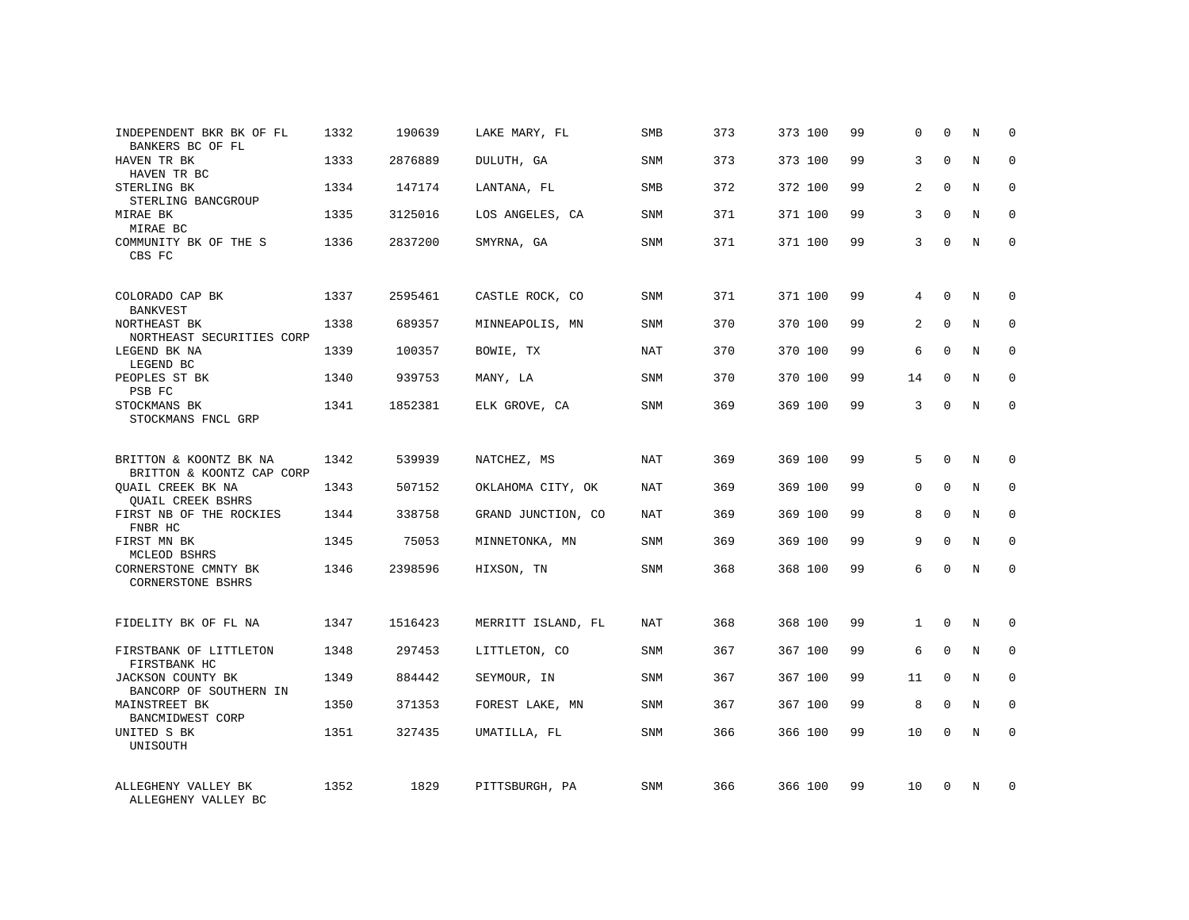| INDEPENDENT BKR BK OF FL<br>BANKERS BC OF FL                 | 1332 | 190639  | LAKE MARY, FL      | <b>SMB</b> | 373 | 373 100 | 99 | 0            | $\Omega$     | N          | $\Omega$    |
|--------------------------------------------------------------|------|---------|--------------------|------------|-----|---------|----|--------------|--------------|------------|-------------|
| HAVEN TR BK<br>HAVEN TR BC                                   | 1333 | 2876889 | DULUTH, GA         | <b>SNM</b> | 373 | 373 100 | 99 | 3            | $\Omega$     | N          | $\Omega$    |
| STERLING BK<br>STERLING BANCGROUP                            | 1334 | 147174  | LANTANA, FL        | SMB        | 372 | 372 100 | 99 | 2            | $\Omega$     | N          | $\Omega$    |
| MIRAE BK<br>MIRAE BC                                         | 1335 | 3125016 | LOS ANGELES, CA    | <b>SNM</b> | 371 | 371 100 | 99 | 3            | $\Omega$     | N          | $\Omega$    |
| COMMUNITY BK OF THE S<br>CBS FC                              | 1336 | 2837200 | SMYRNA, GA         | SNM        | 371 | 371 100 | 99 | 3            | $\Omega$     | N          | $\Omega$    |
| COLORADO CAP BK                                              | 1337 | 2595461 | CASTLE ROCK, CO    | <b>SNM</b> | 371 | 371 100 | 99 | 4            | $\mathbf 0$  | N          | $\mathbf 0$ |
| <b>BANKVEST</b><br>NORTHEAST BK<br>NORTHEAST SECURITIES CORP | 1338 | 689357  | MINNEAPOLIS, MN    | SNM        | 370 | 370 100 | 99 | 2            | $\Omega$     | N          | $\mathbf 0$ |
| LEGEND BK NA<br>LEGEND BC                                    | 1339 | 100357  | BOWIE, TX          | NAT        | 370 | 370 100 | 99 | 6            | $\Omega$     | N          | $\mathbf 0$ |
| PEOPLES ST BK<br>PSB FC                                      | 1340 | 939753  | MANY, LA           | <b>SNM</b> | 370 | 370 100 | 99 | 14           | $\Omega$     | N          | $\mathbf 0$ |
| STOCKMANS BK<br>STOCKMANS FNCL GRP                           | 1341 | 1852381 | ELK GROVE, CA      | <b>SNM</b> | 369 | 369 100 | 99 | 3            | $\mathbf 0$  | N          | $\mathbf 0$ |
| BRITTON & KOONTZ BK NA<br>BRITTON & KOONTZ CAP CORP          | 1342 | 539939  | NATCHEZ, MS        | <b>NAT</b> | 369 | 369 100 | 99 | 5            | $\Omega$     | $_{\rm N}$ | $\Omega$    |
| <b>OUAIL CREEK BK NA</b><br><b>OUAIL CREEK BSHRS</b>         | 1343 | 507152  | OKLAHOMA CITY, OK  | NAT        | 369 | 369 100 | 99 | 0            | $\mathbf{0}$ | N          | $\mathbf 0$ |
| FIRST NB OF THE ROCKIES<br>FNBR HC                           | 1344 | 338758  | GRAND JUNCTION, CO | NAT        | 369 | 369 100 | 99 | 8            | $\Omega$     | N          | $\Omega$    |
| FIRST MN BK<br>MCLEOD BSHRS                                  | 1345 | 75053   | MINNETONKA, MN     | SNM        | 369 | 369 100 | 99 | 9            | $\Omega$     | N          | 0           |
| CORNERSTONE CMNTY BK<br><b>CORNERSTONE BSHRS</b>             | 1346 | 2398596 | HIXSON, TN         | <b>SNM</b> | 368 | 368 100 | 99 | 6            | $\Omega$     | $_{\rm N}$ | $\Omega$    |
| FIDELITY BK OF FL NA                                         | 1347 | 1516423 | MERRITT ISLAND, FL | NAT        | 368 | 368 100 | 99 | $\mathbf{1}$ | $\Omega$     | N          | $\mathbf 0$ |
| FIRSTBANK OF LITTLETON<br>FIRSTBANK HC                       | 1348 | 297453  | LITTLETON, CO      | SNM        | 367 | 367 100 | 99 | 6            | $\mathbf 0$  | N          | 0           |
| JACKSON COUNTY BK<br>BANCORP OF SOUTHERN IN                  | 1349 | 884442  | SEYMOUR, IN        | <b>SNM</b> | 367 | 367 100 | 99 | 11           | $\Omega$     | N          | $\mathbf 0$ |
| MAINSTREET BK<br>BANCMIDWEST CORP                            | 1350 | 371353  | FOREST LAKE, MN    | SNM        | 367 | 367 100 | 99 | 8            | $\mathbf 0$  | N          | 0           |
| UNITED S BK<br>UNISOUTH                                      | 1351 | 327435  | UMATILLA, FL       | SNM        | 366 | 366 100 | 99 | 10           | $\Omega$     | N          | $\mathbf 0$ |
| ALLEGHENY VALLEY BK<br>ALLEGHENY VALLEY BC                   | 1352 | 1829    | PITTSBURGH, PA     | <b>SNM</b> | 366 | 366 100 | 99 | 10           | $\Omega$     | N          | $\mathbf 0$ |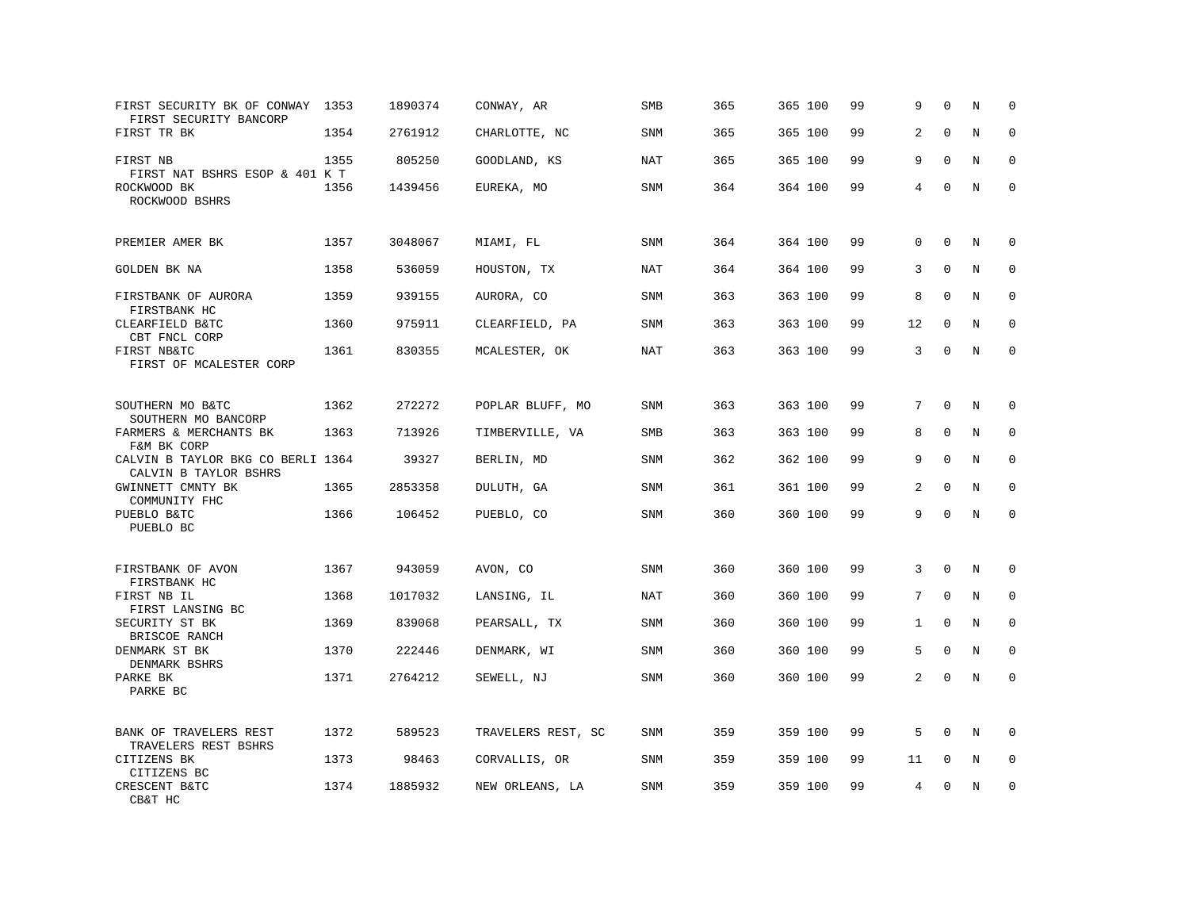| FIRST SECURITY BK OF CONWAY 1353<br>FIRST SECURITY BANCORP |      | 1890374 | CONWAY, AR         | SMB        | 365 | 365 100 | 99 | 9            | $\mathbf 0$  | N       | $\mathbf 0$  |
|------------------------------------------------------------|------|---------|--------------------|------------|-----|---------|----|--------------|--------------|---------|--------------|
| FIRST TR BK                                                | 1354 | 2761912 | CHARLOTTE, NC      | SNM        | 365 | 365 100 | 99 | 2            | $\mathbf 0$  | $\rm N$ | $\mathbf 0$  |
| FIRST NB<br>FIRST NAT BSHRS ESOP & 401 K T                 | 1355 | 805250  | GOODLAND, KS       | NAT        | 365 | 365 100 | 99 | 9            | $\mathbf 0$  | N       | $\mathbf 0$  |
| ROCKWOOD BK<br>ROCKWOOD BSHRS                              | 1356 | 1439456 | EUREKA, MO         | SNM        | 364 | 364 100 | 99 | 4            | $\mathbf 0$  | N       | $\mathbf{0}$ |
| PREMIER AMER BK                                            | 1357 | 3048067 | MIAMI, FL          | SNM        | 364 | 364 100 | 99 | 0            | $\mathbf 0$  | N       | $\mathbf 0$  |
| GOLDEN BK NA                                               | 1358 | 536059  | HOUSTON, TX        | NAT        | 364 | 364 100 | 99 | 3            | $\mathbf 0$  | N       | $\mathbf 0$  |
| FIRSTBANK OF AURORA<br>FIRSTBANK HC                        | 1359 | 939155  | AURORA, CO         | SNM        | 363 | 363 100 | 99 | 8            | $\Omega$     | N       | $\mathbf 0$  |
| CLEARFIELD B&TC<br>CBT FNCL CORP                           | 1360 | 975911  | CLEARFIELD, PA     | SNM        | 363 | 363 100 | 99 | 12           | $\mathbf 0$  | N       | $\mathbf 0$  |
| FIRST NB&TC<br>FIRST OF MCALESTER CORP                     | 1361 | 830355  | MCALESTER, OK      | NAT        | 363 | 363 100 | 99 | 3            | $\Omega$     | N       | $\mathbf 0$  |
| SOUTHERN MO B&TC<br>SOUTHERN MO BANCORP                    | 1362 | 272272  | POPLAR BLUFF, MO   | SNM        | 363 | 363 100 | 99 | 7            | $\mathbf 0$  | N       | 0            |
| FARMERS & MERCHANTS BK<br>F&M BK CORP                      | 1363 | 713926  | TIMBERVILLE, VA    | SMB        | 363 | 363 100 | 99 | 8            | $\mathbf 0$  | N       | $\mathbf 0$  |
| CALVIN B TAYLOR BKG CO BERLI 1364<br>CALVIN B TAYLOR BSHRS |      | 39327   | BERLIN, MD         | SNM        | 362 | 362 100 | 99 | 9            | $\Omega$     | N       | $\mathbf 0$  |
| GWINNETT CMNTY BK<br>COMMUNITY FHC                         | 1365 | 2853358 | DULUTH, GA         | SNM        | 361 | 361 100 | 99 | 2            | $\Omega$     | N       | $\Omega$     |
| PUEBLO B&TC<br>PUEBLO BC                                   | 1366 | 106452  | PUEBLO, CO         | SNM        | 360 | 360 100 | 99 | 9            | $\Omega$     | N       | $\mathbf 0$  |
| FIRSTBANK OF AVON<br>FIRSTBANK HC                          | 1367 | 943059  | AVON, CO           | SNM        | 360 | 360 100 | 99 | 3            | $\mathbf 0$  | N       | 0            |
| FIRST NB IL<br>FIRST LANSING BC                            | 1368 | 1017032 | LANSING, IL        | NAT        | 360 | 360 100 | 99 | 7            | $\mathbf 0$  | N       | $\mathbf{0}$ |
| SECURITY ST BK<br>BRISCOE RANCH                            | 1369 | 839068  | PEARSALL, TX       | SNM        | 360 | 360 100 | 99 | $\mathbf{1}$ | $\Omega$     | N       | $\Omega$     |
| DENMARK ST BK<br>DENMARK BSHRS                             | 1370 | 222446  | DENMARK, WI        | <b>SNM</b> | 360 | 360 100 | 99 | 5            | $\mathbf{0}$ | N       | $\mathbf 0$  |
| PARKE BK<br>PARKE BC                                       | 1371 | 2764212 | SEWELL, NJ         | SNM        | 360 | 360 100 | 99 | 2            | $\Omega$     | N       | $\mathbf 0$  |
| BANK OF TRAVELERS REST<br>TRAVELERS REST BSHRS             | 1372 | 589523  | TRAVELERS REST, SC | SNM        | 359 | 359 100 | 99 | 5            | $\Omega$     | N       | $\Omega$     |
| CITIZENS BK<br>CITIZENS BC                                 | 1373 | 98463   | CORVALLIS, OR      | SNM        | 359 | 359 100 | 99 | 11           | 0            | Ν       | 0            |
| CRESCENT B&TC<br>CB&T HC                                   | 1374 | 1885932 | NEW ORLEANS, LA    | SNM        | 359 | 359 100 | 99 | 4            | $\mathbf 0$  | N       | $\mathbf 0$  |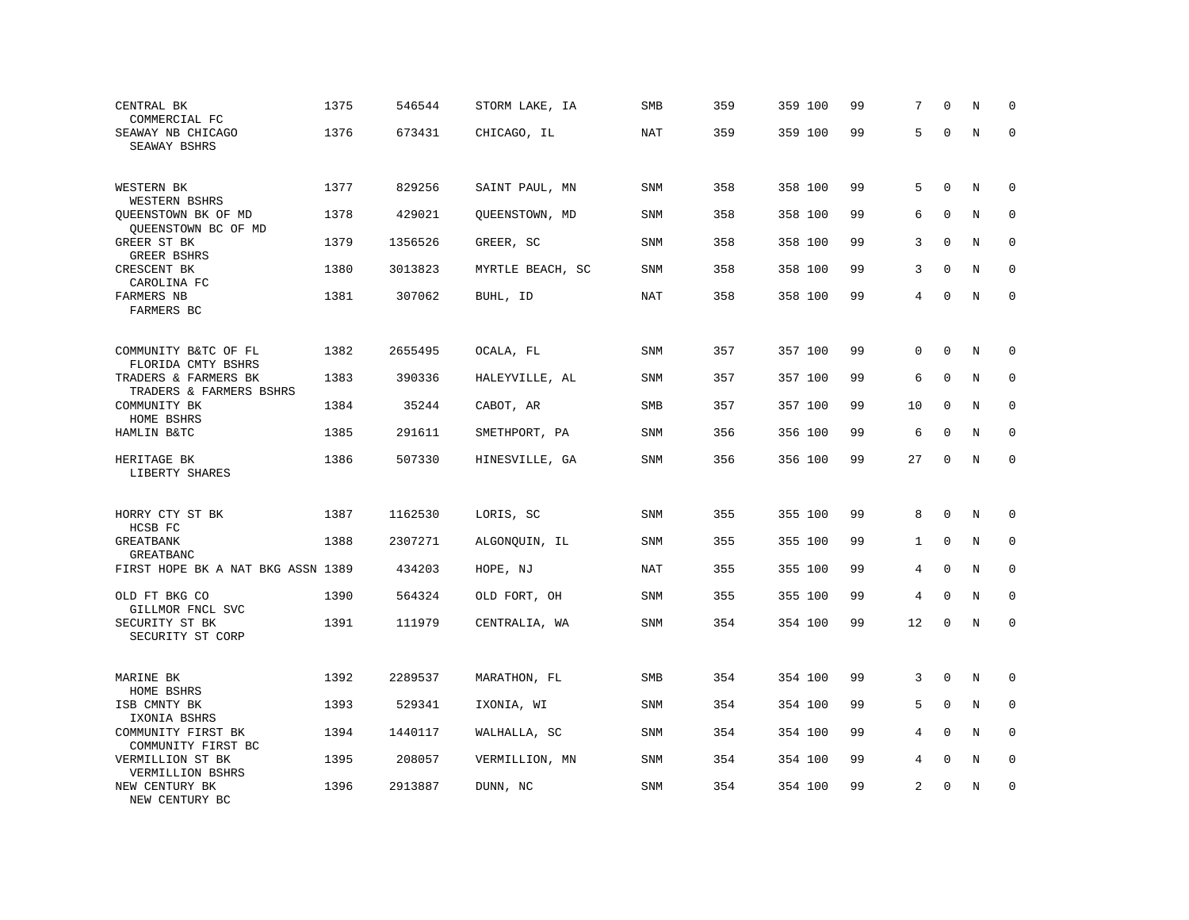| CENTRAL BK<br>COMMERCIAL FC                                           | 1375 | 546544  | STORM LAKE, IA   | SMB        | 359 | 359 100 | 99 | 7            | $\Omega$     | N       | $\mathbf 0$  |
|-----------------------------------------------------------------------|------|---------|------------------|------------|-----|---------|----|--------------|--------------|---------|--------------|
| SEAWAY NB CHICAGO<br>SEAWAY BSHRS                                     | 1376 | 673431  | CHICAGO, IL      | NAT        | 359 | 359 100 | 99 | 5            | $\Omega$     | N       | $\Omega$     |
| WESTERN BK<br>WESTERN BSHRS                                           | 1377 | 829256  | SAINT PAUL, MN   | <b>SNM</b> | 358 | 358 100 | 99 | 5            | $\Omega$     | N       | $\mathbf 0$  |
| QUEENSTOWN BK OF MD<br>QUEENSTOWN BC OF MD                            | 1378 | 429021  | QUEENSTOWN, MD   | <b>SNM</b> | 358 | 358 100 | 99 | 6            | $\mathbf 0$  | N       | $\mathbf 0$  |
| GREER ST BK<br>GREER BSHRS                                            | 1379 | 1356526 | GREER, SC        | SNM        | 358 | 358 100 | 99 | 3            | $\Omega$     | N       | $\mathbf 0$  |
| CRESCENT BK<br>CAROLINA FC                                            | 1380 | 3013823 | MYRTLE BEACH, SC | <b>SNM</b> | 358 | 358 100 | 99 | 3            | $\mathbf 0$  | N       | $\mathbf 0$  |
| FARMERS NB<br>FARMERS BC                                              | 1381 | 307062  | BUHL, ID         | NAT        | 358 | 358 100 | 99 | 4            | $\mathbf 0$  | N       | $\mathbf{0}$ |
| COMMUNITY B&TC OF FL                                                  | 1382 | 2655495 | OCALA, FL        | <b>SNM</b> | 357 | 357 100 | 99 | 0            | $\mathbf 0$  | N       | 0            |
| FLORIDA CMTY BSHRS<br>TRADERS & FARMERS BK<br>TRADERS & FARMERS BSHRS | 1383 | 390336  | HALEYVILLE, AL   | <b>SNM</b> | 357 | 357 100 | 99 | 6            | $\mathbf 0$  | N       | 0            |
| COMMUNITY BK<br>HOME BSHRS                                            | 1384 | 35244   | CABOT, AR        | <b>SMB</b> | 357 | 357 100 | 99 | 10           | $\mathbf 0$  | N       | $\mathbf 0$  |
| HAMLIN B&TC                                                           | 1385 | 291611  | SMETHPORT, PA    | <b>SNM</b> | 356 | 356 100 | 99 | 6            | $\mathbf 0$  | N       | $\mathbf 0$  |
| HERITAGE BK<br>LIBERTY SHARES                                         | 1386 | 507330  | HINESVILLE, GA   | SNM        | 356 | 356 100 | 99 | 27           | $\mathbf 0$  | $\rm N$ | $\mathbf 0$  |
| HORRY CTY ST BK<br>HCSB FC                                            | 1387 | 1162530 | LORIS, SC        | <b>SNM</b> | 355 | 355 100 | 99 | 8            | $\mathbf 0$  | N       | $\mathbf 0$  |
| GREATBANK<br><b>GREATBANC</b>                                         | 1388 | 2307271 | ALGONQUIN, IL    | SNM        | 355 | 355 100 | 99 | $\mathbf{1}$ | $\mathbf{0}$ | N       | $\mathbf 0$  |
| FIRST HOPE BK A NAT BKG ASSN 1389                                     |      | 434203  | HOPE, NJ         | <b>NAT</b> | 355 | 355 100 | 99 | 4            | $\mathbf 0$  | $\rm N$ | $\mathbf 0$  |
| OLD FT BKG CO<br>GILLMOR FNCL SVC                                     | 1390 | 564324  | OLD FORT, OH     | SNM        | 355 | 355 100 | 99 | 4            | $\mathbf 0$  | N       | $\mathbf 0$  |
| SECURITY ST BK<br>SECURITY ST CORP                                    | 1391 | 111979  | CENTRALIA, WA    | <b>SNM</b> | 354 | 354 100 | 99 | 12           | $\mathbf 0$  | N       | $\mathbf 0$  |
| MARINE BK<br>HOME BSHRS                                               | 1392 | 2289537 | MARATHON, FL     | SMB        | 354 | 354 100 | 99 | 3            | $\mathbf 0$  | N       | $\mathbf 0$  |
| ISB CMNTY BK<br>IXONIA BSHRS                                          | 1393 | 529341  | IXONIA, WI       | SNM        | 354 | 354 100 | 99 | 5            | $\Omega$     | N       | 0            |
| COMMUNITY FIRST BK<br>COMMUNITY FIRST BC                              | 1394 | 1440117 | WALHALLA, SC     | <b>SNM</b> | 354 | 354 100 | 99 | 4            | $\Omega$     | N       | $\mathbf 0$  |
| VERMILLION ST BK<br>VERMILLION BSHRS                                  | 1395 | 208057  | VERMILLION, MN   | <b>SNM</b> | 354 | 354 100 | 99 | 4            | $\Omega$     | N       | $\mathbf 0$  |
| NEW CENTURY BK<br>NEW CENTURY BC                                      | 1396 | 2913887 | DUNN, NC         | <b>SNM</b> | 354 | 354 100 | 99 | 2            | $\mathbf 0$  | N       | $\mathbf 0$  |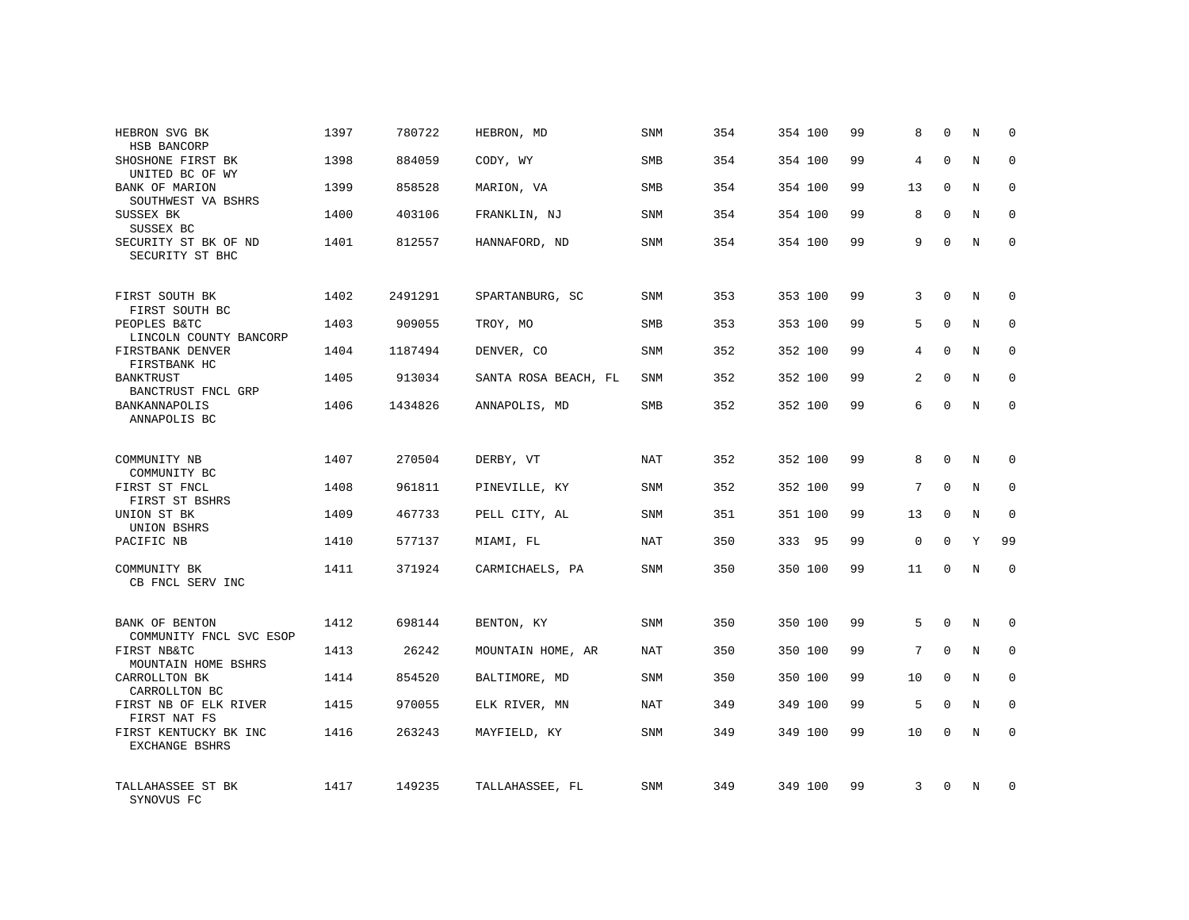| HEBRON SVG BK<br>HSB BANCORP              | 1397 | 780722  | HEBRON, MD           | SNM        | 354 | 354 100 | 99 | 8              | $\mathbf 0$ | N          | $\Omega$    |
|-------------------------------------------|------|---------|----------------------|------------|-----|---------|----|----------------|-------------|------------|-------------|
| SHOSHONE FIRST BK<br>UNITED BC OF WY      | 1398 | 884059  | CODY, WY             | <b>SMB</b> | 354 | 354 100 | 99 | 4              | $\Omega$    | N          | $\Omega$    |
| BANK OF MARION<br>SOUTHWEST VA BSHRS      | 1399 | 858528  | MARION, VA           | SMB        | 354 | 354 100 | 99 | 13             | $\Omega$    | N          | $\Omega$    |
| SUSSEX BK<br>SUSSEX BC                    | 1400 | 403106  | FRANKLIN, NJ         | <b>SNM</b> | 354 | 354 100 | 99 | 8              | $\Omega$    | N          | $\Omega$    |
| SECURITY ST BK OF ND<br>SECURITY ST BHC   | 1401 | 812557  | HANNAFORD, ND        | <b>SNM</b> | 354 | 354 100 | 99 | 9              | $\Omega$    | N          | $\Omega$    |
| FIRST SOUTH BK<br>FIRST SOUTH BC          | 1402 | 2491291 | SPARTANBURG, SC      | <b>SNM</b> | 353 | 353 100 | 99 | 3              | $\Omega$    | N          | $\mathbf 0$ |
| PEOPLES B&TC<br>LINCOLN COUNTY BANCORP    | 1403 | 909055  | TROY, MO             | <b>SMB</b> | 353 | 353 100 | 99 | 5              | $\mathbf 0$ | N          | $\mathbf 0$ |
| FIRSTBANK DENVER<br>FIRSTBANK HC          | 1404 | 1187494 | DENVER, CO           | <b>SNM</b> | 352 | 352 100 | 99 | 4              | $\Omega$    | N          | $\mathbf 0$ |
| <b>BANKTRUST</b><br>BANCTRUST FNCL GRP    | 1405 | 913034  | SANTA ROSA BEACH, FL | SNM        | 352 | 352 100 | 99 | $\overline{a}$ | $\mathbf 0$ | N          | 0           |
| BANKANNAPOLIS<br>ANNAPOLIS BC             | 1406 | 1434826 | ANNAPOLIS, MD        | SMB        | 352 | 352 100 | 99 | 6              | $\Omega$    | $_{\rm N}$ | $\mathbf 0$ |
| COMMUNITY NB<br>COMMUNITY BC              | 1407 | 270504  | DERBY, VT            | NAT        | 352 | 352 100 | 99 | 8              | $\Omega$    | N          | $\mathbf 0$ |
| FIRST ST FNCL<br>FIRST ST BSHRS           | 1408 | 961811  | PINEVILLE, KY        | <b>SNM</b> | 352 | 352 100 | 99 | 7              | $\mathbf 0$ | N          | $\mathbf 0$ |
| UNION ST BK<br>UNION BSHRS                | 1409 | 467733  | PELL CITY, AL        | <b>SNM</b> | 351 | 351 100 | 99 | 13             | $\mathbf 0$ | N          | $\mathbf 0$ |
| PACIFIC NB                                | 1410 | 577137  | MIAMI, FL            | <b>NAT</b> | 350 | 333 95  | 99 | $\mathbf 0$    | $\Omega$    | Y          | 99          |
| COMMUNITY BK<br>CB FNCL SERV INC          | 1411 | 371924  | CARMICHAELS, PA      | SNM        | 350 | 350 100 | 99 | 11             | $\mathbf 0$ | N          | $\mathbf 0$ |
| BANK OF BENTON<br>COMMUNITY FNCL SVC ESOP | 1412 | 698144  | BENTON, KY           | SNM        | 350 | 350 100 | 99 | 5              | $\mathbf 0$ | N          | $\mathbf 0$ |
| FIRST NB&TC<br>MOUNTAIN HOME BSHRS        | 1413 | 26242   | MOUNTAIN HOME, AR    | <b>NAT</b> | 350 | 350 100 | 99 | 7              | $\Omega$    | N          | $\mathbf 0$ |
| CARROLLTON BK<br>CARROLLTON BC            | 1414 | 854520  | BALTIMORE, MD        | SNM        | 350 | 350 100 | 99 | 10             | $\Omega$    | N          | $\mathbf 0$ |
| FIRST NB OF ELK RIVER<br>FIRST NAT FS     | 1415 | 970055  | ELK RIVER, MN        | NAT        | 349 | 349 100 | 99 | 5              | $\Omega$    | N          | $\mathbf 0$ |
| FIRST KENTUCKY BK INC<br>EXCHANGE BSHRS   | 1416 | 263243  | MAYFIELD, KY         | <b>SNM</b> | 349 | 349 100 | 99 | 10             | $\Omega$    | N          | $\mathbf 0$ |
| TALLAHASSEE ST BK<br>SYNOVUS FC           | 1417 | 149235  | TALLAHASSEE, FL      | <b>SNM</b> | 349 | 349 100 | 99 | 3              | $\Omega$    | N          | $\mathbf 0$ |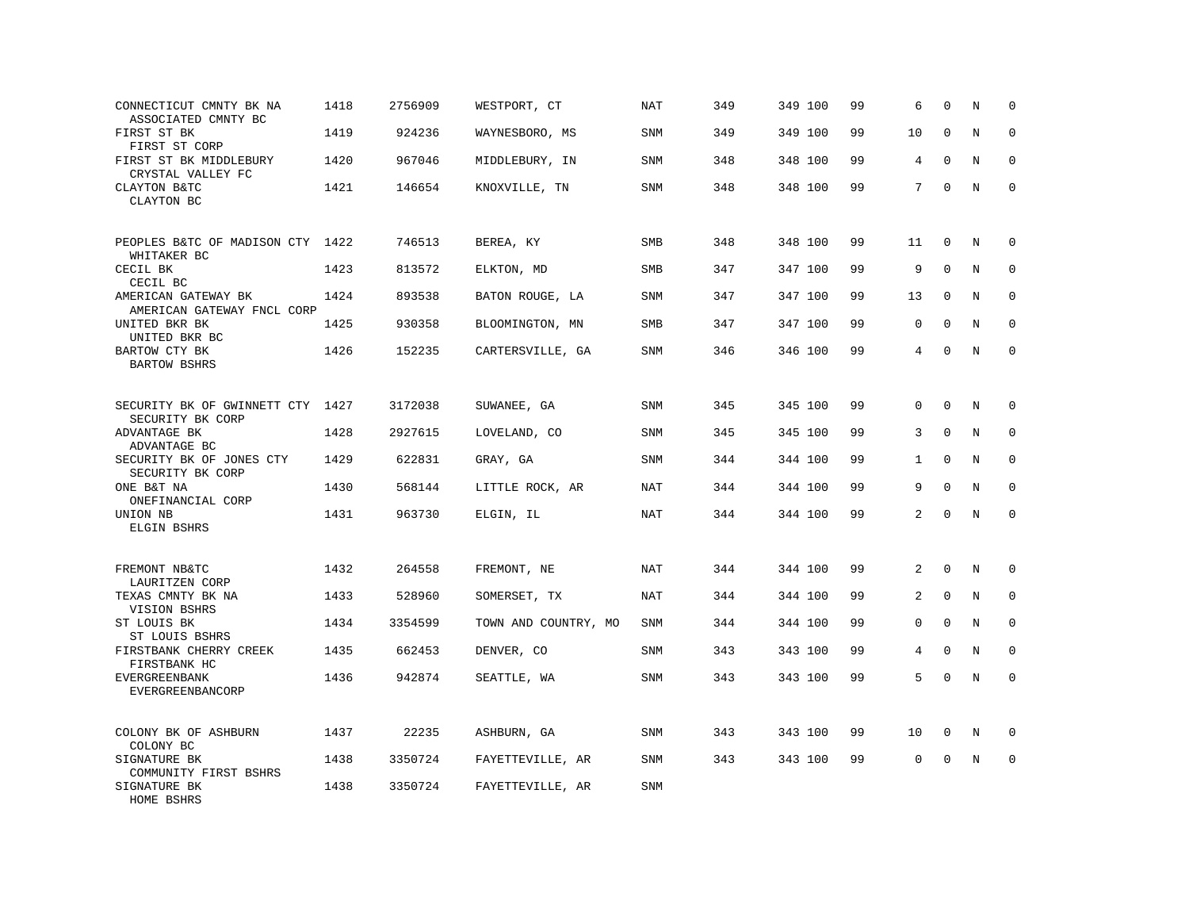| CONNECTICUT CMNTY BK NA<br>ASSOCIATED CMNTY BC    | 1418 | 2756909 | WESTPORT, CT         | <b>NAT</b> | 349 | 349 100 | 99 | 6              | 0            | N       | $\mathbf 0$ |
|---------------------------------------------------|------|---------|----------------------|------------|-----|---------|----|----------------|--------------|---------|-------------|
| FIRST ST BK<br>FIRST ST CORP                      | 1419 | 924236  | WAYNESBORO, MS       | <b>SNM</b> | 349 | 349 100 | 99 | 10             | $\mathbf{0}$ | N       | $\mathbf 0$ |
| FIRST ST BK MIDDLEBURY<br>CRYSTAL VALLEY FC       | 1420 | 967046  | MIDDLEBURY, IN       | SNM        | 348 | 348 100 | 99 | 4              | $\mathbf 0$  | N       | $\mathbf 0$ |
| CLAYTON B&TC<br>CLAYTON BC                        | 1421 | 146654  | KNOXVILLE, TN        | SNM        | 348 | 348 100 | 99 | 7              | $\mathbf 0$  | N       | $\mathbf 0$ |
| PEOPLES B&TC OF MADISON CTY<br>WHITAKER BC        | 1422 | 746513  | BEREA, KY            | SMB        | 348 | 348 100 | 99 | 11             | 0            | N       | $\mathbf 0$ |
| CECIL BK<br>CECIL BC                              | 1423 | 813572  | ELKTON, MD           | <b>SMB</b> | 347 | 347 100 | 99 | 9              | $\mathbf 0$  | N       | $\mathbf 0$ |
| AMERICAN GATEWAY BK<br>AMERICAN GATEWAY FNCL CORP | 1424 | 893538  | BATON ROUGE, LA      | SNM        | 347 | 347 100 | 99 | 13             | 0            | N       | $\mathbf 0$ |
| UNITED BKR BK<br>UNITED BKR BC                    | 1425 | 930358  | BLOOMINGTON, MN      | <b>SMB</b> | 347 | 347 100 | 99 | 0              | $\Omega$     | N       | $\mathbf 0$ |
| BARTOW CTY BK<br><b>BARTOW BSHRS</b>              | 1426 | 152235  | CARTERSVILLE, GA     | SNM        | 346 | 346 100 | 99 | 4              | $\Omega$     | N       | $\Omega$    |
| SECURITY BK OF GWINNETT CTY<br>SECURITY BK CORP   | 1427 | 3172038 | SUWANEE, GA          | SNM        | 345 | 345 100 | 99 | $\Omega$       | $\Omega$     | N       | 0           |
| ADVANTAGE BK<br>ADVANTAGE BC                      | 1428 | 2927615 | LOVELAND, CO         | SNM        | 345 | 345 100 | 99 | 3              | $\mathbf 0$  | N       | $\mathbf 0$ |
| SECURITY BK OF JONES CTY<br>SECURITY BK CORP      | 1429 | 622831  | GRAY, GA             | <b>SNM</b> | 344 | 344 100 | 99 | $\mathbf{1}$   | $\mathbf 0$  | N       | $\mathbf 0$ |
| ONE B&T NA<br>ONEFINANCIAL CORP                   | 1430 | 568144  | LITTLE ROCK, AR      | <b>NAT</b> | 344 | 344 100 | 99 | 9              | $\mathbf{0}$ | N       | 0           |
| UNION NB<br>ELGIN BSHRS                           | 1431 | 963730  | ELGIN, IL            | <b>NAT</b> | 344 | 344 100 | 99 | $\overline{a}$ | $\mathbf 0$  | $\rm N$ | $\mathbf 0$ |
| FREMONT NB&TC<br>LAURITZEN CORP                   | 1432 | 264558  | FREMONT, NE          | NAT        | 344 | 344 100 | 99 | 2              | $\mathbf 0$  | N       | $\mathbf 0$ |
| TEXAS CMNTY BK NA<br>VISION BSHRS                 | 1433 | 528960  | SOMERSET, TX         | NAT        | 344 | 344 100 | 99 | 2              | $\Omega$     | N       | $\mathbf 0$ |
| ST LOUIS BK<br>ST LOUIS BSHRS                     | 1434 | 3354599 | TOWN AND COUNTRY, MO | SNM        | 344 | 344 100 | 99 | 0              | $\mathbf 0$  | N       | 0           |
| FIRSTBANK CHERRY CREEK<br>FIRSTBANK HC            | 1435 | 662453  | DENVER, CO           | SNM        | 343 | 343 100 | 99 | 4              | $\mathbf{0}$ | N       | $\mathbf 0$ |
| <b>EVERGREENBANK</b><br>EVERGREENBANCORP          | 1436 | 942874  | SEATTLE, WA          | <b>SNM</b> | 343 | 343 100 | 99 | 5              | $\Omega$     | N       | $\mathbf 0$ |
| COLONY BK OF ASHBURN<br>COLONY BC                 | 1437 | 22235   | ASHBURN, GA          | <b>SNM</b> | 343 | 343 100 | 99 | 10             | 0            | N       | 0           |
| SIGNATURE BK<br>COMMUNITY FIRST BSHRS             | 1438 | 3350724 | FAYETTEVILLE, AR     | SNM        | 343 | 343 100 | 99 | 0              | $\mathbf 0$  | N       | $\mathbf 0$ |
| SIGNATURE BK<br>HOME BSHRS                        | 1438 | 3350724 | FAYETTEVILLE, AR     | <b>SNM</b> |     |         |    |                |              |         |             |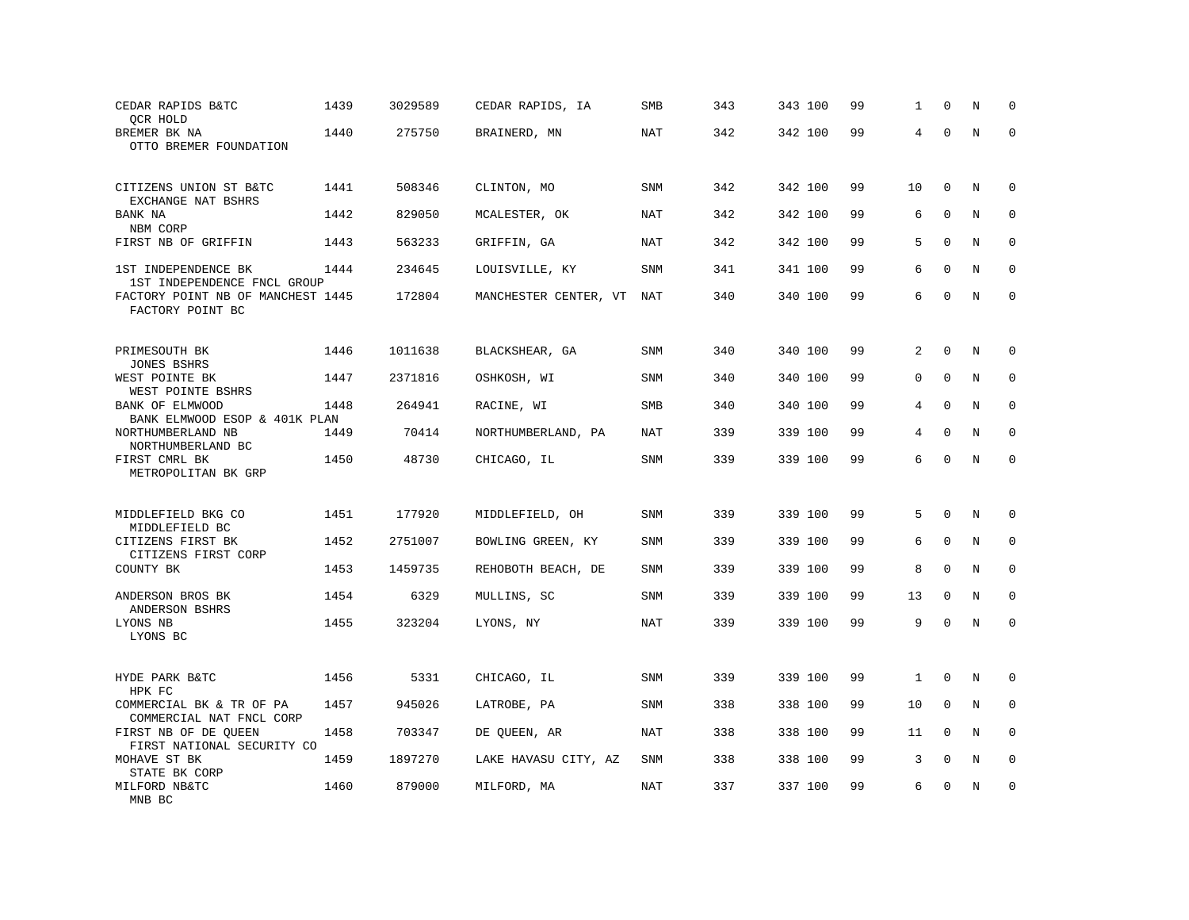| CEDAR RAPIDS B&TC<br>QCR HOLD                         | 1439 | 3029589 | CEDAR RAPIDS, IA      | SMB        | 343 | 343 100 | 99 | 1  | $\mathbf 0$  | N       | $\Omega$     |
|-------------------------------------------------------|------|---------|-----------------------|------------|-----|---------|----|----|--------------|---------|--------------|
| BREMER BK NA<br>OTTO BREMER FOUNDATION                | 1440 | 275750  | BRAINERD, MN          | <b>NAT</b> | 342 | 342 100 | 99 | 4  | $\Omega$     | $\rm N$ | $\mathbf 0$  |
| CITIZENS UNION ST B&TC                                | 1441 | 508346  | CLINTON, MO           | <b>SNM</b> | 342 | 342 100 | 99 | 10 | $\mathbf 0$  | N       | $\mathbf 0$  |
| EXCHANGE NAT BSHRS<br>BANK NA<br>NBM CORP             | 1442 | 829050  | MCALESTER, OK         | NAT        | 342 | 342 100 | 99 | 6  | $\Omega$     | N       | $\Omega$     |
| FIRST NB OF GRIFFIN                                   | 1443 | 563233  | GRIFFIN, GA           | <b>NAT</b> | 342 | 342 100 | 99 | 5  | $\mathbf{0}$ | N       | $\mathbf 0$  |
| 1ST INDEPENDENCE BK<br>1ST INDEPENDENCE FNCL GROUP    | 1444 | 234645  | LOUISVILLE, KY        | <b>SNM</b> | 341 | 341 100 | 99 | 6  | $\Omega$     | N       | $\mathbf 0$  |
| FACTORY POINT NB OF MANCHEST 1445<br>FACTORY POINT BC |      | 172804  | MANCHESTER CENTER, VT | NAT        | 340 | 340 100 | 99 | 6  | $\Omega$     | N       | $\mathbf 0$  |
| PRIMESOUTH BK<br><b>JONES BSHRS</b>                   | 1446 | 1011638 | BLACKSHEAR, GA        | <b>SNM</b> | 340 | 340 100 | 99 | 2  | $\Omega$     | N       | $\mathbf 0$  |
| WEST POINTE BK<br>WEST POINTE BSHRS                   | 1447 | 2371816 | OSHKOSH, WI           | SNM        | 340 | 340 100 | 99 | 0  | $\mathbf 0$  | N       | $\mathbf 0$  |
| BANK OF ELMWOOD<br>BANK ELMWOOD ESOP & 401K PLAN      | 1448 | 264941  | RACINE, WI            | <b>SMB</b> | 340 | 340 100 | 99 | 4  | $\Omega$     | N       | $\mathbf 0$  |
| NORTHUMBERLAND NB<br>NORTHUMBERLAND BC                | 1449 | 70414   | NORTHUMBERLAND, PA    | <b>NAT</b> | 339 | 339 100 | 99 | 4  | $\mathbf{0}$ | N       | $\mathbf 0$  |
| FIRST CMRL BK<br>METROPOLITAN BK GRP                  | 1450 | 48730   | CHICAGO, IL           | <b>SNM</b> | 339 | 339 100 | 99 | 6  | $\Omega$     | N       | $\mathbf 0$  |
| MIDDLEFIELD BKG CO<br>MIDDLEFIELD BC                  | 1451 | 177920  | MIDDLEFIELD, OH       | <b>SNM</b> | 339 | 339 100 | 99 | 5  | $\mathbf 0$  | N       | $\mathbf 0$  |
| CITIZENS FIRST BK<br>CITIZENS FIRST CORP              | 1452 | 2751007 | BOWLING GREEN, KY     | <b>SNM</b> | 339 | 339 100 | 99 | 6  | $\Omega$     | N       | $\mathbf 0$  |
| COUNTY BK                                             | 1453 | 1459735 | REHOBOTH BEACH, DE    | <b>SNM</b> | 339 | 339 100 | 99 | 8  | $\mathbf 0$  | N       | $\mathbf 0$  |
| ANDERSON BROS BK<br>ANDERSON BSHRS                    | 1454 | 6329    | MULLINS, SC           | <b>SNM</b> | 339 | 339 100 | 99 | 13 | $\mathbf 0$  | N       | $\mathbf{0}$ |
| LYONS NB<br>LYONS BC                                  | 1455 | 323204  | LYONS, NY             | <b>NAT</b> | 339 | 339 100 | 99 | 9  | $\Omega$     | N       | $\Omega$     |
| HYDE PARK B&TC<br>HPK FC                              | 1456 | 5331    | CHICAGO, IL           | SNM        | 339 | 339 100 | 99 | 1  | $\Omega$     | N       | 0            |
| COMMERCIAL BK & TR OF PA<br>COMMERCIAL NAT FNCL CORP  | 1457 | 945026  | LATROBE, PA           | <b>SNM</b> | 338 | 338 100 | 99 | 10 | $\mathbf 0$  | N       | $\mathbf 0$  |
| FIRST NB OF DE QUEEN<br>FIRST NATIONAL SECURITY CO    | 1458 | 703347  | DE QUEEN, AR          | NAT        | 338 | 338 100 | 99 | 11 | $\Omega$     | N       | $\Omega$     |
| MOHAVE ST BK<br>STATE BK CORP                         | 1459 | 1897270 | LAKE HAVASU CITY, AZ  | SNM        | 338 | 338 100 | 99 | 3  | $\mathbf 0$  | N       | 0            |
| MILFORD NB&TC<br>MNB BC                               | 1460 | 879000  | MILFORD, MA           | NAT        | 337 | 337 100 | 99 | 6  | $\mathbf 0$  | N       | $\mathbf 0$  |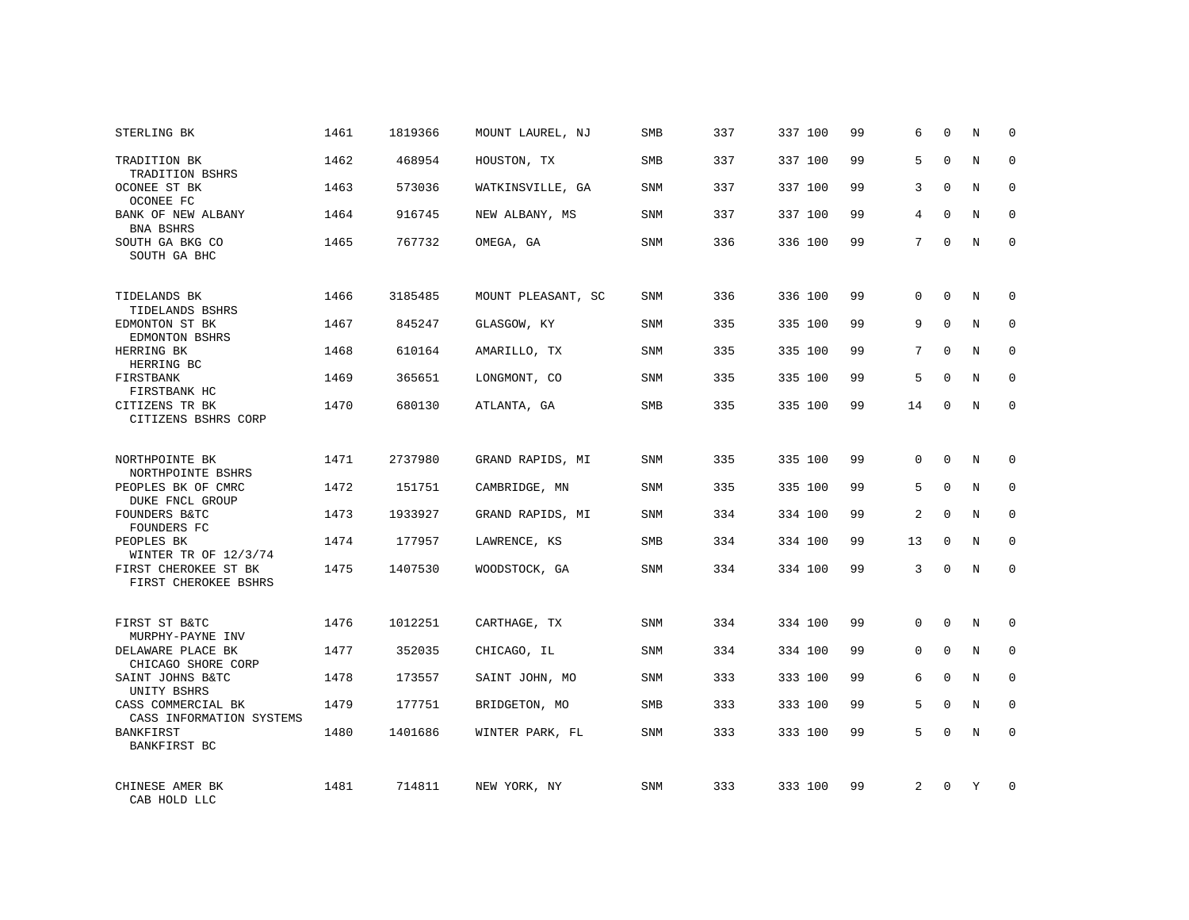| STERLING BK                                                 | 1461 | 1819366 | MOUNT LAUREL, NJ   | SMB        | 337 | 337 100 | 99 | 6              | $\Omega$     | N          | $\Omega$    |
|-------------------------------------------------------------|------|---------|--------------------|------------|-----|---------|----|----------------|--------------|------------|-------------|
| TRADITION BK<br>TRADITION BSHRS                             | 1462 | 468954  | HOUSTON, TX        | <b>SMB</b> | 337 | 337 100 | 99 | 5              | $\Omega$     | N          | $\Omega$    |
| OCONEE ST BK<br>OCONEE FC                                   | 1463 | 573036  | WATKINSVILLE, GA   | SNM        | 337 | 337 100 | 99 | 3              | $\Omega$     | N          | $\Omega$    |
| BANK OF NEW ALBANY<br>BNA BSHRS                             | 1464 | 916745  | NEW ALBANY, MS     | <b>SNM</b> | 337 | 337 100 | 99 | 4              | $\Omega$     | N          | $\Omega$    |
| SOUTH GA BKG CO<br>SOUTH GA BHC                             | 1465 | 767732  | OMEGA, GA          | <b>SNM</b> | 336 | 336 100 | 99 | 7              | $\Omega$     | N          | $\Omega$    |
| TIDELANDS BK<br>TIDELANDS BSHRS                             | 1466 | 3185485 | MOUNT PLEASANT, SC | <b>SNM</b> | 336 | 336 100 | 99 | 0              | $\mathbf 0$  | N          | $\mathbf 0$ |
| EDMONTON ST BK<br>EDMONTON BSHRS                            | 1467 | 845247  | GLASGOW, KY        | <b>SNM</b> | 335 | 335 100 | 99 | 9              | $\Omega$     | N          | $\mathbf 0$ |
| HERRING BK<br>HERRING BC                                    | 1468 | 610164  | AMARILLO, TX       | <b>SNM</b> | 335 | 335 100 | 99 | 7              | $\Omega$     | N          | $\mathbf 0$ |
| FIRSTBANK<br>FIRSTBANK HC                                   | 1469 | 365651  | LONGMONT, CO       | <b>SNM</b> | 335 | 335 100 | 99 | 5              | $\Omega$     | N          | $\mathbf 0$ |
| CITIZENS TR BK<br>CITIZENS BSHRS CORP                       | 1470 | 680130  | ATLANTA, GA        | SMB        | 335 | 335 100 | 99 | 14             | $\mathbf 0$  | N          | $\mathbf 0$ |
| NORTHPOINTE BK<br>NORTHPOINTE BSHRS                         | 1471 | 2737980 | GRAND RAPIDS, MI   | <b>SNM</b> | 335 | 335 100 | 99 | $\Omega$       | $\Omega$     | $_{\rm N}$ | $\Omega$    |
| PEOPLES BK OF CMRC<br>DUKE FNCL GROUP                       | 1472 | 151751  | CAMBRIDGE, MN      | <b>SNM</b> | 335 | 335 100 | 99 | 5              | $\mathbf{0}$ | N          | $\mathbf 0$ |
| FOUNDERS B&TC<br>FOUNDERS FC                                | 1473 | 1933927 | GRAND RAPIDS, MI   | <b>SNM</b> | 334 | 334 100 | 99 | $\overline{2}$ | $\Omega$     | N          | $\Omega$    |
| PEOPLES BK<br>WINTER TR OF 12/3/74                          | 1474 | 177957  | LAWRENCE, KS       | SMB        | 334 | 334 100 | 99 | 13             | $\Omega$     | N          | 0           |
| FIRST CHEROKEE ST BK<br>FIRST CHEROKEE BSHRS                | 1475 | 1407530 | WOODSTOCK, GA      | SNM        | 334 | 334 100 | 99 | 3              | $\Omega$     | $_{\rm N}$ | $\Omega$    |
| FIRST ST B&TC                                               | 1476 | 1012251 | CARTHAGE, TX       | <b>SNM</b> | 334 | 334 100 | 99 | $\Omega$       | $\Omega$     | N          | $\mathbf 0$ |
| MURPHY-PAYNE INV<br>DELAWARE PLACE BK<br>CHICAGO SHORE CORP | 1477 | 352035  | CHICAGO, IL        | SNM        | 334 | 334 100 | 99 | 0              | $\mathbf 0$  | N          | 0           |
| SAINT JOHNS B&TC<br>UNITY BSHRS                             | 1478 | 173557  | SAINT JOHN, MO     | <b>SNM</b> | 333 | 333 100 | 99 | 6              | $\Omega$     | N          | $\mathbf 0$ |
| CASS COMMERCIAL BK<br>CASS INFORMATION SYSTEMS              | 1479 | 177751  | BRIDGETON, MO      | SMB        | 333 | 333 100 | 99 | 5              | $\mathbf 0$  | N          | 0           |
| BANKFIRST<br>BANKFIRST BC                                   | 1480 | 1401686 | WINTER PARK, FL    | SNM        | 333 | 333 100 | 99 | 5              | $\Omega$     | N          | $\mathbf 0$ |
| CHINESE AMER BK<br>CAB HOLD LLC                             | 1481 | 714811  | NEW YORK, NY       | <b>SNM</b> | 333 | 333 100 | 99 | $\overline{2}$ | $\Omega$     | Y          | $\Omega$    |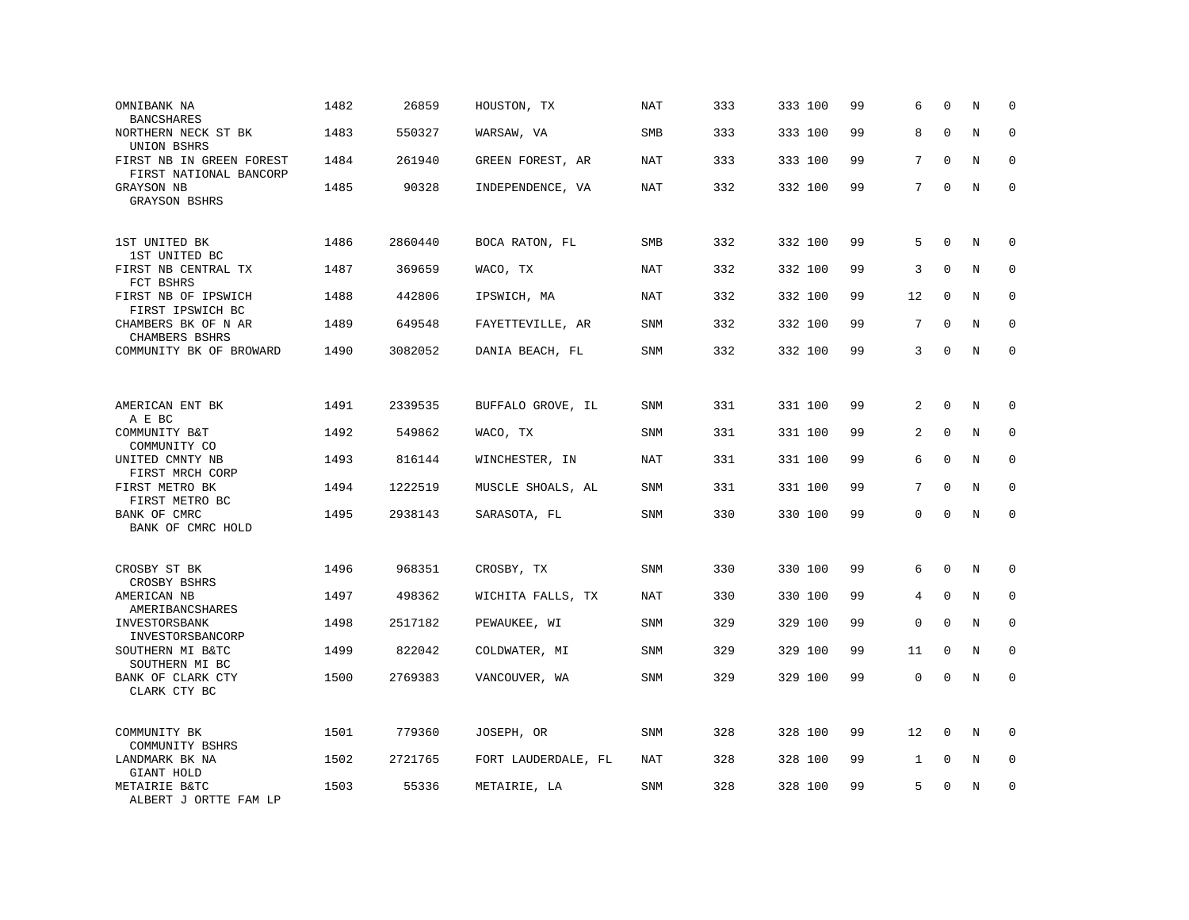| OMNIBANK NA<br><b>BANCSHARES</b>                   | 1482 | 26859   | HOUSTON, TX         | <b>NAT</b> | 333 | 333 100 | 99 | 6  | $\mathbf 0$ | N       | $\mathbf 0$  |
|----------------------------------------------------|------|---------|---------------------|------------|-----|---------|----|----|-------------|---------|--------------|
| NORTHERN NECK ST BK<br>UNION BSHRS                 | 1483 | 550327  | WARSAW, VA          | <b>SMB</b> | 333 | 333 100 | 99 | 8  | $\Omega$    | N       | $\mathbf 0$  |
| FIRST NB IN GREEN FOREST<br>FIRST NATIONAL BANCORP | 1484 | 261940  | GREEN FOREST, AR    | <b>NAT</b> | 333 | 333 100 | 99 | 7  | $\Omega$    | N       | $\mathbf 0$  |
| GRAYSON NB<br><b>GRAYSON BSHRS</b>                 | 1485 | 90328   | INDEPENDENCE, VA    | NAT        | 332 | 332 100 | 99 | 7  | $\mathbf 0$ | N       | $\mathbf{0}$ |
| 1ST UNITED BK<br>1ST UNITED BC                     | 1486 | 2860440 | BOCA RATON, FL      | <b>SMB</b> | 332 | 332 100 | 99 | 5  | $\Omega$    | N       | $\Omega$     |
| FIRST NB CENTRAL TX<br>FCT BSHRS                   | 1487 | 369659  | WACO, TX            | <b>NAT</b> | 332 | 332 100 | 99 | 3  | $\mathbf 0$ | N       | $\mathbf 0$  |
| FIRST NB OF IPSWICH<br>FIRST IPSWICH BC            | 1488 | 442806  | IPSWICH, MA         | NAT        | 332 | 332 100 | 99 | 12 | $\Omega$    | N       | $\mathbf{0}$ |
| CHAMBERS BK OF N AR<br>CHAMBERS BSHRS              | 1489 | 649548  | FAYETTEVILLE, AR    | SNM        | 332 | 332 100 | 99 | 7  | $\mathbf 0$ | N       | $\mathbf 0$  |
| COMMUNITY BK OF BROWARD                            | 1490 | 3082052 | DANIA BEACH, FL     | <b>SNM</b> | 332 | 332 100 | 99 | 3  | $\Omega$    | N       | $\mathbf 0$  |
| AMERICAN ENT BK                                    | 1491 | 2339535 | BUFFALO GROVE, IL   | <b>SNM</b> | 331 | 331 100 | 99 | 2  | $\mathbf 0$ | N       | 0            |
| A E BC<br>COMMUNITY B&T<br>COMMUNITY CO            | 1492 | 549862  | WACO, TX            | SNM        | 331 | 331 100 | 99 | 2  | $\mathbf 0$ | N       | $\mathbf 0$  |
| UNITED CMNTY NB<br>FIRST MRCH CORP                 | 1493 | 816144  | WINCHESTER, IN      | <b>NAT</b> | 331 | 331 100 | 99 | 6  | $\mathbf 0$ | $\rm N$ | $\mathbf 0$  |
| FIRST METRO BK<br>FIRST METRO BC                   | 1494 | 1222519 | MUSCLE SHOALS, AL   | SNM        | 331 | 331 100 | 99 | 7  | $\Omega$    | N       | $\mathbf 0$  |
| BANK OF CMRC<br>BANK OF CMRC HOLD                  | 1495 | 2938143 | SARASOTA, FL        | SNM        | 330 | 330 100 | 99 | 0  | $\Omega$    | $\rm N$ | $\mathbf 0$  |
| CROSBY ST BK<br>CROSBY BSHRS                       | 1496 | 968351  | CROSBY, TX          | SNM        | 330 | 330 100 | 99 | 6  | $\mathbf 0$ | N       | 0            |
| AMERICAN NB<br>AMERIBANCSHARES                     | 1497 | 498362  | WICHITA FALLS, TX   | NAT        | 330 | 330 100 | 99 | 4  | $\mathbf 0$ | N       | 0            |
| INVESTORSBANK<br>INVESTORSBANCORP                  | 1498 | 2517182 | PEWAUKEE, WI        | SNM        | 329 | 329 100 | 99 | 0  | $\mathbf 0$ | N       | $\mathbf 0$  |
| SOUTHERN MI B&TC<br>SOUTHERN MI BC                 | 1499 | 822042  | COLDWATER, MI       | <b>SNM</b> | 329 | 329 100 | 99 | 11 | $\mathbf 0$ | N       | $\mathbf 0$  |
| BANK OF CLARK CTY<br>CLARK CTY BC                  | 1500 | 2769383 | VANCOUVER, WA       | SNM        | 329 | 329 100 | 99 | 0  | $\mathbf 0$ | N       | $\mathbf 0$  |
| COMMUNITY BK<br>COMMUNITY BSHRS                    | 1501 | 779360  | JOSEPH, OR          | SNM        | 328 | 328 100 | 99 | 12 | $\mathbf 0$ | N       | $\mathbf 0$  |
| LANDMARK BK NA<br>GIANT HOLD                       | 1502 | 2721765 | FORT LAUDERDALE, FL | NAT        | 328 | 328 100 | 99 | 1  | $\mathbf 0$ | N       | $\mathbf 0$  |
| METAIRIE B&TC<br>ALBERT J ORTTE FAM LP             | 1503 | 55336   | METAIRIE, LA        | <b>SNM</b> | 328 | 328 100 | 99 | 5  | $\mathbf 0$ | N       | $\mathbf 0$  |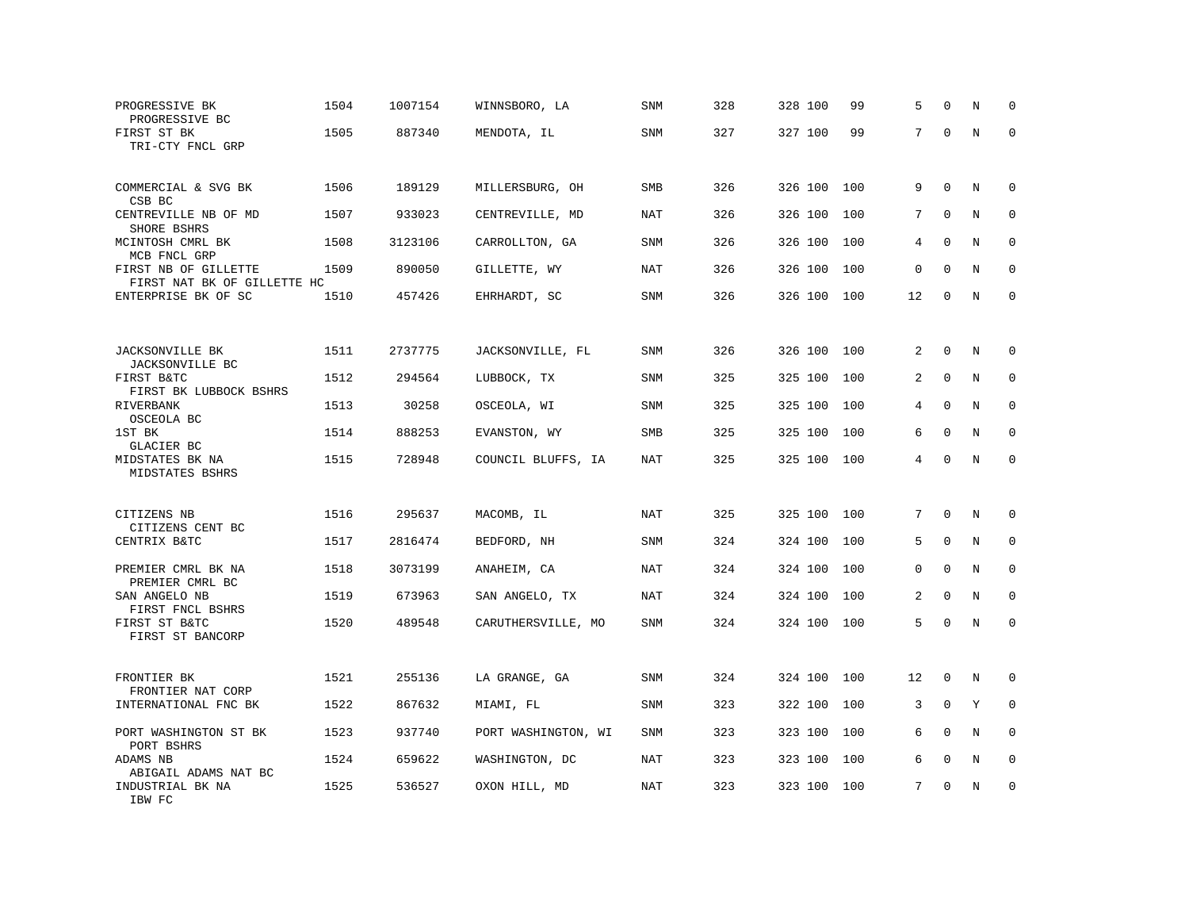| PROGRESSIVE BK<br>PROGRESSIVE BC                    | 1504 | 1007154 | WINNSBORO, LA       | <b>SNM</b> | 328 | 328 100 | 99  | 5  | $\Omega$     | N       | $\mathbf 0$  |
|-----------------------------------------------------|------|---------|---------------------|------------|-----|---------|-----|----|--------------|---------|--------------|
| FIRST ST BK<br>TRI-CTY FNCL GRP                     | 1505 | 887340  | MENDOTA, IL         | <b>SNM</b> | 327 | 327 100 | 99  | 7  | $\Omega$     | $\rm N$ | $\mathbf 0$  |
| COMMERCIAL & SVG BK<br>CSB BC                       | 1506 | 189129  | MILLERSBURG, OH     | <b>SMB</b> | 326 | 326 100 | 100 | 9  | $\mathbf 0$  | N       | $\mathbf 0$  |
| CENTREVILLE NB OF MD<br>SHORE BSHRS                 | 1507 | 933023  | CENTREVILLE, MD     | NAT        | 326 | 326 100 | 100 | 7  | $\mathbf 0$  | N       | $\mathbf 0$  |
| MCINTOSH CMRL BK<br>MCB FNCL GRP                    | 1508 | 3123106 | CARROLLTON, GA      | <b>SNM</b> | 326 | 326 100 | 100 | 4  | $\mathbf 0$  | N       | $\mathbf 0$  |
| FIRST NB OF GILLETTE<br>FIRST NAT BK OF GILLETTE HC | 1509 | 890050  | GILLETTE, WY        | <b>NAT</b> | 326 | 326 100 | 100 | 0  | $\Omega$     | N       | $\mathbf 0$  |
| ENTERPRISE BK OF SC                                 | 1510 | 457426  | EHRHARDT, SC        | SNM        | 326 | 326 100 | 100 | 12 | $\mathbf 0$  | N       | $\mathbf 0$  |
|                                                     |      |         |                     |            |     |         |     |    |              |         |              |
| JACKSONVILLE BK<br>JACKSONVILLE BC                  | 1511 | 2737775 | JACKSONVILLE, FL    | SNM        | 326 | 326 100 | 100 | 2  | $\mathbf 0$  | N       | 0            |
| FIRST B&TC<br>FIRST BK LUBBOCK BSHRS                | 1512 | 294564  | LUBBOCK, TX         | <b>SNM</b> | 325 | 325 100 | 100 | 2  | $\mathbf 0$  | N       | $\mathbf 0$  |
| RIVERBANK<br>OSCEOLA BC                             | 1513 | 30258   | OSCEOLA, WI         | SNM        | 325 | 325 100 | 100 | 4  | $\mathbf 0$  | N       | $\mathbf 0$  |
| 1ST BK<br>GLACIER BC                                | 1514 | 888253  | EVANSTON, WY        | <b>SMB</b> | 325 | 325 100 | 100 | 6  | $\mathbf 0$  | N       | $\Omega$     |
| MIDSTATES BK NA<br>MIDSTATES BSHRS                  | 1515 | 728948  | COUNCIL BLUFFS, IA  | <b>NAT</b> | 325 | 325 100 | 100 | 4  | $\mathbf 0$  | N       | $\mathbf 0$  |
| CITIZENS NB<br>CITIZENS CENT BC                     | 1516 | 295637  | MACOMB, IL          | NAT        | 325 | 325 100 | 100 | 7  | $\Omega$     | N       | 0            |
| CENTRIX B&TC                                        | 1517 | 2816474 | BEDFORD, NH         | <b>SNM</b> | 324 | 324 100 | 100 | 5  | $\Omega$     | N       | $\mathbf 0$  |
| PREMIER CMRL BK NA<br>PREMIER CMRL BC               | 1518 | 3073199 | ANAHEIM, CA         | NAT        | 324 | 324 100 | 100 | 0  | $\Omega$     | N       | $\mathbf 0$  |
| SAN ANGELO NB<br>FIRST FNCL BSHRS                   | 1519 | 673963  | SAN ANGELO, TX      | NAT        | 324 | 324 100 | 100 | 2  | $\mathbf 0$  | N       | $\mathbf{0}$ |
| FIRST ST B&TC<br>FIRST ST BANCORP                   | 1520 | 489548  | CARUTHERSVILLE, MO  | SNM        | 324 | 324 100 | 100 | 5  | $\mathbf 0$  | N       | $\mathbf 0$  |
| FRONTIER BK<br>FRONTIER NAT CORP                    | 1521 | 255136  | LA GRANGE, GA       | SNM        | 324 | 324 100 | 100 | 12 | 0            | N       | 0            |
| INTERNATIONAL FNC BK                                | 1522 | 867632  | MIAMI, FL           | SNM        | 323 | 322 100 | 100 | 3  | $\mathbf 0$  | Y       | 0            |
| PORT WASHINGTON ST BK<br>PORT BSHRS                 | 1523 | 937740  | PORT WASHINGTON, WI | SNM        | 323 | 323 100 | 100 | 6  | $\Omega$     | N       | $\Omega$     |
| ADAMS NB<br>ABIGAIL ADAMS NAT BC                    | 1524 | 659622  | WASHINGTON, DC      | NAT        | 323 | 323 100 | 100 | 6  | $\mathbf{0}$ | $\rm N$ | 0            |
| INDUSTRIAL BK NA<br>IBW FC                          | 1525 | 536527  | OXON HILL, MD       | NAT        | 323 | 323 100 | 100 | 7  | $\Omega$     | N       | $\mathbf 0$  |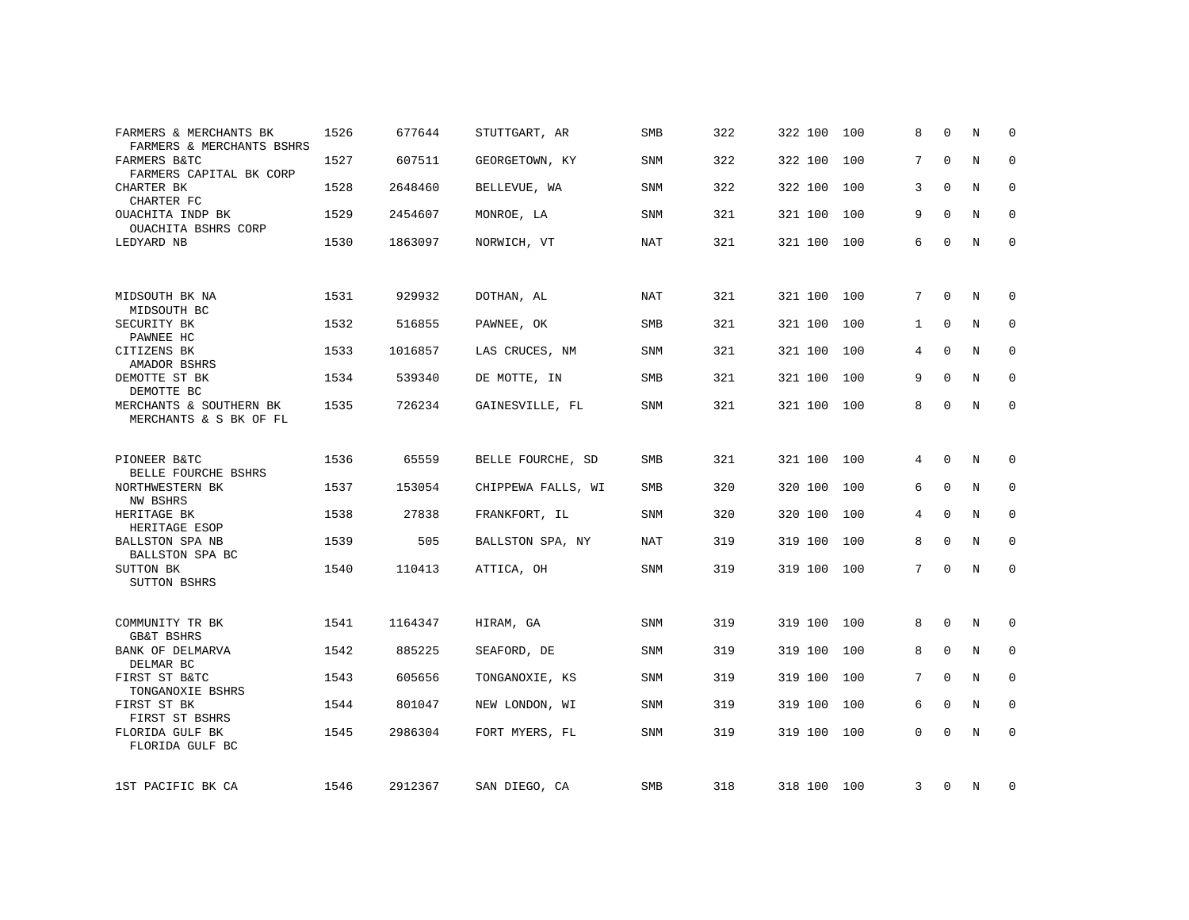| FARMERS & MERCHANTS BK<br>FARMERS & MERCHANTS BSHRS  | 1526 | 677644  | STUTTGART, AR      | <b>SMB</b> | 322 | 322 100     | 100 | 8               | $\Omega$    | N | $\Omega$     |
|------------------------------------------------------|------|---------|--------------------|------------|-----|-------------|-----|-----------------|-------------|---|--------------|
| FARMERS B&TC<br>FARMERS CAPITAL BK CORP              | 1527 | 607511  | GEORGETOWN, KY     | SNM        | 322 | 322 100     | 100 | 7               | $\Omega$    | N | $\mathbf 0$  |
| CHARTER BK<br>CHARTER FC                             | 1528 | 2648460 | BELLEVUE, WA       | SNM        | 322 | 322 100     | 100 | 3               | $\Omega$    | N | $\mathbf 0$  |
| OUACHITA INDP BK<br>OUACHITA BSHRS CORP              | 1529 | 2454607 | MONROE, LA         | SNM        | 321 | 321 100     | 100 | 9               | $\Omega$    | N | $\mathbf 0$  |
| LEDYARD NB                                           | 1530 | 1863097 | NORWICH, VT        | NAT        | 321 | 321 100     | 100 | 6               | $\mathbf 0$ | N | $\mathbf{0}$ |
|                                                      |      |         |                    |            |     |             |     |                 |             |   |              |
| MIDSOUTH BK NA<br>MIDSOUTH BC                        | 1531 | 929932  | DOTHAN, AL         | <b>NAT</b> | 321 | 321 100     | 100 | $7\overline{ }$ | $\Omega$    | N | $\mathbf 0$  |
| SECURITY BK<br>PAWNEE HC                             | 1532 | 516855  | PAWNEE, OK         | <b>SMB</b> | 321 | 321 100     | 100 | $\mathbf{1}$    | $\Omega$    | N | 0            |
| CITIZENS BK<br>AMADOR BSHRS                          | 1533 | 1016857 | LAS CRUCES, NM     | <b>SNM</b> | 321 | 321 100     | 100 | 4               | 0           | N | 0            |
| DEMOTTE ST BK<br>DEMOTTE BC                          | 1534 | 539340  | DE MOTTE, IN       | <b>SMB</b> | 321 | 321 100     | 100 | 9               | $\Omega$    | N | $\mathbf 0$  |
| MERCHANTS & SOUTHERN BK<br>MERCHANTS & S BK OF FL    | 1535 | 726234  | GAINESVILLE, FL    | <b>SNM</b> | 321 | 321 100     | 100 | 8               | $\mathbf 0$ | N | $\mathbf 0$  |
| PIONEER B&TC                                         | 1536 | 65559   | BELLE FOURCHE, SD  | <b>SMB</b> | 321 | 321 100     | 100 | 4               | $\Omega$    | N | 0            |
| BELLE FOURCHE BSHRS<br>NORTHWESTERN BK               | 1537 | 153054  | CHIPPEWA FALLS, WI | <b>SMB</b> | 320 | 320 100     | 100 | 6               | $\mathbf 0$ | N | $\mathbf{0}$ |
| NW BSHRS                                             |      |         |                    |            |     |             |     |                 |             |   |              |
| HERITAGE BK<br>HERITAGE ESOP                         | 1538 | 27838   | FRANKFORT, IL      | SNM        | 320 | 320 100     | 100 | 4               | $\mathbf 0$ | N | 0            |
| BALLSTON SPA NB<br>BALLSTON SPA BC                   | 1539 | 505     | BALLSTON SPA, NY   | NAT        | 319 | 319 100     | 100 | 8               | $\Omega$    | N | $\mathbf 0$  |
| SUTTON BK<br><b>SUTTON BSHRS</b>                     | 1540 | 110413  | ATTICA, OH         | <b>SNM</b> | 319 | 319 100     | 100 | 7               | $\Omega$    | N | $\mathbf 0$  |
| COMMUNITY TR BK                                      | 1541 | 1164347 | HIRAM, GA          | SNM        | 319 | 319 100     | 100 | 8               | 0           | N | 0            |
| <b>GB&amp;T BSHRS</b><br>BANK OF DELMARVA            | 1542 | 885225  | SEAFORD, DE        | SNM        | 319 | 319 100     | 100 | 8               | $\mathbf 0$ | N | $\mathbf 0$  |
| DELMAR BC<br>FIRST ST B&TC                           | 1543 | 605656  | TONGANOXIE, KS     | SNM        | 319 | 319 100     | 100 | 7               | $\mathbf 0$ | N | 0            |
| TONGANOXIE BSHRS<br>FIRST ST BK                      | 1544 | 801047  | NEW LONDON, WI     | SNM        | 319 | 319 100     | 100 | 6               | 0           | N | 0            |
| FIRST ST BSHRS<br>FLORIDA GULF BK<br>FLORIDA GULF BC | 1545 | 2986304 | FORT MYERS, FL     | SNM        | 319 | 319 100     | 100 | 0               | $\Omega$    | N | $\mathbf 0$  |
| 1ST PACIFIC BK CA                                    | 1546 | 2912367 | SAN DIEGO, CA      | SMB        | 318 | 318 100 100 |     | 3               | 0           | N | $\mathbf 0$  |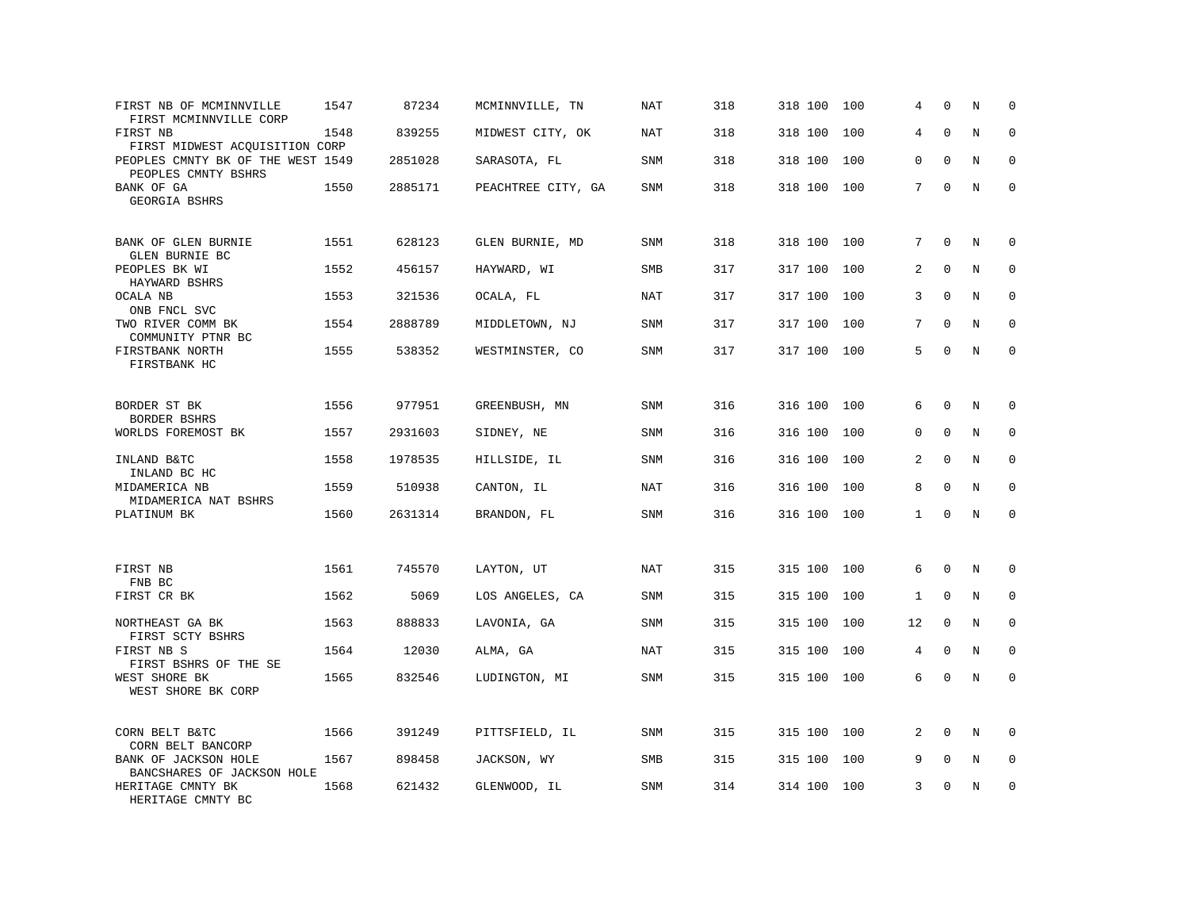| FIRST NB OF MCMINNVILLE<br>FIRST MCMINNVILLE CORP                    | 1547 | 87234   | MCMINNVILLE, TN    | NAT        | 318 | 318 100 | 100 | 4            | $\mathbf 0$ | N       | $\mathbf 0$  |
|----------------------------------------------------------------------|------|---------|--------------------|------------|-----|---------|-----|--------------|-------------|---------|--------------|
| FIRST NB<br>FIRST MIDWEST ACOUISITION CORP                           | 1548 | 839255  | MIDWEST CITY, OK   | <b>NAT</b> | 318 | 318 100 | 100 | 4            | $\mathbf 0$ | $\rm N$ | $\mathbf 0$  |
| PEOPLES CMNTY BK OF THE WEST 1549<br>PEOPLES CMNTY BSHRS             |      | 2851028 | SARASOTA, FL       | <b>SNM</b> | 318 | 318 100 | 100 | 0            | $\mathbf 0$ | N       | $\mathbf 0$  |
| BANK OF GA<br>GEORGIA BSHRS                                          | 1550 | 2885171 | PEACHTREE CITY, GA | <b>SNM</b> | 318 | 318 100 | 100 | $7^{\circ}$  | $\mathbf 0$ | N       | $\mathbf{0}$ |
| BANK OF GLEN BURNIE<br>GLEN BURNIE BC                                | 1551 | 628123  | GLEN BURNIE, MD    | <b>SNM</b> | 318 | 318 100 | 100 | 7            | $\mathbf 0$ | N       | $\mathbf 0$  |
| PEOPLES BK WI<br>HAYWARD BSHRS                                       | 1552 | 456157  | HAYWARD, WI        | <b>SMB</b> | 317 | 317 100 | 100 | 2            | $\Omega$    | N       | $\mathbf 0$  |
| OCALA NB<br>ONB FNCL SVC                                             | 1553 | 321536  | OCALA, FL          | NAT        | 317 | 317 100 | 100 | 3            | $\Omega$    | N       | $\mathbf 0$  |
| TWO RIVER COMM BK<br>COMMUNITY PTNR BC                               | 1554 | 2888789 | MIDDLETOWN, NJ     | <b>SNM</b> | 317 | 317 100 | 100 | 7            | $\Omega$    | N       | $\mathbf 0$  |
| FIRSTBANK NORTH<br>FIRSTBANK HC                                      | 1555 | 538352  | WESTMINSTER, CO    | <b>SNM</b> | 317 | 317 100 | 100 | 5            | $\Omega$    | N       | $\mathbf 0$  |
| BORDER ST BK<br>BORDER BSHRS                                         | 1556 | 977951  | GREENBUSH, MN      | SNM        | 316 | 316 100 | 100 | 6            | $\mathbf 0$ | N       | 0            |
| WORLDS FOREMOST BK                                                   | 1557 | 2931603 | SIDNEY, NE         | <b>SNM</b> | 316 | 316 100 | 100 | 0            | $\mathbf 0$ | N       | $\mathbf 0$  |
| INLAND B&TC<br>INLAND BC HC<br>MIDAMERICA NB<br>MIDAMERICA NAT BSHRS | 1558 | 1978535 | HILLSIDE, IL       | <b>SNM</b> | 316 | 316 100 | 100 | 2            | $\Omega$    | N       | $\mathbf 0$  |
|                                                                      | 1559 | 510938  | CANTON, IL         | NAT        | 316 | 316 100 | 100 | 8            | $\Omega$    | N       | $\Omega$     |
| PLATINUM BK                                                          | 1560 | 2631314 | BRANDON, FL        | <b>SNM</b> | 316 | 316 100 | 100 | $\mathbf{1}$ | $\Omega$    | N       | $\mathbf 0$  |
| FIRST NB                                                             | 1561 | 745570  | LAYTON, UT         | NAT        | 315 | 315 100 | 100 | 6            | $\mathbf 0$ | N       | 0            |
| FNB BC<br>FIRST CR BK                                                | 1562 | 5069    | LOS ANGELES, CA    | SNM        | 315 | 315 100 | 100 | $\mathbf{1}$ | $\mathbf 0$ | N       | $\mathbf{0}$ |
| NORTHEAST GA BK<br>FIRST SCTY BSHRS                                  | 1563 | 888833  | LAVONIA, GA        | SNM        | 315 | 315 100 | 100 | 12           | $\Omega$    | N       | $\Omega$     |
| FIRST NB S<br>FIRST BSHRS OF THE SE                                  | 1564 | 12030   | ALMA, GA           | <b>NAT</b> | 315 | 315 100 | 100 | 4            | $\mathbf 0$ | N       | $\mathbf 0$  |
| WEST SHORE BK<br>WEST SHORE BK CORP                                  | 1565 | 832546  | LUDINGTON, MI      | SNM        | 315 | 315 100 | 100 | 6            | $\Omega$    | N       | $\mathbf 0$  |
| CORN BELT B&TC<br>CORN BELT BANCORP                                  | 1566 | 391249  | PITTSFIELD, IL     | SNM        | 315 | 315 100 | 100 | 2            | $\Omega$    | N       | $\Omega$     |
| BANK OF JACKSON HOLE<br>BANCSHARES OF JACKSON HOLE                   | 1567 | 898458  | JACKSON, WY        | SMB        | 315 | 315 100 | 100 | 9            | $\mathbf 0$ | Ν       | 0            |
| HERITAGE CMNTY BK<br>HERITAGE CMNTY BC                               | 1568 | 621432  | GLENWOOD, IL       | <b>SNM</b> | 314 | 314 100 | 100 | 3            | $\mathbf 0$ | N       | $\mathbf 0$  |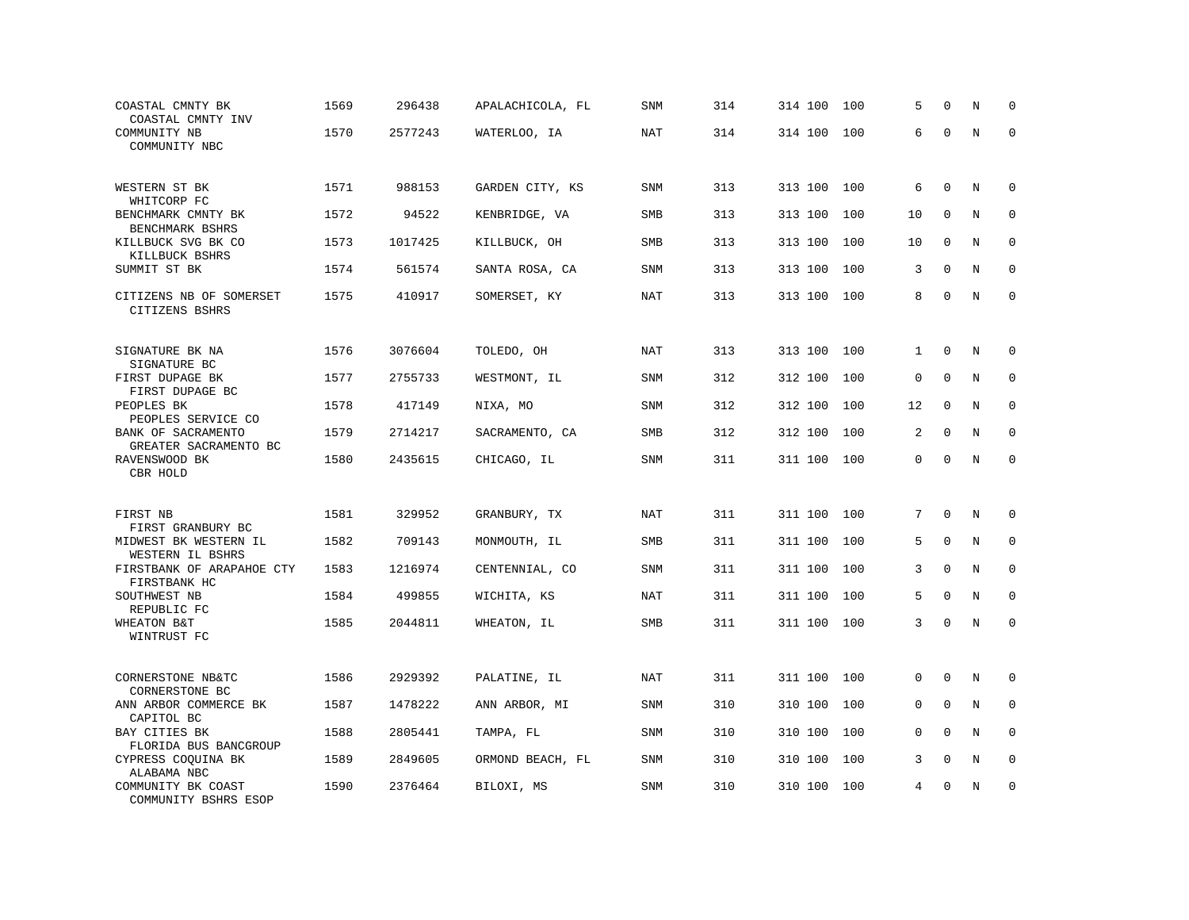| COASTAL CMNTY BK<br>COASTAL CMNTY INV                          | 1569 | 296438  | APALACHICOLA, FL | SNM        | 314 | 314 100 | 100 | 5           | $\mathbf 0$  | N       | $\Omega$    |
|----------------------------------------------------------------|------|---------|------------------|------------|-----|---------|-----|-------------|--------------|---------|-------------|
| COMMUNITY NB<br>COMMUNITY NBC                                  | 1570 | 2577243 | WATERLOO, IA     | <b>NAT</b> | 314 | 314 100 | 100 | 6           | $\Omega$     | $\rm N$ | $\mathbf 0$ |
| WESTERN ST BK                                                  | 1571 | 988153  | GARDEN CITY, KS  | SNM        | 313 | 313 100 | 100 | 6           | $\mathbf 0$  | N       | 0           |
| WHITCORP FC<br>BENCHMARK CMNTY BK<br>BENCHMARK BSHRS           | 1572 | 94522   | KENBRIDGE, VA    | SMB        | 313 | 313 100 | 100 | 10          | $\mathbf 0$  | N       | $\mathbf 0$ |
| KILLBUCK SVG BK CO<br>KILLBUCK BSHRS                           | 1573 | 1017425 | KILLBUCK, OH     | <b>SMB</b> | 313 | 313 100 | 100 | 10          | $\Omega$     | N       | $\mathbf 0$ |
| SUMMIT ST BK                                                   | 1574 | 561574  | SANTA ROSA, CA   | SNM        | 313 | 313 100 | 100 | 3           | $\mathbf 0$  | N       | $\mathbf 0$ |
| CITIZENS NB OF SOMERSET<br>CITIZENS BSHRS                      | 1575 | 410917  | SOMERSET, KY     | <b>NAT</b> | 313 | 313 100 | 100 | 8           | $\Omega$     | N       | $\mathbf 0$ |
| SIGNATURE BK NA                                                | 1576 | 3076604 | TOLEDO, OH       | NAT        | 313 | 313 100 | 100 | 1           | $\mathbf 0$  | N       | $\mathbf 0$ |
| SIGNATURE BC<br>FIRST DUPAGE BK<br>FIRST DUPAGE BC             | 1577 | 2755733 | WESTMONT, IL     | SNM        | 312 | 312 100 | 100 | $\mathbf 0$ | $\mathbf{0}$ | N       | $\mathbf 0$ |
| PEOPLES BK<br>PEOPLES SERVICE CO                               | 1578 | 417149  | NIXA, MO         | <b>SNM</b> | 312 | 312 100 | 100 | 12          | $\mathbf 0$  | N       | $\mathbf 0$ |
| BANK OF SACRAMENTO<br>GREATER SACRAMENTO BC                    | 1579 | 2714217 | SACRAMENTO, CA   | SMB        | 312 | 312 100 | 100 | 2           | $\mathbf 0$  | N       | $\mathbf 0$ |
| RAVENSWOOD BK<br>CBR HOLD                                      | 1580 | 2435615 | CHICAGO, IL      | SNM        | 311 | 311 100 | 100 | 0           | $\Omega$     | $\rm N$ | $\mathbf 0$ |
| FIRST NB                                                       | 1581 | 329952  | GRANBURY, TX     | NAT        | 311 | 311 100 | 100 | 7           | $\mathbf 0$  | N       | $\mathbf 0$ |
| FIRST GRANBURY BC<br>MIDWEST BK WESTERN IL<br>WESTERN IL BSHRS | 1582 | 709143  | MONMOUTH, IL     | <b>SMB</b> | 311 | 311 100 | 100 | 5           | $\Omega$     | N       | $\mathbf 0$ |
| FIRSTBANK OF ARAPAHOE CTY<br>FIRSTBANK HC                      | 1583 | 1216974 | CENTENNIAL, CO   | <b>SNM</b> | 311 | 311 100 | 100 | 3           | $\Omega$     | N       | $\mathbf 0$ |
| SOUTHWEST NB<br>REPUBLIC FC                                    | 1584 | 499855  | WICHITA, KS      | NAT        | 311 | 311 100 | 100 | 5           | $\mathbf 0$  | N       | $\mathbf 0$ |
| <b>WHEATON B&amp;T</b><br>WINTRUST FC                          | 1585 | 2044811 | WHEATON, IL      | SMB        | 311 | 311 100 | 100 | 3           | $\mathbf 0$  | N       | $\mathbf 0$ |
| CORNERSTONE NB&TC<br>CORNERSTONE BC                            | 1586 | 2929392 | PALATINE, IL     | NAT        | 311 | 311 100 | 100 | 0           | $\mathbf 0$  | N       | $\mathbf 0$ |
| ANN ARBOR COMMERCE BK<br>CAPITOL BC                            | 1587 | 1478222 | ANN ARBOR, MI    | SNM        | 310 | 310 100 | 100 | 0           | $\Omega$     | N       | $\mathbf 0$ |
| BAY CITIES BK<br>FLORIDA BUS BANCGROUP                         | 1588 | 2805441 | TAMPA, FL        | SNM        | 310 | 310 100 | 100 | $\Omega$    | $\Omega$     | N       | 0           |
| CYPRESS COQUINA BK<br>ALABAMA NBC                              | 1589 | 2849605 | ORMOND BEACH, FL | SNM        | 310 | 310 100 | 100 | 3           | $\Omega$     | N       | $\mathbf 0$ |
| COMMUNITY BK COAST<br>COMMUNITY BSHRS ESOP                     | 1590 | 2376464 | BILOXI, MS       | SNM        | 310 | 310 100 | 100 | 4           | $\Omega$     | N       | $\mathbf 0$ |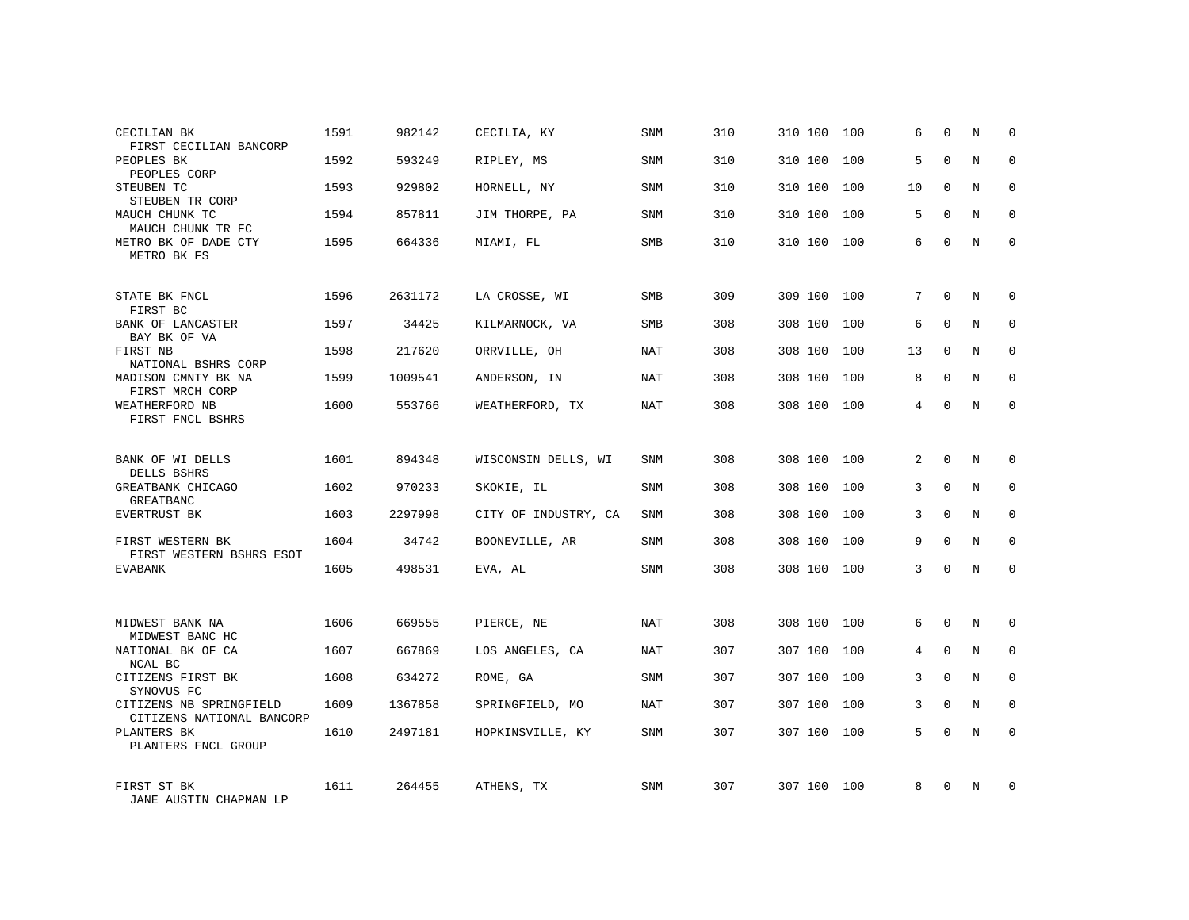| CECILIAN BK<br>FIRST CECILIAN BANCORP                | 1591 | 982142  | CECILIA, KY          | <b>SNM</b> | 310 | 310 100 | 100 | 6  | $\mathbf 0$  | N | $\mathbf 0$  |
|------------------------------------------------------|------|---------|----------------------|------------|-----|---------|-----|----|--------------|---|--------------|
| PEOPLES BK<br>PEOPLES CORP                           | 1592 | 593249  | RIPLEY, MS           | <b>SNM</b> | 310 | 310 100 | 100 | 5  | $\Omega$     | N | $\Omega$     |
| STEUBEN TC<br>STEUBEN TR CORP                        | 1593 | 929802  | HORNELL, NY          | <b>SNM</b> | 310 | 310 100 | 100 | 10 | $\mathbf 0$  | N | $\mathbf 0$  |
| MAUCH CHUNK TC<br>MAUCH CHUNK TR FC                  | 1594 | 857811  | JIM THORPE, PA       | SNM        | 310 | 310 100 | 100 | 5  | $\Omega$     | N | $\mathbf 0$  |
| METRO BK OF DADE CTY<br>METRO BK FS                  | 1595 | 664336  | MIAMI, FL            | <b>SMB</b> | 310 | 310 100 | 100 | 6  | $\Omega$     | N | $\Omega$     |
| STATE BK FNCL<br>FIRST BC                            | 1596 | 2631172 | LA CROSSE, WI        | <b>SMB</b> | 309 | 309 100 | 100 | 7  | $\Omega$     | N | $\Omega$     |
| BANK OF LANCASTER<br>BAY BK OF VA                    | 1597 | 34425   | KILMARNOCK, VA       | <b>SMB</b> | 308 | 308 100 | 100 | 6  | $\mathbf 0$  | N | $\mathbf 0$  |
| FIRST NB<br>NATIONAL BSHRS CORP                      | 1598 | 217620  | ORRVILLE, OH         | NAT        | 308 | 308 100 | 100 | 13 | $\Omega$     | N | $\mathbf 0$  |
| MADISON CMNTY BK NA<br>FIRST MRCH CORP               | 1599 | 1009541 | ANDERSON, IN         | NAT        | 308 | 308 100 | 100 | 8  | $\mathbf 0$  | N | 0            |
| WEATHERFORD NB<br>FIRST FNCL BSHRS                   | 1600 | 553766  | WEATHERFORD, TX      | NAT        | 308 | 308 100 | 100 | 4  | $\Omega$     | N | $\mathbf 0$  |
| BANK OF WI DELLS<br>DELLS BSHRS                      | 1601 | 894348  | WISCONSIN DELLS, WI  | <b>SNM</b> | 308 | 308 100 | 100 | 2  | $\Omega$     | N | $\mathbf 0$  |
| GREATBANK CHICAGO<br>GREATBANC                       | 1602 | 970233  | SKOKIE, IL           | SNM        | 308 | 308 100 | 100 | 3  | $\Omega$     | N | $\mathbf 0$  |
| EVERTRUST BK                                         | 1603 | 2297998 | CITY OF INDUSTRY, CA | SNM        | 308 | 308 100 | 100 | 3  | $\Omega$     | N | $\mathbf 0$  |
| FIRST WESTERN BK<br>FIRST WESTERN BSHRS ESOT         | 1604 | 34742   | BOONEVILLE, AR       | SNM        | 308 | 308 100 | 100 | 9  | $\Omega$     | N | $\mathbf 0$  |
| <b>EVABANK</b>                                       | 1605 | 498531  | EVA, AL              | <b>SNM</b> | 308 | 308 100 | 100 | 3  | $\Omega$     | N | $\mathbf 0$  |
|                                                      |      |         |                      |            |     |         |     |    |              |   |              |
| MIDWEST BANK NA<br>MIDWEST BANC HC                   | 1606 | 669555  | PIERCE, NE           | NAT        | 308 | 308 100 | 100 | 6  | $\mathbf{0}$ | N | $\mathbf 0$  |
| NATIONAL BK OF CA<br>NCAL BC                         | 1607 | 667869  | LOS ANGELES, CA      | NAT        | 307 | 307 100 | 100 | 4  | $\mathbf{0}$ | N | $\mathbf 0$  |
| CITIZENS FIRST BK<br>SYNOVUS FC                      | 1608 | 634272  | ROME, GA             | SNM        | 307 | 307 100 | 100 | 3  | $\Omega$     | N | $\mathbf{0}$ |
| CITIZENS NB SPRINGFIELD<br>CITIZENS NATIONAL BANCORP | 1609 | 1367858 | SPRINGFIELD, MO      | NAT        | 307 | 307 100 | 100 | 3  | $\Omega$     | N | $\mathbf 0$  |
| PLANTERS BK<br>PLANTERS FNCL GROUP                   | 1610 | 2497181 | HOPKINSVILLE, KY     | <b>SNM</b> | 307 | 307 100 | 100 | 5  | $\Omega$     | N | $\mathbf 0$  |
| FIRST ST BK<br>JANE AUSTIN CHAPMAN LP                | 1611 | 264455  | ATHENS, TX           | SNM        | 307 | 307 100 | 100 | 8  | $\Omega$     | N | $\mathbf 0$  |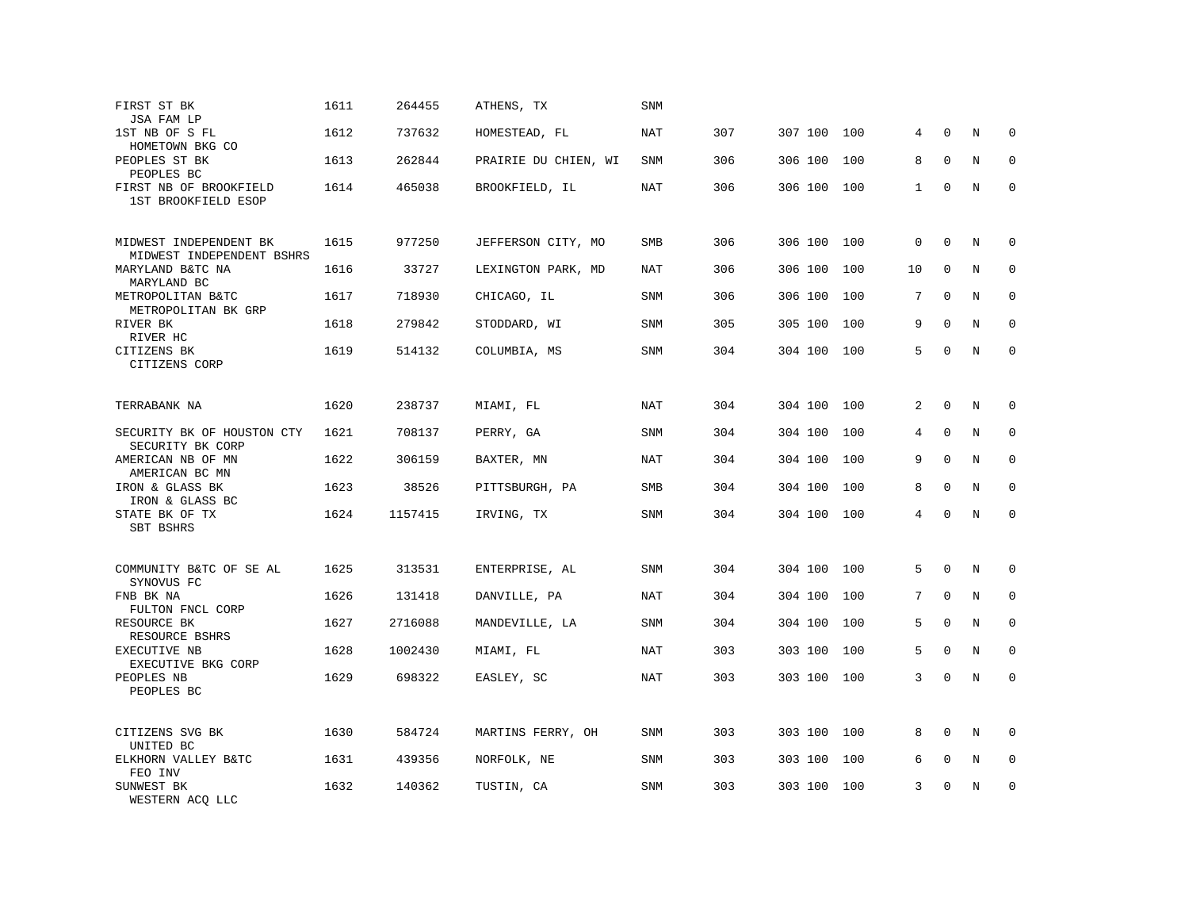| FIRST ST BK<br>JSA FAM LP                           | 1611 | 264455  | ATHENS, TX           | <b>SNM</b> |     |         |     |              |              |         |             |
|-----------------------------------------------------|------|---------|----------------------|------------|-----|---------|-----|--------------|--------------|---------|-------------|
| 1ST NB OF S FL<br>HOMETOWN BKG CO                   | 1612 | 737632  | HOMESTEAD, FL        | <b>NAT</b> | 307 | 307 100 | 100 | 4            | $\mathbf 0$  | N       | $\mathbf 0$ |
| PEOPLES ST BK<br>PEOPLES BC                         | 1613 | 262844  | PRAIRIE DU CHIEN, WI | <b>SNM</b> | 306 | 306 100 | 100 | 8            | $\mathbf{0}$ | N       | $\mathbf 0$ |
| FIRST NB OF BROOKFIELD<br>1ST BROOKFIELD ESOP       | 1614 | 465038  | BROOKFIELD, IL       | <b>NAT</b> | 306 | 306 100 | 100 | $\mathbf{1}$ | $\mathbf 0$  | N       | $\mathbf 0$ |
| MIDWEST INDEPENDENT BK<br>MIDWEST INDEPENDENT BSHRS | 1615 | 977250  | JEFFERSON CITY, MO   | <b>SMB</b> | 306 | 306 100 | 100 | $\mathbf 0$  | $\Omega$     | N       | 0           |
| MARYLAND B&TC NA<br>MARYLAND BC                     | 1616 | 33727   | LEXINGTON PARK, MD   | <b>NAT</b> | 306 | 306 100 | 100 | 10           | $\mathbf 0$  | N       | 0           |
| METROPOLITAN B&TC<br>METROPOLITAN BK GRP            | 1617 | 718930  | CHICAGO, IL          | <b>SNM</b> | 306 | 306 100 | 100 | 7            | $\Omega$     | N       | $\Omega$    |
| RIVER BK<br>RIVER HC                                | 1618 | 279842  | STODDARD, WI         | <b>SNM</b> | 305 | 305 100 | 100 | 9            | $\Omega$     | N       | $\mathbf 0$ |
| CITIZENS BK<br>CITIZENS CORP                        | 1619 | 514132  | COLUMBIA, MS         | <b>SNM</b> | 304 | 304 100 | 100 | 5            | $\mathbf 0$  | N       | $\mathbf 0$ |
| TERRABANK NA                                        | 1620 | 238737  | MIAMI, FL            | NAT        | 304 | 304 100 | 100 | 2            | $\Omega$     | N       | $\Omega$    |
| SECURITY BK OF HOUSTON CTY<br>SECURITY BK CORP      | 1621 | 708137  | PERRY, GA            | <b>SNM</b> | 304 | 304 100 | 100 | 4            | $\mathbf{0}$ | $\rm N$ | 0           |
| AMERICAN NB OF MN<br>AMERICAN BC MN                 | 1622 | 306159  | BAXTER, MN           | NAT        | 304 | 304 100 | 100 | 9            | $\mathbf 0$  | N       | $\mathbf 0$ |
| IRON & GLASS BK<br>IRON & GLASS BC                  | 1623 | 38526   | PITTSBURGH, PA       | <b>SMB</b> | 304 | 304 100 | 100 | 8            | $\Omega$     | N       | $\Omega$    |
| STATE BK OF TX<br>SBT BSHRS                         | 1624 | 1157415 | IRVING, TX           | <b>SNM</b> | 304 | 304 100 | 100 | 4            | $\mathbf 0$  | N       | $\mathbf 0$ |
| COMMUNITY B&TC OF SE AL<br>SYNOVUS FC               | 1625 | 313531  | ENTERPRISE, AL       | <b>SNM</b> | 304 | 304 100 | 100 | 5            | $\mathbf 0$  | N       | 0           |
| FNB BK NA<br>FULTON FNCL CORP                       | 1626 | 131418  | DANVILLE, PA         | NAT        | 304 | 304 100 | 100 | 7            | $\mathbf{0}$ | N       | 0           |
| RESOURCE BK<br>RESOURCE BSHRS                       | 1627 | 2716088 | MANDEVILLE, LA       | <b>SNM</b> | 304 | 304 100 | 100 | 5            | $\mathbf 0$  | N       | $\mathbf 0$ |
| EXECUTIVE NB<br>EXECUTIVE BKG CORP                  | 1628 | 1002430 | MIAMI, FL            | NAT        | 303 | 303 100 | 100 | 5            | $\Omega$     | N       | $\mathbf 0$ |
| PEOPLES NB<br>PEOPLES BC                            | 1629 | 698322  | EASLEY, SC           | <b>NAT</b> | 303 | 303 100 | 100 | 3            | $\mathbf 0$  | N       | 0           |
| CITIZENS SVG BK<br>UNITED BC                        | 1630 | 584724  | MARTINS FERRY, OH    | SNM        | 303 | 303 100 | 100 | 8            | $\Omega$     | N       | $\Omega$    |
| ELKHORN VALLEY B&TC<br>FEO INV                      | 1631 | 439356  | NORFOLK, NE          | SNM        | 303 | 303 100 | 100 | 6            | $\mathbf 0$  | Ν       | 0           |
| SUNWEST BK<br>WESTERN ACQ LLC                       | 1632 | 140362  | TUSTIN, CA           | <b>SNM</b> | 303 | 303 100 | 100 | 3            | $\mathbf 0$  | N       | $\mathbf 0$ |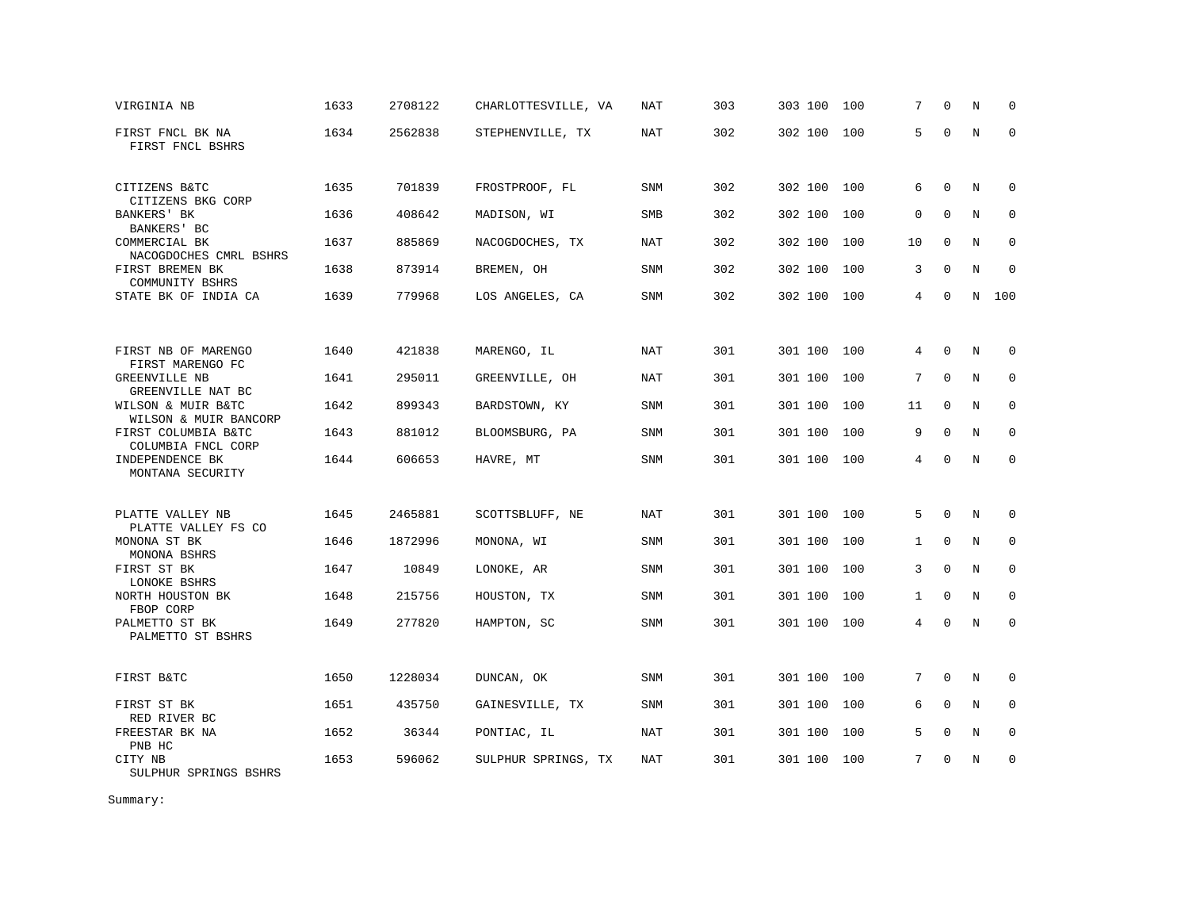| VIRGINIA NB                                            | 1633 | 2708122 | CHARLOTTESVILLE, VA | NAT        | 303 | 303 100 | 100 | 7            | $\Omega$     | N | $\mathbf 0$ |
|--------------------------------------------------------|------|---------|---------------------|------------|-----|---------|-----|--------------|--------------|---|-------------|
| FIRST FNCL BK NA<br>FIRST FNCL BSHRS                   | 1634 | 2562838 | STEPHENVILLE, TX    | <b>NAT</b> | 302 | 302 100 | 100 | 5            | $\mathbf 0$  | N | $\Omega$    |
| CITIZENS B&TC                                          | 1635 | 701839  | FROSTPROOF, FL      | SNM        | 302 | 302 100 | 100 | 6            | $\mathbf 0$  | N | $\mathbf 0$ |
| CITIZENS BKG CORP<br><b>BANKERS' BK</b><br>BANKERS' BC | 1636 | 408642  | MADISON, WI         | <b>SMB</b> | 302 | 302 100 | 100 | $\mathbf 0$  | $\Omega$     | N | $\mathbf 0$ |
| COMMERCIAL BK<br>NACOGDOCHES CMRL BSHRS                | 1637 | 885869  | NACOGDOCHES, TX     | NAT        | 302 | 302 100 | 100 | 10           | $\mathbf 0$  | N | $\mathbf 0$ |
| FIRST BREMEN BK<br>COMMUNITY BSHRS                     | 1638 | 873914  | BREMEN, OH          | <b>SNM</b> | 302 | 302 100 | 100 | 3            | $\Omega$     | N | $\Omega$    |
| STATE BK OF INDIA CA                                   | 1639 | 779968  | LOS ANGELES, CA     | SNM        | 302 | 302 100 | 100 | 4            | $\mathbf 0$  | N | 100         |
|                                                        |      |         |                     |            |     |         |     |              |              |   |             |
| FIRST NB OF MARENGO<br>FIRST MARENGO FC                | 1640 | 421838  | MARENGO, IL         | NAT        | 301 | 301 100 | 100 | 4            | 0            | N | 0           |
| GREENVILLE NB<br>GREENVILLE NAT BC                     | 1641 | 295011  | GREENVILLE, OH      | NAT        | 301 | 301 100 | 100 | 7            | $\Omega$     | N | $\mathbf 0$ |
| WILSON & MUIR B&TC<br>WILSON & MUIR BANCORP            | 1642 | 899343  | BARDSTOWN, KY       | SNM        | 301 | 301 100 | 100 | 11           | $\mathbf{0}$ | N | $\mathbf 0$ |
| FIRST COLUMBIA B&TC<br>COLUMBIA FNCL CORP              | 1643 | 881012  | BLOOMSBURG, PA      | SNM        | 301 | 301 100 | 100 | 9            | $\Omega$     | N | $\mathbf 0$ |
| INDEPENDENCE BK<br>MONTANA SECURITY                    | 1644 | 606653  | HAVRE, MT           | SNM        | 301 | 301 100 | 100 | 4            | $\Omega$     | N | $\Omega$    |
| PLATTE VALLEY NB                                       | 1645 | 2465881 | SCOTTSBLUFF, NE     | <b>NAT</b> | 301 | 301 100 | 100 | 5            | $\Omega$     | N | $\mathbf 0$ |
| PLATTE VALLEY FS CO                                    |      |         |                     |            |     |         |     |              |              |   |             |
| MONONA ST BK<br>MONONA BSHRS                           | 1646 | 1872996 | MONONA, WI          | SNM        | 301 | 301 100 | 100 | $\mathbf{1}$ | $\Omega$     | N | $\mathbf 0$ |
| FIRST ST BK<br>LONOKE BSHRS                            | 1647 | 10849   | LONOKE, AR          | SNM        | 301 | 301 100 | 100 | 3            | $\Omega$     | N | $\mathbf 0$ |
| NORTH HOUSTON BK<br>FBOP CORP                          | 1648 | 215756  | HOUSTON, TX         | SNM        | 301 | 301 100 | 100 | 1            | $\Omega$     | N | $\mathbf 0$ |
| PALMETTO ST BK<br>PALMETTO ST BSHRS                    | 1649 | 277820  | HAMPTON, SC         | SNM        | 301 | 301 100 | 100 | 4            | $\Omega$     | N | $\Omega$    |
| FIRST B&TC                                             | 1650 | 1228034 | DUNCAN, OK          | SNM        | 301 | 301 100 | 100 | 7            | $\mathbf 0$  | N | $\mathbf 0$ |
| FIRST ST BK                                            | 1651 | 435750  | GAINESVILLE, TX     | SNM        | 301 | 301 100 | 100 | 6            | $\Omega$     | N | $\Omega$    |
| RED RIVER BC<br>FREESTAR BK NA<br>PNB HC               | 1652 | 36344   | PONTIAC, IL         | NAT        | 301 | 301 100 | 100 | 5            | $\mathbf 0$  | N | $\mathbf 0$ |
| CITY NB<br>SULPHUR SPRINGS BSHRS                       | 1653 | 596062  | SULPHUR SPRINGS, TX | NAT        | 301 | 301 100 | 100 | 7            | $\Omega$     | N | $\Omega$    |

Summary: